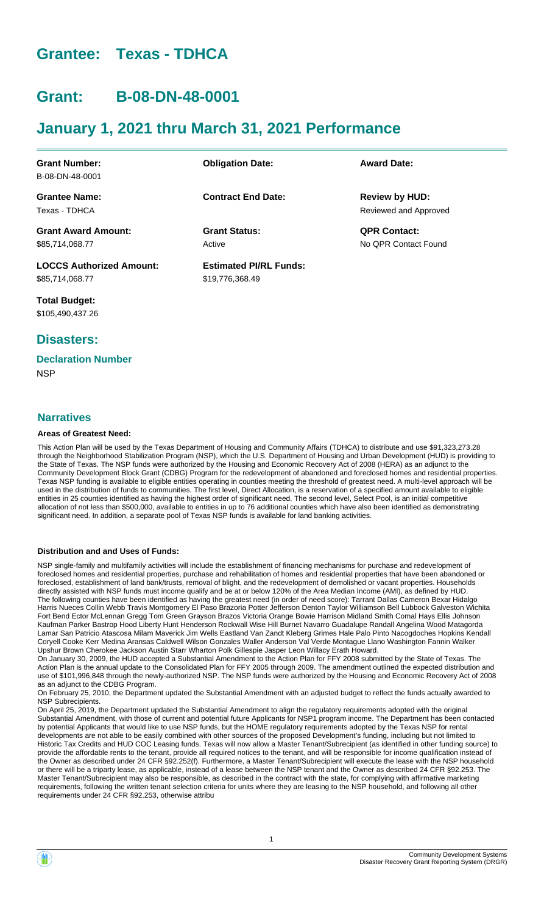# **Grantee: Texas - TDHCA**

# **Grant: B-08-DN-48-0001**

# **January 1, 2021 thru March 31, 2021 Performance**

| <b>Grant Number:</b>            | <b>Obligation Date:</b>       | <b>Award Date:</b>    |
|---------------------------------|-------------------------------|-----------------------|
| B-08-DN-48-0001                 |                               |                       |
| <b>Grantee Name:</b>            | <b>Contract End Date:</b>     | <b>Review by HUD:</b> |
| Texas - TDHCA                   |                               | Reviewed and Approved |
| <b>Grant Award Amount:</b>      | <b>Grant Status:</b>          | <b>QPR Contact:</b>   |
| \$85,714,068.77                 | Active                        | No OPR Contact Found  |
| <b>LOCCS Authorized Amount:</b> | <b>Estimated PI/RL Funds:</b> |                       |
| \$85,714,068.77                 | \$19,776,368.49               |                       |

**Total Budget:** \$105,490,437.26

# **Disasters:**

# **Declaration Number**

**NSP** 

#### **Narratives**

#### **Areas of Greatest Need:**

This Action Plan will be used by the Texas Department of Housing and Community Affairs (TDHCA) to distribute and use \$91,323,273.28 through the Neighborhood Stabilization Program (NSP), which the U.S. Department of Housing and Urban Development (HUD) is providing to the State of Texas. The NSP funds were authorized by the Housing and Economic Recovery Act of 2008 (HERA) as an adjunct to the Community Development Block Grant (CDBG) Program for the redevelopment of abandoned and foreclosed homes and residential properties. Texas NSP funding is available to eligible entities operating in counties meeting the threshold of greatest need. A multi-level approach will be used in the distribution of funds to communities. The first level, Direct Allocation, is a reservation of a specified amount available to eligible entities in 25 counties identified as having the highest order of significant need. The second level, Select Pool, is an initial competitive allocation of not less than \$500,000, available to entities in up to 76 additional counties which have also been identified as demonstrating significant need. In addition, a separate pool of Texas NSP funds is available for land banking activities.

#### **Distribution and and Uses of Funds:**

NSP single-family and multifamily activities will include the establishment of financing mechanisms for purchase and redevelopment of foreclosed homes and residential properties, purchase and rehabilitation of homes and residential properties that have been abandoned or foreclosed, establishment of land bank/trusts, removal of blight, and the redevelopment of demolished or vacant properties. Households directly assisted with NSP funds must income qualify and be at or below 120% of the Area Median Income (AMI), as defined by HUD. The following counties have been identified as having the greatest need (in order of need score): Tarrant Dallas Cameron Bexar Hidalgo Harris Nueces Collin Webb Travis Montgomery El Paso Brazoria Potter Jefferson Denton Taylor Williamson Bell Lubbock Galveston Wichita Fort Bend Ector McLennan Gregg Tom Green Grayson Brazos Victoria Orange Bowie Harrison Midland Smith Comal Hays Ellis Johnson Kaufman Parker Bastrop Hood Liberty Hunt Henderson Rockwall Wise Hill Burnet Navarro Guadalupe Randall Angelina Wood Matagorda Lamar San Patricio Atascosa Milam Maverick Jim Wells Eastland Van Zandt Kleberg Grimes Hale Palo Pinto Nacogdoches Hopkins Kendall Coryell Cooke Kerr Medina Aransas Caldwell Wilson Gonzales Waller Anderson Val Verde Montague Llano Washington Fannin Walker Upshur Brown Cherokee Jackson Austin Starr Wharton Polk Gillespie Jasper Leon Willacy Erath Howard.

On January 30, 2009, the HUD accepted a Substantial Amendment to the Action Plan for FFY 2008 submitted by the State of Texas. The Action Plan is the annual update to the Consolidated Plan for FFY 2005 through 2009. The amendment outlined the expected distribution and use of \$101,996,848 through the newly-authorized NSP. The NSP funds were authorized by the Housing and Economic Recovery Act of 2008 as an adjunct to the CDBG Program.

On February 25, 2010, the Department updated the Substantial Amendment with an adjusted budget to reflect the funds actually awarded to NSP Subrecipients.

On April 25, 2019, the Department updated the Substantial Amendment to align the regulatory requirements adopted with the original Substantial Amendment, with those of current and potential future Applicants for NSP1 program income. The Department has been contacted by potential Applicants that would like to use NSP funds, but the HOME regulatory requirements adopted by the Texas NSP for rental developments are not able to be easily combined with other sources of the proposed Development's funding, including but not limited to Historic Tax Credits and HUD COC Leasing funds. Texas will now allow a Master Tenant/Subrecipient (as identified in other funding source) to provide the affordable rents to the tenant, provide all required notices to the tenant, and will be responsible for income qualification instead of the Owner as described under 24 CFR §92.252(f). Furthermore, a Master Tenant/Subrecipient will execute the lease with the NSP household or there will be a triparty lease, as applicable, instead of a lease between the NSP tenant and the Owner as described 24 CFR §92.253. The Master Tenant/Subrecipient may also be responsible, as described in the contract with the state, for complying with affirmative marketing requirements, following the written tenant selection criteria for units where they are leasing to the NSP household, and following all other requirements under 24 CFR §92.253, otherwise attribu

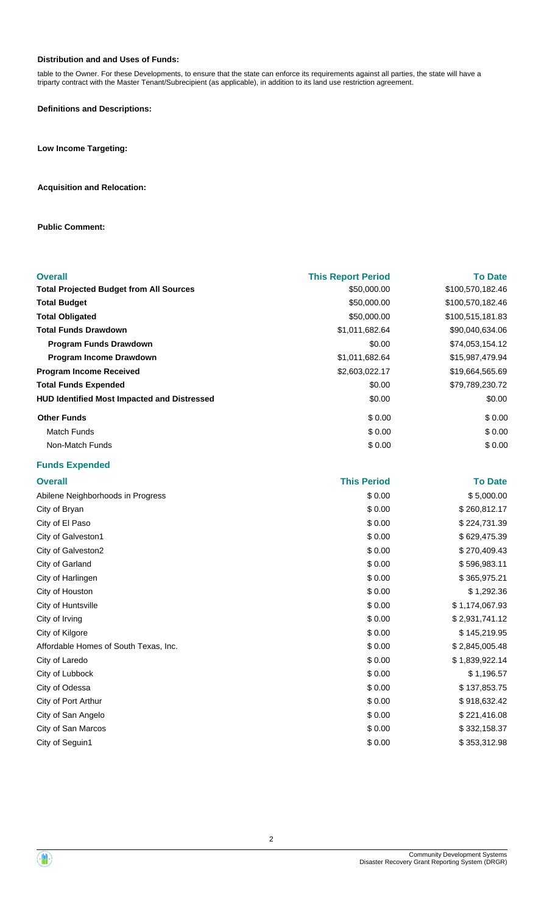#### **Distribution and and Uses of Funds:**

table to the Owner. For these Developments, to ensure that the state can enforce its requirements against all parties, the state will have a triparty contract with the Master Tenant/Subrecipient (as applicable), in addition to its land use restriction agreement.

**Definitions and Descriptions:**

**Low Income Targeting:**

#### **Acquisition and Relocation:**

**Public Comment:**

| <b>Overall</b>                                     | <b>This Report Period</b> | <b>To Date</b>   |
|----------------------------------------------------|---------------------------|------------------|
| <b>Total Projected Budget from All Sources</b>     | \$50,000.00               | \$100,570,182.46 |
| <b>Total Budget</b>                                | \$50,000.00               | \$100,570,182.46 |
| <b>Total Obligated</b>                             | \$50,000.00               | \$100,515,181.83 |
| <b>Total Funds Drawdown</b>                        | \$1,011,682.64            | \$90,040,634.06  |
| Program Funds Drawdown                             | \$0.00                    | \$74,053,154.12  |
| Program Income Drawdown                            | \$1,011,682.64            | \$15,987,479.94  |
| <b>Program Income Received</b>                     | \$2,603,022.17            | \$19,664,565.69  |
| <b>Total Funds Expended</b>                        | \$0.00                    | \$79,789,230.72  |
| <b>HUD Identified Most Impacted and Distressed</b> | \$0.00                    | \$0.00           |
| <b>Other Funds</b>                                 | \$0.00                    | \$0.00           |
| <b>Match Funds</b>                                 | \$0.00                    | \$0.00           |
| Non-Match Funds                                    | \$0.00                    | \$0.00           |
| <b>Funds Expended</b>                              |                           |                  |
| <b>Overall</b>                                     | <b>This Period</b>        | <b>To Date</b>   |
| Abilene Neighborhoods in Progress                  | \$0.00                    | \$5,000.00       |
| City of Bryan                                      | \$0.00                    | \$260,812.17     |
| City of El Paso                                    | \$0.00                    | \$224,731.39     |
| City of Galveston1                                 | \$0.00                    | \$629,475.39     |
| City of Galveston2                                 | \$0.00                    | \$270,409.43     |
| City of Garland                                    | \$0.00                    | \$596,983.11     |
| City of Harlingen                                  | \$0.00                    | \$365,975.21     |
| City of Houston                                    | \$0.00                    | \$1,292.36       |
| City of Huntsville                                 | \$0.00                    | \$1,174,067.93   |
| City of Irving                                     | \$0.00                    | \$2,931,741.12   |
| City of Kilgore                                    | \$0.00                    | \$145,219.95     |
| Affordable Homes of South Texas, Inc.              | \$0.00                    | \$2,845,005.48   |
| City of Laredo                                     | \$0.00                    | \$1,839,922.14   |
| City of Lubbock                                    | \$0.00                    | \$1,196.57       |
| City of Odessa                                     | \$0.00                    | \$137,853.75     |
| City of Port Arthur                                | \$0.00                    | \$918,632.42     |
| City of San Angelo                                 | \$0.00                    | \$221,416.08     |
| City of San Marcos                                 | \$0.00                    | \$332,158.37     |
| City of Seguin1                                    | \$0.00                    | \$353,312.98     |

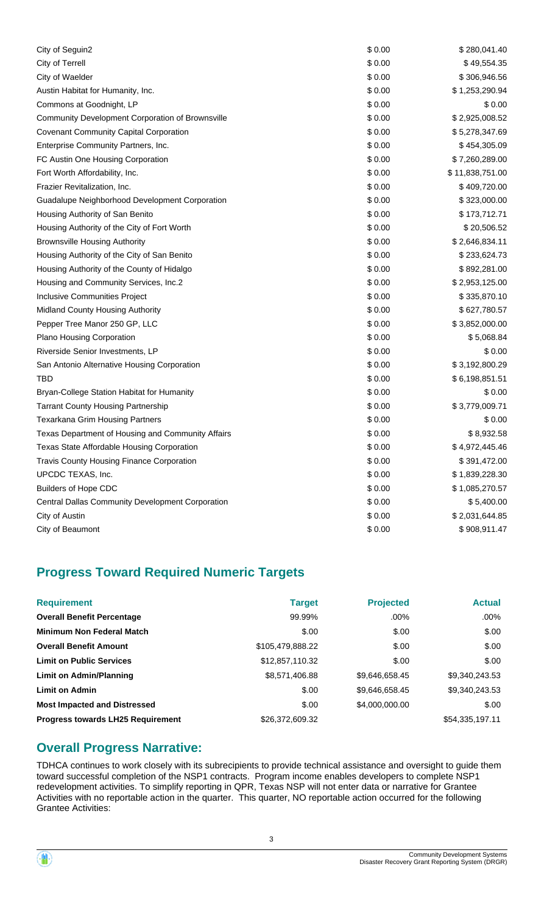| City of Seguin2                                   | \$0.00 | \$280,041.40    |
|---------------------------------------------------|--------|-----------------|
| City of Terrell                                   | \$0.00 | \$49,554.35     |
| City of Waelder                                   | \$0.00 | \$306,946.56    |
| Austin Habitat for Humanity, Inc.                 | \$0.00 | \$1,253,290.94  |
| Commons at Goodnight, LP                          | \$0.00 | \$0.00          |
| Community Development Corporation of Brownsville  | \$0.00 | \$2,925,008.52  |
| <b>Covenant Community Capital Corporation</b>     | \$0.00 | \$5,278,347.69  |
| Enterprise Community Partners, Inc.               | \$0.00 | \$454,305.09    |
| FC Austin One Housing Corporation                 | \$0.00 | \$7,260,289.00  |
| Fort Worth Affordability, Inc.                    | \$0.00 | \$11,838,751.00 |
| Frazier Revitalization, Inc.                      | \$0.00 | \$409,720.00    |
| Guadalupe Neighborhood Development Corporation    | \$0.00 | \$323,000.00    |
| Housing Authority of San Benito                   | \$0.00 | \$173,712.71    |
| Housing Authority of the City of Fort Worth       | \$0.00 | \$20,506.52     |
| <b>Brownsville Housing Authority</b>              | \$0.00 | \$2,646,834.11  |
| Housing Authority of the City of San Benito       | \$0.00 | \$233,624.73    |
| Housing Authority of the County of Hidalgo        | \$0.00 | \$892,281.00    |
| Housing and Community Services, Inc.2             | \$0.00 | \$2,953,125.00  |
| Inclusive Communities Project                     | \$0.00 | \$335,870.10    |
| Midland County Housing Authority                  | \$0.00 | \$627,780.57    |
| Pepper Tree Manor 250 GP, LLC                     | \$0.00 | \$3,852,000.00  |
| Plano Housing Corporation                         | \$0.00 | \$5,068.84      |
| Riverside Senior Investments, LP                  | \$0.00 | \$0.00          |
| San Antonio Alternative Housing Corporation       | \$0.00 | \$3,192,800.29  |
| <b>TBD</b>                                        | \$0.00 | \$6,198,851.51  |
| Bryan-College Station Habitat for Humanity        | \$0.00 | \$0.00          |
| <b>Tarrant County Housing Partnership</b>         | \$0.00 | \$3,779,009.71  |
| <b>Texarkana Grim Housing Partners</b>            | \$0.00 | \$0.00          |
| Texas Department of Housing and Community Affairs | \$0.00 | \$8,932.58      |
| Texas State Affordable Housing Corporation        | \$0.00 | \$4,972,445.46  |
| <b>Travis County Housing Finance Corporation</b>  | \$0.00 | \$391,472.00    |
| UPCDC TEXAS, Inc.                                 | \$0.00 | \$1,839,228.30  |
| <b>Builders of Hope CDC</b>                       | \$0.00 | \$1,085,270.57  |
| Central Dallas Community Development Corporation  | \$0.00 | \$5,400.00      |
| City of Austin                                    | \$0.00 | \$2,031,644.85  |
| City of Beaumont                                  | \$0.00 | \$908,911.47    |

# **Progress Toward Required Numeric Targets**

| <b>Requirement</b>                       | <b>Target</b>    | <b>Projected</b> | <b>Actual</b>   |
|------------------------------------------|------------------|------------------|-----------------|
| <b>Overall Benefit Percentage</b>        | 99.99%           | .00%             | $.00\%$         |
| <b>Minimum Non Federal Match</b>         | \$.00            | \$.00            | \$.00           |
| <b>Overall Benefit Amount</b>            | \$105,479,888.22 | \$.00            | \$.00           |
| <b>Limit on Public Services</b>          | \$12,857,110.32  | \$.00            | \$.00           |
| <b>Limit on Admin/Planning</b>           | \$8,571,406.88   | \$9,646,658.45   | \$9,340,243.53  |
| <b>Limit on Admin</b>                    | \$.00            | \$9,646,658.45   | \$9,340,243.53  |
| <b>Most Impacted and Distressed</b>      | \$.00            | \$4,000,000.00   | \$.00           |
| <b>Progress towards LH25 Requirement</b> | \$26,372,609,32  |                  | \$54,335,197.11 |

# **Overall Progress Narrative:**

TDHCA continues to work closely with its subrecipients to provide technical assistance and oversight to guide them toward successful completion of the NSP1 contracts. Program income enables developers to complete NSP1 redevelopment activities. To simplify reporting in QPR, Texas NSP will not enter data or narrative for Grantee Activities with no reportable action in the quarter. This quarter, NO reportable action occurred for the following Grantee Activities:

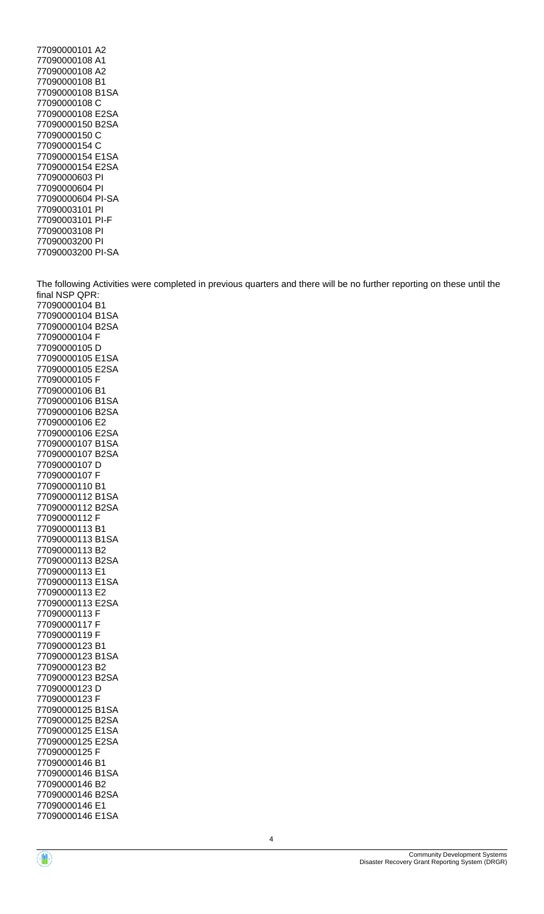77090000101 A2 77090000108 A1 77090000108 A2 77090000108 B1 77090000108 B1SA 77090000108 C 77090000108 E2SA 77090000150 B2SA 77090000150 C 77090000154 C 77090000154 E1SA 77090000154 E2SA 77090000603 PI 77090000604 PI 77090000604 PI-SA 77090003101 PI 77090003101 PI-F 77090003108 PI 77090003200 PI 77090003200 PI-SA

The following Activities were completed in previous quarters and there will be no further reporting on these until the final NSP QPR: 77090000104 B1 77090000104 B1SA 77090000104 B2SA 77090000104 F 77090000105 D 77090000105 E1SA 77090000105 E2SA 77090000105 F 77090000106 B1 77090000106 B1SA 77090000106 B2SA 77090000106 E2 77090000106 E2SA 77090000107 B1SA 77090000107 B2SA 77090000107 D 77090000107 F 77090000110 B1 77090000112 B1SA 77090000112 B2SA 77090000112 F 77090000113 B1 77090000113 B1SA 77090000113 B2 77090000113 B2SA 77090000113 E1 77090000113 E1SA 77090000113 E2 77090000113 E2SA 77090000113 F 77090000117 F 77090000119 F 77090000123 B1 77090000123 B1SA 77090000123 B2 77090000123 B2SA 77090000123 D 77090000123 F 77090000125 B1SA 77090000125 B2SA 77090000125 E1SA 77090000125 E2SA 77090000125 F 77090000146 B1 77090000146 B1SA



77090000146 B2 77090000146 B2SA 77090000146 E1 77090000146 E1SA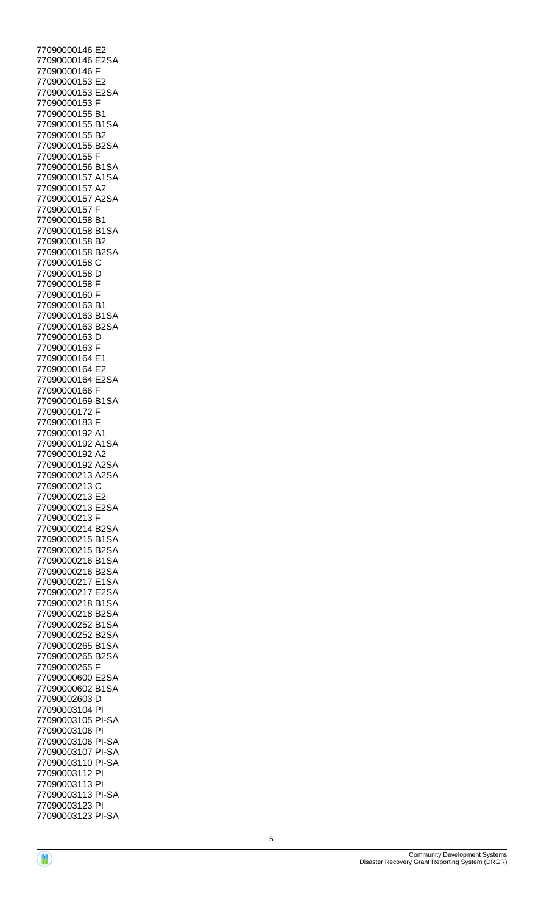77090000146 E2 77090000146 E2SA 77090000146 F 77090000153 E2 77090000153 E2SA 77090000153 F 77090000155 B1 77090000155 B1SA 77090000155 B2 77090000155 B2SA 77090000155 F 77090000156 B1SA 77090000157 A1SA 77090000157 A2 77090000157 A2SA 77090000157 F 77090000158 B1 77090000158 B1SA 77090000158 B2 77090000158 B2SA 77090000158 C 77090000158 D 77090000158 F 77090000160 F 77090000163 B1 77090000163 B1SA 77090000163 B2SA 77090000163 D 77090000163 F 77090000164 E1 77090000164 E2 77090000164 E2SA 77090000166 F 77090000169 B1SA 77090000172 F 77090000183 F 77090000192 A1 77090000192 A1SA 77090000192 A2 77090000192 A2SA 77090000213 A2SA 77090000213 C 77090000213 E2 77090000213 E2SA 77090000213 F 77090000214 B2SA 77090000215 B1SA 77090000215 B2SA 77090000216 B1SA 77090000216 B2SA 77090000217 E1SA 77090000217 E2SA 77090000218 B1SA 77090000218 B2SA 77090000252 B1SA 77090000252 B2SA 77090000265 B1SA 77090000265 B2SA 77090000265 F 77090000600 E2SA 77090000602 B1SA 77090002603 D 77090003104 PI 77090003105 PI-SA 77090003106 PI 77090003106 PI-SA 77090003107 PI-SA 77090003110 PI-SA 77090003112 PI 77090003113 PI 77090003113 PI-SA 77090003123 PI 77090003123 PI-SA

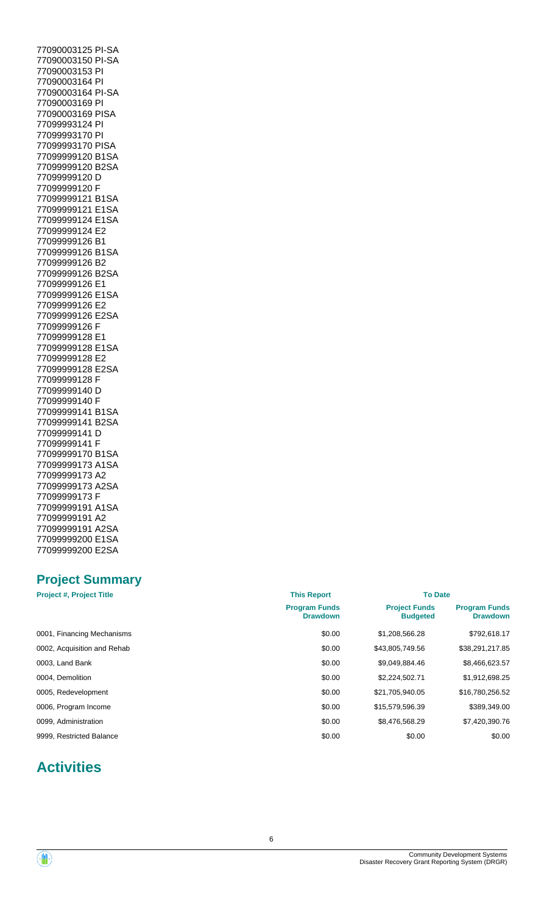77090003125 PI-SA 77090003150 PI-SA 77090003153 PI 77090003164 PI 77090003164 PI-SA 77090003169 PI 77090003169 PISA 77099993124 PI 77099993170 PI 77099993170 PISA 77099999120 B1SA 77099999120 B2SA 77099999120 D 77099999120 F 77099999121 B1SA 77099999121 E1SA 77099999124 E1SA 77099999124 E2 77099999126 B1 77099999126 B1SA 77099999126 B2 77099999126 B2SA 77099999126 E1 77099999126 E1SA 77099999126 E2 77099999126 E2SA 77099999126 F 77099999128 E1 77099999128 E1SA 77099999128 E2 77099999128 E2SA 77099999128 F 77099999140 D 77099999140 F 77099999141 B1SA 77099999141 B2SA 77099999141 D 77099999141 F 77099999170 B1SA 77099999173 A1SA 77099999173 A2 77099999173 A2SA 77099999173 F 77099999191 A1SA 77099999191 A2 77099999191 A2SA 77099999200 E1SA 77099999200 E2SA

# **Project Summary**

| <b>Project #, Project Title</b> | <b>This Report</b>                      | <b>To Date</b>                          |                                         |
|---------------------------------|-----------------------------------------|-----------------------------------------|-----------------------------------------|
|                                 | <b>Program Funds</b><br><b>Drawdown</b> | <b>Project Funds</b><br><b>Budgeted</b> | <b>Program Funds</b><br><b>Drawdown</b> |
| 0001, Financing Mechanisms      | \$0.00                                  | \$1,208,566.28                          | \$792,618.17                            |
| 0002, Acquisition and Rehab     | \$0.00                                  | \$43,805,749.56                         | \$38,291,217.85                         |
| 0003, Land Bank                 | \$0.00                                  | \$9,049,884.46                          | \$8,466,623.57                          |
| 0004, Demolition                | \$0.00                                  | \$2,224,502.71                          | \$1,912,698.25                          |
| 0005, Redevelopment             | \$0.00                                  | \$21,705,940.05                         | \$16,780,256.52                         |
| 0006, Program Income            | \$0.00                                  | \$15,579,596.39                         | \$389,349.00                            |
| 0099, Administration            | \$0.00                                  | \$8,476,568.29                          | \$7,420,390.76                          |
| 9999, Restricted Balance        | \$0.00                                  | \$0.00                                  | \$0.00                                  |

# **Activities**

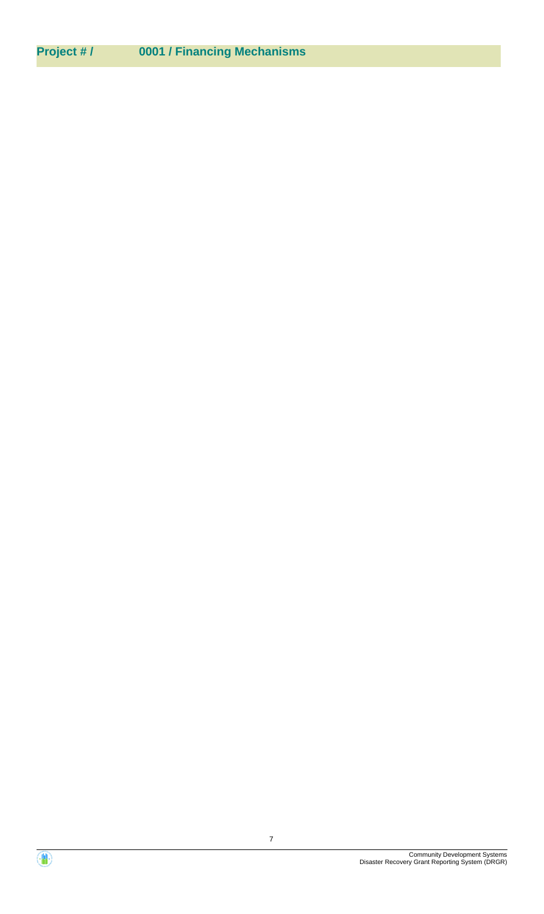# **Project # / 0001 / Financing Mechanisms**

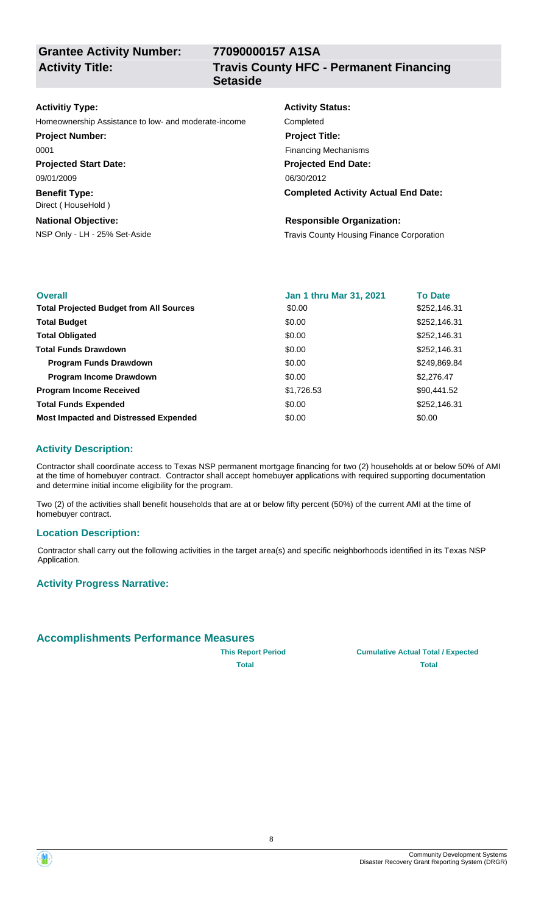**Grantee Activity Number: Activity Title:**

**77090000157 A1SA Travis County HFC - Permanent Financing**

#### **Activitiy Type:**

Homeownership Assistance to low- and moderate-income Completed

| <b>Project Number:</b>       |  |  |
|------------------------------|--|--|
| 0001                         |  |  |
| <b>Projected Start Date:</b> |  |  |
| 09/01/2009                   |  |  |

**Benefit Type:** Direct ( HouseHold )

**National Objective:**

# **Setaside**

**Activity Status: Projected End Date: Completed Activity Actual End Date:** 06/30/2012 **Project Title:** Financing Mechanisms

#### **Responsible Organization:**

NSP Only - LH - 25% Set-Aside Travis County Housing Finance Corporation

| <b>Overall</b>                                 | <b>Jan 1 thru Mar 31, 2021</b> | <b>To Date</b> |
|------------------------------------------------|--------------------------------|----------------|
| <b>Total Projected Budget from All Sources</b> | \$0.00                         | \$252,146.31   |
| <b>Total Budget</b>                            | \$0.00                         | \$252,146.31   |
| <b>Total Obligated</b>                         | \$0.00                         | \$252,146.31   |
| <b>Total Funds Drawdown</b>                    | \$0.00                         | \$252,146.31   |
| <b>Program Funds Drawdown</b>                  | \$0.00                         | \$249,869.84   |
| <b>Program Income Drawdown</b>                 | \$0.00                         | \$2,276.47     |
| <b>Program Income Received</b>                 | \$1,726.53                     | \$90,441.52    |
| <b>Total Funds Expended</b>                    | \$0.00                         | \$252,146.31   |
| <b>Most Impacted and Distressed Expended</b>   | \$0.00                         | \$0.00         |

## **Activity Description:**

Contractor shall coordinate access to Texas NSP permanent mortgage financing for two (2) households at or below 50% of AMI at the time of homebuyer contract. Contractor shall accept homebuyer applications with required supporting documentation and determine initial income eligibility for the program.

Two (2) of the activities shall benefit households that are at or below fifty percent (50%) of the current AMI at the time of homebuyer contract.

#### **Location Description:**

Contractor shall carry out the following activities in the target area(s) and specific neighborhoods identified in its Texas NSP Application.

#### **Activity Progress Narrative:**

#### **Accomplishments Performance Measures**

**This Report Period Cumulative Actual Total / Expected Total Total**



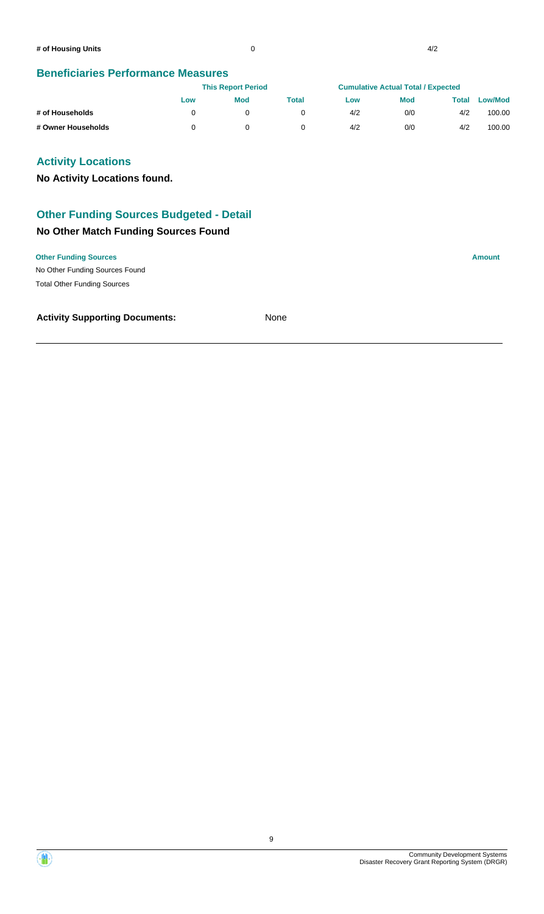#### **Beneficiaries Performance Measures**

|                    |     | <b>This Report Period</b> |       | <b>Cumulative Actual Total / Expected</b> |            |       |                |
|--------------------|-----|---------------------------|-------|-------------------------------------------|------------|-------|----------------|
|                    | Low | <b>Mod</b>                | Total | Low                                       | <b>Mod</b> | Total | <b>Low/Mod</b> |
| # of Households    |     |                           |       | 4/2                                       | 0/0        | 4/2   | 100.00         |
| # Owner Households |     |                           |       | 4/2                                       | 0/0        | 4/2   | 100.00         |

#### **Activity Locations**

**No Activity Locations found.**

# **No Other Match Funding Sources Found Other Funding Sources Budgeted - Detail**

#### **Other Funding Sources Amount**

No Other Funding Sources Found Total Other Funding Sources

#### **Activity Supporting Documents:** None



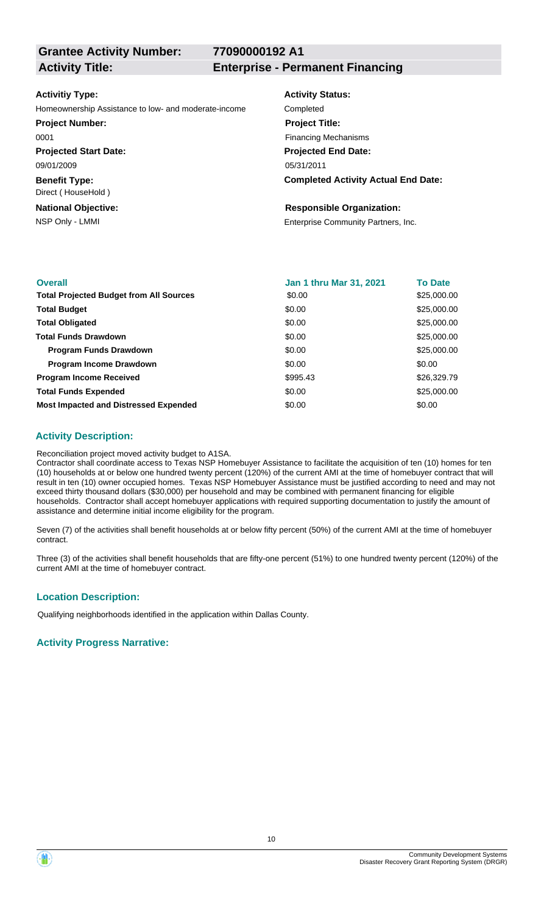**Grantee Activity Number:**

**77090000192 A1**

**Activity Title: Enterprise - Permanent Financing**

#### **Activitiy Type:**

Homeownership Assistance to low- and moderate-income Completed

#### **Project Number:**

0001

**Projected Start Date:** 09/01/2009

**Benefit Type:** Direct ( HouseHold )

**National Objective:**

# **Activity Status: Projected End Date:** 05/31/2011 **Project Title:** Financing Mechanisms

#### **Completed Activity Actual End Date:**

#### **Responsible Organization:**

NSP Only - LMMI **Enterprise Community Partners, Inc.** 

| <b>Overall</b>                                 | Jan 1 thru Mar 31, 2021 | <b>To Date</b> |
|------------------------------------------------|-------------------------|----------------|
| <b>Total Projected Budget from All Sources</b> | \$0.00                  | \$25,000.00    |
| <b>Total Budget</b>                            | \$0.00                  | \$25,000.00    |
| <b>Total Obligated</b>                         | \$0.00                  | \$25,000.00    |
| <b>Total Funds Drawdown</b>                    | \$0.00                  | \$25,000.00    |
| <b>Program Funds Drawdown</b>                  | \$0.00                  | \$25,000.00    |
| <b>Program Income Drawdown</b>                 | \$0.00                  | \$0.00         |
| <b>Program Income Received</b>                 | \$995.43                | \$26,329.79    |
| <b>Total Funds Expended</b>                    | \$0.00                  | \$25,000.00    |
| <b>Most Impacted and Distressed Expended</b>   | \$0.00                  | \$0.00         |

#### **Activity Description:**

Reconciliation project moved activity budget to A1SA.

Contractor shall coordinate access to Texas NSP Homebuyer Assistance to facilitate the acquisition of ten (10) homes for ten (10) households at or below one hundred twenty percent (120%) of the current AMI at the time of homebuyer contract that will result in ten (10) owner occupied homes. Texas NSP Homebuyer Assistance must be justified according to need and may not exceed thirty thousand dollars (\$30,000) per household and may be combined with permanent financing for eligible households. Contractor shall accept homebuyer applications with required supporting documentation to justify the amount of assistance and determine initial income eligibility for the program.

Seven (7) of the activities shall benefit households at or below fifty percent (50%) of the current AMI at the time of homebuyer contract.

Three (3) of the activities shall benefit households that are fifty-one percent (51%) to one hundred twenty percent (120%) of the current AMI at the time of homebuyer contract.

#### **Location Description:**

Qualifying neighborhoods identified in the application within Dallas County.



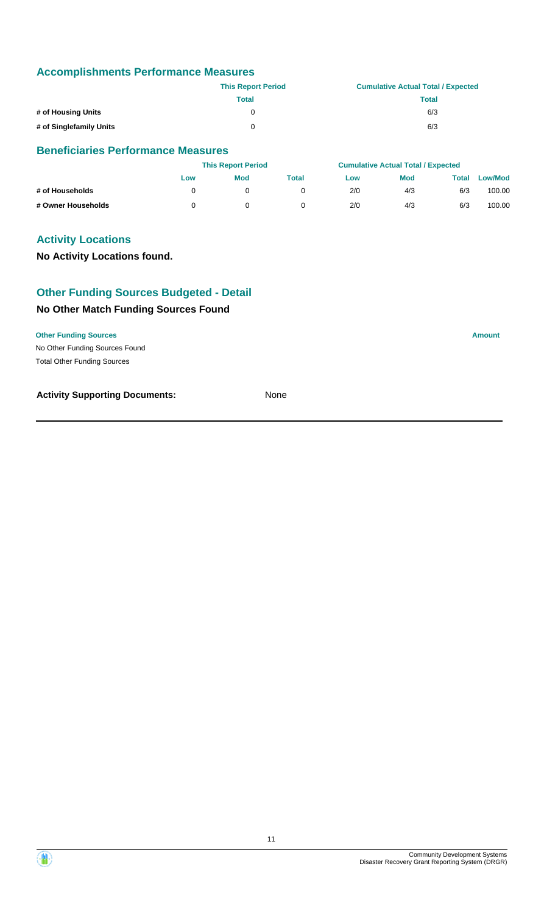|                         | <b>This Report Period</b> | <b>Cumulative Actual Total / Expected</b> |
|-------------------------|---------------------------|-------------------------------------------|
|                         | Total                     | Total                                     |
| # of Housing Units      |                           | 6/3                                       |
| # of Singlefamily Units |                           | 6/3                                       |

#### **Beneficiaries Performance Measures**

|                    | <b>This Report Period</b> |            |       | <b>Cumulative Actual Total / Expected</b> |            |       |                |
|--------------------|---------------------------|------------|-------|-------------------------------------------|------------|-------|----------------|
|                    | Low                       | <b>Mod</b> | Total | Low                                       | <b>Mod</b> | Total | <b>Low/Mod</b> |
| # of Households    |                           |            |       | 2/0                                       | 4/3        | 6/3   | 100.00         |
| # Owner Households |                           |            |       | 2/0                                       | 4/3        | 6/3   | 100.00         |

#### **Activity Locations**

**No Activity Locations found.**

# **Other Funding Sources Budgeted - Detail**

#### **No Other Match Funding Sources Found**

| <b>Other Funding Sources</b>   | Amount |
|--------------------------------|--------|
| No Other Funding Sources Found |        |

Total Other Funding Sources

#### **Activity Supporting Documents:** None

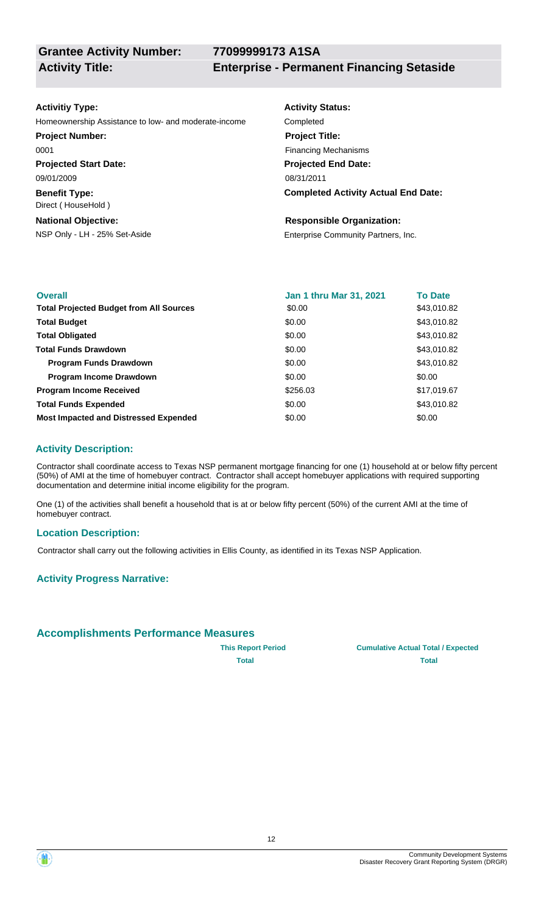#### **Activitiy Type:**

Homeownership Assistance to low- and moderate-income Completed

**Projected Start Date:** 09/01/2009 **Project Number:** 0001

**Benefit Type:** Direct ( HouseHold )

**National Objective:**

# **Activity Status: Projected End Date: Completed Activity Actual End Date:** 08/31/2011 **Project Title:** Financing Mechanisms

#### **Responsible Organization:**

NSP Only - LH - 25% Set-Aside Enterprise Community Partners, Inc.

| <b>Overall</b>                                 | <b>Jan 1 thru Mar 31, 2021</b> | <b>To Date</b> |
|------------------------------------------------|--------------------------------|----------------|
| <b>Total Projected Budget from All Sources</b> | \$0.00                         | \$43,010.82    |
| <b>Total Budget</b>                            | \$0.00                         | \$43,010.82    |
| <b>Total Obligated</b>                         | \$0.00                         | \$43,010.82    |
| <b>Total Funds Drawdown</b>                    | \$0.00                         | \$43,010.82    |
| <b>Program Funds Drawdown</b>                  | \$0.00                         | \$43,010.82    |
| <b>Program Income Drawdown</b>                 | \$0.00                         | \$0.00         |
| <b>Program Income Received</b>                 | \$256.03                       | \$17,019.67    |
| <b>Total Funds Expended</b>                    | \$0.00                         | \$43,010.82    |
| <b>Most Impacted and Distressed Expended</b>   | \$0.00                         | \$0.00         |

## **Activity Description:**

Contractor shall coordinate access to Texas NSP permanent mortgage financing for one (1) household at or below fifty percent (50%) of AMI at the time of homebuyer contract. Contractor shall accept homebuyer applications with required supporting documentation and determine initial income eligibility for the program.

One (1) of the activities shall benefit a household that is at or below fifty percent (50%) of the current AMI at the time of homebuyer contract.

#### **Location Description:**

Contractor shall carry out the following activities in Ellis County, as identified in its Texas NSP Application.

#### **Activity Progress Narrative:**

#### **Accomplishments Performance Measures**

**This Report Period Cumulative Actual Total / Expected Total Total**

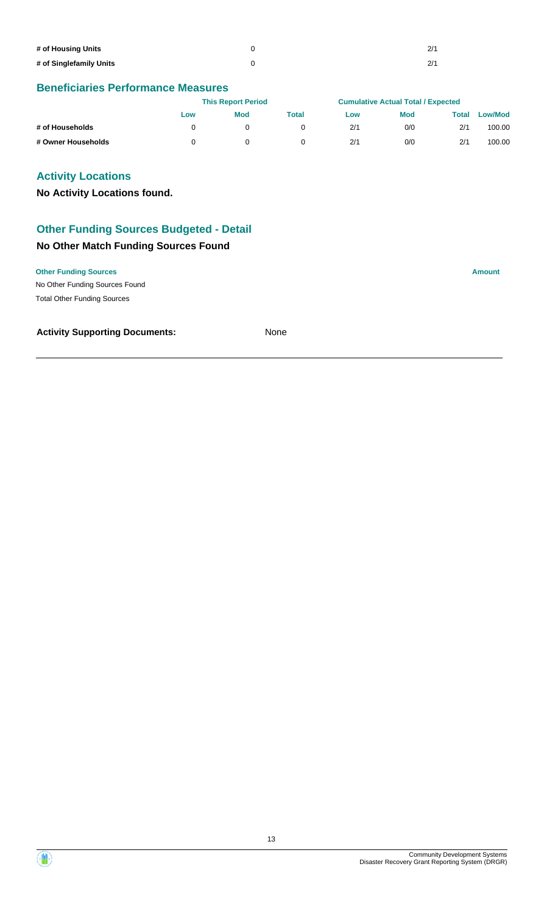| # of Housing Units      | 2/1 |
|-------------------------|-----|
| # of Singlefamily Units | 2/1 |

# **Beneficiaries Performance Measures**

|                    | <b>This Report Period</b> |            |       | <b>Cumulative Actual Total / Expected</b> |            |       |                |
|--------------------|---------------------------|------------|-------|-------------------------------------------|------------|-------|----------------|
|                    | Low                       | <b>Mod</b> | Total | Low                                       | <b>Mod</b> | Total | <b>Low/Mod</b> |
| # of Households    |                           |            |       | 2/1                                       | 0/0        | 2/1   | 100.00         |
| # Owner Households |                           |            |       | 2/1                                       | 0/0        | 2/1   | 100.00         |

## **Activity Locations**

**No Activity Locations found.**

# **Other Funding Sources Budgeted - Detail**

## **No Other Match Funding Sources Found**

**Other Funding Sources Amount** 

No Other Funding Sources Found Total Other Funding Sources

#### **Activity Supporting Documents:** None

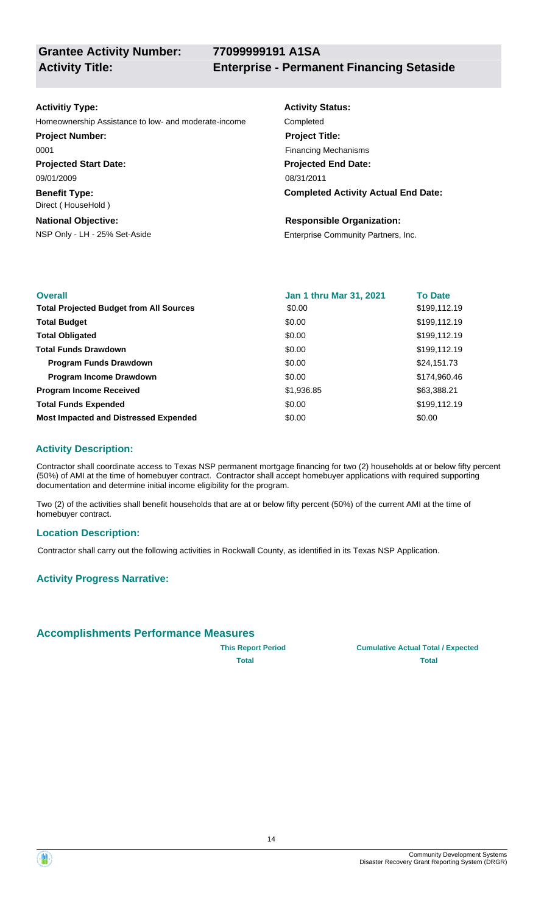#### **Activitiy Type:**

Homeownership Assistance to low- and moderate-income Completed

**Projected Start Date: Project Number:** 0001

**Benefit Type:** 09/01/2009

**National Objective:** Direct ( HouseHold )

# **Activity Status: Projected End Date: Completed Activity Actual End Date:** 08/31/2011 **Project Title:** Financing Mechanisms

#### **Responsible Organization:**

NSP Only - LH - 25% Set-Aside Enterprise Community Partners, Inc.

| <b>Overall</b>                                 | Jan 1 thru Mar 31, 2021 | <b>To Date</b> |
|------------------------------------------------|-------------------------|----------------|
| <b>Total Projected Budget from All Sources</b> | \$0.00                  | \$199,112.19   |
| <b>Total Budget</b>                            | \$0.00                  | \$199,112.19   |
| <b>Total Obligated</b>                         | \$0.00                  | \$199,112.19   |
| <b>Total Funds Drawdown</b>                    | \$0.00                  | \$199,112.19   |
| <b>Program Funds Drawdown</b>                  | \$0.00                  | \$24,151.73    |
| <b>Program Income Drawdown</b>                 | \$0.00                  | \$174,960.46   |
| <b>Program Income Received</b>                 | \$1,936.85              | \$63,388.21    |
| <b>Total Funds Expended</b>                    | \$0.00                  | \$199,112.19   |
| <b>Most Impacted and Distressed Expended</b>   | \$0.00                  | \$0.00         |

## **Activity Description:**

Contractor shall coordinate access to Texas NSP permanent mortgage financing for two (2) households at or below fifty percent (50%) of AMI at the time of homebuyer contract. Contractor shall accept homebuyer applications with required supporting documentation and determine initial income eligibility for the program.

Two (2) of the activities shall benefit households that are at or below fifty percent (50%) of the current AMI at the time of homebuyer contract.

#### **Location Description:**

Contractor shall carry out the following activities in Rockwall County, as identified in its Texas NSP Application.

#### **Activity Progress Narrative:**

#### **Accomplishments Performance Measures**

**This Report Period Cumulative Actual Total / Expected Total Total**



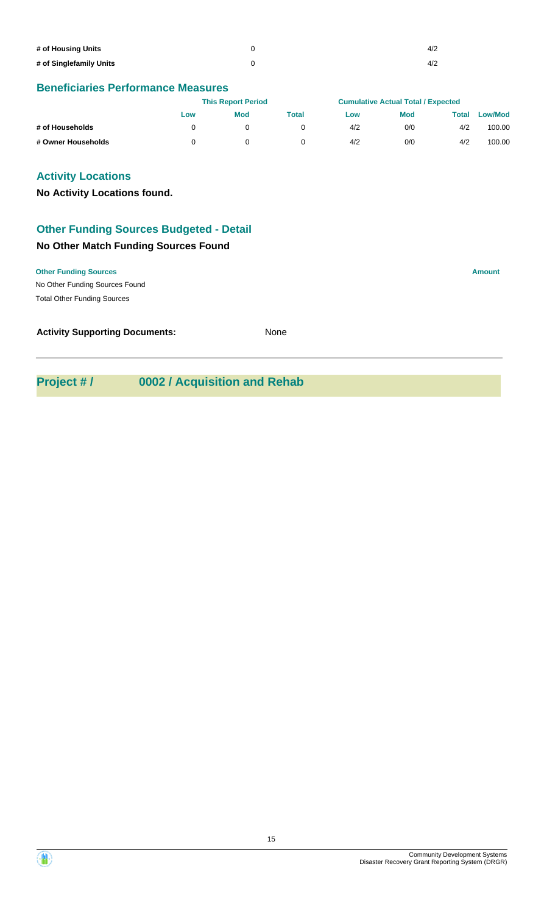| # of Housing Units      | 4/2 |
|-------------------------|-----|
| # of Singlefamily Units | 4/2 |

#### **Beneficiaries Performance Measures**

|                    | <b>This Report Period</b> |            |       | <b>Cumulative Actual Total / Expected</b> |            |       |                |
|--------------------|---------------------------|------------|-------|-------------------------------------------|------------|-------|----------------|
|                    | Low                       | <b>Mod</b> | Total | Low                                       | <b>Mod</b> | Total | <b>Low/Mod</b> |
| # of Households    |                           |            |       | 4/2                                       | 0/0        | 4/2   | 100.00         |
| # Owner Households |                           |            |       | 4/2                                       | 0/0        | 4/2   | 100.00         |

#### **Activity Locations**

**No Activity Locations found.**

# **Other Funding Sources Budgeted - Detail**

## **No Other Match Funding Sources Found**

| <b>Other Funding Sources</b><br>. | Amount |
|-----------------------------------|--------|

No Other Funding Sources Found Total Other Funding Sources

**Activity Supporting Documents:** None

# **Project # / 0002 / Acquisition and Rehab**

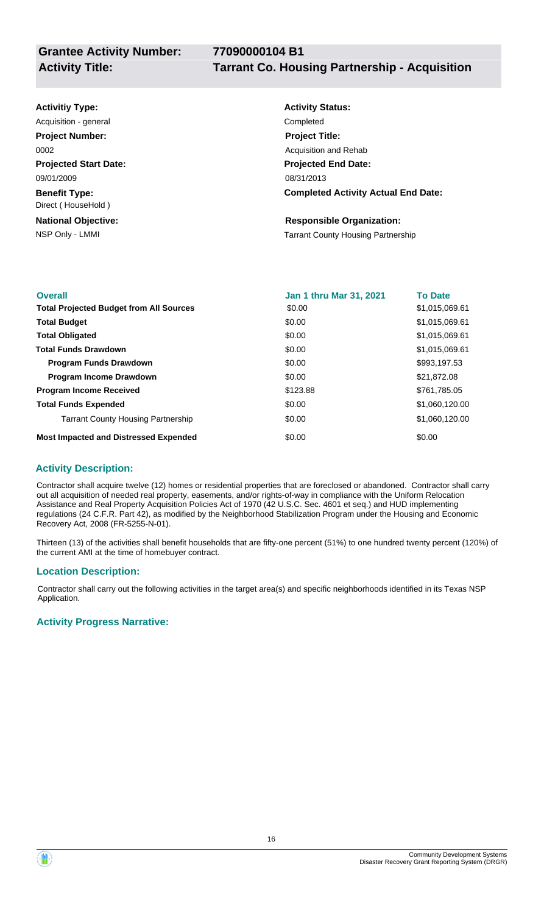| <b>Activitiy Type:</b>                     | <b>Activity Status:</b>                    |
|--------------------------------------------|--------------------------------------------|
| Acquisition - general                      | Completed                                  |
| <b>Project Number:</b>                     | <b>Project Title:</b>                      |
| 0002                                       | Acquisition and Rehab                      |
| <b>Projected Start Date:</b>               | <b>Projected End Date:</b>                 |
| 09/01/2009                                 | 08/31/2013                                 |
| <b>Benefit Type:</b><br>Direct (HouseHold) | <b>Completed Activity Actual End Date:</b> |
| <b>National Objective:</b>                 | <b>Responsible Organization:</b>           |
| NSP Only - LMMI                            | <b>Tarrant County Housing Partnership</b>  |
|                                            |                                            |

| <b>Overall</b>                                 | <b>Jan 1 thru Mar 31, 2021</b> | <b>To Date</b> |
|------------------------------------------------|--------------------------------|----------------|
| <b>Total Projected Budget from All Sources</b> | \$0.00                         | \$1,015,069.61 |
| <b>Total Budget</b>                            | \$0.00                         | \$1,015,069.61 |
| <b>Total Obligated</b>                         | \$0.00                         | \$1,015,069.61 |
| <b>Total Funds Drawdown</b>                    | \$0.00                         | \$1,015,069.61 |
| <b>Program Funds Drawdown</b>                  | \$0.00                         | \$993,197.53   |
| <b>Program Income Drawdown</b>                 | \$0.00                         | \$21,872.08    |
| <b>Program Income Received</b>                 | \$123.88                       | \$761,785.05   |
| <b>Total Funds Expended</b>                    | \$0.00                         | \$1,060,120.00 |
| <b>Tarrant County Housing Partnership</b>      | \$0.00                         | \$1,060,120.00 |
| <b>Most Impacted and Distressed Expended</b>   | \$0.00                         | \$0.00         |

#### **Activity Description:**

Contractor shall acquire twelve (12) homes or residential properties that are foreclosed or abandoned. Contractor shall carry out all acquisition of needed real property, easements, and/or rights-of-way in compliance with the Uniform Relocation Assistance and Real Property Acquisition Policies Act of 1970 (42 U.S.C. Sec. 4601 et seq.) and HUD implementing regulations (24 C.F.R. Part 42), as modified by the Neighborhood Stabilization Program under the Housing and Economic Recovery Act, 2008 (FR-5255-N-01).

Thirteen (13) of the activities shall benefit households that are fifty-one percent (51%) to one hundred twenty percent (120%) of the current AMI at the time of homebuyer contract.

#### **Location Description:**

Contractor shall carry out the following activities in the target area(s) and specific neighborhoods identified in its Texas NSP Application.

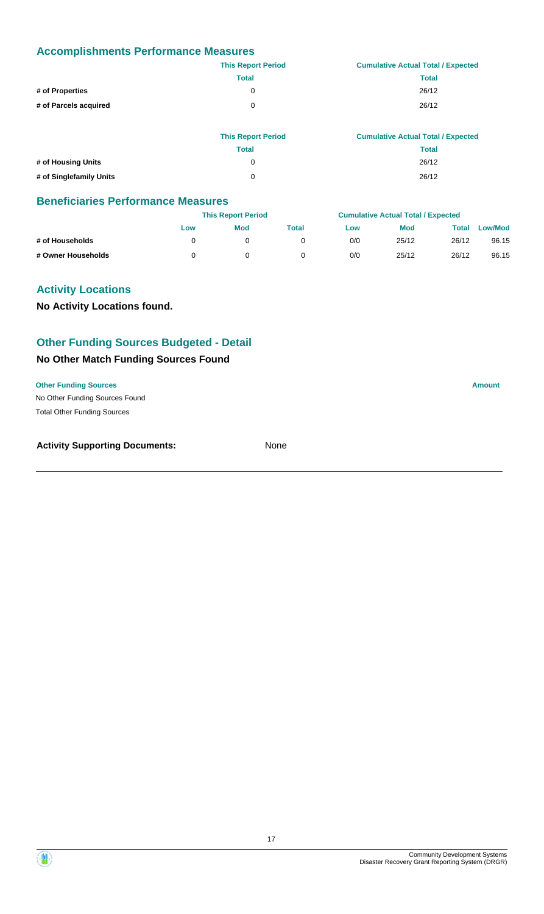|                       | <b>This Report Period</b> | <b>Cumulative Actual Total / Expected</b> |
|-----------------------|---------------------------|-------------------------------------------|
|                       | <b>Total</b>              | <b>Total</b>                              |
| # of Properties       | 0                         | 26/12                                     |
| # of Parcels acquired | $\Omega$                  | 26/12                                     |
|                       |                           |                                           |

|                         | <b>This Report Period</b> | <b>Cumulative Actual Total / Expected</b> |
|-------------------------|---------------------------|-------------------------------------------|
|                         | Total                     | Total                                     |
| # of Housing Units      | 0                         | 26/12                                     |
| # of Singlefamily Units | 0                         | 26/12                                     |

#### **Beneficiaries Performance Measures**

|                    |     | <b>This Report Period</b> |       |     | <b>Cumulative Actual Total / Expected</b> |       |                |  |
|--------------------|-----|---------------------------|-------|-----|-------------------------------------------|-------|----------------|--|
|                    | Low | <b>Mod</b>                | Total | Low | <b>Mod</b>                                | Total | <b>Low/Mod</b> |  |
| # of Households    |     |                           |       | 0/0 | 25/12                                     | 26/12 | 96.15          |  |
| # Owner Households |     |                           |       | 0/0 | 25/12                                     | 26/12 | 96.15          |  |

#### **Activity Locations**

**No Activity Locations found.**

# **Other Funding Sources Budgeted - Detail**

#### **No Other Match Funding Sources Found**

#### **Other Funding Sources Amount**

No Other Funding Sources Found Total Other Funding Sources

| <b>Activity Supporting Documents:</b> | None |
|---------------------------------------|------|
|                                       |      |

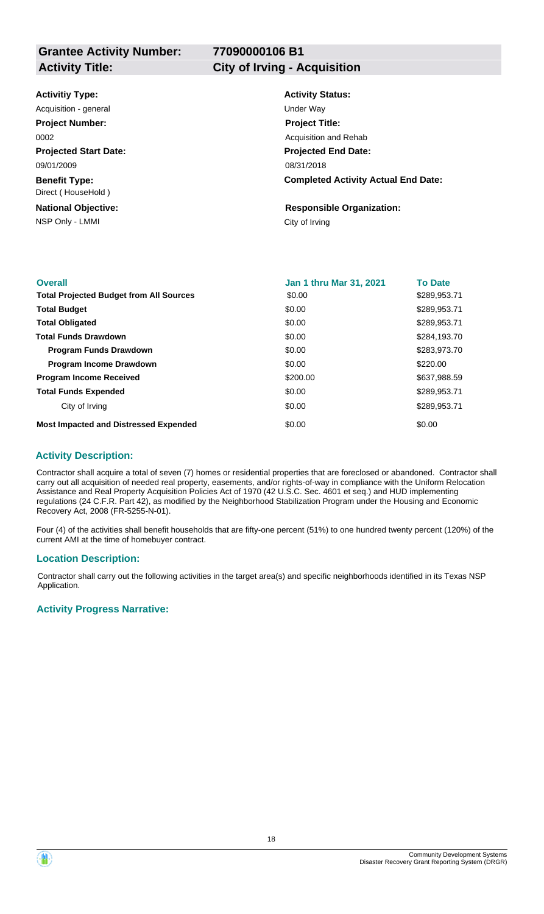# **77090000106 B1**

| <b>Activitiy Type:</b>                     | <b>Activity Status:</b>                    |
|--------------------------------------------|--------------------------------------------|
| Acquisition - general                      | Under Wav                                  |
| <b>Project Number:</b>                     | <b>Project Title:</b>                      |
| 0002                                       | Acquisition and Rehab                      |
| <b>Projected Start Date:</b>               | <b>Projected End Date:</b>                 |
| 09/01/2009                                 | 08/31/2018                                 |
| <b>Benefit Type:</b><br>Direct (HouseHold) | <b>Completed Activity Actual End Date:</b> |
| <b>National Objective:</b>                 | <b>Responsible Organization:</b>           |
| NSP Only - LMMI                            | City of Irving                             |
|                                            |                                            |

| <b>Overall</b>                                 | Jan 1 thru Mar 31, 2021 | <b>To Date</b> |
|------------------------------------------------|-------------------------|----------------|
| <b>Total Projected Budget from All Sources</b> | \$0.00                  | \$289,953.71   |
| <b>Total Budget</b>                            | \$0.00                  | \$289,953.71   |
| <b>Total Obligated</b>                         | \$0.00                  | \$289,953.71   |
| <b>Total Funds Drawdown</b>                    | \$0.00                  | \$284,193,70   |
| <b>Program Funds Drawdown</b>                  | \$0.00                  | \$283,973.70   |
| <b>Program Income Drawdown</b>                 | \$0.00                  | \$220.00       |
| <b>Program Income Received</b>                 | \$200.00                | \$637,988.59   |
| <b>Total Funds Expended</b>                    | \$0.00                  | \$289,953.71   |
| City of Irving                                 | \$0.00                  | \$289,953.71   |
| <b>Most Impacted and Distressed Expended</b>   | \$0.00                  | \$0.00         |

#### **Activity Description:**

Contractor shall acquire a total of seven (7) homes or residential properties that are foreclosed or abandoned. Contractor shall carry out all acquisition of needed real property, easements, and/or rights-of-way in compliance with the Uniform Relocation Assistance and Real Property Acquisition Policies Act of 1970 (42 U.S.C. Sec. 4601 et seq.) and HUD implementing regulations (24 C.F.R. Part 42), as modified by the Neighborhood Stabilization Program under the Housing and Economic Recovery Act, 2008 (FR-5255-N-01).

Four (4) of the activities shall benefit households that are fifty-one percent (51%) to one hundred twenty percent (120%) of the current AMI at the time of homebuyer contract.

#### **Location Description:**

Contractor shall carry out the following activities in the target area(s) and specific neighborhoods identified in its Texas NSP Application.

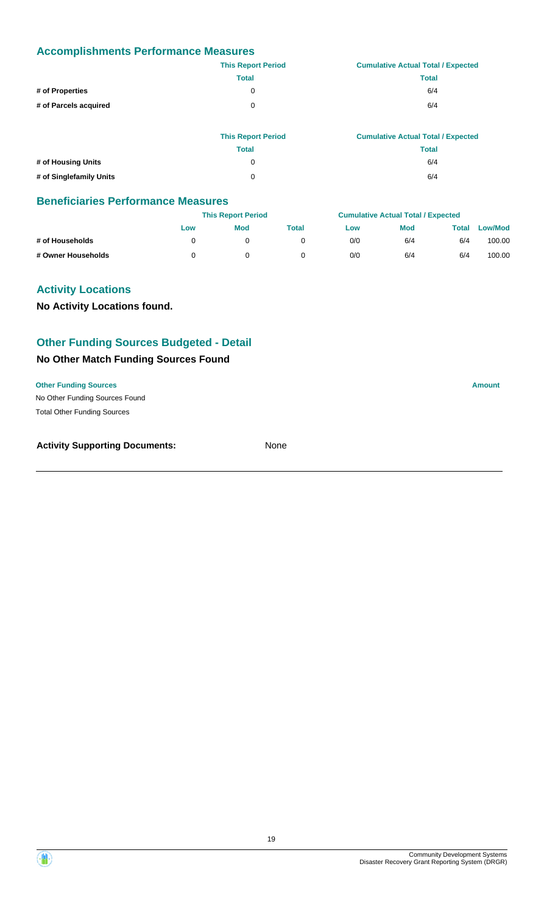|                       | <b>This Report Period</b> | <b>Cumulative Actual Total / Expected</b> |
|-----------------------|---------------------------|-------------------------------------------|
|                       | <b>Total</b>              | <b>Total</b>                              |
| # of Properties       | 0                         | 6/4                                       |
| # of Parcels acquired | 0                         | 6/4                                       |
|                       |                           |                                           |

|                         | <b>This Report Period</b> | <b>Cumulative Actual Total / Expected</b> |
|-------------------------|---------------------------|-------------------------------------------|
|                         | <b>Total</b>              | <b>Total</b>                              |
| # of Housing Units      |                           | 6/4                                       |
| # of Singlefamily Units | O                         | 6/4                                       |

#### **Beneficiaries Performance Measures**

|                    |     | <b>This Report Period</b> |       |     | <b>Cumulative Actual Total / Expected</b> |       |                |
|--------------------|-----|---------------------------|-------|-----|-------------------------------------------|-------|----------------|
|                    | Low | <b>Mod</b>                | Total | Low | <b>Mod</b>                                | Total | <b>Low/Mod</b> |
| # of Households    |     |                           |       | 0/0 | 6/4                                       | 6/4   | 100.00         |
| # Owner Households |     |                           |       | 0/0 | 6/4                                       | 6/4   | 100.00         |

#### **Activity Locations**

**No Activity Locations found.**

# **Other Funding Sources Budgeted - Detail**

#### **No Other Match Funding Sources Found**

#### **Other Funding Sources Amount**

No Other Funding Sources Found Total Other Funding Sources

| <b>Activity Supporting Documents:</b> | None |
|---------------------------------------|------|
|                                       |      |

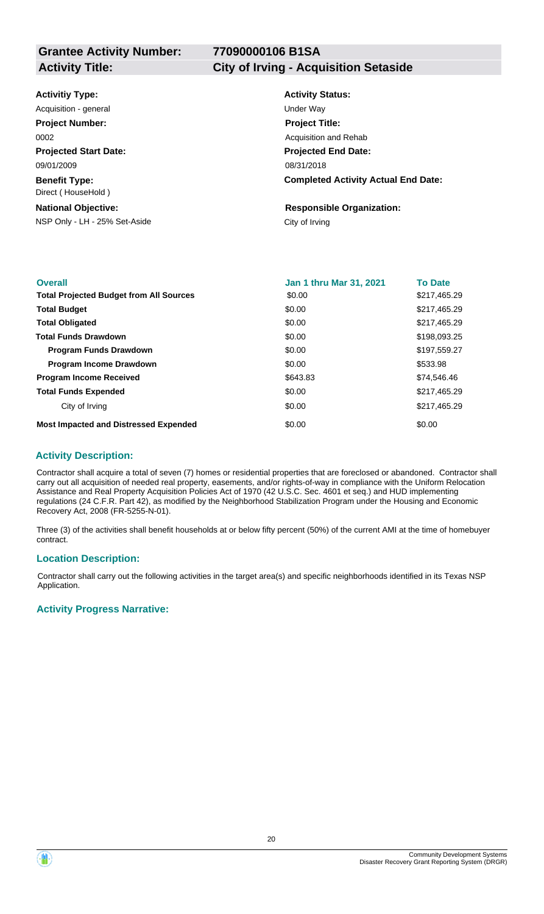# **77090000106 B1SA**

#### **Activity Title: City of Irving - Acquisition Setaside**

| <b>Activitiy Type:</b> |  |
|------------------------|--|
|------------------------|--|

**Projected Start Date: Benefit Type:** 09/01/2009 Direct ( HouseHold ) Acquisition - general and the contract of the Under Way **Project Number:** 0002

#### **National Objective:**

NSP Only - LH - 25% Set-Aside City of Irving

# **Activity Status: Projected End Date: Completed Activity Actual End Date:** 08/31/2018 **Project Title:** Acquisition and Rehab

**Responsible Organization:**

| <b>Overall</b>                                 | Jan 1 thru Mar 31, 2021 | <b>To Date</b> |
|------------------------------------------------|-------------------------|----------------|
| <b>Total Projected Budget from All Sources</b> | \$0.00                  | \$217,465.29   |
| <b>Total Budget</b>                            | \$0.00                  | \$217,465.29   |
| <b>Total Obligated</b>                         | \$0.00                  | \$217,465.29   |
| <b>Total Funds Drawdown</b>                    | \$0.00                  | \$198,093.25   |
| <b>Program Funds Drawdown</b>                  | \$0.00                  | \$197,559.27   |
| <b>Program Income Drawdown</b>                 | \$0.00                  | \$533.98       |
| <b>Program Income Received</b>                 | \$643.83                | \$74,546.46    |
| <b>Total Funds Expended</b>                    | \$0.00                  | \$217,465.29   |
| City of Irving                                 | \$0.00                  | \$217,465.29   |
| <b>Most Impacted and Distressed Expended</b>   | \$0.00                  | \$0.00         |

#### **Activity Description:**

Contractor shall acquire a total of seven (7) homes or residential properties that are foreclosed or abandoned. Contractor shall carry out all acquisition of needed real property, easements, and/or rights-of-way in compliance with the Uniform Relocation Assistance and Real Property Acquisition Policies Act of 1970 (42 U.S.C. Sec. 4601 et seq.) and HUD implementing regulations (24 C.F.R. Part 42), as modified by the Neighborhood Stabilization Program under the Housing and Economic Recovery Act, 2008 (FR-5255-N-01).

Three (3) of the activities shall benefit households at or below fifty percent (50%) of the current AMI at the time of homebuyer contract.

#### **Location Description:**

Contractor shall carry out the following activities in the target area(s) and specific neighborhoods identified in its Texas NSP Application.

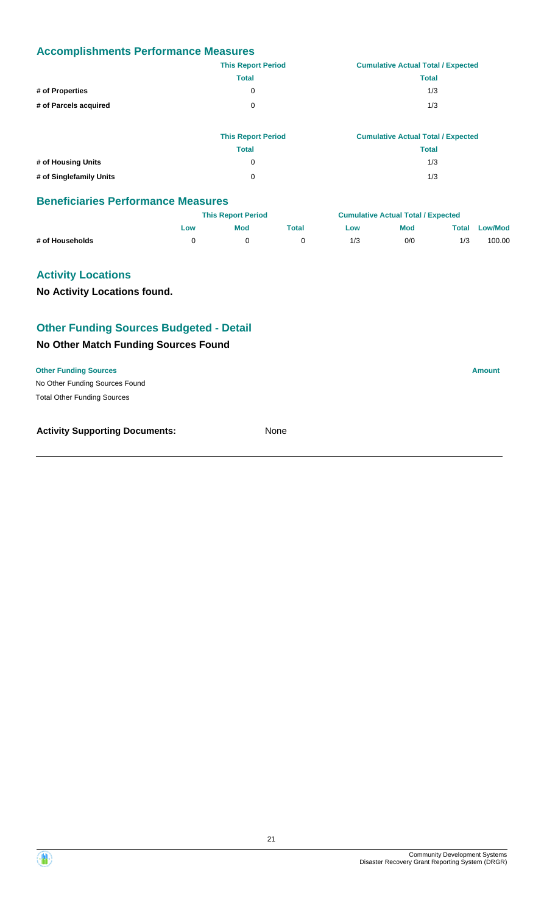|                       | <b>This Report Period</b> | <b>Cumulative Actual Total / Expected</b> |  |  |  |
|-----------------------|---------------------------|-------------------------------------------|--|--|--|
|                       | <b>Total</b>              | <b>Total</b>                              |  |  |  |
| # of Properties       | 0                         | 1/3                                       |  |  |  |
| # of Parcels acquired | $\Omega$                  | 1/3                                       |  |  |  |
|                       |                           |                                           |  |  |  |

|                         | <b>This Report Period</b> | <b>Cumulative Actual Total / Expected</b> |
|-------------------------|---------------------------|-------------------------------------------|
|                         | <b>Total</b>              | <b>Total</b>                              |
| # of Housing Units      | 0                         | 1/3                                       |
| # of Singlefamily Units | 0                         | 1/3                                       |

#### **Beneficiaries Performance Measures**

|                 | <b>This Report Period</b> |            |       | <b>Cumulative Actual Total / Expected</b> |            |       |                |
|-----------------|---------------------------|------------|-------|-------------------------------------------|------------|-------|----------------|
|                 | Low                       | <b>Mod</b> | Total | Low                                       | <b>Mod</b> | Total | <b>Low/Mod</b> |
| # of Households |                           |            |       | 1/3                                       | 0/0        | 1/3   | 100.00         |

#### **Activity Locations**

**No Activity Locations found.**

#### **Other Funding Sources Budgeted - Detail**

#### **No Other Match Funding Sources Found**

**Other Funding Sources Amount** 

No Other Funding Sources Found Total Other Funding Sources

**Activity Supporting Documents:** None

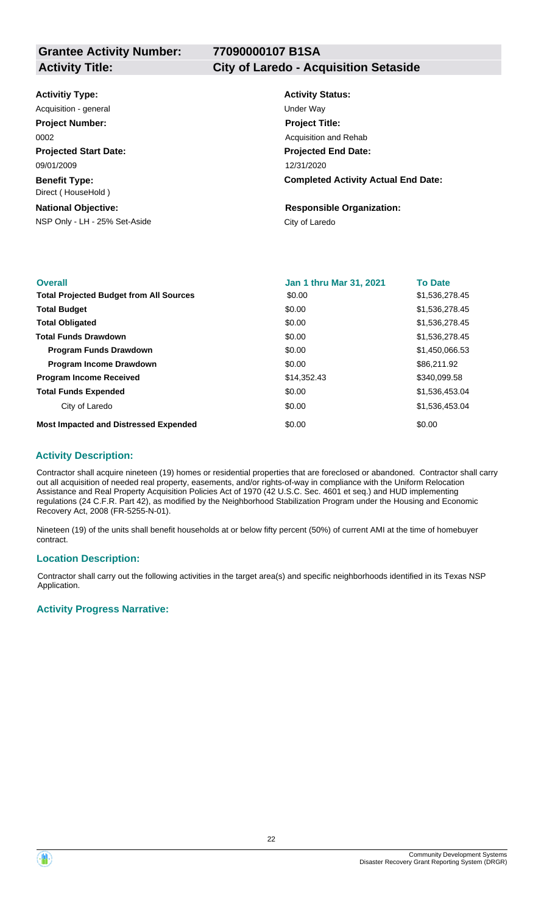**77090000107 B1SA**

**Activity Title: City of Laredo - Acquisition Setaside**

#### **Activitiy Type:**

**Projected Start Date: Benefit Type:** 09/01/2009 Direct ( HouseHold ) Acquisition - general and the Under Way **Project Number:** 0002

#### **National Objective:**

NSP Only - LH - 25% Set-Aside City of Laredo

# **Activity Status: Projected End Date: Completed Activity Actual End Date:** 12/31/2020 **Project Title:** Acquisition and Rehab

# **Responsible Organization:**

| <b>Overall</b>                                 | <b>Jan 1 thru Mar 31, 2021</b> | <b>To Date</b> |
|------------------------------------------------|--------------------------------|----------------|
| <b>Total Projected Budget from All Sources</b> | \$0.00                         | \$1,536,278.45 |
| <b>Total Budget</b>                            | \$0.00                         | \$1,536,278.45 |
| <b>Total Obligated</b>                         | \$0.00                         | \$1,536,278.45 |
| <b>Total Funds Drawdown</b>                    | \$0.00                         | \$1,536,278.45 |
| <b>Program Funds Drawdown</b>                  | \$0.00                         | \$1,450,066.53 |
| <b>Program Income Drawdown</b>                 | \$0.00                         | \$86,211.92    |
| <b>Program Income Received</b>                 | \$14,352.43                    | \$340,099.58   |
| <b>Total Funds Expended</b>                    | \$0.00                         | \$1,536,453.04 |
| City of Laredo                                 | \$0.00                         | \$1,536,453.04 |
| <b>Most Impacted and Distressed Expended</b>   | \$0.00                         | \$0.00         |

#### **Activity Description:**

Contractor shall acquire nineteen (19) homes or residential properties that are foreclosed or abandoned. Contractor shall carry out all acquisition of needed real property, easements, and/or rights-of-way in compliance with the Uniform Relocation Assistance and Real Property Acquisition Policies Act of 1970 (42 U.S.C. Sec. 4601 et seq.) and HUD implementing regulations (24 C.F.R. Part 42), as modified by the Neighborhood Stabilization Program under the Housing and Economic Recovery Act, 2008 (FR-5255-N-01).

Nineteen (19) of the units shall benefit households at or below fifty percent (50%) of current AMI at the time of homebuyer contract.

#### **Location Description:**

Contractor shall carry out the following activities in the target area(s) and specific neighborhoods identified in its Texas NSP Application.

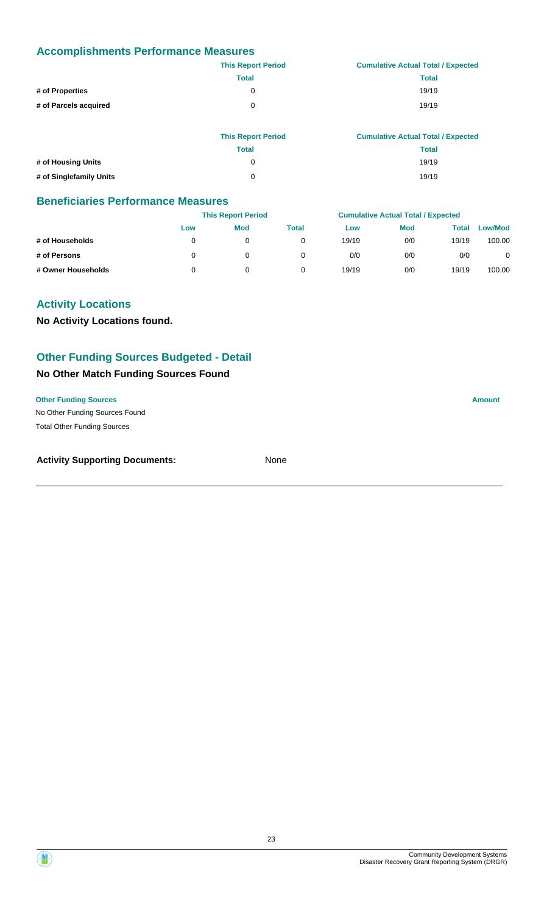|                       | <b>This Report Period</b> | <b>Cumulative Actual Total / Expected</b> |
|-----------------------|---------------------------|-------------------------------------------|
|                       | <b>Total</b>              | <b>Total</b>                              |
| # of Properties       | $\Omega$                  | 19/19                                     |
| # of Parcels acquired | $\Omega$                  | 19/19                                     |
|                       |                           |                                           |
|                       |                           |                                           |

|                         | <b>This Report Period</b> | <b>Cumulative Actual Total / Expected</b> |
|-------------------------|---------------------------|-------------------------------------------|
|                         | Total                     | Total                                     |
| # of Housing Units      | O                         | 19/19                                     |
| # of Singlefamily Units | 0                         | 19/19                                     |

#### **Beneficiaries Performance Measures**

|                    | <b>This Report Period</b> |            |       | <b>Cumulative Actual Total / Expected</b> |            |       |                |
|--------------------|---------------------------|------------|-------|-------------------------------------------|------------|-------|----------------|
|                    | Low                       | <b>Mod</b> | Total | Low                                       | <b>Mod</b> | Total | <b>Low/Mod</b> |
| # of Households    |                           |            |       | 19/19                                     | 0/0        | 19/19 | 100.00         |
| # of Persons       |                           |            |       | 0/0                                       | 0/0        | 0/0   | 0              |
| # Owner Households |                           |            |       | 19/19                                     | 0/0        | 19/19 | 100.00         |

## **Activity Locations**

**No Activity Locations found.**

#### **Other Funding Sources Budgeted - Detail**

#### **No Other Match Funding Sources Found**

#### **Other Funding Sources Amount**

No Other Funding Sources Found Total Other Funding Sources

| <b>Activity Supporting Documents:</b> | None |
|---------------------------------------|------|
|                                       |      |

Disaster Recovery Grant Reporting System (DRGR)

Community Development Systems

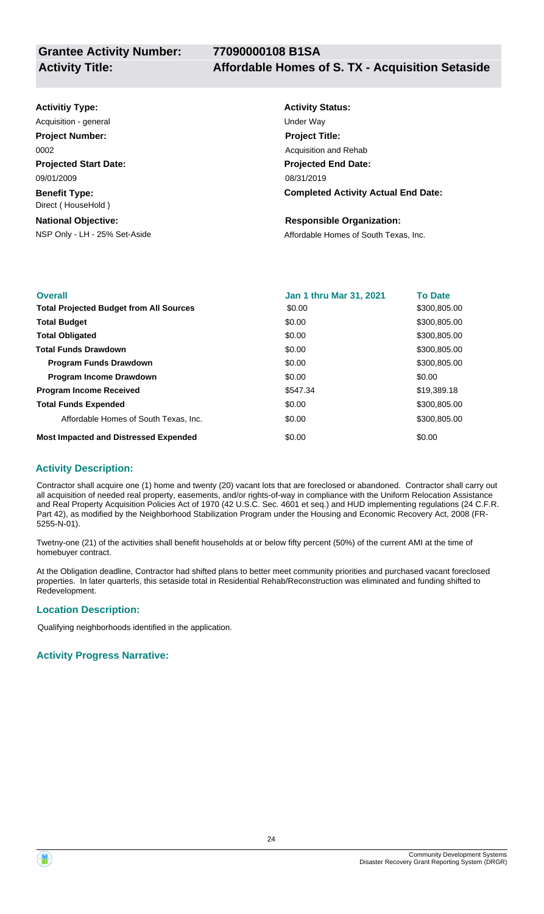#### **Projected Start Date: Benefit Type:** NSP Only - LH - 25% Set-Aside Affordable Homes of South Texas, Inc. **National Objective: Activity Status: Projected End Date: Completed Activity Actual End Date: Activitiy Type:** 08/31/2019 09/01/2009 Direct ( HouseHold ) **Responsible Organization:** Acquisition - general and the Under Way **Project Number:** 0002 **Project Title:** Acquisition and Rehab

| <b>Overall</b>                                 | <b>Jan 1 thru Mar 31, 2021</b> | <b>To Date</b> |
|------------------------------------------------|--------------------------------|----------------|
| <b>Total Projected Budget from All Sources</b> | \$0.00                         | \$300,805.00   |
| <b>Total Budget</b>                            | \$0.00                         | \$300,805.00   |
| <b>Total Obligated</b>                         | \$0.00                         | \$300,805.00   |
| <b>Total Funds Drawdown</b>                    | \$0.00                         | \$300,805.00   |
| <b>Program Funds Drawdown</b>                  | \$0.00                         | \$300,805.00   |
| <b>Program Income Drawdown</b>                 | \$0.00                         | \$0.00         |
| <b>Program Income Received</b>                 | \$547.34                       | \$19,389.18    |
| <b>Total Funds Expended</b>                    | \$0.00                         | \$300,805.00   |
| Affordable Homes of South Texas, Inc.          | \$0.00                         | \$300,805.00   |
| <b>Most Impacted and Distressed Expended</b>   | \$0.00                         | \$0.00         |

#### **Activity Description:**

Contractor shall acquire one (1) home and twenty (20) vacant lots that are foreclosed or abandoned. Contractor shall carry out all acquisition of needed real property, easements, and/or rights-of-way in compliance with the Uniform Relocation Assistance and Real Property Acquisition Policies Act of 1970 (42 U.S.C. Sec. 4601 et seq.) and HUD implementing regulations (24 C.F.R. Part 42), as modified by the Neighborhood Stabilization Program under the Housing and Economic Recovery Act, 2008 (FR-5255-N-01).

Twetny-one (21) of the activities shall benefit households at or below fifty percent (50%) of the current AMI at the time of homebuyer contract.

At the Obligation deadline, Contractor had shifted plans to better meet community priorities and purchased vacant foreclosed properties. In later quarterls, this setaside total in Residential Rehab/Reconstruction was eliminated and funding shifted to Redevelopment.

#### **Location Description:**

Qualifying neighborhoods identified in the application.

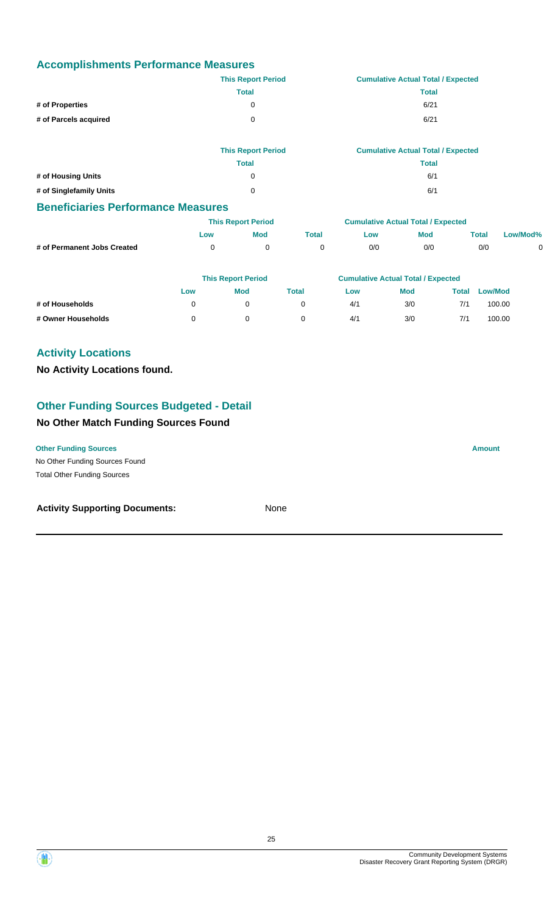|                       | <b>This Report Period</b> | <b>Cumulative Actual Total / Expected</b> |
|-----------------------|---------------------------|-------------------------------------------|
|                       | <b>Total</b>              | <b>Total</b>                              |
| # of Properties       | 0                         | 6/21                                      |
| # of Parcels acquired | 0                         | 6/21                                      |
|                       | <b>This Renort Period</b> | Cumulative Actual Total / Expected        |

|                         | This Report Period | Cumulative Actual Total / Expected |
|-------------------------|--------------------|------------------------------------|
|                         | Total              | <b>Total</b>                       |
| # of Housing Units      |                    | 6/1                                |
| # of Singlefamily Units |                    | 6/1                                |

#### **Beneficiaries Performance Measures**

|                             |            | <b>This Report Period</b> |       | <b>Cumulative Actual Total / Expected</b> |     |             |          |
|-----------------------------|------------|---------------------------|-------|-------------------------------------------|-----|-------------|----------|
|                             | <b>LOW</b> | Mod                       | Total | ∟ow                                       | Mod | $\tau$ otal | Low/Mod% |
| # of Permanent Jobs Created |            |                           |       | 0/0                                       | 0/0 | 0/0         |          |

|                    |     | <b>This Report Period</b> |       | <b>Cumulative Actual Total / Expected</b> |            |       |                |  |
|--------------------|-----|---------------------------|-------|-------------------------------------------|------------|-------|----------------|--|
|                    | Low | <b>Mod</b>                | Total | Low                                       | <b>Mod</b> | Total | <b>Low/Mod</b> |  |
| # of Households    |     |                           |       | 4/1                                       | 3/0        | 7/1   | 100.00         |  |
| # Owner Households |     |                           |       | 4/1                                       | 3/0        | 7/1   | 100.00         |  |

## **Activity Locations**

#### **No Activity Locations found.**

#### **Other Funding Sources Budgeted - Detail**

#### **No Other Match Funding Sources Found**

**Other Funding Sources Amount** 

No Other Funding Sources Found Total Other Funding Sources

#### **Activity Supporting Documents:** None

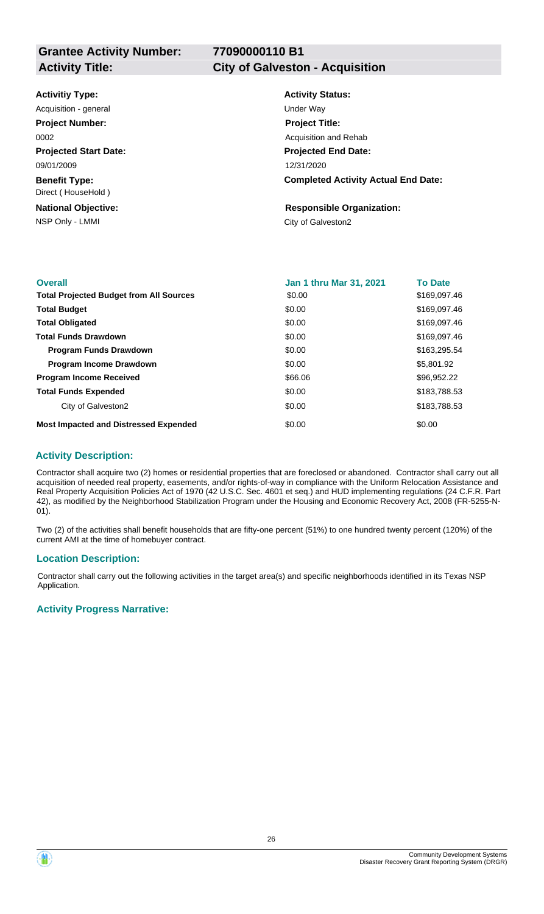# **77090000110 B1**

| <b>Activitiy Type:</b>                     | <b>Activity Status:</b>                    |
|--------------------------------------------|--------------------------------------------|
| Acquisition - general                      | Under Way                                  |
| <b>Project Number:</b>                     | <b>Project Title:</b>                      |
| 0002                                       | Acquisition and Rehab                      |
| <b>Projected Start Date:</b>               | <b>Projected End Date:</b>                 |
| 09/01/2009                                 | 12/31/2020                                 |
| <b>Benefit Type:</b><br>Direct (HouseHold) | <b>Completed Activity Actual End Date:</b> |
| <b>National Objective:</b>                 | <b>Responsible Organization:</b>           |
| NSP Only - LMMI                            | City of Galveston2                         |
|                                            |                                            |

| <b>Overall</b>                                 | <b>Jan 1 thru Mar 31, 2021</b> | <b>To Date</b> |
|------------------------------------------------|--------------------------------|----------------|
| <b>Total Projected Budget from All Sources</b> | \$0.00                         | \$169,097.46   |
| <b>Total Budget</b>                            | \$0.00                         | \$169,097.46   |
| <b>Total Obligated</b>                         | \$0.00                         | \$169,097.46   |
| <b>Total Funds Drawdown</b>                    | \$0.00                         | \$169,097.46   |
| <b>Program Funds Drawdown</b>                  | \$0.00                         | \$163,295.54   |
| <b>Program Income Drawdown</b>                 | \$0.00                         | \$5,801.92     |
| <b>Program Income Received</b>                 | \$66.06                        | \$96,952.22    |
| <b>Total Funds Expended</b>                    | \$0.00                         | \$183,788.53   |
| City of Galveston2                             | \$0.00                         | \$183,788.53   |
| <b>Most Impacted and Distressed Expended</b>   | \$0.00                         | \$0.00         |

#### **Activity Description:**

Contractor shall acquire two (2) homes or residential properties that are foreclosed or abandoned. Contractor shall carry out all acquisition of needed real property, easements, and/or rights-of-way in compliance with the Uniform Relocation Assistance and Real Property Acquisition Policies Act of 1970 (42 U.S.C. Sec. 4601 et seq.) and HUD implementing regulations (24 C.F.R. Part 42), as modified by the Neighborhood Stabilization Program under the Housing and Economic Recovery Act, 2008 (FR-5255-N-01).

Two (2) of the activities shall benefit households that are fifty-one percent (51%) to one hundred twenty percent (120%) of the current AMI at the time of homebuyer contract.

#### **Location Description:**

Contractor shall carry out the following activities in the target area(s) and specific neighborhoods identified in its Texas NSP Application.

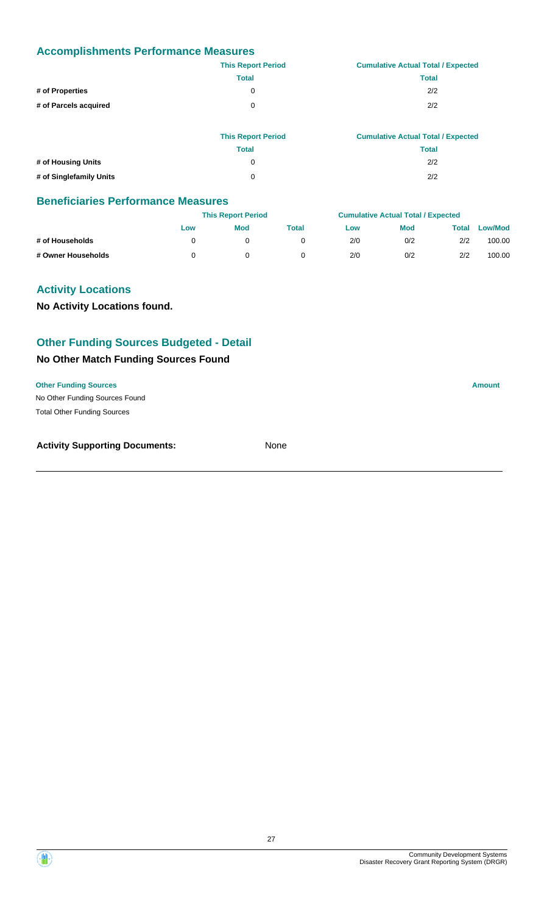|                       | <b>This Report Period</b> | <b>Cumulative Actual Total / Expected</b> |
|-----------------------|---------------------------|-------------------------------------------|
|                       | <b>Total</b>              | <b>Total</b>                              |
| # of Properties       | 0                         | 2/2                                       |
| # of Parcels acquired | 0                         | 2/2                                       |
|                       |                           |                                           |

|                         | <b>This Report Period</b> | <b>Cumulative Actual Total / Expected</b> |
|-------------------------|---------------------------|-------------------------------------------|
|                         | Total                     | <b>Total</b>                              |
| # of Housing Units      | 0                         | 2/2                                       |
| # of Singlefamily Units | 0                         | 2/2                                       |

#### **Beneficiaries Performance Measures**

|                    |     | <b>This Report Period</b> |       |     | <b>Cumulative Actual Total / Expected</b> |       |                |
|--------------------|-----|---------------------------|-------|-----|-------------------------------------------|-------|----------------|
|                    | Low | <b>Mod</b>                | Total | Low | <b>Mod</b>                                | Total | <b>Low/Mod</b> |
| # of Households    |     |                           |       | 2/0 | 0/2                                       | 2/2   | 100.00         |
| # Owner Households |     |                           |       | 2/0 | 0/2                                       | 2/2   | 100.00         |

#### **Activity Locations**

**No Activity Locations found.**

# **Other Funding Sources Budgeted - Detail**

#### **No Other Match Funding Sources Found**

#### **Other Funding Sources Amount**

No Other Funding Sources Found Total Other Funding Sources

| <b>Activity Supporting Documents:</b> | None |
|---------------------------------------|------|
|                                       |      |

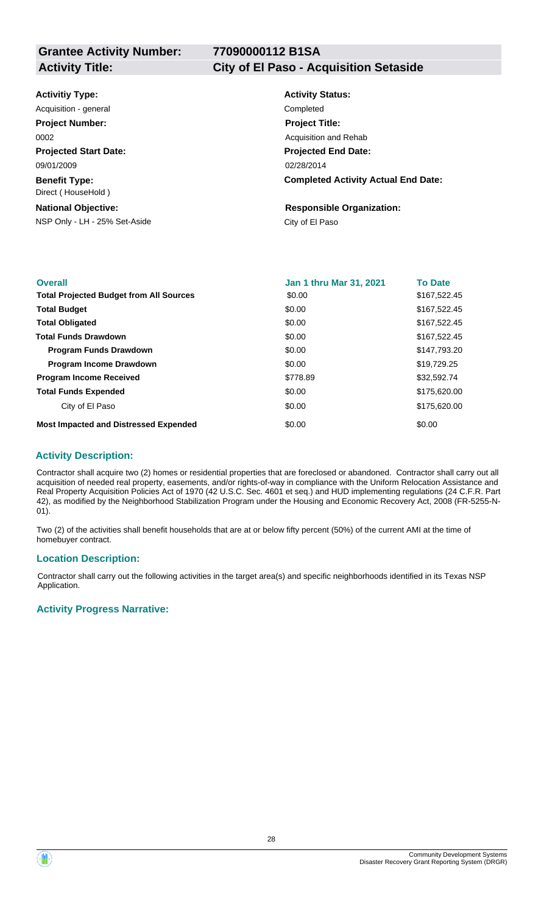# **77090000112 B1SA**

#### **Activity Title: City of El Paso - Acquisition Setaside**

| <b>Activitiy Type:</b> |  |
|------------------------|--|
|------------------------|--|

**Projected Start Date: Benefit Type:** 09/01/2009 Direct ( HouseHold ) Acquisition - general **Completed Project Number:** 0002

#### **National Objective:**

NSP Only - LH - 25% Set-Aside City of El Paso

# **Activity Status: Projected End Date: Completed Activity Actual End Date:** 02/28/2014 **Project Title:** Acquisition and Rehab

**Responsible Organization:**

| <b>Overall</b>                                 | <b>Jan 1 thru Mar 31, 2021</b> | <b>To Date</b> |
|------------------------------------------------|--------------------------------|----------------|
| <b>Total Projected Budget from All Sources</b> | \$0.00                         | \$167,522.45   |
| <b>Total Budget</b>                            | \$0.00                         | \$167,522.45   |
| <b>Total Obligated</b>                         | \$0.00                         | \$167.522.45   |
| <b>Total Funds Drawdown</b>                    | \$0.00                         | \$167,522.45   |
| <b>Program Funds Drawdown</b>                  | \$0.00                         | \$147,793.20   |
| <b>Program Income Drawdown</b>                 | \$0.00                         | \$19,729.25    |
| <b>Program Income Received</b>                 | \$778.89                       | \$32,592.74    |
| <b>Total Funds Expended</b>                    | \$0.00                         | \$175,620,00   |
| City of El Paso                                | \$0.00                         | \$175,620.00   |
| <b>Most Impacted and Distressed Expended</b>   | \$0.00                         | \$0.00         |

#### **Activity Description:**

Contractor shall acquire two (2) homes or residential properties that are foreclosed or abandoned. Contractor shall carry out all acquisition of needed real property, easements, and/or rights-of-way in compliance with the Uniform Relocation Assistance and Real Property Acquisition Policies Act of 1970 (42 U.S.C. Sec. 4601 et seq.) and HUD implementing regulations (24 C.F.R. Part 42), as modified by the Neighborhood Stabilization Program under the Housing and Economic Recovery Act, 2008 (FR-5255-N-01).

Two (2) of the activities shall benefit households that are at or below fifty percent (50%) of the current AMI at the time of homebuyer contract.

#### **Location Description:**

Contractor shall carry out the following activities in the target area(s) and specific neighborhoods identified in its Texas NSP Application.

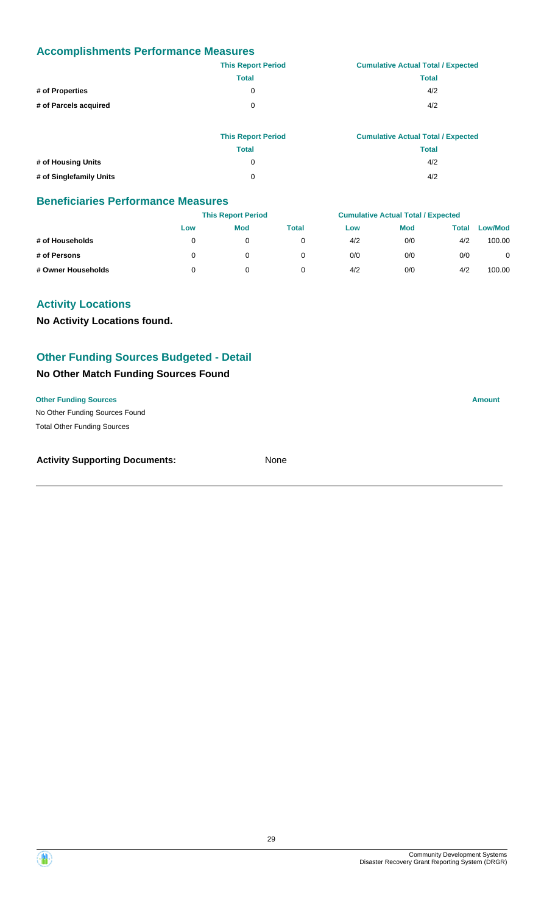|                       | <b>This Report Period</b> | <b>Cumulative Actual Total / Expected</b> |
|-----------------------|---------------------------|-------------------------------------------|
|                       | <b>Total</b>              | <b>Total</b>                              |
| # of Properties       | 0                         | 4/2                                       |
| # of Parcels acquired | 0                         | 4/2                                       |
|                       |                           |                                           |

|                         | <b>This Report Period</b> | <b>Cumulative Actual Total / Expected</b> |
|-------------------------|---------------------------|-------------------------------------------|
|                         | Total                     | Total                                     |
| # of Housing Units      | O                         | 4/2                                       |
| # of Singlefamily Units | 0                         | 4/2                                       |

#### **Beneficiaries Performance Measures**

|                    | <b>This Report Period</b> |            |              | <b>Cumulative Actual Total / Expected</b> |            |       |         |
|--------------------|---------------------------|------------|--------------|-------------------------------------------|------------|-------|---------|
|                    | Low                       | <b>Mod</b> | <b>Total</b> | Low                                       | <b>Mod</b> | Total | Low/Mod |
| # of Households    |                           |            |              | 4/2                                       | 0/0        | 4/2   | 100.00  |
| # of Persons       |                           |            |              | 0/0                                       | 0/0        | 0/0   | 0       |
| # Owner Households |                           |            |              | 4/2                                       | 0/0        | 4/2   | 100.00  |

# **Activity Locations**

**No Activity Locations found.**

## **Other Funding Sources Budgeted - Detail**

#### **No Other Match Funding Sources Found**

#### **Other Funding Sources Amount**

No Other Funding Sources Found Total Other Funding Sources

#### **Activity Supporting Documents:** None

Community Development Systems Disaster Recovery Grant Reporting System (DRGR)

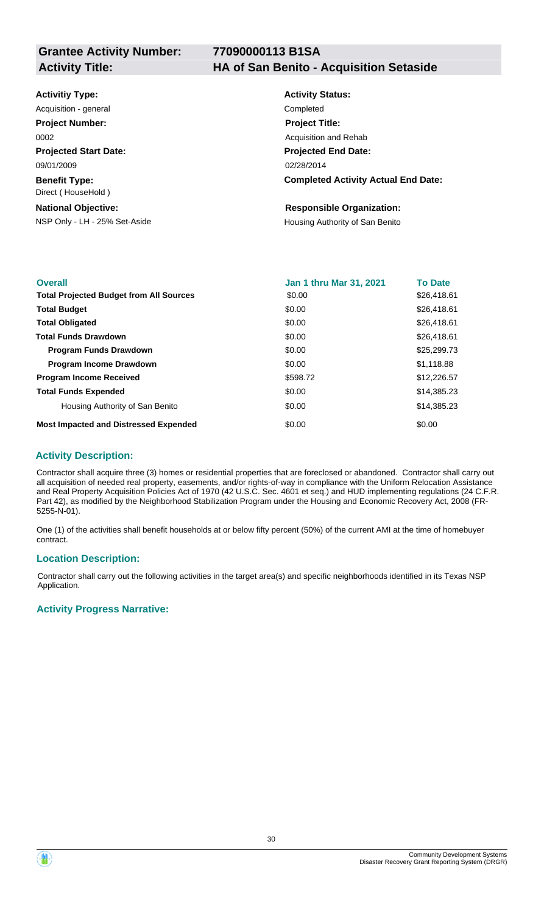**77090000113 B1SA**

**Activity Title: HA of San Benito - Acquisition Setaside**

| <b>Activitiy Type:</b> |  |
|------------------------|--|
|------------------------|--|

**Projected Start Date: Benefit Type:** 09/01/2009 Direct ( HouseHold ) Acquisition - general **Completed Project Number:** 0002

#### **National Objective:**

NSP Only - LH - 25% Set-Aside Housing Authority of San Benito

# **Activity Status: Projected End Date: Completed Activity Actual End Date:** 02/28/2014 **Project Title:** Acquisition and Rehab

#### **Responsible Organization:**

| <b>Overall</b>                                 | <b>Jan 1 thru Mar 31, 2021</b> | <b>To Date</b> |
|------------------------------------------------|--------------------------------|----------------|
| <b>Total Projected Budget from All Sources</b> | \$0.00                         | \$26,418.61    |
| <b>Total Budget</b>                            | \$0.00                         | \$26,418.61    |
| <b>Total Obligated</b>                         | \$0.00                         | \$26,418.61    |
| <b>Total Funds Drawdown</b>                    | \$0.00                         | \$26,418.61    |
| <b>Program Funds Drawdown</b>                  | \$0.00                         | \$25,299.73    |
| <b>Program Income Drawdown</b>                 | \$0.00                         | \$1,118.88     |
| <b>Program Income Received</b>                 | \$598.72                       | \$12,226.57    |
| <b>Total Funds Expended</b>                    | \$0.00                         | \$14,385.23    |
| Housing Authority of San Benito                | \$0.00                         | \$14,385.23    |
| <b>Most Impacted and Distressed Expended</b>   | \$0.00                         | \$0.00         |

#### **Activity Description:**

Contractor shall acquire three (3) homes or residential properties that are foreclosed or abandoned. Contractor shall carry out all acquisition of needed real property, easements, and/or rights-of-way in compliance with the Uniform Relocation Assistance and Real Property Acquisition Policies Act of 1970 (42 U.S.C. Sec. 4601 et seq.) and HUD implementing regulations (24 C.F.R. Part 42), as modified by the Neighborhood Stabilization Program under the Housing and Economic Recovery Act, 2008 (FR-5255-N-01).

One (1) of the activities shall benefit households at or below fifty percent (50%) of the current AMI at the time of homebuyer contract.

#### **Location Description:**

Contractor shall carry out the following activities in the target area(s) and specific neighborhoods identified in its Texas NSP Application.

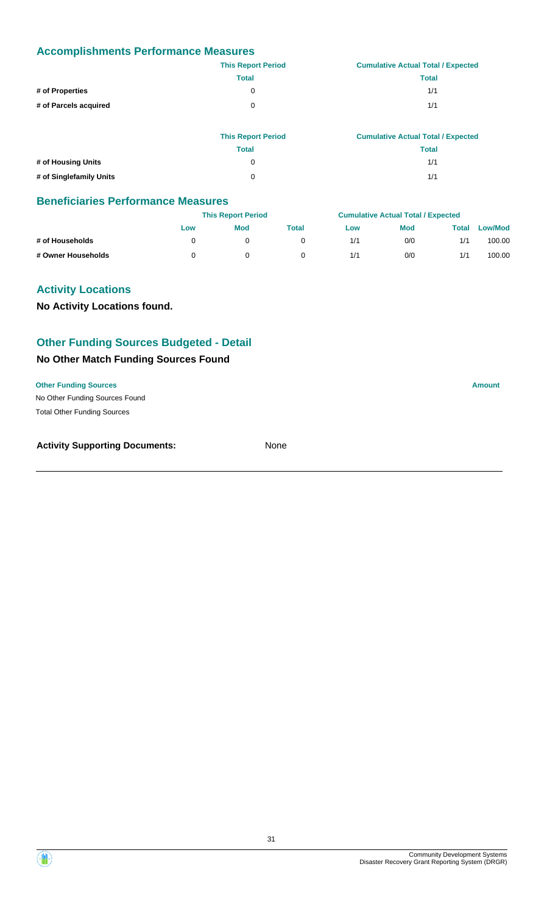|                       | <b>This Report Period</b> | <b>Cumulative Actual Total / Expected</b> |
|-----------------------|---------------------------|-------------------------------------------|
|                       | <b>Total</b>              | <b>Total</b>                              |
| # of Properties       | 0                         | 1/1                                       |
| # of Parcels acquired | 0                         | 1/1                                       |
|                       |                           |                                           |

|                         | <b>This Report Period</b> | <b>Cumulative Actual Total / Expected</b> |
|-------------------------|---------------------------|-------------------------------------------|
|                         | Total                     | Total                                     |
| # of Housing Units      |                           | 1/1                                       |
| # of Singlefamily Units | 0                         | 1/1                                       |

#### **Beneficiaries Performance Measures**

|                    |     | <b>This Report Period</b> |       |     | <b>Cumulative Actual Total / Expected</b> |       |                |
|--------------------|-----|---------------------------|-------|-----|-------------------------------------------|-------|----------------|
|                    | Low | <b>Mod</b>                | Total | Low | <b>Mod</b>                                | Total | <b>Low/Mod</b> |
| # of Households    |     |                           |       | 1/1 | 0/0                                       | 1/1   | 100.00         |
| # Owner Households |     |                           |       | 1/1 | 0/0                                       | 1/1   | 100.00         |

#### **Activity Locations**

**No Activity Locations found.**

# **Other Funding Sources Budgeted - Detail**

#### **No Other Match Funding Sources Found**

#### **Other Funding Sources Amount**

No Other Funding Sources Found Total Other Funding Sources

| <b>Activity Supporting Documents:</b> | None |
|---------------------------------------|------|
|                                       |      |

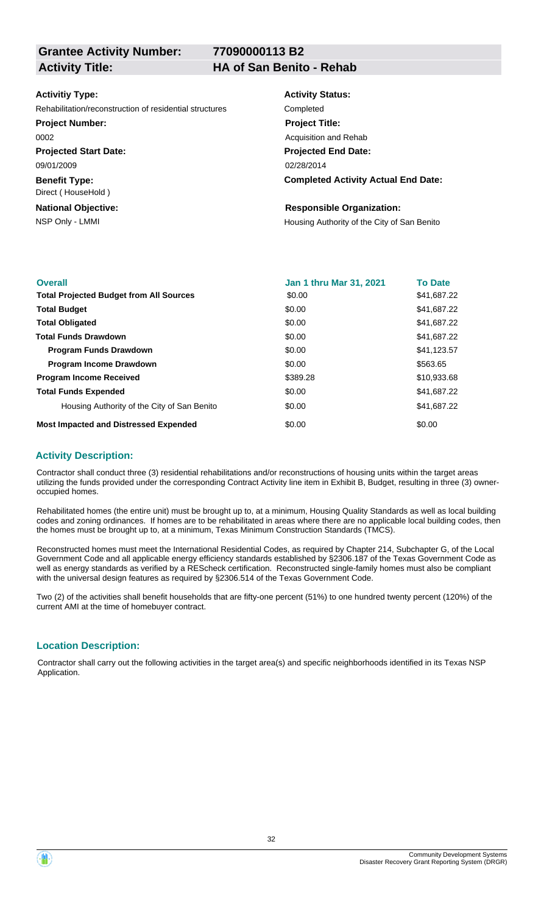**77090000113 B2**

#### **Activitiy Type:**

Rehabilitation/reconstruction of residential structures Completed

**Project Number:**

0002

**Projected Start Date:** 09/01/2009

**Benefit Type:** Direct ( HouseHold )

**National Objective:**

# **Activity Status: Project Title:** Acquisition and Rehab

**Projected End Date:**

02/28/2014

#### **Completed Activity Actual End Date:**

#### **Responsible Organization:**

NSP Only - LMMI **NOTE 2008** Housing Authority of the City of San Benito

| <b>Overall</b>                                 | <b>Jan 1 thru Mar 31, 2021</b> | <b>To Date</b> |
|------------------------------------------------|--------------------------------|----------------|
| <b>Total Projected Budget from All Sources</b> | \$0.00                         | \$41,687.22    |
| <b>Total Budget</b>                            | \$0.00                         | \$41,687.22    |
| <b>Total Obligated</b>                         | \$0.00                         | \$41,687.22    |
| <b>Total Funds Drawdown</b>                    | \$0.00                         | \$41,687.22    |
| <b>Program Funds Drawdown</b>                  | \$0.00                         | \$41,123.57    |
| <b>Program Income Drawdown</b>                 | \$0.00                         | \$563.65       |
| <b>Program Income Received</b>                 | \$389.28                       | \$10,933.68    |
| <b>Total Funds Expended</b>                    | \$0.00                         | \$41,687.22    |
| Housing Authority of the City of San Benito    | \$0.00                         | \$41,687.22    |
| <b>Most Impacted and Distressed Expended</b>   | \$0.00                         | \$0.00         |

## **Activity Description:**

Contractor shall conduct three (3) residential rehabilitations and/or reconstructions of housing units within the target areas utilizing the funds provided under the corresponding Contract Activity line item in Exhibit B, Budget, resulting in three (3) owneroccupied homes.

Rehabilitated homes (the entire unit) must be brought up to, at a minimum, Housing Quality Standards as well as local building codes and zoning ordinances. If homes are to be rehabilitated in areas where there are no applicable local building codes, then the homes must be brought up to, at a minimum, Texas Minimum Construction Standards (TMCS).

Reconstructed homes must meet the International Residential Codes, as required by Chapter 214, Subchapter G, of the Local Government Code and all applicable energy efficiency standards established by §2306.187 of the Texas Government Code as well as energy standards as verified by a REScheck certification. Reconstructed single-family homes must also be compliant with the universal design features as required by §2306.514 of the Texas Government Code.

Two (2) of the activities shall benefit households that are fifty-one percent (51%) to one hundred twenty percent (120%) of the current AMI at the time of homebuyer contract.

# **Location Description:**

Contractor shall carry out the following activities in the target area(s) and specific neighborhoods identified in its Texas NSP Application.

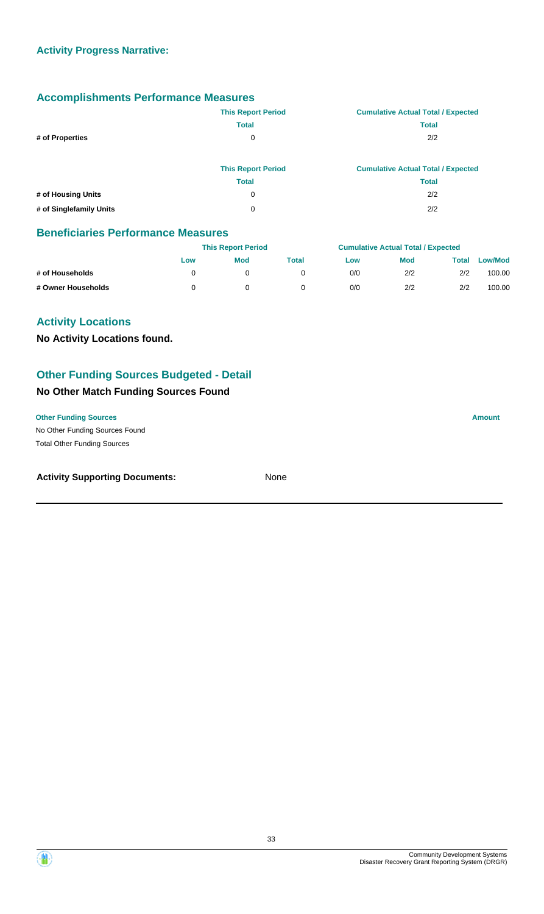|                         | <b>This Report Period</b> | <b>Cumulative Actual Total / Expected</b> |
|-------------------------|---------------------------|-------------------------------------------|
|                         | <b>Total</b>              | <b>Total</b>                              |
| # of Properties         | 0                         | 2/2                                       |
|                         | <b>This Report Period</b> | <b>Cumulative Actual Total / Expected</b> |
|                         | <b>Total</b>              | <b>Total</b>                              |
| # of Housing Units      | $\mathbf 0$               | 2/2                                       |
| # of Singlefamily Units | 0                         | 2/2                                       |

#### **Beneficiaries Performance Measures**

|                    |     | <b>This Report Period</b> |       |     | <b>Cumulative Actual Total / Expected</b> |       |                |  |
|--------------------|-----|---------------------------|-------|-----|-------------------------------------------|-------|----------------|--|
|                    | Low | <b>Mod</b>                | Total | Low | Mod                                       | Total | <b>Low/Mod</b> |  |
| # of Households    |     |                           |       | 0/0 | 2/2                                       | 2/2   | 100.00         |  |
| # Owner Households |     |                           |       | 0/0 | 2/2                                       | 2/2   | 100.00         |  |

### **Activity Locations**

**No Activity Locations found.**

#### **Other Funding Sources Budgeted - Detail**

# **No Other Match Funding Sources Found**

No Other Funding Sources Found **Other Funding Sources Amount Amount Amount Amount Amount Amount Amount** Total Other Funding Sources

#### **Activity Supporting Documents:** None

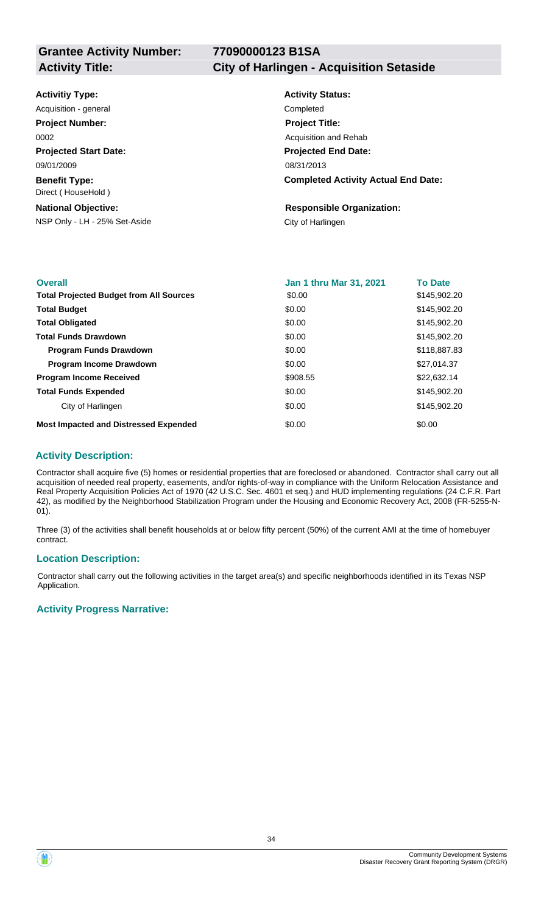## **77090000123 B1SA**

#### **Activity Title: City of Harlingen - Acquisition Setaside**

| <b>Activitiy Type:</b> |  |
|------------------------|--|
|------------------------|--|

**Projected Start Date: Benefit Type:** 09/01/2009 Direct ( HouseHold ) Acquisition - general **Completed Project Number:** 0002

#### **National Objective:**

NSP Only - LH - 25% Set-Aside City of Harlingen

# **Activity Status: Projected End Date: Completed Activity Actual End Date:** 08/31/2013 **Project Title:** Acquisition and Rehab

# **Responsible Organization:**

| <b>Overall</b>                                 | <b>Jan 1 thru Mar 31, 2021</b> | <b>To Date</b> |
|------------------------------------------------|--------------------------------|----------------|
| <b>Total Projected Budget from All Sources</b> | \$0.00                         | \$145,902.20   |
| <b>Total Budget</b>                            | \$0.00                         | \$145,902.20   |
| <b>Total Obligated</b>                         | \$0.00                         | \$145,902.20   |
| <b>Total Funds Drawdown</b>                    | \$0.00                         | \$145,902.20   |
| <b>Program Funds Drawdown</b>                  | \$0.00                         | \$118,887.83   |
| <b>Program Income Drawdown</b>                 | \$0.00                         | \$27,014.37    |
| <b>Program Income Received</b>                 | \$908.55                       | \$22,632.14    |
| <b>Total Funds Expended</b>                    | \$0.00                         | \$145,902.20   |
| City of Harlingen                              | \$0.00                         | \$145,902.20   |
| <b>Most Impacted and Distressed Expended</b>   | \$0.00                         | \$0.00         |

#### **Activity Description:**

Contractor shall acquire five (5) homes or residential properties that are foreclosed or abandoned. Contractor shall carry out all acquisition of needed real property, easements, and/or rights-of-way in compliance with the Uniform Relocation Assistance and Real Property Acquisition Policies Act of 1970 (42 U.S.C. Sec. 4601 et seq.) and HUD implementing regulations (24 C.F.R. Part 42), as modified by the Neighborhood Stabilization Program under the Housing and Economic Recovery Act, 2008 (FR-5255-N-01).

Three (3) of the activities shall benefit households at or below fifty percent (50%) of the current AMI at the time of homebuyer contract.

#### **Location Description:**

Contractor shall carry out the following activities in the target area(s) and specific neighborhoods identified in its Texas NSP Application.

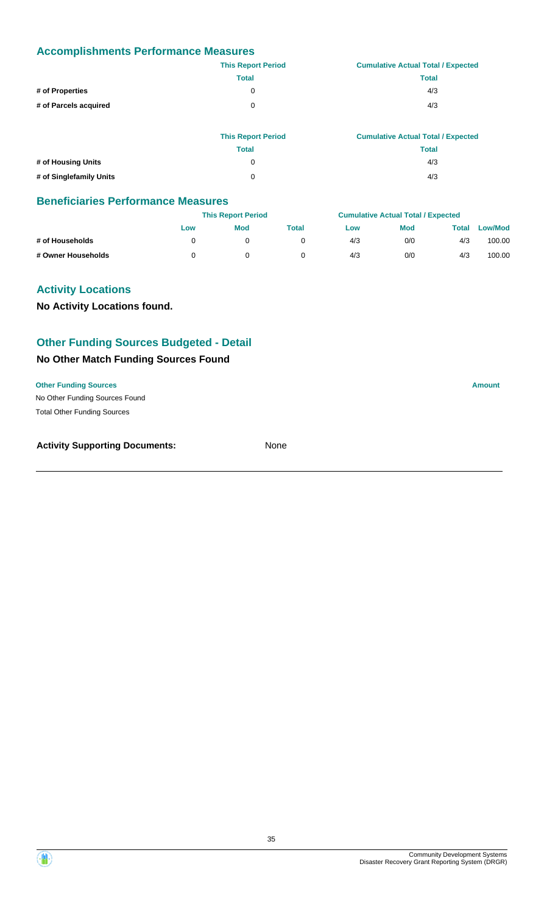|                       | <b>This Report Period</b> | <b>Cumulative Actual Total / Expected</b> |
|-----------------------|---------------------------|-------------------------------------------|
|                       | <b>Total</b>              | <b>Total</b>                              |
| # of Properties       | 0                         | 4/3                                       |
| # of Parcels acquired | 0                         | 4/3                                       |
|                       |                           |                                           |

|                         | <b>This Report Period</b> | <b>Cumulative Actual Total / Expected</b> |
|-------------------------|---------------------------|-------------------------------------------|
|                         | <b>Total</b>              | <b>Total</b>                              |
| # of Housing Units      | 0                         | 4/3                                       |
| # of Singlefamily Units | 0                         | 4/3                                       |

#### **Beneficiaries Performance Measures**

|                    |     | <b>This Report Period</b> |       |     | <b>Cumulative Actual Total / Expected</b> |       |                |
|--------------------|-----|---------------------------|-------|-----|-------------------------------------------|-------|----------------|
|                    | Low | <b>Mod</b>                | Total | Low | <b>Mod</b>                                | Total | <b>Low/Mod</b> |
| # of Households    |     |                           |       | 4/3 | 0/0                                       | 4/3   | 100.00         |
| # Owner Households |     |                           |       | 4/3 | 0/0                                       | 4/3   | 100.00         |

#### **Activity Locations**

**No Activity Locations found.**

# **Other Funding Sources Budgeted - Detail**

#### **No Other Match Funding Sources Found**

#### **Other Funding Sources Amount**

No Other Funding Sources Found Total Other Funding Sources

| <b>Activity Supporting Documents:</b> | None |
|---------------------------------------|------|
|                                       |      |

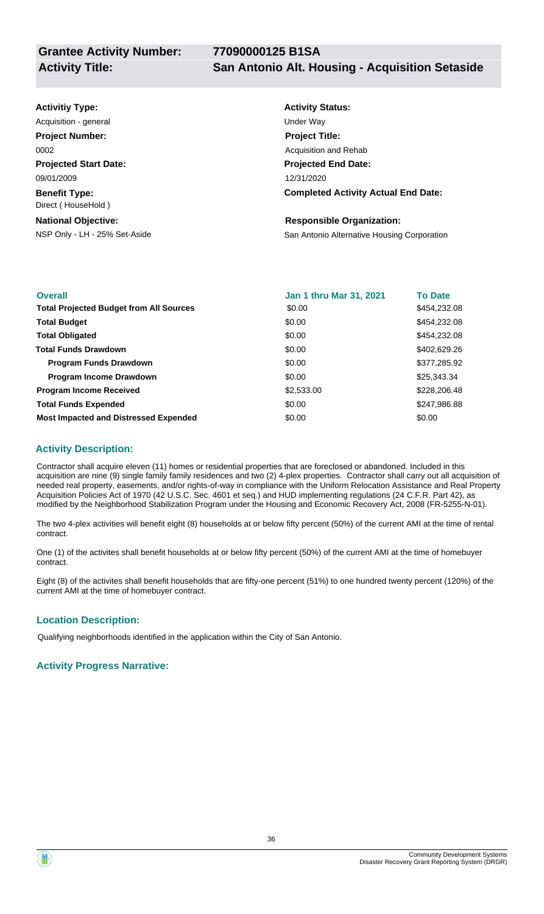| <b>Activitiy Type:</b>                     | <b>Activity Status:</b>                     |
|--------------------------------------------|---------------------------------------------|
| Acquisition - general                      | Under Way                                   |
| <b>Project Number:</b>                     | <b>Project Title:</b>                       |
| 0002                                       | Acquisition and Rehab                       |
| <b>Projected Start Date:</b>               | <b>Projected End Date:</b>                  |
| 09/01/2009                                 | 12/31/2020                                  |
| <b>Benefit Type:</b><br>Direct (HouseHold) | <b>Completed Activity Actual End Date:</b>  |
| <b>National Objective:</b>                 | <b>Responsible Organization:</b>            |
| NSP Only - LH - 25% Set-Aside              | San Antonio Alternative Housing Corporation |

| <b>Overall</b>                                 | Jan 1 thru Mar 31, 2021 | <b>To Date</b> |
|------------------------------------------------|-------------------------|----------------|
| <b>Total Projected Budget from All Sources</b> | \$0.00                  | \$454,232.08   |
| <b>Total Budget</b>                            | \$0.00                  | \$454,232.08   |
| <b>Total Obligated</b>                         | \$0.00                  | \$454,232.08   |
| <b>Total Funds Drawdown</b>                    | \$0.00                  | \$402,629.26   |
| <b>Program Funds Drawdown</b>                  | \$0.00                  | \$377,285.92   |
| <b>Program Income Drawdown</b>                 | \$0.00                  | \$25,343.34    |
| <b>Program Income Received</b>                 | \$2,533.00              | \$228,206.48   |
| <b>Total Funds Expended</b>                    | \$0.00                  | \$247,986.88   |
| <b>Most Impacted and Distressed Expended</b>   | \$0.00                  | \$0.00         |

#### **Activity Description:**

Contractor shall acquire eleven (11) homes or residential properties that are foreclosed or abandoned. Included in this acquisition are nine (9) single family family residences and two (2) 4-plex properties. Contractor shall carry out all acquisition of needed real property, easements, and/or rights-of-way in compliance with the Uniform Relocation Assistance and Real Property Acquisition Policies Act of 1970 (42 U.S.C. Sec. 4601 et seq.) and HUD implementing regulations (24 C.F.R. Part 42), as modified by the Neighborhood Stabilization Program under the Housing and Economic Recovery Act, 2008 (FR-5255-N-01).

The two 4-plex activities will benefit eight (8) households at or below fifty percent (50%) of the current AMI at the time of rental contract.

One (1) of the activites shall benefit households at or below fifty percent (50%) of the current AMI at the time of homebuyer contract.

Eight (8) of the activites shall benefit households that are fifty-one percent (51%) to one hundred twenty percent (120%) of the current AMI at the time of homebuyer contract.

#### **Location Description:**

Qualifying neighborhoods identified in the application within the City of San Antonio.

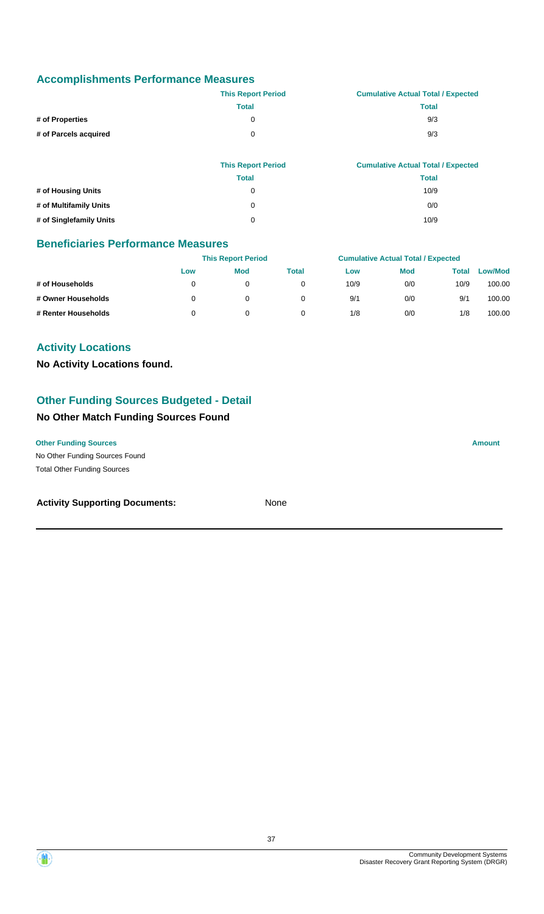|                       | <b>This Report Period</b> | <b>Cumulative Actual Total / Expected</b> |
|-----------------------|---------------------------|-------------------------------------------|
|                       | Total                     | Total                                     |
| # of Properties       |                           | 9/3                                       |
| # of Parcels acquired | 0                         | 9/3                                       |

|                         | <b>This Report Period</b> | <b>Cumulative Actual Total / Expected</b> |
|-------------------------|---------------------------|-------------------------------------------|
|                         | <b>Total</b>              | <b>Total</b>                              |
| # of Housing Units      | 0                         | 10/9                                      |
| # of Multifamily Units  | $\Omega$                  | 0/0                                       |
| # of Singlefamily Units | $\Omega$                  | 10/9                                      |

#### **Beneficiaries Performance Measures**

|                     |     | <b>This Report Period</b> |       |      | <b>Cumulative Actual Total / Expected</b> |       |                |  |
|---------------------|-----|---------------------------|-------|------|-------------------------------------------|-------|----------------|--|
|                     | Low | <b>Mod</b>                | Total | Low  | <b>Mod</b>                                | Total | <b>Low/Mod</b> |  |
| # of Households     |     |                           |       | 10/9 | 0/0                                       | 10/9  | 100.00         |  |
| # Owner Households  |     | 0                         |       | 9/1  | 0/0                                       | 9/1   | 100.00         |  |
| # Renter Households |     |                           |       | 1/8  | 0/0                                       | 1/8   | 100.00         |  |

### **Activity Locations**

**No Activity Locations found.**

## **Other Funding Sources Budgeted - Detail**

### **No Other Match Funding Sources Found**

**Other Funding Sources Amount Amount Amount Amount Amount Amount Amount** 

No Other Funding Sources Found Total Other Funding Sources

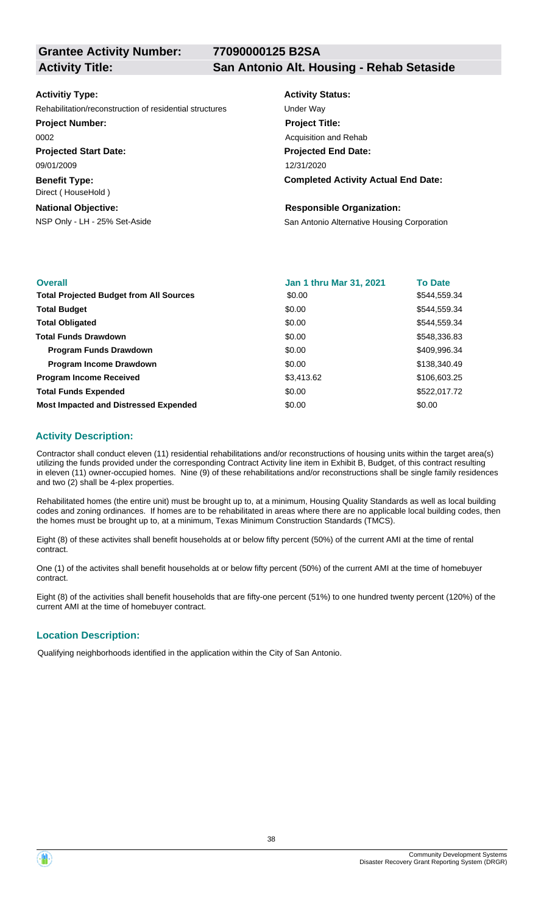**77090000125 B2SA**

**Grantee Activity Number:**

**Activity Title: San Antonio Alt. Housing - Rehab Setaside**

#### **Activitiy Type:**

Rehabilitation/reconstruction of residential structures Under Way

#### **Project Number:**

0002

**Projected Start Date:** 09/01/2009

**Benefit Type:** Direct ( HouseHold )

#### **National Objective:**

## **Activity Status: Project Title:** Acquisition and Rehab

**Projected End Date:** 12/31/2020

#### **Completed Activity Actual End Date:**

#### **Responsible Organization:**

NSP Only - LH - 25% Set-Aside San Antonio Alternative Housing Corporation

| <b>Overall</b>                                 | <b>Jan 1 thru Mar 31, 2021</b> | <b>To Date</b> |
|------------------------------------------------|--------------------------------|----------------|
| <b>Total Projected Budget from All Sources</b> | \$0.00                         | \$544,559.34   |
| <b>Total Budget</b>                            | \$0.00                         | \$544,559.34   |
| <b>Total Obligated</b>                         | \$0.00                         | \$544,559.34   |
| <b>Total Funds Drawdown</b>                    | \$0.00                         | \$548,336.83   |
| <b>Program Funds Drawdown</b>                  | \$0.00                         | \$409,996.34   |
| <b>Program Income Drawdown</b>                 | \$0.00                         | \$138,340.49   |
| <b>Program Income Received</b>                 | \$3,413.62                     | \$106,603.25   |
| <b>Total Funds Expended</b>                    | \$0.00                         | \$522,017.72   |
| <b>Most Impacted and Distressed Expended</b>   | \$0.00                         | \$0.00         |

#### **Activity Description:**

Contractor shall conduct eleven (11) residential rehabilitations and/or reconstructions of housing units within the target area(s) utilizing the funds provided under the corresponding Contract Activity line item in Exhibit B, Budget, of this contract resulting in eleven (11) owner-occupied homes. Nine (9) of these rehabilitations and/or reconstructions shall be single family residences and two (2) shall be 4-plex properties.

Rehabilitated homes (the entire unit) must be brought up to, at a minimum, Housing Quality Standards as well as local building codes and zoning ordinances. If homes are to be rehabilitated in areas where there are no applicable local building codes, then the homes must be brought up to, at a minimum, Texas Minimum Construction Standards (TMCS).

Eight (8) of these activites shall benefit households at or below fifty percent (50%) of the current AMI at the time of rental contract.

One (1) of the activites shall benefit households at or below fifty percent (50%) of the current AMI at the time of homebuyer contract.

Eight (8) of the activities shall benefit households that are fifty-one percent (51%) to one hundred twenty percent (120%) of the current AMI at the time of homebuyer contract.

#### **Location Description:**

Qualifying neighborhoods identified in the application within the City of San Antonio.

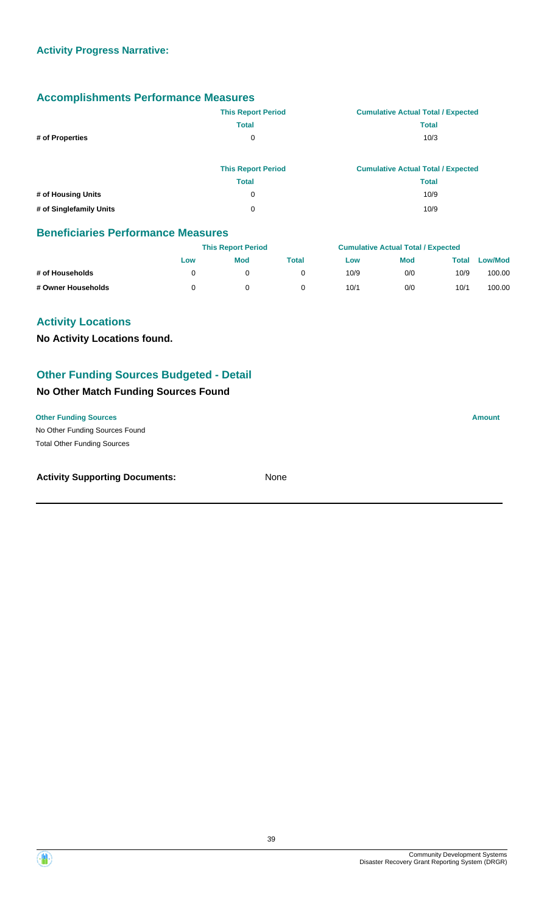|                         | <b>This Report Period</b> | <b>Cumulative Actual Total / Expected</b> |
|-------------------------|---------------------------|-------------------------------------------|
|                         | <b>Total</b>              | <b>Total</b>                              |
| # of Properties         | 0                         | 10/3                                      |
|                         |                           |                                           |
|                         | <b>This Report Period</b> | <b>Cumulative Actual Total / Expected</b> |
|                         | <b>Total</b>              | <b>Total</b>                              |
| # of Housing Units      | 0                         | 10/9                                      |
| # of Singlefamily Units | 0                         | 10/9                                      |

#### **Beneficiaries Performance Measures**

|                    |     | <b>This Report Period</b> |       |      | <b>Cumulative Actual Total / Expected</b> |       |                |  |
|--------------------|-----|---------------------------|-------|------|-------------------------------------------|-------|----------------|--|
|                    | Low | Mod                       | Total | Low  | <b>Mod</b>                                | Total | <b>Low/Mod</b> |  |
| # of Households    |     |                           |       | 10/9 | 0/0                                       | 10/9  | 100.00         |  |
| # Owner Households |     |                           |       | 10/1 | 0/0                                       | 10/1  | 100.00         |  |

### **Activity Locations**

**No Activity Locations found.**

### **Other Funding Sources Budgeted - Detail**

## **No Other Match Funding Sources Found**

No Other Funding Sources Found **Other Funding Sources Amount Amount Amount Amount Amount Amount Amount** Total Other Funding Sources

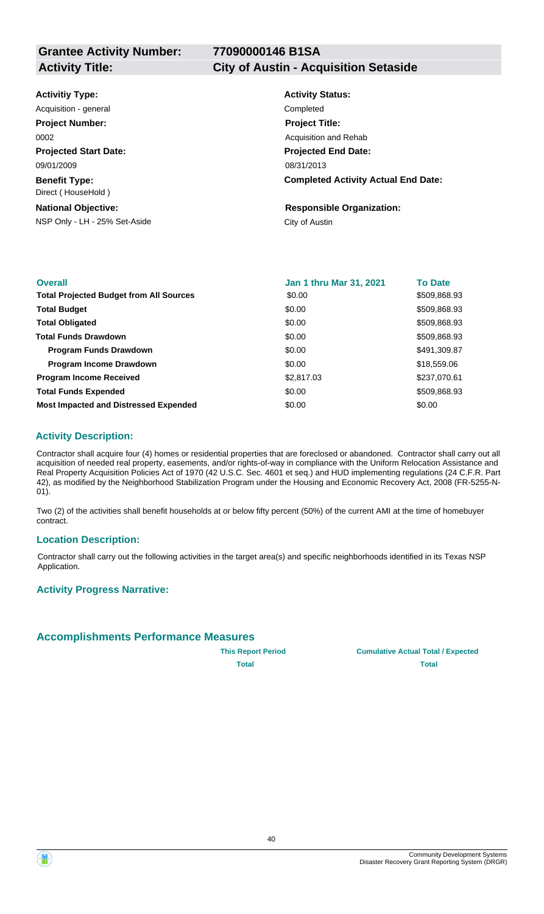**Activity Title: City of Austin - Acquisition Setaside**

| <b>Activitiy Type:</b> |  |
|------------------------|--|
|                        |  |

**Projected Start Date: Benefit Type:** 09/01/2009 Direct ( HouseHold ) Acquisition - general **Completed Project Number:** 0002

#### **National Objective:**

NSP Only - LH - 25% Set-Aside City of Austin

## **Activity Status: Projected End Date: Completed Activity Actual End Date:** 08/31/2013 **Project Title:** Acquisition and Rehab

**Responsible Organization:**

| <b>Overall</b>                                 | <b>Jan 1 thru Mar 31, 2021</b> | <b>To Date</b> |
|------------------------------------------------|--------------------------------|----------------|
| <b>Total Projected Budget from All Sources</b> | \$0.00                         | \$509,868.93   |
| <b>Total Budget</b>                            | \$0.00                         | \$509,868.93   |
| <b>Total Obligated</b>                         | \$0.00                         | \$509,868.93   |
| <b>Total Funds Drawdown</b>                    | \$0.00                         | \$509,868.93   |
| <b>Program Funds Drawdown</b>                  | \$0.00                         | \$491,309.87   |
| <b>Program Income Drawdown</b>                 | \$0.00                         | \$18,559.06    |
| <b>Program Income Received</b>                 | \$2,817.03                     | \$237,070.61   |
| <b>Total Funds Expended</b>                    | \$0.00                         | \$509,868.93   |
| <b>Most Impacted and Distressed Expended</b>   | \$0.00                         | \$0.00         |

### **Activity Description:**

Contractor shall acquire four (4) homes or residential properties that are foreclosed or abandoned. Contractor shall carry out all acquisition of needed real property, easements, and/or rights-of-way in compliance with the Uniform Relocation Assistance and Real Property Acquisition Policies Act of 1970 (42 U.S.C. Sec. 4601 et seq.) and HUD implementing regulations (24 C.F.R. Part 42), as modified by the Neighborhood Stabilization Program under the Housing and Economic Recovery Act, 2008 (FR-5255-N-01).

Two (2) of the activities shall benefit households at or below fifty percent (50%) of the current AMI at the time of homebuyer contract.

#### **Location Description:**

Contractor shall carry out the following activities in the target area(s) and specific neighborhoods identified in its Texas NSP Application.

#### **Activity Progress Narrative:**

### **Accomplishments Performance Measures**



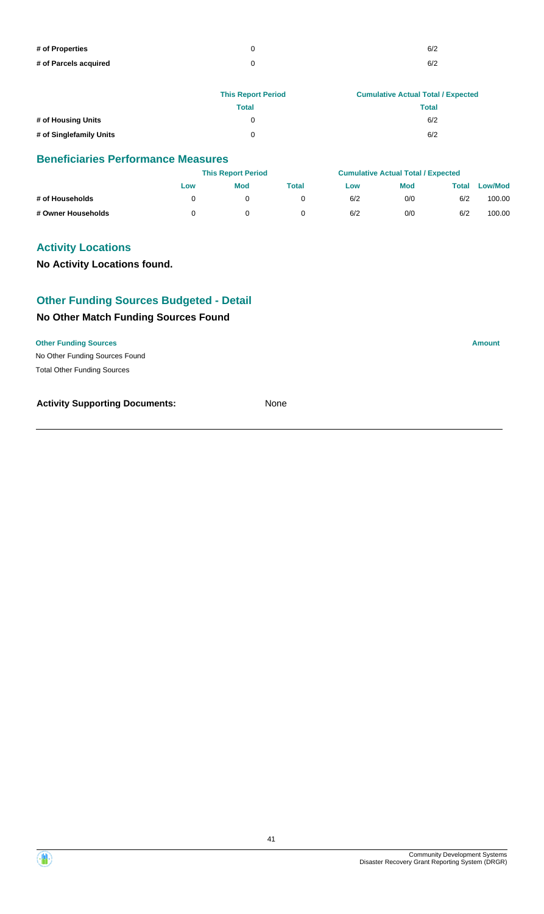| # of Properties       | 6/2 |
|-----------------------|-----|
| # of Parcels acquired | 6/2 |

|                         | <b>This Report Period</b> | <b>Cumulative Actual Total / Expected</b> |
|-------------------------|---------------------------|-------------------------------------------|
|                         | Total                     | <b>Total</b>                              |
| # of Housing Units      | 0                         | 6/2                                       |
| # of Singlefamily Units | ∩                         | 6/2                                       |

|                    |     | <b>This Report Period</b> |       |     | <b>Cumulative Actual Total / Expected</b> |              |                |
|--------------------|-----|---------------------------|-------|-----|-------------------------------------------|--------------|----------------|
|                    | Low | Mod                       | Total | Low | <b>Mod</b>                                | <b>Total</b> | <b>Low/Mod</b> |
| # of Households    |     |                           |       | 6/2 | 0/0                                       | 6/2          | 100.00         |
| # Owner Households |     |                           |       | 6/2 | 0/0                                       | 6/2          | 100.00         |

### **Activity Locations**

**No Activity Locations found.**

### **Other Funding Sources Budgeted - Detail**

### **No Other Match Funding Sources Found**

#### **Other Funding Sources Amount**

No Other Funding Sources Found Total Other Funding Sources

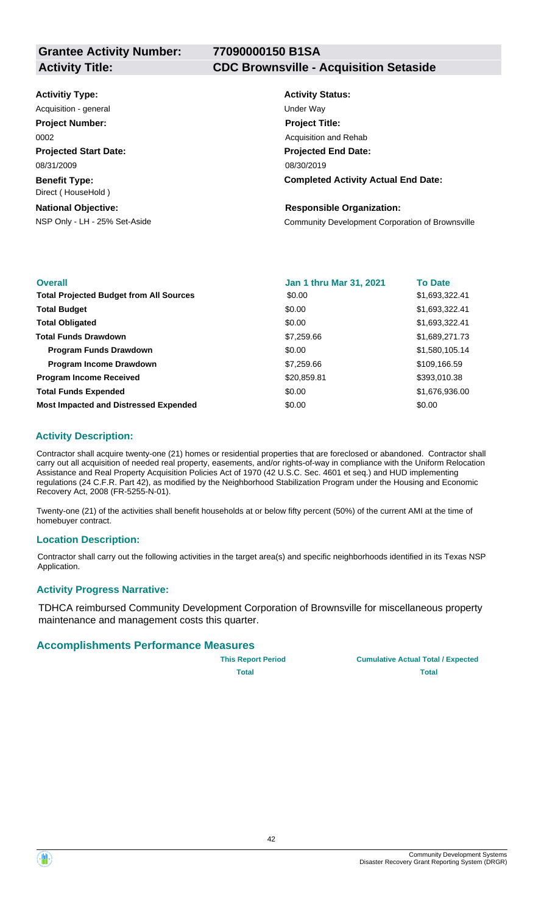| <b>Activitiy Type:</b>                     | <b>Activity Status:</b>                          |
|--------------------------------------------|--------------------------------------------------|
| Acquisition - general                      | Under Way                                        |
| <b>Project Number:</b>                     | <b>Project Title:</b>                            |
| 0002                                       | Acquisition and Rehab                            |
| <b>Projected Start Date:</b>               | <b>Projected End Date:</b>                       |
| 08/31/2009                                 | 08/30/2019                                       |
| <b>Benefit Type:</b><br>Direct (HouseHold) | <b>Completed Activity Actual End Date:</b>       |
| <b>National Objective:</b>                 | <b>Responsible Organization:</b>                 |
| NSP Only - LH - 25% Set-Aside              | Community Development Corporation of Brownsville |
|                                            |                                                  |

| <b>Overall</b>                                 | <b>Jan 1 thru Mar 31, 2021</b> | <b>To Date</b> |
|------------------------------------------------|--------------------------------|----------------|
| <b>Total Projected Budget from All Sources</b> | \$0.00                         | \$1,693,322.41 |
| <b>Total Budget</b>                            | \$0.00                         | \$1,693,322.41 |
| <b>Total Obligated</b>                         | \$0.00                         | \$1,693,322.41 |
| <b>Total Funds Drawdown</b>                    | \$7,259.66                     | \$1,689,271.73 |
| <b>Program Funds Drawdown</b>                  | \$0.00                         | \$1,580,105.14 |
| <b>Program Income Drawdown</b>                 | \$7,259.66                     | \$109,166.59   |
| <b>Program Income Received</b>                 | \$20,859.81                    | \$393,010.38   |
| <b>Total Funds Expended</b>                    | \$0.00                         | \$1,676,936.00 |
| <b>Most Impacted and Distressed Expended</b>   | \$0.00                         | \$0.00         |

### **Activity Description:**

Contractor shall acquire twenty-one (21) homes or residential properties that are foreclosed or abandoned. Contractor shall carry out all acquisition of needed real property, easements, and/or rights-of-way in compliance with the Uniform Relocation Assistance and Real Property Acquisition Policies Act of 1970 (42 U.S.C. Sec. 4601 et seq.) and HUD implementing regulations (24 C.F.R. Part 42), as modified by the Neighborhood Stabilization Program under the Housing and Economic Recovery Act, 2008 (FR-5255-N-01).

Twenty-one (21) of the activities shall benefit households at or below fifty percent (50%) of the current AMI at the time of homebuyer contract.

### **Location Description:**

Contractor shall carry out the following activities in the target area(s) and specific neighborhoods identified in its Texas NSP Application.

### **Activity Progress Narrative:**

TDHCA reimbursed Community Development Corporation of Brownsville for miscellaneous property maintenance and management costs this quarter.

#### **Accomplishments Performance Measures**

| <b>This Report Period</b> |  |
|---------------------------|--|
| Total                     |  |

**Cumulative Actual Total / Expected Total Total**



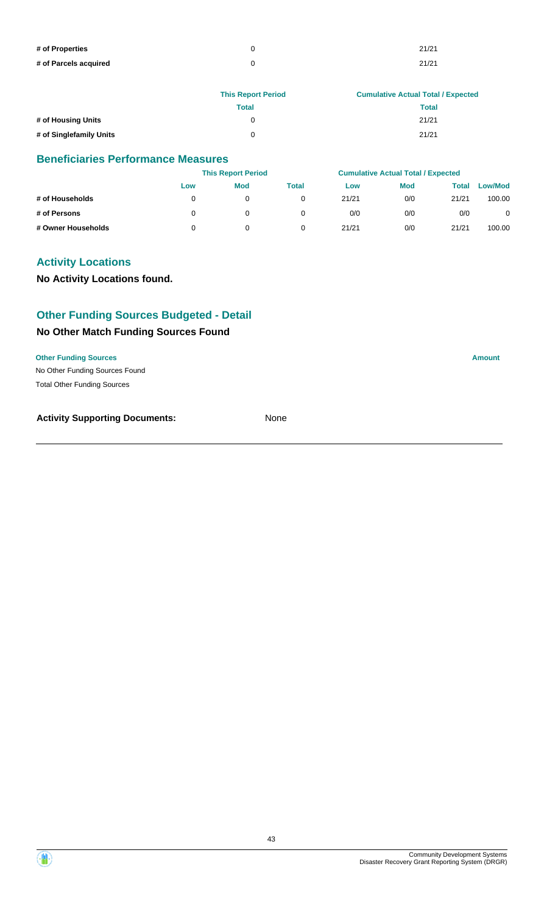| # of Properties       | 21/21 |
|-----------------------|-------|
| # of Parcels acquired | 21/21 |

|                         | <b>This Report Period</b> | <b>Cumulative Actual Total / Expected</b> |
|-------------------------|---------------------------|-------------------------------------------|
|                         | Total                     | Total                                     |
| # of Housing Units      | 0                         | 21/21                                     |
| # of Singlefamily Units | U                         | 21/21                                     |

|                    | <b>This Report Period</b> |            |       | <b>Cumulative Actual Total / Expected</b> |            |       |                |
|--------------------|---------------------------|------------|-------|-------------------------------------------|------------|-------|----------------|
|                    | Low                       | <b>Mod</b> | Total | Low                                       | <b>Mod</b> | Total | <b>Low/Mod</b> |
| # of Households    |                           | 0          | 0     | 21/21                                     | 0/0        | 21/21 | 100.00         |
| # of Persons       |                           | 0          | 0     | 0/0                                       | 0/0        | 0/0   | 0              |
| # Owner Households |                           | 0          | 0     | 21/21                                     | 0/0        | 21/21 | 100.00         |

### **Activity Locations**

**No Activity Locations found.**

### **Other Funding Sources Budgeted - Detail**

### **No Other Match Funding Sources Found**

No Other Funding Sources Found **Other Funding Sources Amount** Total Other Funding Sources

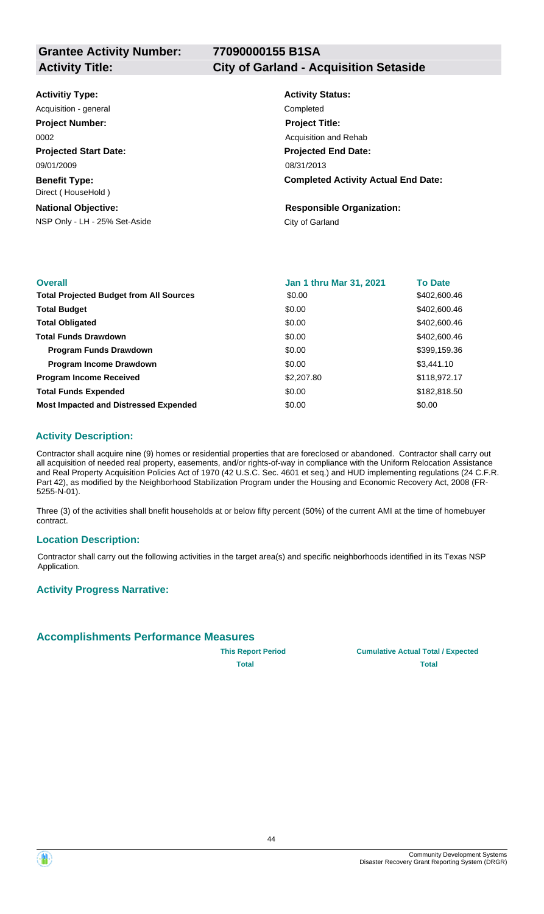**Activity Title: City of Garland - Acquisition Setaside**

| <b>Activitiy Type:</b> |  |
|------------------------|--|
|------------------------|--|

**Projected Start Date: Benefit Type:** 09/01/2009 Direct ( HouseHold ) Acquisition - general **Completed Project Number:** 0002

#### **National Objective:**

NSP Only - LH - 25% Set-Aside City of Garland

## **Activity Status: Projected End Date: Completed Activity Actual End Date:** 08/31/2013 **Project Title:** Acquisition and Rehab

**Responsible Organization:**

| <b>Overall</b>                                 | <b>Jan 1 thru Mar 31, 2021</b> | <b>To Date</b> |
|------------------------------------------------|--------------------------------|----------------|
| <b>Total Projected Budget from All Sources</b> | \$0.00                         | \$402,600.46   |
| <b>Total Budget</b>                            | \$0.00                         | \$402,600.46   |
| <b>Total Obligated</b>                         | \$0.00                         | \$402,600.46   |
| <b>Total Funds Drawdown</b>                    | \$0.00                         | \$402,600.46   |
| <b>Program Funds Drawdown</b>                  | \$0.00                         | \$399,159.36   |
| <b>Program Income Drawdown</b>                 | \$0.00                         | \$3,441.10     |
| <b>Program Income Received</b>                 | \$2,207.80                     | \$118,972.17   |
| <b>Total Funds Expended</b>                    | \$0.00                         | \$182,818.50   |
| <b>Most Impacted and Distressed Expended</b>   | \$0.00                         | \$0.00         |

#### **Activity Description:**

Contractor shall acquire nine (9) homes or residential properties that are foreclosed or abandoned. Contractor shall carry out all acquisition of needed real property, easements, and/or rights-of-way in compliance with the Uniform Relocation Assistance and Real Property Acquisition Policies Act of 1970 (42 U.S.C. Sec. 4601 et seq.) and HUD implementing regulations (24 C.F.R. Part 42), as modified by the Neighborhood Stabilization Program under the Housing and Economic Recovery Act, 2008 (FR-5255-N-01).

Three (3) of the activities shall bnefit households at or below fifty percent (50%) of the current AMI at the time of homebuyer contract.

#### **Location Description:**

Contractor shall carry out the following activities in the target area(s) and specific neighborhoods identified in its Texas NSP Application.

#### **Activity Progress Narrative:**

### **Accomplishments Performance Measures**



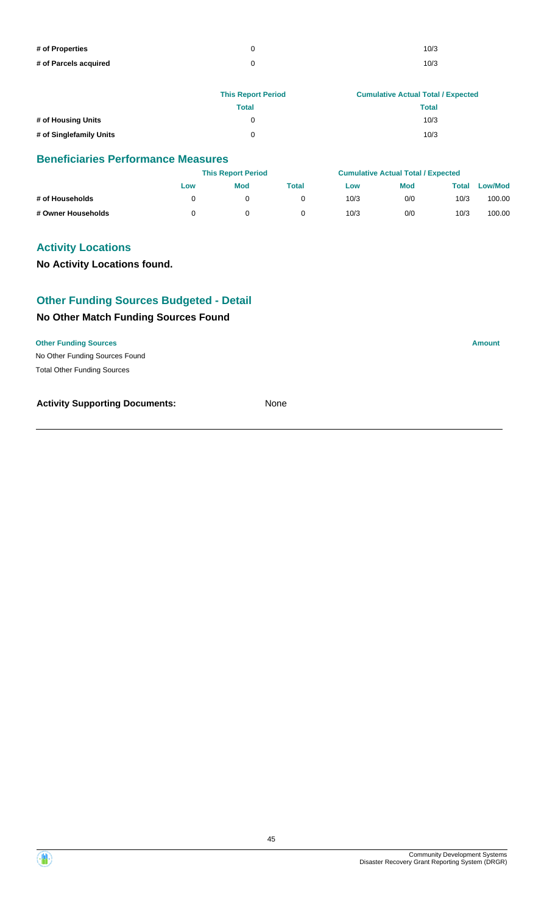| # of Properties       | 10/3 |
|-----------------------|------|
| # of Parcels acquired | 10/3 |

|                         | <b>This Report Period</b> | <b>Cumulative Actual Total / Expected</b> |
|-------------------------|---------------------------|-------------------------------------------|
|                         | Total                     | <b>Total</b>                              |
| # of Housing Units      | 0                         | 10/3                                      |
| # of Singlefamily Units | ∩                         | 10/3                                      |

|                    |     | <b>This Report Period</b> |       |      | <b>Cumulative Actual Total / Expected</b> |       |                |
|--------------------|-----|---------------------------|-------|------|-------------------------------------------|-------|----------------|
|                    | Low | <b>Mod</b>                | Total | Low  | <b>Mod</b>                                | Total | <b>Low/Mod</b> |
| # of Households    |     |                           |       | 10/3 | 0/0                                       | 10/3  | 100.00         |
| # Owner Households |     |                           |       | 10/3 | 0/0                                       | 10/3  | 100.00         |

### **Activity Locations**

**No Activity Locations found.**

### **Other Funding Sources Budgeted - Detail**

### **No Other Match Funding Sources Found**

#### **Other Funding Sources Amount**

No Other Funding Sources Found Total Other Funding Sources

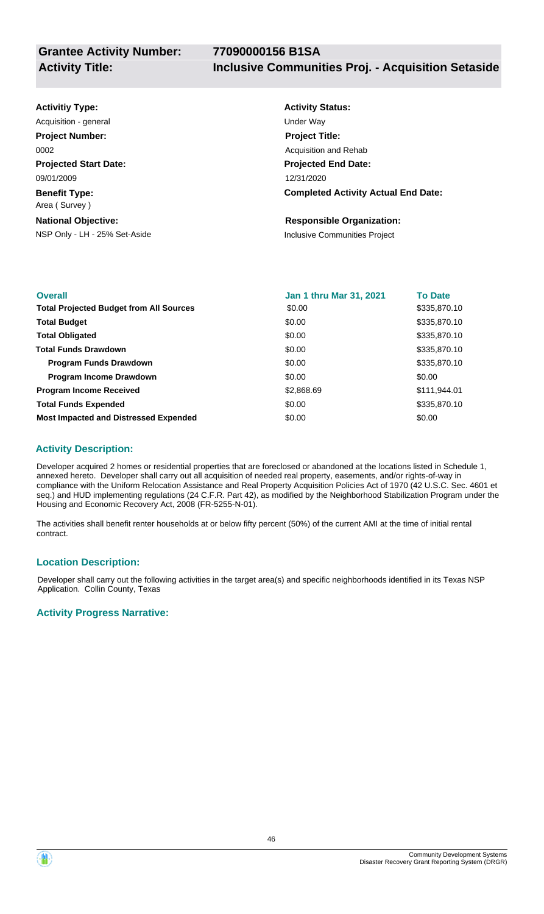| <b>Activitiy Type:</b>                | <b>Activity Status:</b>                    |
|---------------------------------------|--------------------------------------------|
| Acquisition - general                 | <b>Under Way</b>                           |
| <b>Project Number:</b>                | <b>Project Title:</b>                      |
| 0002                                  | Acquisition and Rehab                      |
| <b>Projected Start Date:</b>          | <b>Projected End Date:</b>                 |
| 09/01/2009                            | 12/31/2020                                 |
| <b>Benefit Type:</b><br>Area (Survey) | <b>Completed Activity Actual End Date:</b> |
| <b>National Objective:</b>            | <b>Responsible Organization:</b>           |
| NSP Only - LH - 25% Set-Aside         | Inclusive Communities Project              |

| <b>Overall</b>                                 | <b>Jan 1 thru Mar 31, 2021</b> | <b>To Date</b> |
|------------------------------------------------|--------------------------------|----------------|
| <b>Total Projected Budget from All Sources</b> | \$0.00                         | \$335,870.10   |
| <b>Total Budget</b>                            | \$0.00                         | \$335,870.10   |
| <b>Total Obligated</b>                         | \$0.00                         | \$335,870.10   |
| <b>Total Funds Drawdown</b>                    | \$0.00                         | \$335,870.10   |
| <b>Program Funds Drawdown</b>                  | \$0.00                         | \$335,870.10   |
| <b>Program Income Drawdown</b>                 | \$0.00                         | \$0.00         |
| <b>Program Income Received</b>                 | \$2,868.69                     | \$111,944.01   |
| <b>Total Funds Expended</b>                    | \$0.00                         | \$335,870.10   |
| <b>Most Impacted and Distressed Expended</b>   | \$0.00                         | \$0.00         |

### **Activity Description:**

Developer acquired 2 homes or residential properties that are foreclosed or abandoned at the locations listed in Schedule 1, annexed hereto. Developer shall carry out all acquisition of needed real property, easements, and/or rights-of-way in compliance with the Uniform Relocation Assistance and Real Property Acquisition Policies Act of 1970 (42 U.S.C. Sec. 4601 et seq.) and HUD implementing regulations (24 C.F.R. Part 42), as modified by the Neighborhood Stabilization Program under the Housing and Economic Recovery Act, 2008 (FR-5255-N-01).

The activities shall benefit renter households at or below fifty percent (50%) of the current AMI at the time of initial rental contract.

#### **Location Description:**

Developer shall carry out the following activities in the target area(s) and specific neighborhoods identified in its Texas NSP Application. Collin County, Texas

#### **Activity Progress Narrative:**

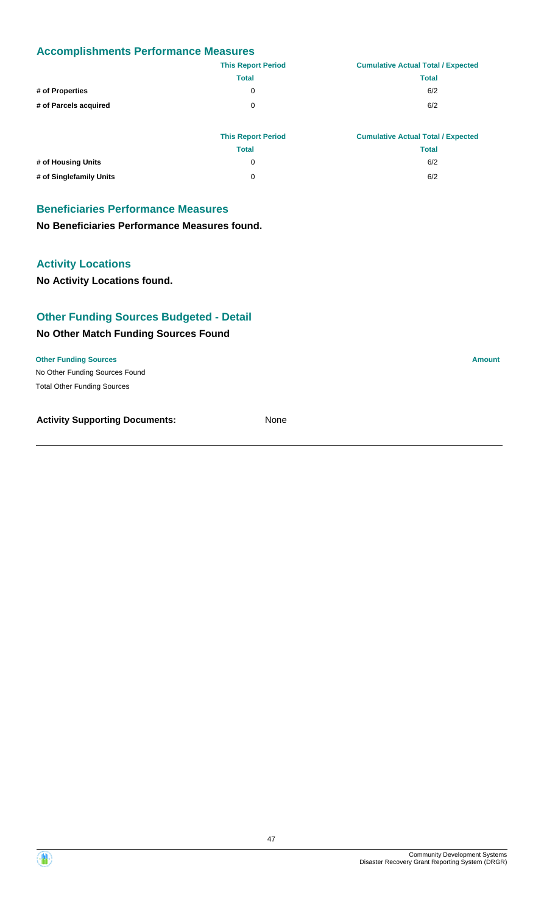|                       | <b>This Report Period</b> | <b>Cumulative Actual Total / Expected</b> |
|-----------------------|---------------------------|-------------------------------------------|
|                       | <b>Total</b>              | <b>Total</b>                              |
| # of Properties       | 0                         | 6/2                                       |
| # of Parcels acquired | 0                         | 6/2                                       |
|                       |                           |                                           |

|                         | <b>This Report Period</b> | <b>Cumulative Actual Total / Expected</b> |
|-------------------------|---------------------------|-------------------------------------------|
|                         | Total                     | Total                                     |
| # of Housing Units      | 0                         | 6/2                                       |
| # of Singlefamily Units | 0                         | 6/2                                       |

## **Beneficiaries Performance Measures**

**No Beneficiaries Performance Measures found.**

### **Activity Locations**

**No Activity Locations found.**

### **Other Funding Sources Budgeted - Detail**

#### **No Other Match Funding Sources Found**

No Other Funding Sources Found **Other Funding Sources Amount Amount Amount Amount Amount Amount Amount** Total Other Funding Sources

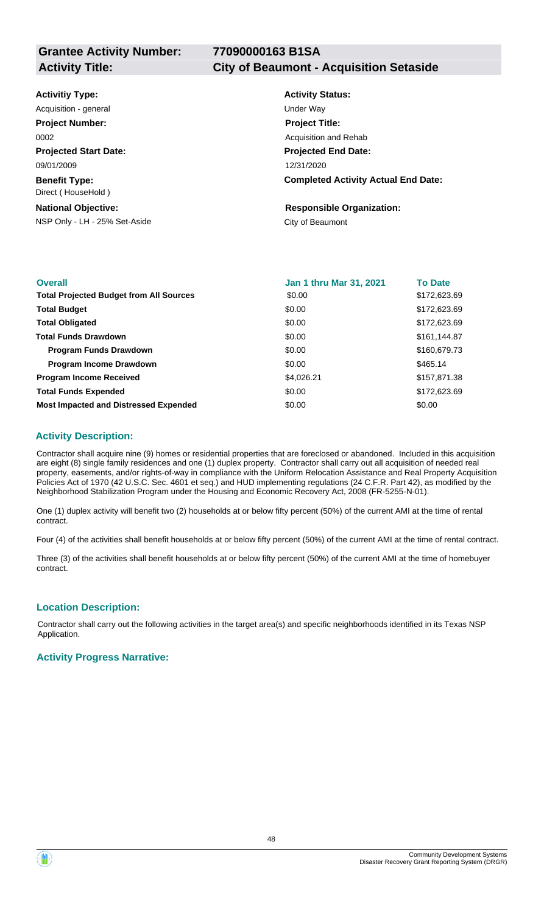#### **Activity Title: City of Beaumont - Acquisition Setaside**

| <b>Activitiy Type:</b>                     | <b>Activity Status:</b>                    |
|--------------------------------------------|--------------------------------------------|
| Acquisition - general                      | Under Way                                  |
| <b>Project Number:</b>                     | <b>Project Title:</b>                      |
| 0002                                       | Acquisition and Rehab                      |
| <b>Projected Start Date:</b>               | <b>Projected End Date:</b>                 |
| 09/01/2009                                 | 12/31/2020                                 |
| <b>Benefit Type:</b><br>Direct (HouseHold) | <b>Completed Activity Actual End Date:</b> |
| <b>National Objective:</b>                 | <b>Responsible Organization:</b>           |
| NSP Only - LH - 25% Set-Aside              | City of Beaumont                           |
|                                            |                                            |

| <b>Overall</b>                                 | <b>Jan 1 thru Mar 31, 2021</b> | <b>To Date</b> |
|------------------------------------------------|--------------------------------|----------------|
| <b>Total Projected Budget from All Sources</b> | \$0.00                         | \$172,623.69   |
| <b>Total Budget</b>                            | \$0.00                         | \$172,623.69   |
| <b>Total Obligated</b>                         | \$0.00                         | \$172,623.69   |
| <b>Total Funds Drawdown</b>                    | \$0.00                         | \$161,144.87   |
| <b>Program Funds Drawdown</b>                  | \$0.00                         | \$160,679.73   |
| <b>Program Income Drawdown</b>                 | \$0.00                         | \$465.14       |
| <b>Program Income Received</b>                 | \$4,026.21                     | \$157,871.38   |
| <b>Total Funds Expended</b>                    | \$0.00                         | \$172,623.69   |
| <b>Most Impacted and Distressed Expended</b>   | \$0.00                         | \$0.00         |

#### **Activity Description:**

Contractor shall acquire nine (9) homes or residential properties that are foreclosed or abandoned. Included in this acquisition are eight (8) single family residences and one (1) duplex property. Contractor shall carry out all acquisition of needed real property, easements, and/or rights-of-way in compliance with the Uniform Relocation Assistance and Real Property Acquisition Policies Act of 1970 (42 U.S.C. Sec. 4601 et seq.) and HUD implementing regulations (24 C.F.R. Part 42), as modified by the Neighborhood Stabilization Program under the Housing and Economic Recovery Act, 2008 (FR-5255-N-01).

One (1) duplex activity will benefit two (2) households at or below fifty percent (50%) of the current AMI at the time of rental contract.

Four (4) of the activities shall benefit households at or below fifty percent (50%) of the current AMI at the time of rental contract.

Three (3) of the activities shall benefit households at or below fifty percent (50%) of the current AMI at the time of homebuyer contract.

#### **Location Description:**

Contractor shall carry out the following activities in the target area(s) and specific neighborhoods identified in its Texas NSP Application.

#### **Activity Progress Narrative:**

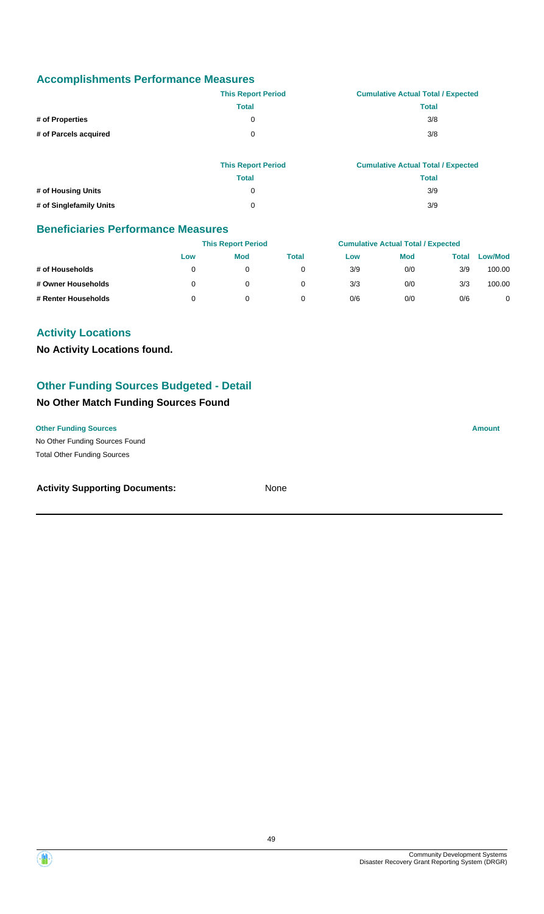|                       | <b>This Report Period</b> | <b>Cumulative Actual Total / Expected</b> |
|-----------------------|---------------------------|-------------------------------------------|
|                       | Total                     | Total                                     |
| # of Properties       | 0                         | 3/8                                       |
| # of Parcels acquired | 0                         | 3/8                                       |

|                         | <b>This Report Period</b> | <b>Cumulative Actual Total / Expected</b> |
|-------------------------|---------------------------|-------------------------------------------|
|                         | <b>Total</b>              | Total                                     |
| # of Housing Units      | 0                         | 3/9                                       |
| # of Singlefamily Units | 0                         | 3/9                                       |

### **Beneficiaries Performance Measures**

|                     |     | <b>This Report Period</b> |       |     | <b>Cumulative Actual Total / Expected</b> |       |                |
|---------------------|-----|---------------------------|-------|-----|-------------------------------------------|-------|----------------|
|                     | Low | Mod                       | Total | Low | <b>Mod</b>                                | Total | <b>Low/Mod</b> |
| # of Households     |     | 0                         |       | 3/9 | 0/0                                       | 3/9   | 100.00         |
| # Owner Households  |     | 0                         |       | 3/3 | 0/0                                       | 3/3   | 100.00         |
| # Renter Households |     | 0                         |       | 0/6 | 0/0                                       | 0/6   | $\overline{0}$ |

### **Activity Locations**

**No Activity Locations found.**

### **Other Funding Sources Budgeted - Detail**

#### **No Other Match Funding Sources Found**

No Other Funding Sources Found **Other Funding Sources Amount** Total Other Funding Sources

#### **Activity Supporting Documents:** None

Community Development Systems Disaster Recovery Grant Reporting System (DRGR)

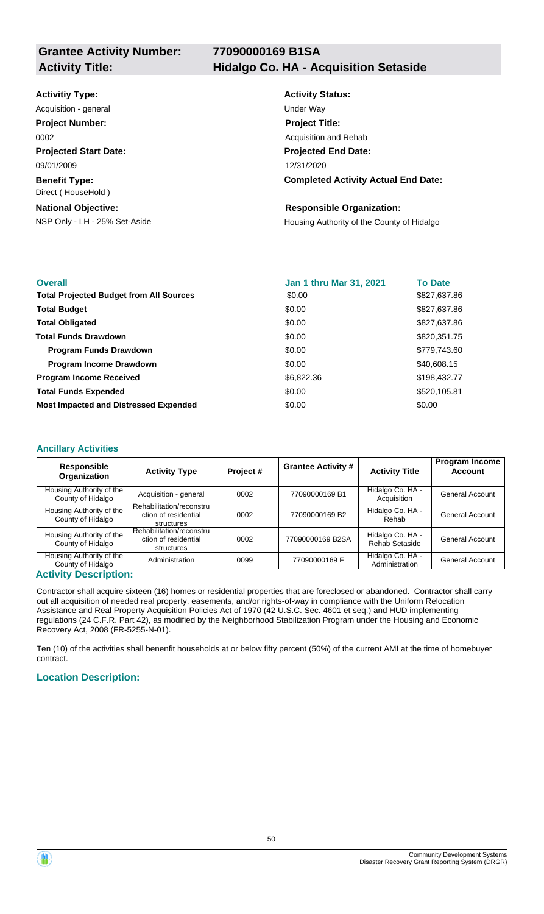## Activity Title: **Hidalgo Co. HA - Acquisition Setaside**

| <b>Activitiy Type:</b> |  |  |
|------------------------|--|--|
|------------------------|--|--|

**Projected Start Date: Benefit Type:** 09/01/2009 Acquisition - general and the contract of the Under Way **Project Number:** 0002

## Direct ( HouseHold )

**National Objective:**

## **Activity Status: Projected End Date: Completed Activity Actual End Date:** 12/31/2020 **Project Title:** Acquisition and Rehab

### **Responsible Organization:**

NSP Only - LH - 25% Set-Aside Housing Authority of the County of Hidalgo

| <b>Overall</b>                                 | <b>Jan 1 thru Mar 31, 2021</b> | <b>To Date</b> |
|------------------------------------------------|--------------------------------|----------------|
| <b>Total Projected Budget from All Sources</b> | \$0.00                         | \$827,637.86   |
| <b>Total Budget</b>                            | \$0.00                         | \$827,637.86   |
| <b>Total Obligated</b>                         | \$0.00                         | \$827,637.86   |
| <b>Total Funds Drawdown</b>                    | \$0.00                         | \$820,351.75   |
| <b>Program Funds Drawdown</b>                  | \$0.00                         | \$779,743.60   |
| <b>Program Income Drawdown</b>                 | \$0.00                         | \$40,608.15    |
| <b>Program Income Received</b>                 | \$6,822.36                     | \$198,432.77   |
| <b>Total Funds Expended</b>                    | \$0.00                         | \$520,105.81   |
| <b>Most Impacted and Distressed Expended</b>   | \$0.00                         | \$0.00         |

#### **Ancillary Activities**

| <b>Responsible</b><br>Organization            | <b>Activity Type</b>                                            | Project# | <b>Grantee Activity #</b> | <b>Activity Title</b>              | <b>Program Income</b><br><b>Account</b> |
|-----------------------------------------------|-----------------------------------------------------------------|----------|---------------------------|------------------------------------|-----------------------------------------|
| Housing Authority of the<br>County of Hidalgo | Acquisition - general                                           | 0002     | 77090000169 B1            | Hidalgo Co. HA -<br>Acquisition    | <b>General Account</b>                  |
| Housing Authority of the<br>County of Hidalgo | Rehabilitation/reconstrul<br>ction of residential<br>structures | 0002     | 77090000169 B2            | Hidalgo Co. HA -<br>Rehab          | <b>General Account</b>                  |
| Housing Authority of the<br>County of Hidalgo | Rehabilitation/reconstrul<br>ction of residential<br>structures | 0002     | 77090000169 B2SA          | Hidalgo Co. HA -<br>Rehab Setaside | <b>General Account</b>                  |
| Housing Authority of the<br>County of Hidalgo | Administration                                                  | 0099     | 77090000169 F             | Hidalgo Co. HA -<br>Administration | General Account                         |

#### **Activity Description:**

Contractor shall acquire sixteen (16) homes or residential properties that are foreclosed or abandoned. Contractor shall carry out all acquisition of needed real property, easements, and/or rights-of-way in compliance with the Uniform Relocation Assistance and Real Property Acquisition Policies Act of 1970 (42 U.S.C. Sec. 4601 et seq.) and HUD implementing regulations (24 C.F.R. Part 42), as modified by the Neighborhood Stabilization Program under the Housing and Economic Recovery Act, 2008 (FR-5255-N-01).

Ten (10) of the activities shall benenfit households at or below fifty percent (50%) of the current AMI at the time of homebuyer contract.

### **Location Description:**

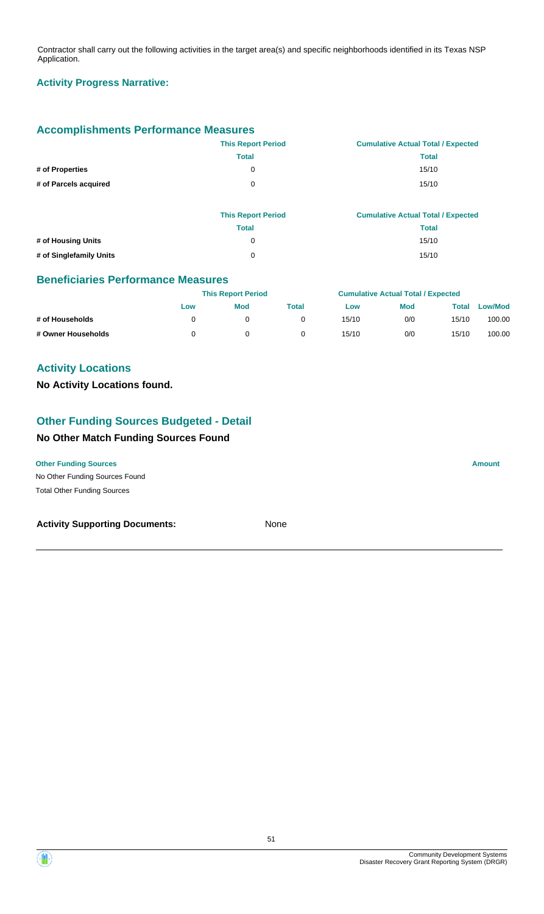Contractor shall carry out the following activities in the target area(s) and specific neighborhoods identified in its Texas NSP Application.

### **Activity Progress Narrative:**

### **Accomplishments Performance Measures**

|                       | <b>This Report Period</b> | <b>Cumulative Actual Total / Expected</b> |
|-----------------------|---------------------------|-------------------------------------------|
|                       | Total                     | <b>Total</b>                              |
| # of Properties       | 0                         | 15/10                                     |
| # of Parcels acquired | 0                         | 15/10                                     |

|                         | <b>This Report Period</b> | <b>Cumulative Actual Total / Expected</b> |
|-------------------------|---------------------------|-------------------------------------------|
|                         | Total                     | Total                                     |
| # of Housing Units      | 0                         | 15/10                                     |
| # of Singlefamily Units | 0                         | 15/10                                     |

#### **Beneficiaries Performance Measures**

|                    |     | <b>This Report Period</b> |       |       | <b>Cumulative Actual Total / Expected</b> |       |                |  |
|--------------------|-----|---------------------------|-------|-------|-------------------------------------------|-------|----------------|--|
|                    | Low | <b>Mod</b>                | Total | Low   | <b>Mod</b>                                | Total | <b>Low/Mod</b> |  |
| # of Households    |     |                           |       | 15/10 | 0/0                                       | 15/10 | 100.00         |  |
| # Owner Households |     |                           |       | 15/10 | 0/0                                       | 15/10 | 100.00         |  |

### **Activity Locations**

#### **No Activity Locations found.**

## **Other Funding Sources Budgeted - Detail**

### **No Other Match Funding Sources Found**

## **Other Funding Sources Amount Amount Amount Amount Amount Amount Amount**

No Other Funding Sources Found Total Other Funding Sources

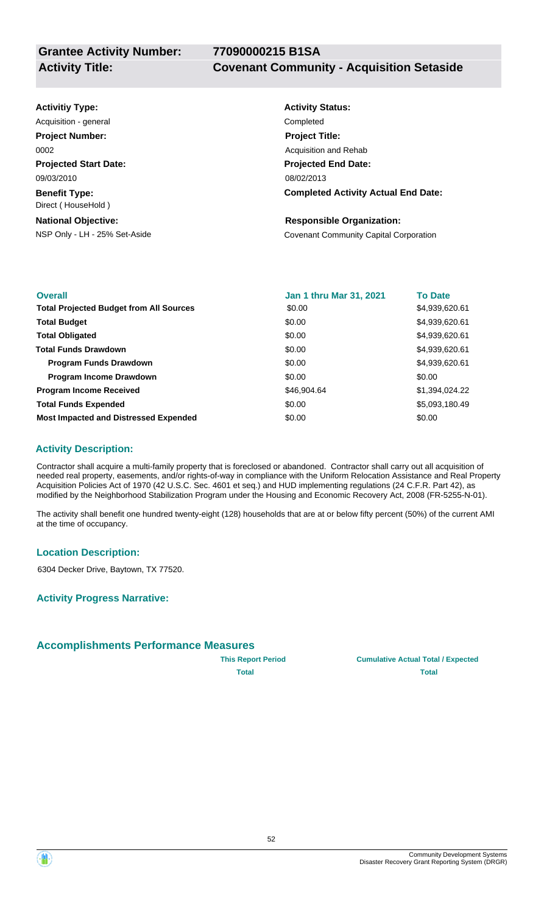| <b>Activitiy Type:</b>                     | <b>Activity Status:</b>                       |
|--------------------------------------------|-----------------------------------------------|
| Acquisition - general                      | Completed                                     |
| <b>Project Number:</b>                     | <b>Project Title:</b>                         |
| 0002                                       | Acquisition and Rehab                         |
| <b>Projected Start Date:</b>               | <b>Projected End Date:</b>                    |
| 09/03/2010                                 | 08/02/2013                                    |
| <b>Benefit Type:</b><br>Direct (HouseHold) | <b>Completed Activity Actual End Date:</b>    |
| <b>National Objective:</b>                 | <b>Responsible Organization:</b>              |
| NSP Only - LH - 25% Set-Aside              | <b>Covenant Community Capital Corporation</b> |

| <b>Overall</b>                                 | <b>Jan 1 thru Mar 31, 2021</b> | <b>To Date</b> |
|------------------------------------------------|--------------------------------|----------------|
| <b>Total Projected Budget from All Sources</b> | \$0.00                         | \$4,939,620.61 |
| <b>Total Budget</b>                            | \$0.00                         | \$4,939,620.61 |
| <b>Total Obligated</b>                         | \$0.00                         | \$4,939,620.61 |
| <b>Total Funds Drawdown</b>                    | \$0.00                         | \$4,939,620.61 |
| <b>Program Funds Drawdown</b>                  | \$0.00                         | \$4,939,620.61 |
| <b>Program Income Drawdown</b>                 | \$0.00                         | \$0.00         |
| <b>Program Income Received</b>                 | \$46,904.64                    | \$1,394,024.22 |
| <b>Total Funds Expended</b>                    | \$0.00                         | \$5,093,180.49 |
| <b>Most Impacted and Distressed Expended</b>   | \$0.00                         | \$0.00         |

### **Activity Description:**

Contractor shall acquire a multi-family property that is foreclosed or abandoned. Contractor shall carry out all acquisition of needed real property, easements, and/or rights-of-way in compliance with the Uniform Relocation Assistance and Real Property Acquisition Policies Act of 1970 (42 U.S.C. Sec. 4601 et seq.) and HUD implementing regulations (24 C.F.R. Part 42), as modified by the Neighborhood Stabilization Program under the Housing and Economic Recovery Act, 2008 (FR-5255-N-01).

The activity shall benefit one hundred twenty-eight (128) households that are at or below fifty percent (50%) of the current AMI at the time of occupancy.

#### **Location Description:**

6304 Decker Drive, Baytown, TX 77520.

**Activity Progress Narrative:**

### **Accomplishments Performance Measures**



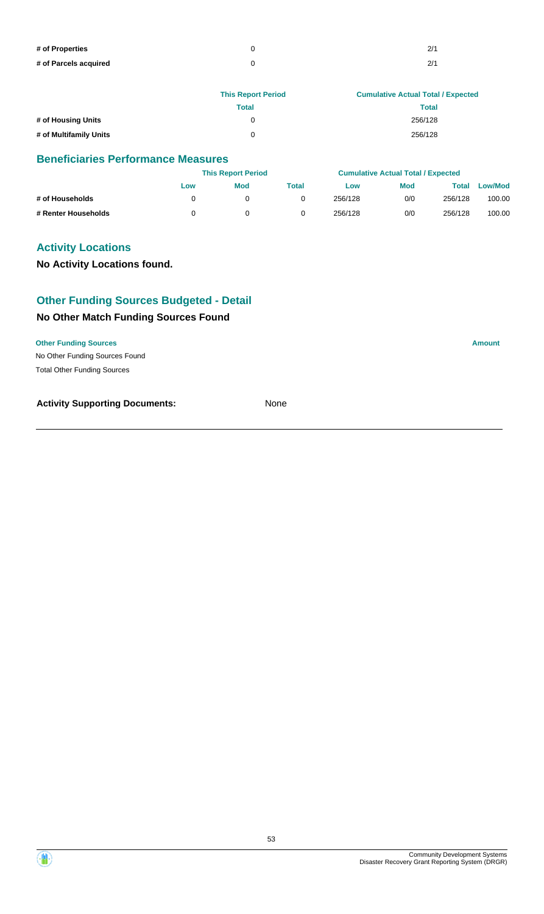| # of Properties       | 2/1 |
|-----------------------|-----|
| # of Parcels acquired | 2/1 |

|                        | <b>This Report Period</b> | <b>Cumulative Actual Total / Expected</b> |
|------------------------|---------------------------|-------------------------------------------|
|                        | Total                     | <b>Total</b>                              |
| # of Housing Units     | 0                         | 256/128                                   |
| # of Multifamily Units | ∩                         | 256/128                                   |

|                     |     | <b>This Report Period</b> |       |         | <b>Cumulative Actual Total / Expected</b> |         |         |
|---------------------|-----|---------------------------|-------|---------|-------------------------------------------|---------|---------|
|                     | Low | Mod                       | Total | Low     | <b>Mod</b>                                | Total   | Low/Mod |
| # of Households     |     |                           |       | 256/128 | 0/0                                       | 256/128 | 100.00  |
| # Renter Households |     |                           |       | 256/128 | 0/0                                       | 256/128 | 100.00  |

### **Activity Locations**

**No Activity Locations found.**

### **Other Funding Sources Budgeted - Detail**

### **No Other Match Funding Sources Found**

#### **Other Funding Sources Amount**

No Other Funding Sources Found Total Other Funding Sources

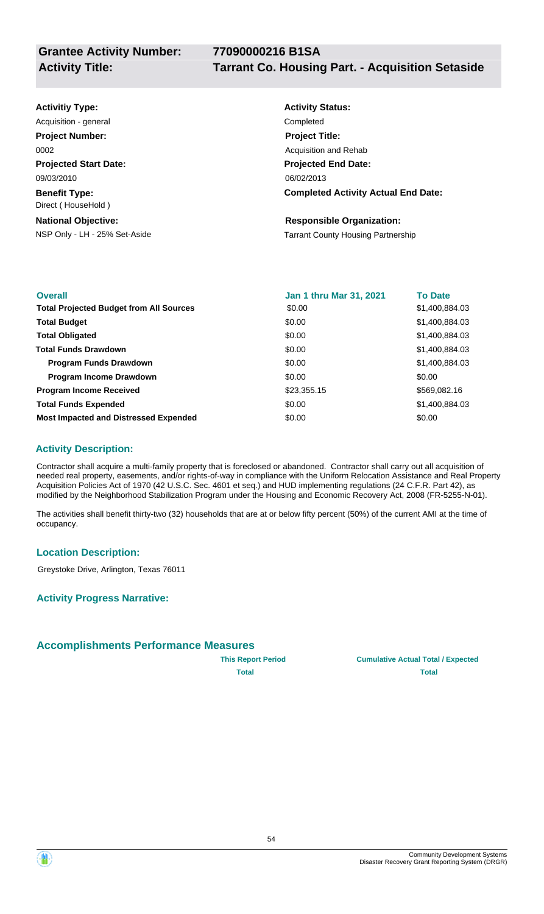# **Activitiy Type:**

**Projected Start Date: Benefit Type:** 09/03/2010 Direct ( HouseHold ) Acquisition - general **Completed Project Number:** 0002

**National Objective:**

## **Activity Status: Projected End Date: Completed Activity Actual End Date:** 06/02/2013 **Project Title:** Acquisition and Rehab

#### **Responsible Organization:**

NSP Only - LH - 25% Set-Aside Tarrant County Housing Partnership

| <b>Overall</b>                                 | <b>Jan 1 thru Mar 31, 2021</b> | <b>To Date</b> |
|------------------------------------------------|--------------------------------|----------------|
| <b>Total Projected Budget from All Sources</b> | \$0.00                         | \$1,400,884.03 |
| <b>Total Budget</b>                            | \$0.00                         | \$1,400,884.03 |
| <b>Total Obligated</b>                         | \$0.00                         | \$1,400,884.03 |
| <b>Total Funds Drawdown</b>                    | \$0.00                         | \$1,400,884.03 |
| <b>Program Funds Drawdown</b>                  | \$0.00                         | \$1,400,884.03 |
| <b>Program Income Drawdown</b>                 | \$0.00                         | \$0.00         |
| <b>Program Income Received</b>                 | \$23,355.15                    | \$569,082.16   |
| <b>Total Funds Expended</b>                    | \$0.00                         | \$1,400,884.03 |
| <b>Most Impacted and Distressed Expended</b>   | \$0.00                         | \$0.00         |

### **Activity Description:**

Contractor shall acquire a multi-family property that is foreclosed or abandoned. Contractor shall carry out all acquisition of needed real property, easements, and/or rights-of-way in compliance with the Uniform Relocation Assistance and Real Property Acquisition Policies Act of 1970 (42 U.S.C. Sec. 4601 et seq.) and HUD implementing regulations (24 C.F.R. Part 42), as modified by the Neighborhood Stabilization Program under the Housing and Economic Recovery Act, 2008 (FR-5255-N-01).

The activities shall benefit thirty-two (32) households that are at or below fifty percent (50%) of the current AMI at the time of occupancy.

### **Location Description:**

Greystoke Drive, Arlington, Texas 76011

**Activity Progress Narrative:**

### **Accomplishments Performance Measures**



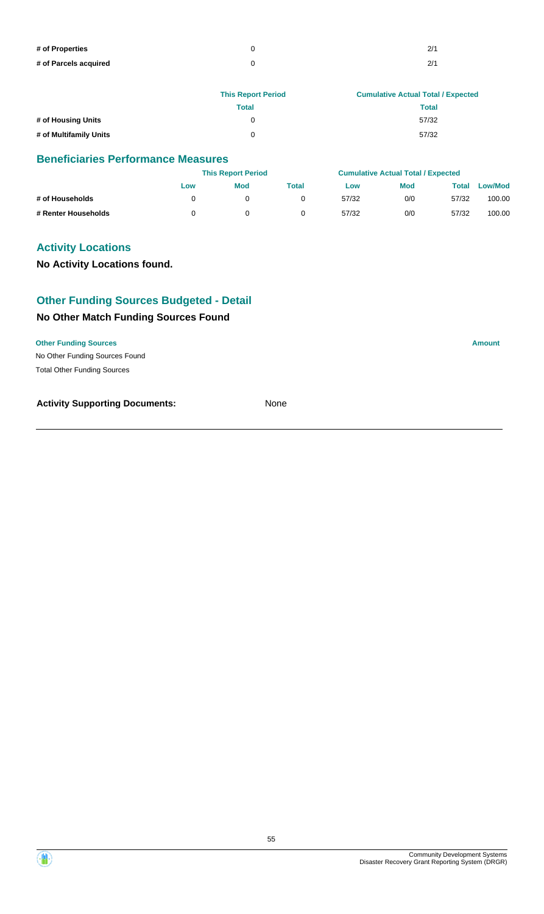| # of Properties       | 2/1 |
|-----------------------|-----|
| # of Parcels acquired | 2/1 |

|                        | <b>This Report Period</b> | <b>Cumulative Actual Total / Expected</b> |
|------------------------|---------------------------|-------------------------------------------|
|                        | Total                     | <b>Total</b>                              |
| # of Housing Units     | 0                         | 57/32                                     |
| # of Multifamily Units | U                         | 57/32                                     |

|                     |     | <b>This Report Period</b> |       |       | <b>Cumulative Actual Total / Expected</b> |       |                |
|---------------------|-----|---------------------------|-------|-------|-------------------------------------------|-------|----------------|
|                     | Low | <b>Mod</b>                | Total | Low   | <b>Mod</b>                                | Total | <b>Low/Mod</b> |
| # of Households     |     |                           |       | 57/32 | 0/0                                       | 57/32 | 100.00         |
| # Renter Households |     |                           |       | 57/32 | 0/0                                       | 57/32 | 100.00         |

### **Activity Locations**

**No Activity Locations found.**

### **Other Funding Sources Budgeted - Detail**

### **No Other Match Funding Sources Found**

#### **Other Funding Sources Amount**

No Other Funding Sources Found Total Other Funding Sources

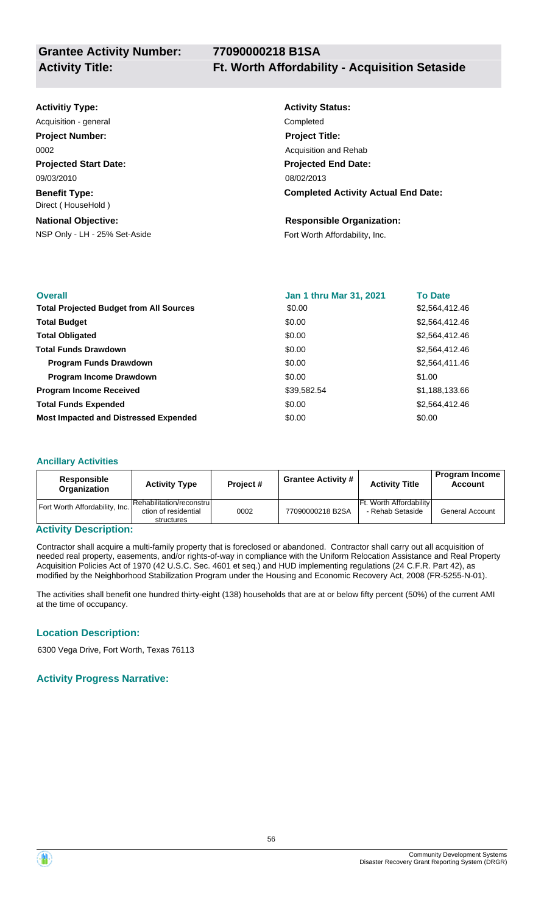## **Activitiy Type:**

**Projected Start Date: Benefit Type:** 09/03/2010 Direct ( HouseHold ) Acquisition - general **Completed Project Number:** 0002

NSP Only - LH - 25% Set-Aside Fort Worth Affordability, Inc. **National Objective:**

## **Activity Status: Projected End Date: Completed Activity Actual End Date:** 08/02/2013 **Project Title:** Acquisition and Rehab

#### **Responsible Organization:**

| <b>Overall</b>                                 | Jan 1 thru Mar 31, 2021 | <b>To Date</b> |
|------------------------------------------------|-------------------------|----------------|
| <b>Total Projected Budget from All Sources</b> | \$0.00                  | \$2,564,412.46 |
| <b>Total Budget</b>                            | \$0.00                  | \$2,564,412.46 |
| <b>Total Obligated</b>                         | \$0.00                  | \$2,564,412.46 |
| <b>Total Funds Drawdown</b>                    | \$0.00                  | \$2,564,412.46 |
| <b>Program Funds Drawdown</b>                  | \$0.00                  | \$2,564,411.46 |
| <b>Program Income Drawdown</b>                 | \$0.00                  | \$1.00         |
| <b>Program Income Received</b>                 | \$39,582.54             | \$1,188,133.66 |
| <b>Total Funds Expended</b>                    | \$0.00                  | \$2,564,412.46 |
| <b>Most Impacted and Distressed Expended</b>   | \$0.00                  | \$0.00         |

#### **Ancillary Activities**

| Responsible<br><b>Organization</b> | <b>Activity Type</b>                                            | Project# | Grantee Activity # | <b>Activity Title</b>                              | <b>Account</b>         |
|------------------------------------|-----------------------------------------------------------------|----------|--------------------|----------------------------------------------------|------------------------|
| Fort Worth Affordability, Inc.     | Rehabilitation/reconstrul<br>ction of residential<br>structures | 0002     | 77090000218 B2SA   | <b>Ft. Worth Affordability</b><br>- Rehab Setaside | <b>General Account</b> |

#### **Activity Description:**

Contractor shall acquire a multi-family property that is foreclosed or abandoned. Contractor shall carry out all acquisition of needed real property, easements, and/or rights-of-way in compliance with the Uniform Relocation Assistance and Real Property Acquisition Policies Act of 1970 (42 U.S.C. Sec. 4601 et seq.) and HUD implementing regulations (24 C.F.R. Part 42), as modified by the Neighborhood Stabilization Program under the Housing and Economic Recovery Act, 2008 (FR-5255-N-01).

The activities shall benefit one hundred thirty-eight (138) households that are at or below fifty percent (50%) of the current AMI at the time of occupancy.

### **Location Description:**

6300 Vega Drive, Fort Worth, Texas 76113

### **Activity Progress Narrative:**

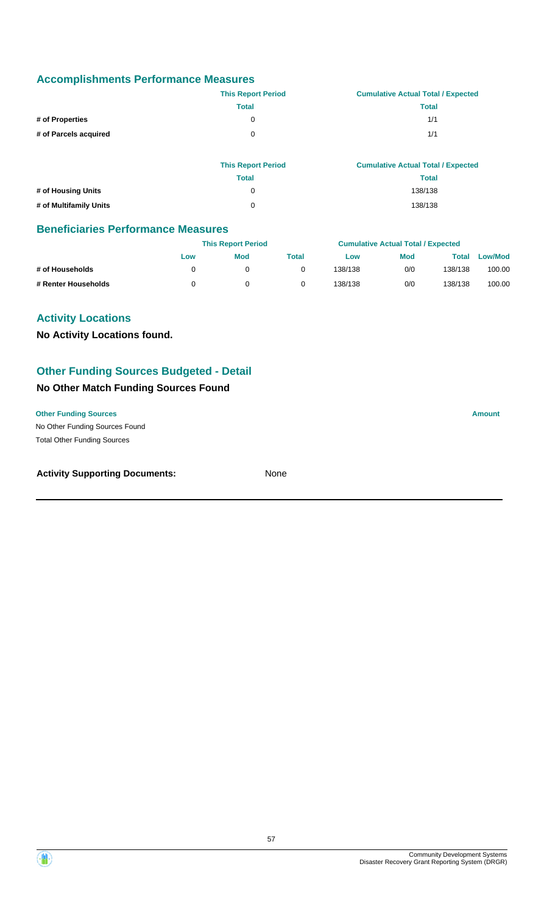|                       | <b>This Report Period</b> | <b>Cumulative Actual Total / Expected</b> |
|-----------------------|---------------------------|-------------------------------------------|
|                       | Total                     | Total                                     |
| # of Properties       |                           | 1/1                                       |
| # of Parcels acquired | 0                         | 1/1                                       |

|                        | <b>This Report Period</b> | <b>Cumulative Actual Total / Expected</b> |
|------------------------|---------------------------|-------------------------------------------|
|                        | Total                     | Total                                     |
| # of Housing Units     | 0                         | 138/138                                   |
| # of Multifamily Units | 0                         | 138/138                                   |

### **Beneficiaries Performance Measures**

|                     |     | <b>This Report Period</b> |       |         | <b>Cumulative Actual Total / Expected</b> |         |         |
|---------------------|-----|---------------------------|-------|---------|-------------------------------------------|---------|---------|
|                     | Low | <b>Mod</b>                | Total | Low     | <b>Mod</b>                                | Total   | Low/Mod |
| # of Households     |     |                           |       | 138/138 | 0/0                                       | 138/138 | 100.00  |
| # Renter Households |     |                           |       | 138/138 | 0/0                                       | 138/138 | 100.00  |

### **Activity Locations**

**No Activity Locations found.**

### **Other Funding Sources Budgeted - Detail**

### **No Other Match Funding Sources Found**

**Other Funding Sources Amount**

No Other Funding Sources Found Total Other Funding Sources

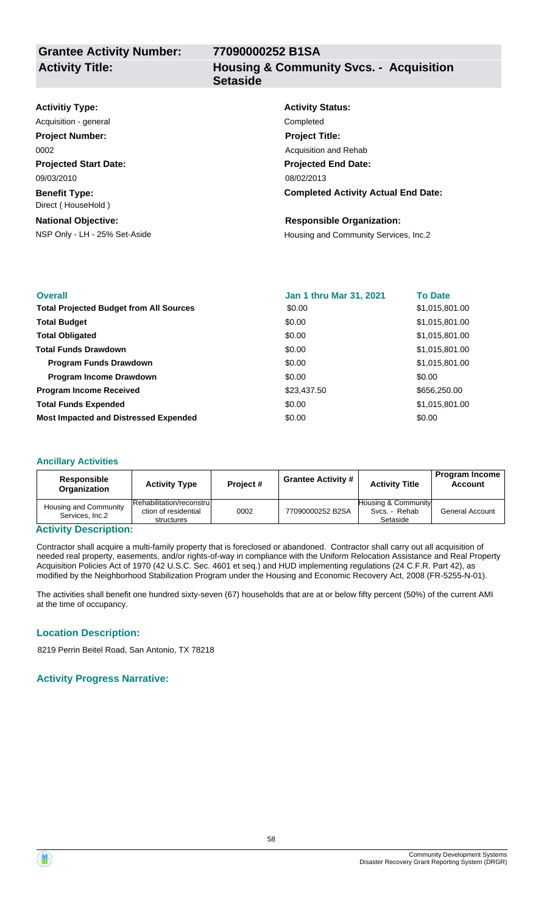**Housing & Community Svcs. - Acquisition Setaside**

| <b>Activitiy Type:</b>                     | <b>Activity Status:</b>                    |
|--------------------------------------------|--------------------------------------------|
| Acquisition - general                      | Completed                                  |
| <b>Project Number:</b>                     | <b>Project Title:</b>                      |
| 0002                                       | Acquisition and Rehab                      |
| <b>Projected Start Date:</b>               | <b>Projected End Date:</b>                 |
| 09/03/2010                                 | 08/02/2013                                 |
| <b>Benefit Type:</b><br>Direct (HouseHold) | <b>Completed Activity Actual End Date:</b> |
| <b>National Objective:</b>                 | <b>Responsible Organization:</b>           |
| NSP Only - LH - 25% Set-Aside              | Housing and Community Services, Inc.2      |

| <b>Overall</b>                                 | Jan 1 thru Mar 31, 2021 | <b>To Date</b> |
|------------------------------------------------|-------------------------|----------------|
| <b>Total Projected Budget from All Sources</b> | \$0.00                  | \$1,015,801.00 |
| <b>Total Budget</b>                            | \$0.00                  | \$1,015,801.00 |
| <b>Total Obligated</b>                         | \$0.00                  | \$1,015,801.00 |
| <b>Total Funds Drawdown</b>                    | \$0.00                  | \$1,015,801.00 |
| Program Funds Drawdown                         | \$0.00                  | \$1,015,801.00 |
| <b>Program Income Drawdown</b>                 | \$0.00                  | \$0.00         |
| <b>Program Income Received</b>                 | \$23,437.50             | \$656,250.00   |
| <b>Total Funds Expended</b>                    | \$0.00                  | \$1,015,801.00 |
| <b>Most Impacted and Distressed Expended</b>   | \$0.00                  | \$0.00         |

#### **Ancillary Activities**

| Responsible<br>Organization              | <b>Activity Type</b>                                            | Project# | <b>Grantee Activity #</b> | <b>Activity Title</b>                            | <b>Program Income</b><br>Account |
|------------------------------------------|-----------------------------------------------------------------|----------|---------------------------|--------------------------------------------------|----------------------------------|
| Housing and Community<br>Services, Inc.2 | Rehabilitation/reconstrul<br>ction of residential<br>structures | 0002     | 77090000252 B2SA          | Housing & Community<br>Svcs. - Rehab<br>Setaside | <b>General Account</b>           |

#### **Activity Description:**

Contractor shall acquire a multi-family property that is foreclosed or abandoned. Contractor shall carry out all acquisition of needed real property, easements, and/or rights-of-way in compliance with the Uniform Relocation Assistance and Real Property Acquisition Policies Act of 1970 (42 U.S.C. Sec. 4601 et seq.) and HUD implementing regulations (24 C.F.R. Part 42), as modified by the Neighborhood Stabilization Program under the Housing and Economic Recovery Act, 2008 (FR-5255-N-01).

The activities shall benefit one hundred sixty-seven (67) households that are at or below fifty percent (50%) of the current AMI at the time of occupancy.

#### **Location Description:**

8219 Perrin Beitel Road, San Antonio, TX 78218

### **Activity Progress Narrative:**

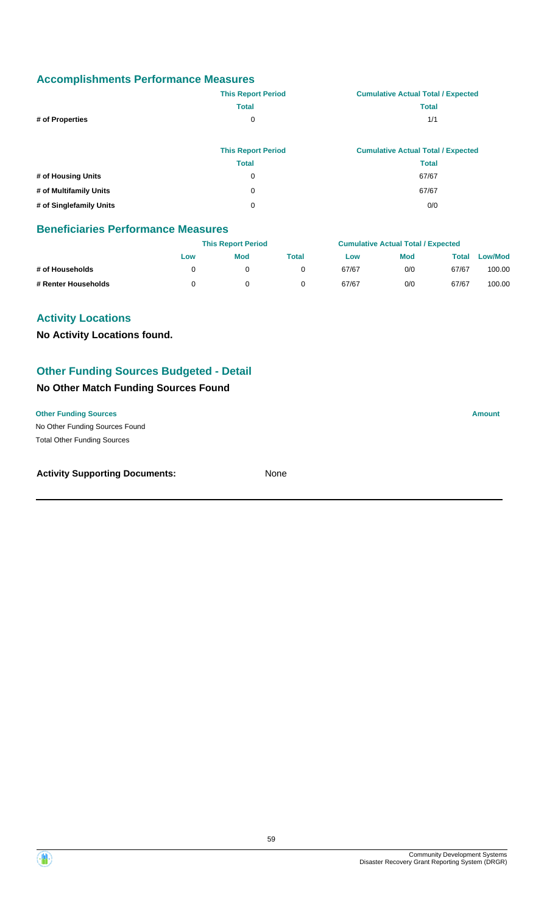|                         | <b>This Report Period</b> | <b>Cumulative Actual Total / Expected</b> |
|-------------------------|---------------------------|-------------------------------------------|
|                         | <b>Total</b>              | <b>Total</b>                              |
| # of Properties         | 0                         | 1/1                                       |
|                         |                           |                                           |
|                         | <b>This Report Period</b> | <b>Cumulative Actual Total / Expected</b> |
|                         | <b>Total</b>              | <b>Total</b>                              |
| # of Housing Units      | 0                         | 67/67                                     |
| # of Multifamily Units  | 0                         | 67/67                                     |
| # of Singlefamily Units | 0                         | 0/0                                       |

### **Beneficiaries Performance Measures**

|                     | <b>This Report Period</b> |     |       | <b>Cumulative Actual Total / Expected</b> |            |       |                |
|---------------------|---------------------------|-----|-------|-------------------------------------------|------------|-------|----------------|
|                     | Low                       | Mod | Total | Low                                       | <b>Mod</b> | Total | <b>Low/Mod</b> |
| # of Households     |                           |     |       | 67/67                                     | 0/0        | 67/67 | 100.00         |
| # Renter Households |                           |     |       | 67/67                                     | 0/0        | 67/67 | 100.00         |

### **Activity Locations**

**No Activity Locations found.**

### **Other Funding Sources Budgeted - Detail**

### **No Other Match Funding Sources Found**

**Other Funding Sources Amount** 

No Other Funding Sources Found Total Other Funding Sources

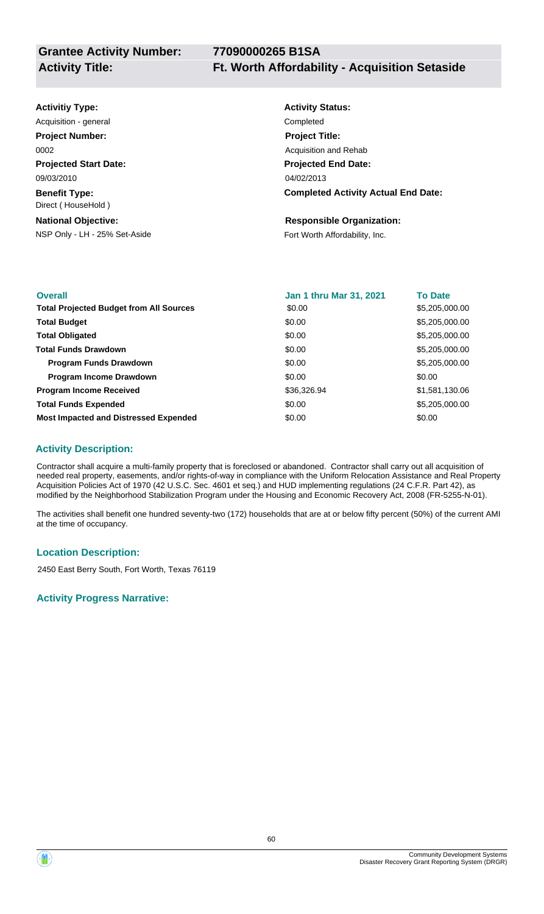## **Activitiy Type:**

**Projected Start Date: Benefit Type:** 09/03/2010 Direct ( HouseHold ) Acquisition - general **Completed Project Number:** 0002

**National Objective:**

## **Activity Status: Projected End Date: Completed Activity Actual End Date:** 04/02/2013 **Project Title:** Acquisition and Rehab

#### **Responsible Organization:**

NSP Only - LH - 25% Set-Aside Fort Worth Affordability, Inc.

| <b>Overall</b>                                 | Jan 1 thru Mar 31, 2021 | <b>To Date</b> |
|------------------------------------------------|-------------------------|----------------|
| <b>Total Projected Budget from All Sources</b> | \$0.00                  | \$5,205,000.00 |
| <b>Total Budget</b>                            | \$0.00                  | \$5,205,000.00 |
| <b>Total Obligated</b>                         | \$0.00                  | \$5,205,000.00 |
| <b>Total Funds Drawdown</b>                    | \$0.00                  | \$5,205,000.00 |
| <b>Program Funds Drawdown</b>                  | \$0.00                  | \$5,205,000.00 |
| <b>Program Income Drawdown</b>                 | \$0.00                  | \$0.00         |
| <b>Program Income Received</b>                 | \$36,326.94             | \$1,581,130.06 |
| <b>Total Funds Expended</b>                    | \$0.00                  | \$5,205,000.00 |
| <b>Most Impacted and Distressed Expended</b>   | \$0.00                  | \$0.00         |

### **Activity Description:**

Contractor shall acquire a multi-family property that is foreclosed or abandoned. Contractor shall carry out all acquisition of needed real property, easements, and/or rights-of-way in compliance with the Uniform Relocation Assistance and Real Property Acquisition Policies Act of 1970 (42 U.S.C. Sec. 4601 et seq.) and HUD implementing regulations (24 C.F.R. Part 42), as modified by the Neighborhood Stabilization Program under the Housing and Economic Recovery Act, 2008 (FR-5255-N-01).

The activities shall benefit one hundred seventy-two (172) households that are at or below fifty percent (50%) of the current AMI at the time of occupancy.

### **Location Description:**

2450 East Berry South, Fort Worth, Texas 76119

### **Activity Progress Narrative:**

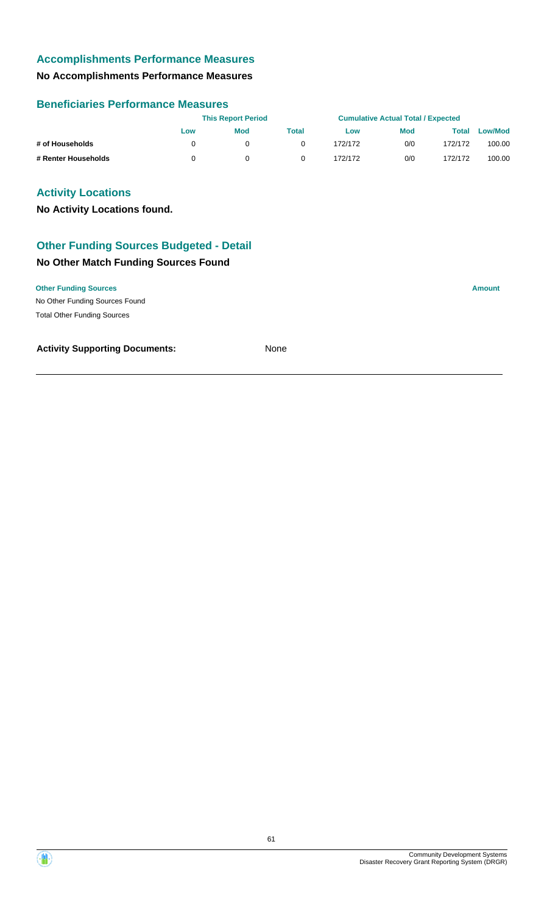### **No Accomplishments Performance Measures**

### **Beneficiaries Performance Measures**

|                     | <b>This Report Period</b> |            |       | <b>Cumulative Actual Total / Expected</b> |            |         |                |
|---------------------|---------------------------|------------|-------|-------------------------------------------|------------|---------|----------------|
|                     | Low                       | <b>Mod</b> | Total | Low                                       | <b>Mod</b> | Total   | <b>Low/Mod</b> |
| # of Households     |                           |            |       | 172/172                                   | 0/0        | 172/172 | 100.00         |
| # Renter Households |                           |            |       | 172/172                                   | 0/0        | 172/172 | 100.00         |

### **Activity Locations**

**No Activity Locations found.**

### **Other Funding Sources Budgeted - Detail**

#### **No Other Match Funding Sources Found**

#### **Other Funding Sources Amount**

No Other Funding Sources Found Total Other Funding Sources

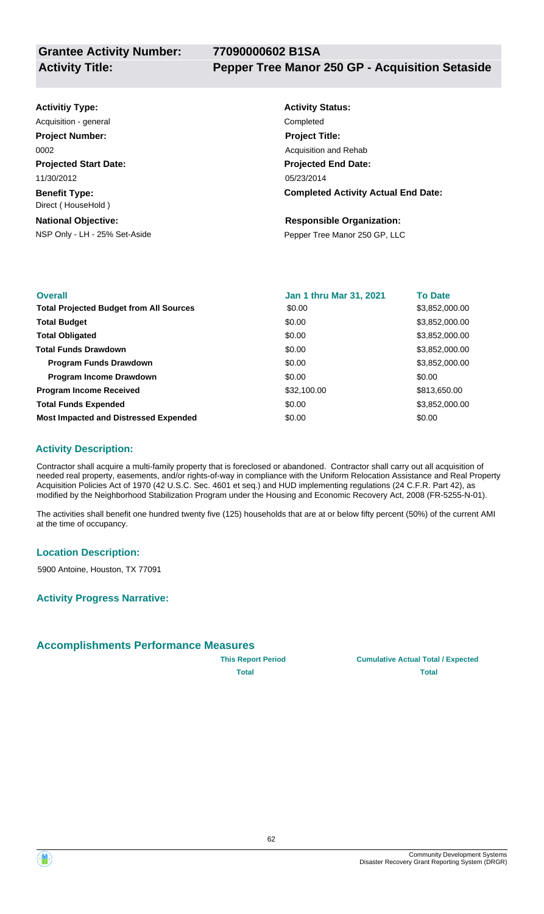## **Activitiy Type:**

**Projected Start Date: Benefit Type:** 11/30/2012 Direct ( HouseHold ) Acquisition - general **Completed Project Number:** 0002

**National Objective:**

## **Activity Status: Projected End Date: Completed Activity Actual End Date:** 05/23/2014 **Project Title:** Acquisition and Rehab

#### **Responsible Organization:**

NSP Only - LH - 25% Set-Aside **Pepper Tree Manor 250 GP, LLC** 

| <b>Overall</b>                                 | Jan 1 thru Mar 31, 2021 | <b>To Date</b> |
|------------------------------------------------|-------------------------|----------------|
| <b>Total Projected Budget from All Sources</b> | \$0.00                  | \$3,852,000.00 |
| <b>Total Budget</b>                            | \$0.00                  | \$3,852,000.00 |
| <b>Total Obligated</b>                         | \$0.00                  | \$3,852,000.00 |
| <b>Total Funds Drawdown</b>                    | \$0.00                  | \$3,852,000.00 |
| <b>Program Funds Drawdown</b>                  | \$0.00                  | \$3,852,000.00 |
| <b>Program Income Drawdown</b>                 | \$0.00                  | \$0.00         |
| <b>Program Income Received</b>                 | \$32,100.00             | \$813,650.00   |
| <b>Total Funds Expended</b>                    | \$0.00                  | \$3,852,000.00 |
| <b>Most Impacted and Distressed Expended</b>   | \$0.00                  | \$0.00         |

### **Activity Description:**

Contractor shall acquire a multi-family property that is foreclosed or abandoned. Contractor shall carry out all acquisition of needed real property, easements, and/or rights-of-way in compliance with the Uniform Relocation Assistance and Real Property Acquisition Policies Act of 1970 (42 U.S.C. Sec. 4601 et seq.) and HUD implementing regulations (24 C.F.R. Part 42), as modified by the Neighborhood Stabilization Program under the Housing and Economic Recovery Act, 2008 (FR-5255-N-01).

The activities shall benefit one hundred twenty five (125) households that are at or below fifty percent (50%) of the current AMI at the time of occupancy.

#### **Location Description:**

5900 Antoine, Houston, TX 77091

**Activity Progress Narrative:**

### **Accomplishments Performance Measures**



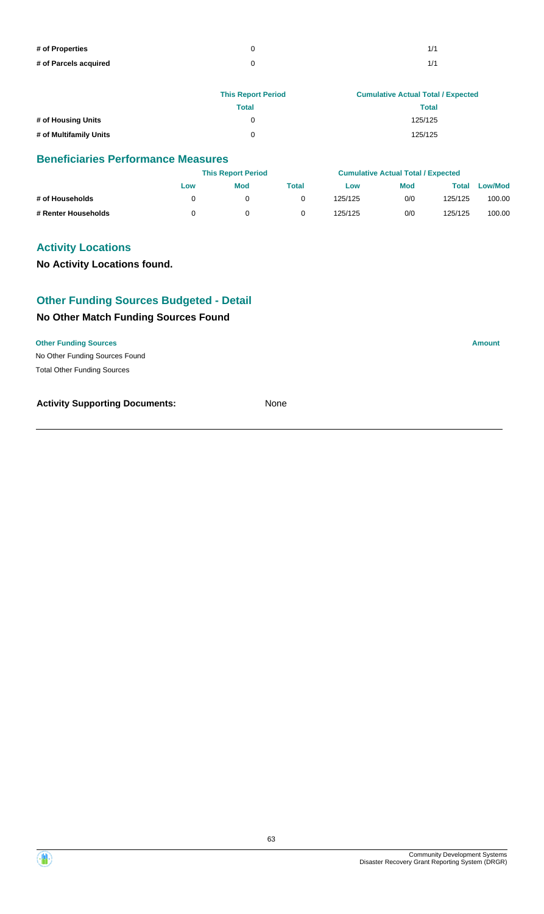| # of Properties       |  |
|-----------------------|--|
| # of Parcels acquired |  |

|                        | <b>This Report Period</b> | <b>Cumulative Actual Total / Expected</b> |
|------------------------|---------------------------|-------------------------------------------|
|                        | Total                     | Total                                     |
| # of Housing Units     |                           | 125/125                                   |
| # of Multifamily Units | 0                         | 125/125                                   |

|                     |     | <b>This Report Period</b> |       |         | <b>Cumulative Actual Total / Expected</b> |         |         |
|---------------------|-----|---------------------------|-------|---------|-------------------------------------------|---------|---------|
|                     | Low | Mod                       | Total | Low     | <b>Mod</b>                                | Total   | Low/Mod |
| # of Households     |     |                           |       | 125/125 | 0/0                                       | 125/125 | 100.00  |
| # Renter Households |     |                           |       | 125/125 | 0/0                                       | 125/125 | 100.00  |

### **Activity Locations**

**No Activity Locations found.**

### **Other Funding Sources Budgeted - Detail**

### **No Other Match Funding Sources Found**

#### **Other Funding Sources Amount**

No Other Funding Sources Found Total Other Funding Sources

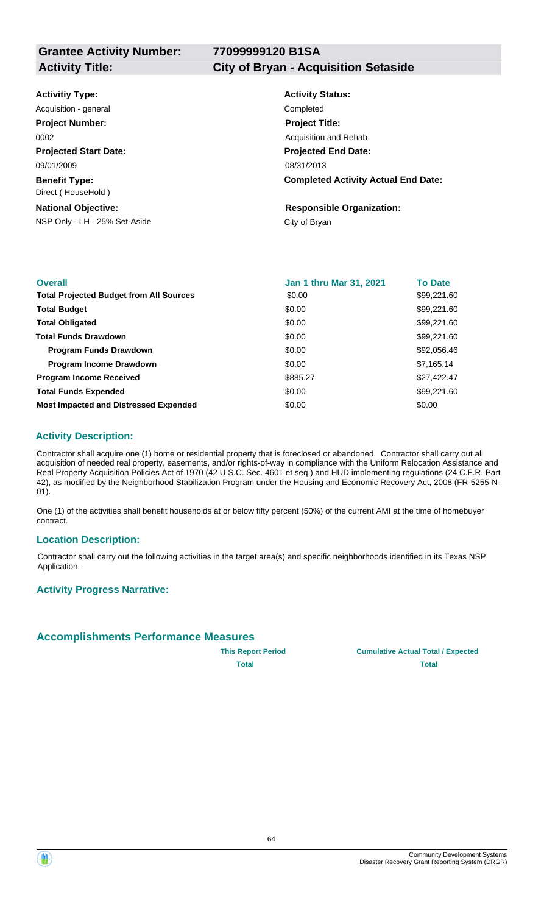#### **Activity Title: City of Bryan - Acquisition Setaside**

| <b>Activitiy Type:</b> |  |
|------------------------|--|
|------------------------|--|

**Projected Start Date: Benefit Type:** 09/01/2009 Direct ( HouseHold ) Acquisition - general **Completed Project Number:** 0002

### **National Objective:**

NSP Only - LH - 25% Set-Aside City of Bryan

## **Activity Status: Projected End Date: Completed Activity Actual End Date:** 08/31/2013 **Project Title:** Acquisition and Rehab

**Responsible Organization:**

| <b>Overall</b>                                 | <b>Jan 1 thru Mar 31, 2021</b> | <b>To Date</b> |
|------------------------------------------------|--------------------------------|----------------|
| <b>Total Projected Budget from All Sources</b> | \$0.00                         | \$99,221.60    |
| <b>Total Budget</b>                            | \$0.00                         | \$99,221.60    |
| <b>Total Obligated</b>                         | \$0.00                         | \$99,221.60    |
| <b>Total Funds Drawdown</b>                    | \$0.00                         | \$99,221.60    |
| <b>Program Funds Drawdown</b>                  | \$0.00                         | \$92,056.46    |
| <b>Program Income Drawdown</b>                 | \$0.00                         | \$7,165.14     |
| <b>Program Income Received</b>                 | \$885.27                       | \$27,422.47    |
| <b>Total Funds Expended</b>                    | \$0.00                         | \$99,221.60    |
| <b>Most Impacted and Distressed Expended</b>   | \$0.00                         | \$0.00         |

### **Activity Description:**

Contractor shall acquire one (1) home or residential property that is foreclosed or abandoned. Contractor shall carry out all acquisition of needed real property, easements, and/or rights-of-way in compliance with the Uniform Relocation Assistance and Real Property Acquisition Policies Act of 1970 (42 U.S.C. Sec. 4601 et seq.) and HUD implementing regulations (24 C.F.R. Part 42), as modified by the Neighborhood Stabilization Program under the Housing and Economic Recovery Act, 2008 (FR-5255-N-01).

One (1) of the activities shall benefit households at or below fifty percent (50%) of the current AMI at the time of homebuyer contract.

#### **Location Description:**

Contractor shall carry out the following activities in the target area(s) and specific neighborhoods identified in its Texas NSP Application.

#### **Activity Progress Narrative:**

### **Accomplishments Performance Measures**



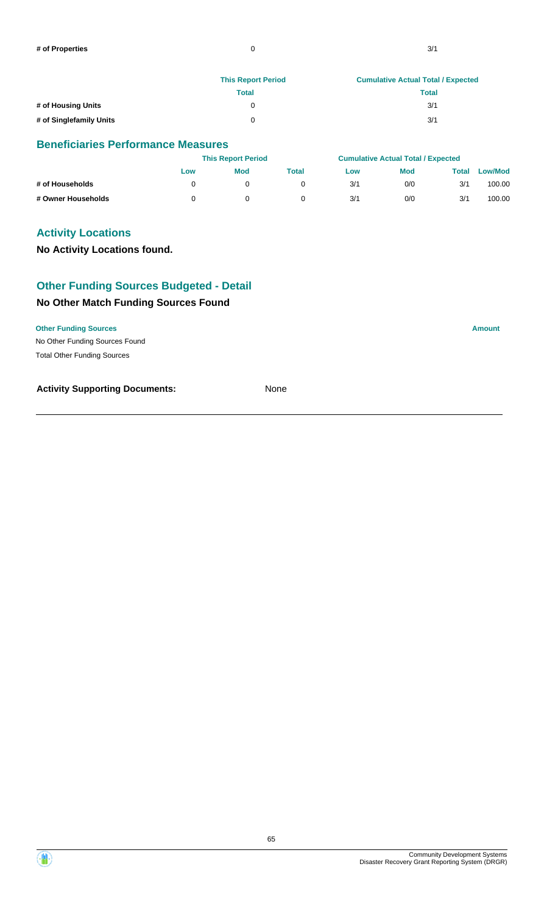|                         | <b>This Report Period</b> | <b>Cumulative Actual Total / Expected</b> |
|-------------------------|---------------------------|-------------------------------------------|
|                         | Total                     | <b>Total</b>                              |
| # of Housing Units      |                           | 3/1                                       |
| # of Singlefamily Units |                           | 3/1                                       |

|                    |     | <b>This Report Period</b> |       |     | <b>Cumulative Actual Total / Expected</b> |       |                |
|--------------------|-----|---------------------------|-------|-----|-------------------------------------------|-------|----------------|
|                    | Low | Mod                       | Total | Low | <b>Mod</b>                                | Total | <b>Low/Mod</b> |
| # of Households    |     |                           |       | 3/1 | 0/0                                       | 3/1   | 100.00         |
| # Owner Households |     |                           |       | 3/1 | 0/0                                       | 3/1   | 100.00         |

### **Activity Locations**

#### **No Activity Locations found.**

## **Other Funding Sources Budgeted - Detail**

### **No Other Match Funding Sources Found**

#### **Other Funding Sources Amount**

No Other Funding Sources Found Total Other Funding Sources



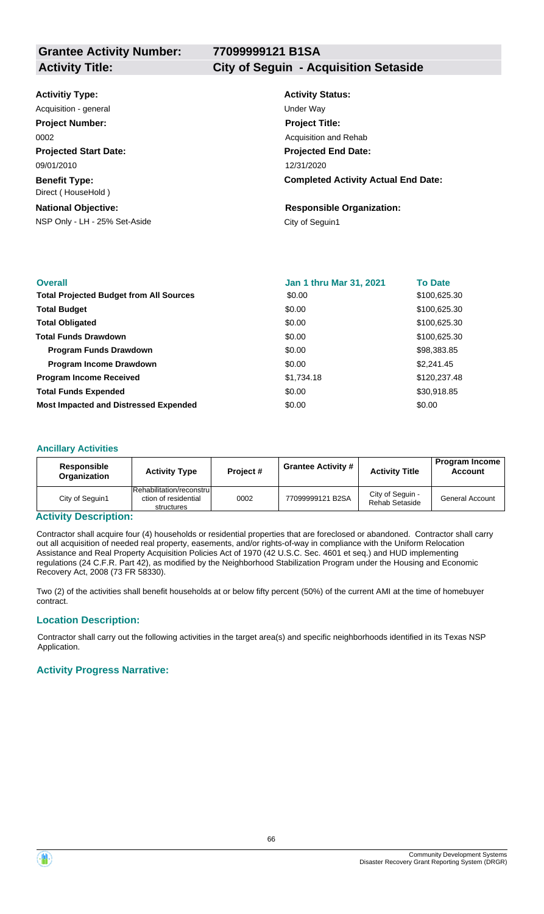## **Activity Title: City of Seguin - Acquisition Setaside**

|  | <b>Activitiy Type:</b> |
|--|------------------------|
|  |                        |

**Projected Start Date: Benefit Type:** 09/01/2010 Direct ( HouseHold ) Acquisition - general and the contract of the Under Way **Project Number:** 0002

#### **National Objective:**

NSP Only - LH - 25% Set-Aside City of Seguin1

## **Activity Status: Projected End Date: Completed Activity Actual End Date:** 12/31/2020 **Project Title:** Acquisition and Rehab

## **Responsible Organization:**

| <b>Overall</b>                                 | <b>Jan 1 thru Mar 31, 2021</b> | <b>To Date</b> |
|------------------------------------------------|--------------------------------|----------------|
| <b>Total Projected Budget from All Sources</b> | \$0.00                         | \$100,625.30   |
| <b>Total Budget</b>                            | \$0.00                         | \$100,625.30   |
| <b>Total Obligated</b>                         | \$0.00                         | \$100,625.30   |
| <b>Total Funds Drawdown</b>                    | \$0.00                         | \$100,625.30   |
| <b>Program Funds Drawdown</b>                  | \$0.00                         | \$98,383.85    |
| <b>Program Income Drawdown</b>                 | \$0.00                         | \$2,241.45     |
| <b>Program Income Received</b>                 | \$1,734.18                     | \$120,237.48   |
| <b>Total Funds Expended</b>                    | \$0.00                         | \$30,918.85    |
| <b>Most Impacted and Distressed Expended</b>   | \$0.00                         | \$0.00         |

#### **Ancillary Activities**

| Responsible<br>Organization | <b>Activity Type</b>                                            | Project# | <b>Grantee Activity #</b> | <b>Activity Title</b>              | <b>Program Income</b><br><b>Account</b> |
|-----------------------------|-----------------------------------------------------------------|----------|---------------------------|------------------------------------|-----------------------------------------|
| City of Seguin1             | Rehabilitation/reconstrul<br>ction of residential<br>structures | 0002     | 77099999121 B2SA          | City of Seguin -<br>Rehab Setaside | <b>General Account</b>                  |

#### **Activity Description:**

Contractor shall acquire four (4) households or residential properties that are foreclosed or abandoned. Contractor shall carry out all acquisition of needed real property, easements, and/or rights-of-way in compliance with the Uniform Relocation Assistance and Real Property Acquisition Policies Act of 1970 (42 U.S.C. Sec. 4601 et seq.) and HUD implementing regulations (24 C.F.R. Part 42), as modified by the Neighborhood Stabilization Program under the Housing and Economic Recovery Act, 2008 (73 FR 58330).

Two (2) of the activities shall benefit households at or below fifty percent (50%) of the current AMI at the time of homebuyer contract.

#### **Location Description:**

Contractor shall carry out the following activities in the target area(s) and specific neighborhoods identified in its Texas NSP Application.

#### **Activity Progress Narrative:**

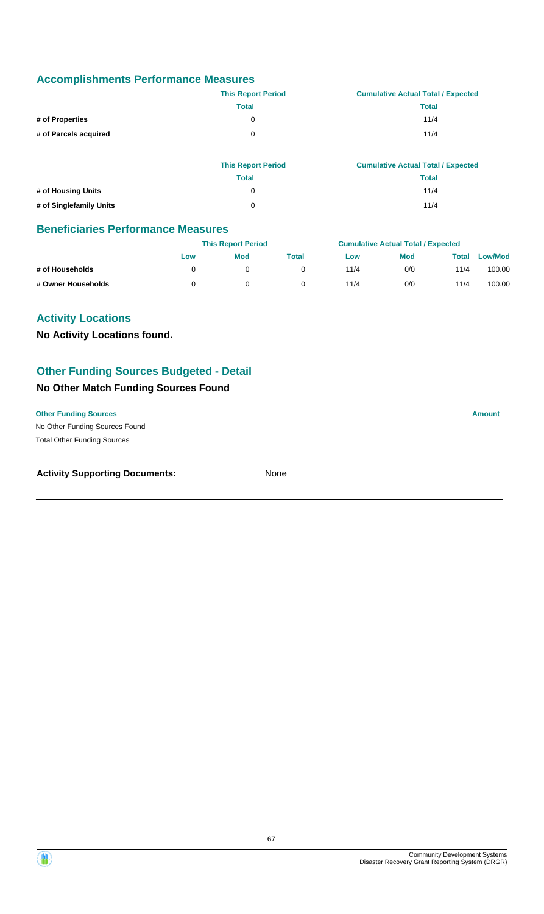|                       | <b>This Report Period</b> | <b>Cumulative Actual Total / Expected</b> |
|-----------------------|---------------------------|-------------------------------------------|
|                       | Total                     | Total                                     |
| # of Properties       | 0                         | 11/4                                      |
| # of Parcels acquired | 0                         | 11/4                                      |

|                         | <b>This Report Period</b> | <b>Cumulative Actual Total / Expected</b> |
|-------------------------|---------------------------|-------------------------------------------|
|                         | Total                     | Total                                     |
| # of Housing Units      | 0                         | 11/4                                      |
| # of Singlefamily Units | 0                         | 11/4                                      |

### **Beneficiaries Performance Measures**

|                    |     | <b>This Report Period</b> |       |      | <b>Cumulative Actual Total / Expected</b> |       |                |
|--------------------|-----|---------------------------|-------|------|-------------------------------------------|-------|----------------|
|                    | Low | <b>Mod</b>                | Total | Low  | <b>Mod</b>                                | Total | <b>Low/Mod</b> |
| # of Households    |     |                           |       | 11/4 | 0/0                                       | 11/4  | 100.00         |
| # Owner Households |     |                           |       | 11/4 | 0/0                                       | 11/4  | 100.00         |

### **Activity Locations**

**No Activity Locations found.**

### **Other Funding Sources Budgeted - Detail**

### **No Other Match Funding Sources Found**

No Other Funding Sources Found **Other Funding Sources Amount** 

Total Other Funding Sources

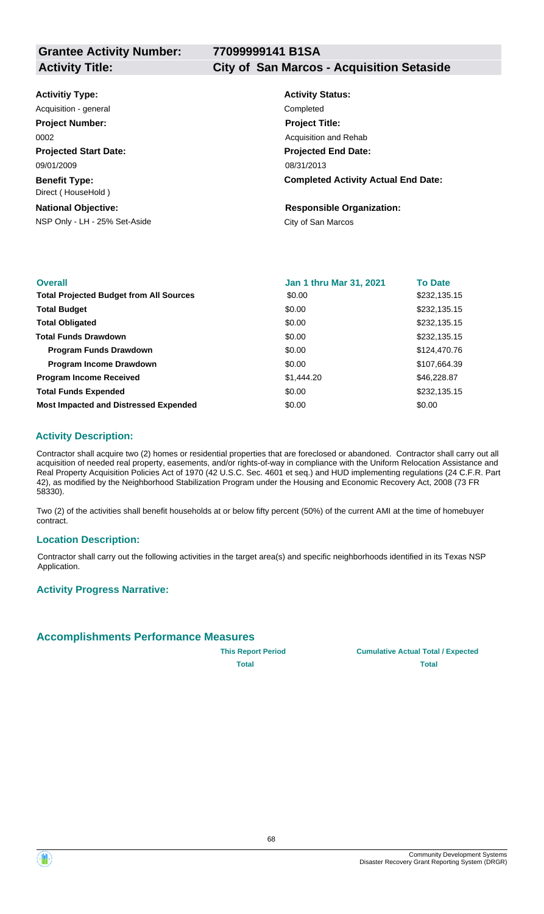**Activity Title: City of San Marcos - Acquisition Setaside**

| <b>Activitiy Type:</b>                     | <b>Activity Status:</b>                    |
|--------------------------------------------|--------------------------------------------|
| Acquisition - general                      | Completed                                  |
| <b>Project Number:</b>                     | <b>Project Title:</b>                      |
| 0002                                       | Acquisition and Rehab                      |
| <b>Projected Start Date:</b>               | <b>Projected End Date:</b>                 |
| 09/01/2009                                 | 08/31/2013                                 |
| <b>Benefit Type:</b><br>Direct (HouseHold) | <b>Completed Activity Actual End Date:</b> |
| <b>National Objective:</b>                 | <b>Responsible Organization:</b>           |
| NSP Only - LH - 25% Set-Aside              | City of San Marcos                         |
|                                            |                                            |

| <b>Overall</b>                                 | Jan 1 thru Mar 31, 2021 | <b>To Date</b> |
|------------------------------------------------|-------------------------|----------------|
| <b>Total Projected Budget from All Sources</b> | \$0.00                  | \$232,135.15   |
| <b>Total Budget</b>                            | \$0.00                  | \$232,135.15   |
| <b>Total Obligated</b>                         | \$0.00                  | \$232,135.15   |
| <b>Total Funds Drawdown</b>                    | \$0.00                  | \$232,135.15   |
| <b>Program Funds Drawdown</b>                  | \$0.00                  | \$124,470.76   |
| <b>Program Income Drawdown</b>                 | \$0.00                  | \$107,664.39   |
| <b>Program Income Received</b>                 | \$1,444.20              | \$46,228.87    |
| <b>Total Funds Expended</b>                    | \$0.00                  | \$232,135.15   |
| <b>Most Impacted and Distressed Expended</b>   | \$0.00                  | \$0.00         |

#### **Activity Description:**

Contractor shall acquire two (2) homes or residential properties that are foreclosed or abandoned. Contractor shall carry out all acquisition of needed real property, easements, and/or rights-of-way in compliance with the Uniform Relocation Assistance and Real Property Acquisition Policies Act of 1970 (42 U.S.C. Sec. 4601 et seq.) and HUD implementing regulations (24 C.F.R. Part 42), as modified by the Neighborhood Stabilization Program under the Housing and Economic Recovery Act, 2008 (73 FR 58330).

Two (2) of the activities shall benefit households at or below fifty percent (50%) of the current AMI at the time of homebuyer contract.

#### **Location Description:**

Contractor shall carry out the following activities in the target area(s) and specific neighborhoods identified in its Texas NSP Application.

#### **Activity Progress Narrative:**

#### **Accomplishments Performance Measures**

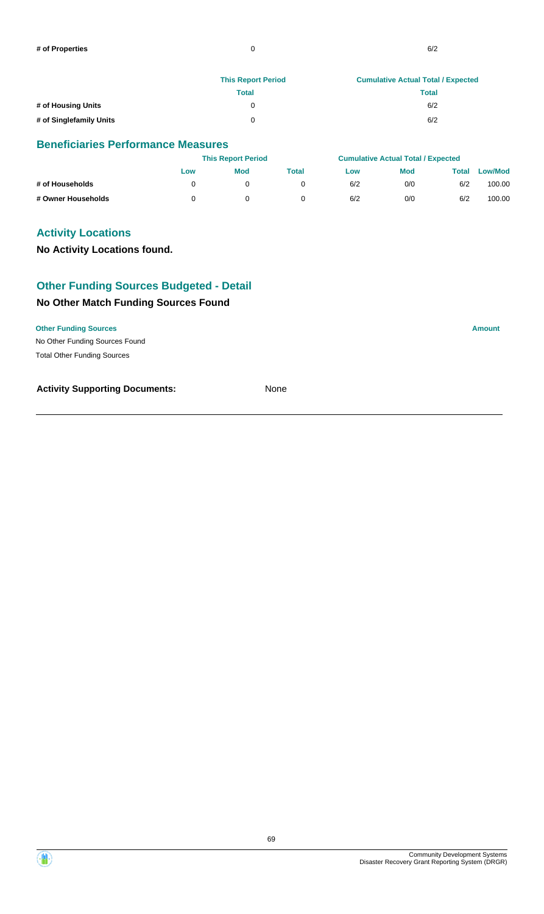|                         | <b>This Report Period</b> | <b>Cumulative Actual Total / Expected</b> |
|-------------------------|---------------------------|-------------------------------------------|
|                         | Total                     | <b>Total</b>                              |
| # of Housing Units      |                           | 6/2                                       |
| # of Singlefamily Units |                           | 6/2                                       |

|                    | <b>This Report Period</b> |            |       | <b>Cumulative Actual Total / Expected</b> |            |       |                |
|--------------------|---------------------------|------------|-------|-------------------------------------------|------------|-------|----------------|
|                    | Low                       | <b>Mod</b> | Total | Low                                       | <b>Mod</b> | Total | <b>Low/Mod</b> |
| # of Households    |                           |            |       | 6/2                                       | 0/0        | 6/2   | 100.00         |
| # Owner Households |                           |            |       | 6/2                                       | 0/0        | 6/2   | 100.00         |

### **Activity Locations**

#### **No Activity Locations found.**

## **Other Funding Sources Budgeted - Detail**

#### **No Other Match Funding Sources Found**

#### **Other Funding Sources Amount**

No Other Funding Sources Found Total Other Funding Sources

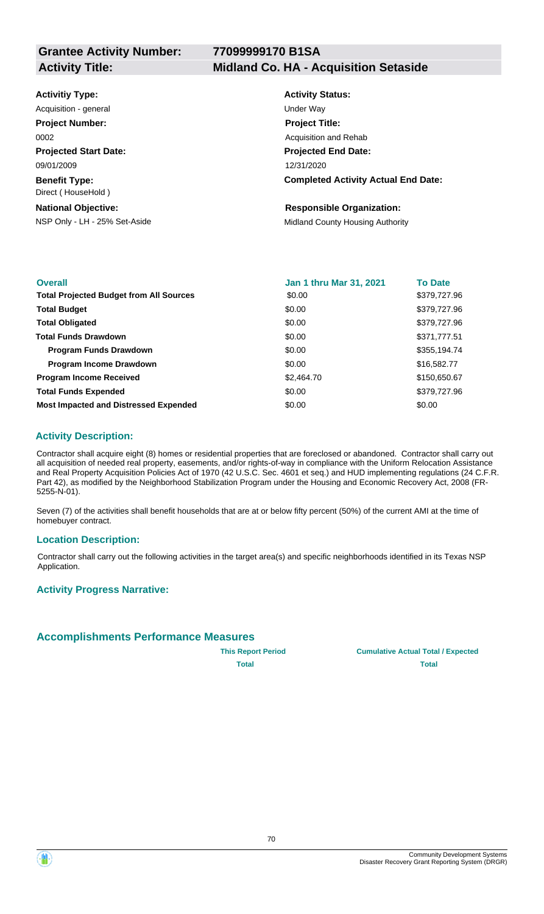#### **Activity Title: Midland Co. HA - Acquisition Setaside**

| <b>Activitiy Type:</b> |  |
|------------------------|--|
|------------------------|--|

**Projected Start Date: Benefit Type:** 09/01/2009 Direct ( HouseHold ) Acquisition - general and the contract of the Under Way **Project Number:** 0002

#### **National Objective:**

## **Activity Status: Projected End Date: Completed Activity Actual End Date:** 12/31/2020 **Project Title:** Acquisition and Rehab

### **Responsible Organization:**

NSP Only - LH - 25% Set-Aside Midland County Housing Authority

| <b>Overall</b>                                 | <b>Jan 1 thru Mar 31, 2021</b> | <b>To Date</b> |
|------------------------------------------------|--------------------------------|----------------|
| <b>Total Projected Budget from All Sources</b> | \$0.00                         | \$379,727.96   |
| <b>Total Budget</b>                            | \$0.00                         | \$379,727.96   |
| <b>Total Obligated</b>                         | \$0.00                         | \$379,727.96   |
| <b>Total Funds Drawdown</b>                    | \$0.00                         | \$371,777.51   |
| <b>Program Funds Drawdown</b>                  | \$0.00                         | \$355,194.74   |
| <b>Program Income Drawdown</b>                 | \$0.00                         | \$16,582.77    |
| <b>Program Income Received</b>                 | \$2,464.70                     | \$150,650.67   |
| <b>Total Funds Expended</b>                    | \$0.00                         | \$379,727.96   |
| <b>Most Impacted and Distressed Expended</b>   | \$0.00                         | \$0.00         |

### **Activity Description:**

Contractor shall acquire eight (8) homes or residential properties that are foreclosed or abandoned. Contractor shall carry out all acquisition of needed real property, easements, and/or rights-of-way in compliance with the Uniform Relocation Assistance and Real Property Acquisition Policies Act of 1970 (42 U.S.C. Sec. 4601 et seq.) and HUD implementing regulations (24 C.F.R. Part 42), as modified by the Neighborhood Stabilization Program under the Housing and Economic Recovery Act, 2008 (FR-5255-N-01).

Seven (7) of the activities shall benefit households that are at or below fifty percent (50%) of the current AMI at the time of homebuyer contract.

#### **Location Description:**

Contractor shall carry out the following activities in the target area(s) and specific neighborhoods identified in its Texas NSP Application.

#### **Activity Progress Narrative:**

### **Accomplishments Performance Measures**



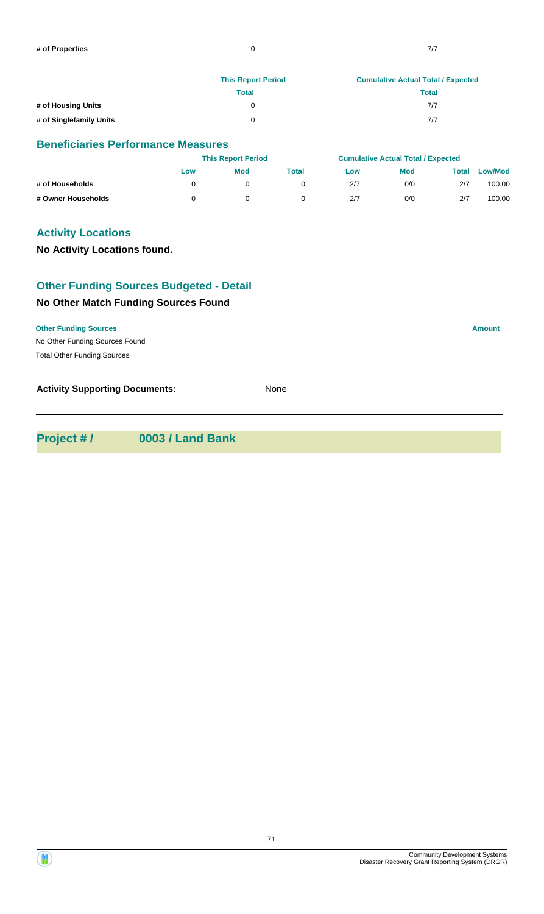|                         | <b>This Report Period</b> | <b>Cumulative Actual Total / Expected</b> |  |  |
|-------------------------|---------------------------|-------------------------------------------|--|--|
|                         | Total                     | <b>Total</b>                              |  |  |
| # of Housing Units      |                           | 7/7                                       |  |  |
| # of Singlefamily Units |                           | 7/7                                       |  |  |

|                    |     | <b>This Report Period</b> |       |     | <b>Cumulative Actual Total / Expected</b> |       |                |
|--------------------|-----|---------------------------|-------|-----|-------------------------------------------|-------|----------------|
|                    | Low | <b>Mod</b>                | Total | Low | <b>Mod</b>                                | Total | <b>Low/Mod</b> |
| # of Households    |     |                           |       | 2/7 | 0/0                                       | 2/7   | 100.00         |
| # Owner Households |     |                           |       | 2/7 | 0/0                                       | 2/7   | 100.00         |

### **Activity Locations**

### **No Activity Locations found.**

### **Other Funding Sources Budgeted - Detail**

#### **No Other Match Funding Sources Found**

#### **Other Funding Sources Amount**

No Other Funding Sources Found Total Other Funding Sources

**Activity Supporting Documents:** None

**Project # / 0003 / Land Bank**



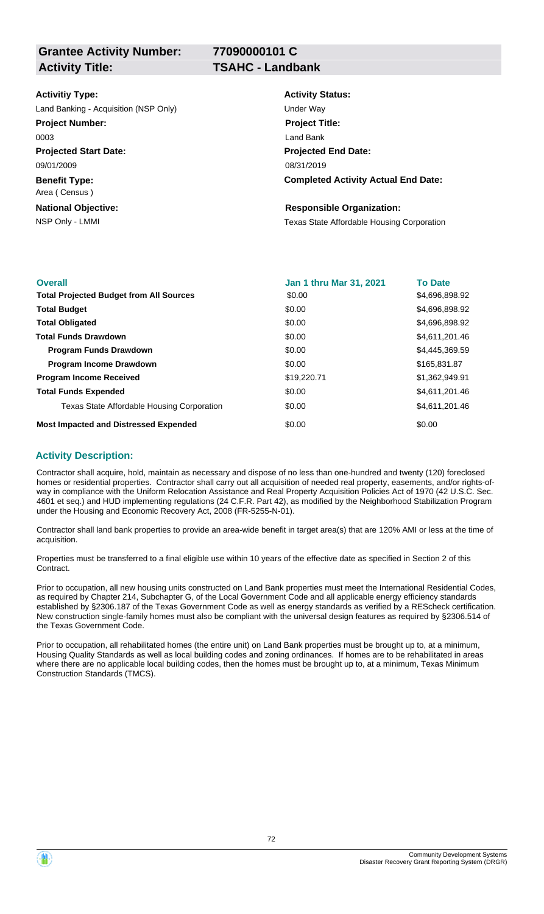**77090000101 C**

| <b>Activitiy Type:</b>                | <b>Activity Status:</b>                           |
|---------------------------------------|---------------------------------------------------|
| Land Banking - Acquisition (NSP Only) | Under Way                                         |
| <b>Project Number:</b>                | <b>Project Title:</b>                             |
| 0003                                  | Land Bank                                         |
| <b>Projected Start Date:</b>          | <b>Projected End Date:</b>                        |
| 09/01/2009                            | 08/31/2019                                        |
| <b>Benefit Type:</b><br>Area (Census) | <b>Completed Activity Actual End Date:</b>        |
| <b>National Objective:</b>            | <b>Responsible Organization:</b>                  |
| NSP Only - LMMI                       | <b>Texas State Affordable Housing Corporation</b> |

| <b>Overall</b>                                 | Jan 1 thru Mar 31, 2021 | <b>To Date</b> |
|------------------------------------------------|-------------------------|----------------|
| <b>Total Projected Budget from All Sources</b> | \$0.00                  | \$4,696,898.92 |
| <b>Total Budget</b>                            | \$0.00                  | \$4,696,898.92 |
| <b>Total Obligated</b>                         | \$0.00                  | \$4,696,898.92 |
| <b>Total Funds Drawdown</b>                    | \$0.00                  | \$4,611,201.46 |
| <b>Program Funds Drawdown</b>                  | \$0.00                  | \$4,445,369.59 |
| <b>Program Income Drawdown</b>                 | \$0.00                  | \$165,831.87   |
| <b>Program Income Received</b>                 | \$19,220.71             | \$1,362,949.91 |
| <b>Total Funds Expended</b>                    | \$0.00                  | \$4,611,201.46 |
| Texas State Affordable Housing Corporation     | \$0.00                  | \$4,611,201.46 |
| <b>Most Impacted and Distressed Expended</b>   | \$0.00                  | \$0.00         |

#### **Activity Description:**

Contractor shall acquire, hold, maintain as necessary and dispose of no less than one-hundred and twenty (120) foreclosed homes or residential properties. Contractor shall carry out all acquisition of needed real property, easements, and/or rights-ofway in compliance with the Uniform Relocation Assistance and Real Property Acquisition Policies Act of 1970 (42 U.S.C. Sec. 4601 et seq.) and HUD implementing regulations (24 C.F.R. Part 42), as modified by the Neighborhood Stabilization Program under the Housing and Economic Recovery Act, 2008 (FR-5255-N-01).

Contractor shall land bank properties to provide an area-wide benefit in target area(s) that are 120% AMI or less at the time of acquisition.

Properties must be transferred to a final eligible use within 10 years of the effective date as specified in Section 2 of this Contract.

Prior to occupation, all new housing units constructed on Land Bank properties must meet the International Residential Codes, as required by Chapter 214, Subchapter G, of the Local Government Code and all applicable energy efficiency standards established by §2306.187 of the Texas Government Code as well as energy standards as verified by a REScheck certification. New construction single-family homes must also be compliant with the universal design features as required by §2306.514 of the Texas Government Code.

Prior to occupation, all rehabilitated homes (the entire unit) on Land Bank properties must be brought up to, at a minimum, Housing Quality Standards as well as local building codes and zoning ordinances. If homes are to be rehabilitated in areas where there are no applicable local building codes, then the homes must be brought up to, at a minimum, Texas Minimum Construction Standards (TMCS).

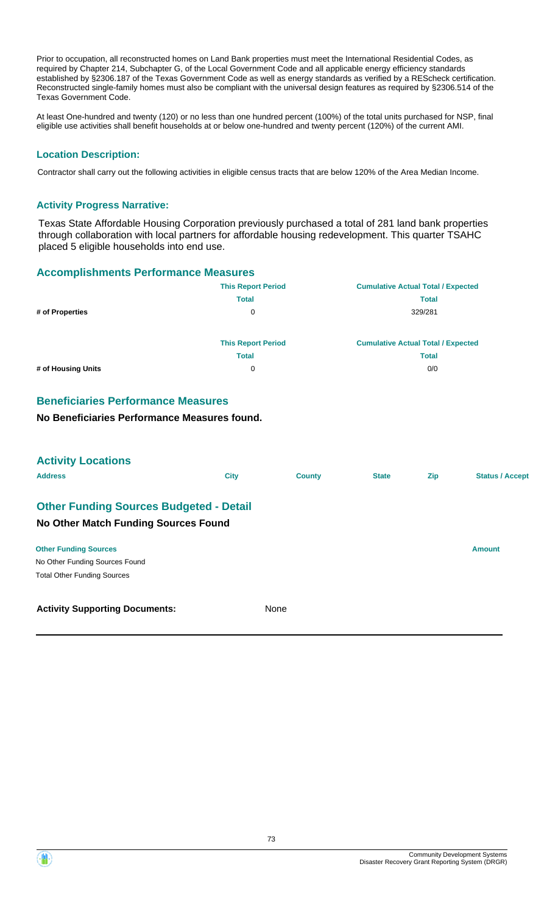Prior to occupation, all reconstructed homes on Land Bank properties must meet the International Residential Codes, as required by Chapter 214, Subchapter G, of the Local Government Code and all applicable energy efficiency standards established by §2306.187 of the Texas Government Code as well as energy standards as verified by a REScheck certification. Reconstructed single-family homes must also be compliant with the universal design features as required by §2306.514 of the Texas Government Code.

At least One-hundred and twenty (120) or no less than one hundred percent (100%) of the total units purchased for NSP, final eligible use activities shall benefit households at or below one-hundred and twenty percent (120%) of the current AMI.

## **Location Description:**

Contractor shall carry out the following activities in eligible census tracts that are below 120% of the Area Median Income.

#### **Activity Progress Narrative:**

Texas State Affordable Housing Corporation previously purchased a total of 281 land bank properties through collaboration with local partners for affordable housing redevelopment. This quarter TSAHC placed 5 eligible households into end use.

#### **Accomplishments Performance Measures**

|                    | <b>This Report Period</b> | <b>Cumulative Actual Total / Expected</b> |
|--------------------|---------------------------|-------------------------------------------|
|                    | <b>Total</b>              | <b>Total</b>                              |
| # of Properties    | 0                         | 329/281                                   |
|                    | <b>This Report Period</b> | <b>Cumulative Actual Total / Expected</b> |
|                    | <b>Total</b>              | <b>Total</b>                              |
| # of Housing Units | 0                         | 0/0                                       |

## **Beneficiaries Performance Measures**

**No Beneficiaries Performance Measures found.**

| <b>Activity Locations</b>                      |             |               |              |            |                        |
|------------------------------------------------|-------------|---------------|--------------|------------|------------------------|
| <b>Address</b>                                 | <b>City</b> | <b>County</b> | <b>State</b> | <b>Zip</b> | <b>Status / Accept</b> |
| <b>Other Funding Sources Budgeted - Detail</b> |             |               |              |            |                        |
| No Other Match Funding Sources Found           |             |               |              |            |                        |
| <b>Other Funding Sources</b>                   |             |               |              |            | <b>Amount</b>          |
| No Other Funding Sources Found                 |             |               |              |            |                        |
| <b>Total Other Funding Sources</b>             |             |               |              |            |                        |
| <b>Activity Supporting Documents:</b>          |             | None          |              |            |                        |

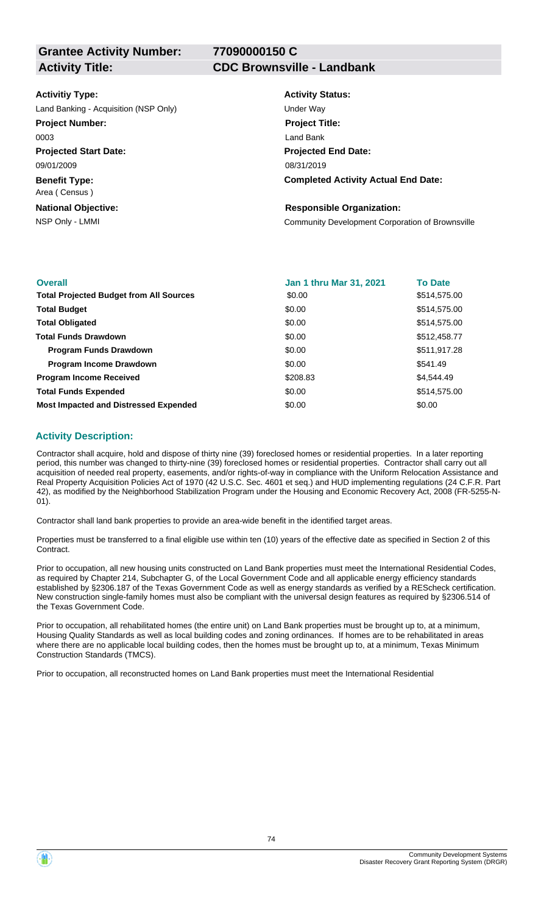**77090000150 C**

#### **Activitiy Type:**

Land Banking - Acquisition (NSP Only) and the Under Way

#### **Project Number:**

0003

**Projected Start Date:** 09/01/2009

**Benefit Type:** Area ( Census )

**National Objective:**

#### **Activity Title: CDC Brownsville - Landbank**

**Activity Status: Projected End Date: Completed Activity Actual End Date:** 08/31/2019 **Project Title:** Land Bank

#### **Responsible Organization:**

NSP Only - LMMI Community Development Corporation of Brownsville

| <b>Overall</b>                                 | <b>Jan 1 thru Mar 31, 2021</b> | <b>To Date</b> |
|------------------------------------------------|--------------------------------|----------------|
| <b>Total Projected Budget from All Sources</b> | \$0.00                         | \$514,575.00   |
| <b>Total Budget</b>                            | \$0.00                         | \$514,575.00   |
| <b>Total Obligated</b>                         | \$0.00                         | \$514,575.00   |
| <b>Total Funds Drawdown</b>                    | \$0.00                         | \$512,458.77   |
| <b>Program Funds Drawdown</b>                  | \$0.00                         | \$511,917.28   |
| <b>Program Income Drawdown</b>                 | \$0.00                         | \$541.49       |
| <b>Program Income Received</b>                 | \$208.83                       | \$4,544.49     |
| <b>Total Funds Expended</b>                    | \$0.00                         | \$514,575.00   |
| <b>Most Impacted and Distressed Expended</b>   | \$0.00                         | \$0.00         |

## **Activity Description:**

Contractor shall acquire, hold and dispose of thirty nine (39) foreclosed homes or residential properties. In a later reporting period, this number was changed to thirty-nine (39) foreclosed homes or residential properties. Contractor shall carry out all acquisition of needed real property, easements, and/or rights-of-way in compliance with the Uniform Relocation Assistance and Real Property Acquisition Policies Act of 1970 (42 U.S.C. Sec. 4601 et seq.) and HUD implementing regulations (24 C.F.R. Part 42), as modified by the Neighborhood Stabilization Program under the Housing and Economic Recovery Act, 2008 (FR-5255-N-01).

Contractor shall land bank properties to provide an area-wide benefit in the identified target areas.

Properties must be transferred to a final eligible use within ten (10) years of the effective date as specified in Section 2 of this Contract.

Prior to occupation, all new housing units constructed on Land Bank properties must meet the International Residential Codes, as required by Chapter 214, Subchapter G, of the Local Government Code and all applicable energy efficiency standards established by §2306.187 of the Texas Government Code as well as energy standards as verified by a REScheck certification. New construction single-family homes must also be compliant with the universal design features as required by §2306.514 of the Texas Government Code.

Prior to occupation, all rehabilitated homes (the entire unit) on Land Bank properties must be brought up to, at a minimum, Housing Quality Standards as well as local building codes and zoning ordinances. If homes are to be rehabilitated in areas where there are no applicable local building codes, then the homes must be brought up to, at a minimum, Texas Minimum Construction Standards (TMCS).

Prior to occupation, all reconstructed homes on Land Bank properties must meet the International Residential

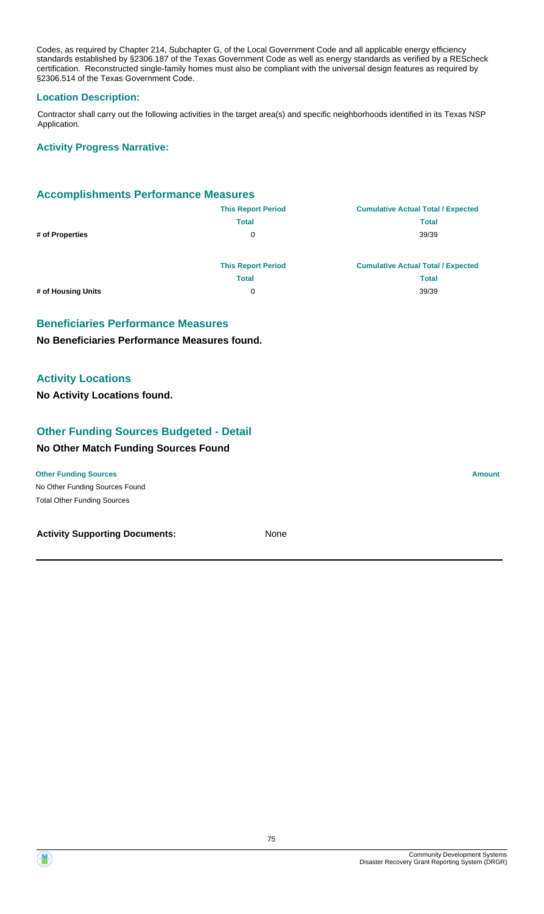Codes, as required by Chapter 214, Subchapter G, of the Local Government Code and all applicable energy efficiency standards established by §2306.187 of the Texas Government Code as well as energy standards as verified by a REScheck certification. Reconstructed single-family homes must also be compliant with the universal design features as required by §2306.514 of the Texas Government Code.

## **Location Description:**

Contractor shall carry out the following activities in the target area(s) and specific neighborhoods identified in its Texas NSP Application.

#### **Activity Progress Narrative:**

## **Accomplishments Performance Measures**

|                    | <b>This Report Period</b> | <b>Cumulative Actual Total / Expected</b> |
|--------------------|---------------------------|-------------------------------------------|
|                    | <b>Total</b>              | <b>Total</b>                              |
| # of Properties    | 0                         | 39/39                                     |
|                    |                           |                                           |
|                    | <b>This Report Period</b> | <b>Cumulative Actual Total / Expected</b> |
|                    | <b>Total</b>              | Total                                     |
| # of Housing Units | 0                         | 39/39                                     |
|                    |                           |                                           |

#### **Beneficiaries Performance Measures**

#### **No Beneficiaries Performance Measures found.**

## **Activity Locations**

**No Activity Locations found.**

## **Other Funding Sources Budgeted - Detail**

#### **No Other Match Funding Sources Found**

No Other Funding Sources Found **Other Funding Sources Amount Amount Amount Amount Amount Amount Amount** Total Other Funding Sources

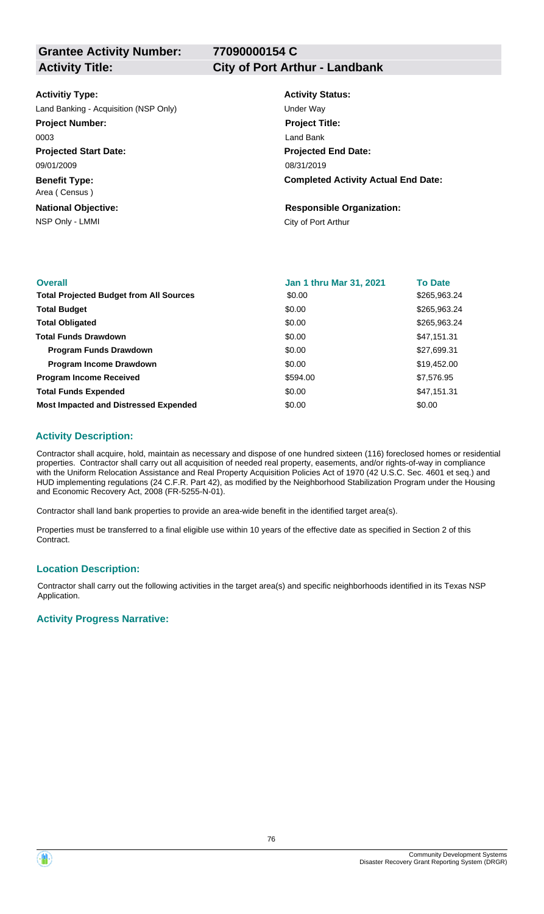**77090000154 C**

#### **Activitiy Type:**

Land Banking - Acquisition (NSP Only) Under Way

#### **Project Number:**

0003

**Projected Start Date:** 09/01/2009

**Benefit Type:** Area ( Census )

**National Objective:**

# **Activity Title: City of Port Arthur - Landbank**

**Activity Status: Projected End Date: Completed Activity Actual End Date:** 08/31/2019 **Project Title:** Land Bank

# **Responsible Organization:**

NSP Only - LMMI City of Port Arthur

| <b>Overall</b>                                 | Jan 1 thru Mar 31, 2021 | <b>To Date</b> |
|------------------------------------------------|-------------------------|----------------|
| <b>Total Projected Budget from All Sources</b> | \$0.00                  | \$265,963.24   |
| <b>Total Budget</b>                            | \$0.00                  | \$265,963.24   |
| <b>Total Obligated</b>                         | \$0.00                  | \$265,963.24   |
| <b>Total Funds Drawdown</b>                    | \$0.00                  | \$47,151.31    |
| <b>Program Funds Drawdown</b>                  | \$0.00                  | \$27,699.31    |
| <b>Program Income Drawdown</b>                 | \$0.00                  | \$19,452.00    |
| <b>Program Income Received</b>                 | \$594.00                | \$7,576.95     |
| <b>Total Funds Expended</b>                    | \$0.00                  | \$47,151.31    |
| <b>Most Impacted and Distressed Expended</b>   | \$0.00                  | \$0.00         |

## **Activity Description:**

Contractor shall acquire, hold, maintain as necessary and dispose of one hundred sixteen (116) foreclosed homes or residential properties. Contractor shall carry out all acquisition of needed real property, easements, and/or rights-of-way in compliance with the Uniform Relocation Assistance and Real Property Acquisition Policies Act of 1970 (42 U.S.C. Sec. 4601 et seq.) and HUD implementing regulations (24 C.F.R. Part 42), as modified by the Neighborhood Stabilization Program under the Housing and Economic Recovery Act, 2008 (FR-5255-N-01).

Contractor shall land bank properties to provide an area-wide benefit in the identified target area(s).

Properties must be transferred to a final eligible use within 10 years of the effective date as specified in Section 2 of this Contract.

#### **Location Description:**

Contractor shall carry out the following activities in the target area(s) and specific neighborhoods identified in its Texas NSP Application.

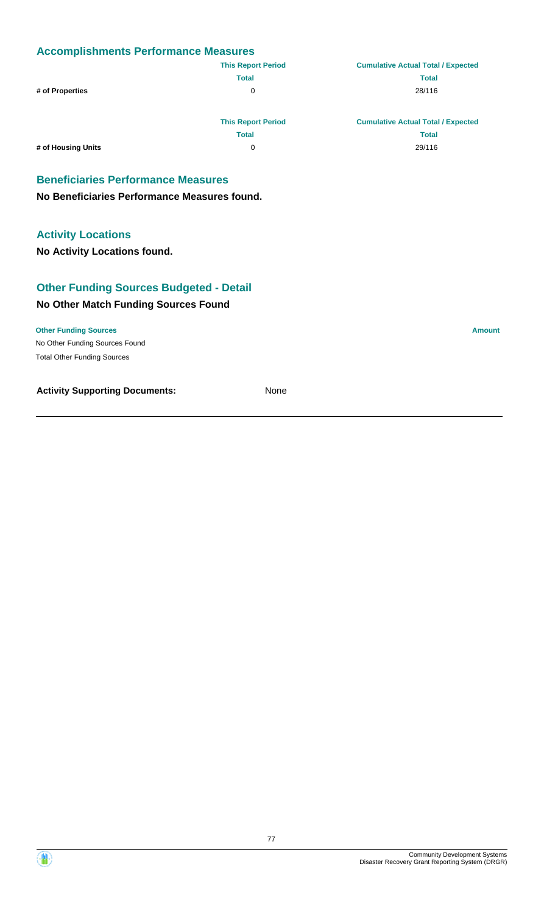|                                              | <b>This Report Period</b> | <b>Cumulative Actual Total / Expected</b> |
|----------------------------------------------|---------------------------|-------------------------------------------|
|                                              | <b>Total</b>              | <b>Total</b>                              |
| # of Properties                              | 0                         | 28/116                                    |
|                                              | <b>This Report Period</b> | <b>Cumulative Actual Total / Expected</b> |
|                                              | <b>Total</b>              | <b>Total</b>                              |
| # of Housing Units                           | 0                         | 29/116                                    |
| <b>Beneficiaries Performance Measures</b>    |                           |                                           |
| No Beneficiaries Performance Measures found. |                           |                                           |

## **Activity Locations**

**No Activity Locations found.**

## **No Other Match Funding Sources Found Other Funding Sources Budgeted - Detail**

No Other Funding Sources Found **Other Funding Sources Amount** Total Other Funding Sources



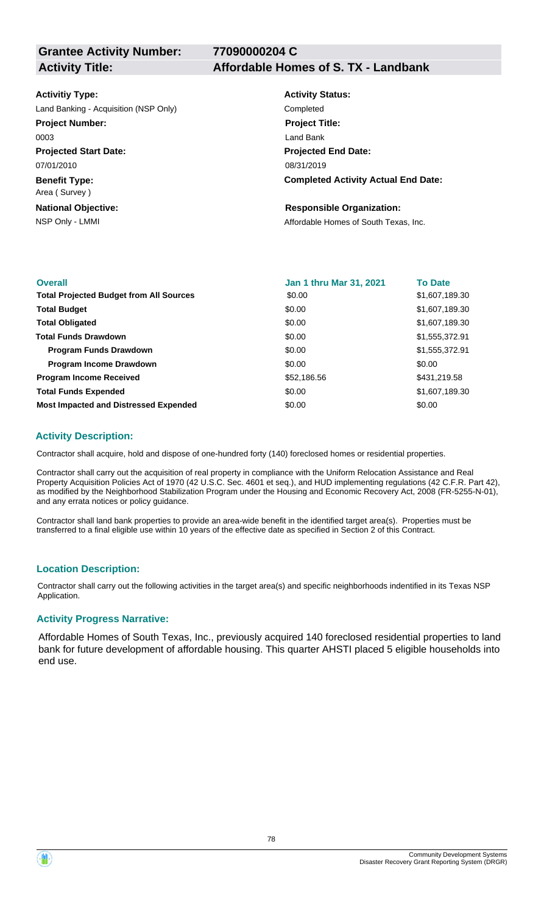**77090000204 C**

#### **Activitiy Type:**

Land Banking - Acquisition (NSP Only) Completed

# **Project Number:**

0003

**Projected Start Date:** 07/01/2010

**Benefit Type:** Area ( Survey )

**National Objective:**

#### **Activity Title: Affordable Homes of S. TX - Landbank**

**Activity Status: Projected End Date: Completed Activity Actual End Date:** 08/31/2019 **Project Title:** Land Bank

#### **Responsible Organization:**

NSP Only - LMMI **NSP Only - LMMI** Affordable Homes of South Texas, Inc.

| <b>Overall</b>                                 | <b>Jan 1 thru Mar 31, 2021</b> | <b>To Date</b> |
|------------------------------------------------|--------------------------------|----------------|
| <b>Total Projected Budget from All Sources</b> | \$0.00                         | \$1,607,189.30 |
| <b>Total Budget</b>                            | \$0.00                         | \$1,607,189.30 |
| <b>Total Obligated</b>                         | \$0.00                         | \$1,607,189.30 |
| <b>Total Funds Drawdown</b>                    | \$0.00                         | \$1,555,372.91 |
| <b>Program Funds Drawdown</b>                  | \$0.00                         | \$1,555,372.91 |
| <b>Program Income Drawdown</b>                 | \$0.00                         | \$0.00         |
| <b>Program Income Received</b>                 | \$52,186.56                    | \$431,219.58   |
| <b>Total Funds Expended</b>                    | \$0.00                         | \$1,607,189.30 |
| <b>Most Impacted and Distressed Expended</b>   | \$0.00                         | \$0.00         |

## **Activity Description:**

Contractor shall acquire, hold and dispose of one-hundred forty (140) foreclosed homes or residential properties.

Contractor shall carry out the acquisition of real property in compliance with the Uniform Relocation Assistance and Real Property Acquisition Policies Act of 1970 (42 U.S.C. Sec. 4601 et seq.), and HUD implementing regulations (42 C.F.R. Part 42), as modified by the Neighborhood Stabilization Program under the Housing and Economic Recovery Act, 2008 (FR-5255-N-01), and any errata notices or policy guidance.

Contractor shall land bank properties to provide an area-wide benefit in the identified target area(s). Properties must be transferred to a final eligible use within 10 years of the effective date as specified in Section 2 of this Contract.

#### **Location Description:**

Contractor shall carry out the following activities in the target area(s) and specific neighborhoods indentified in its Texas NSP Application.

#### **Activity Progress Narrative:**

Affordable Homes of South Texas, Inc., previously acquired 140 foreclosed residential properties to land bank for future development of affordable housing. This quarter AHSTI placed 5 eligible households into end use.

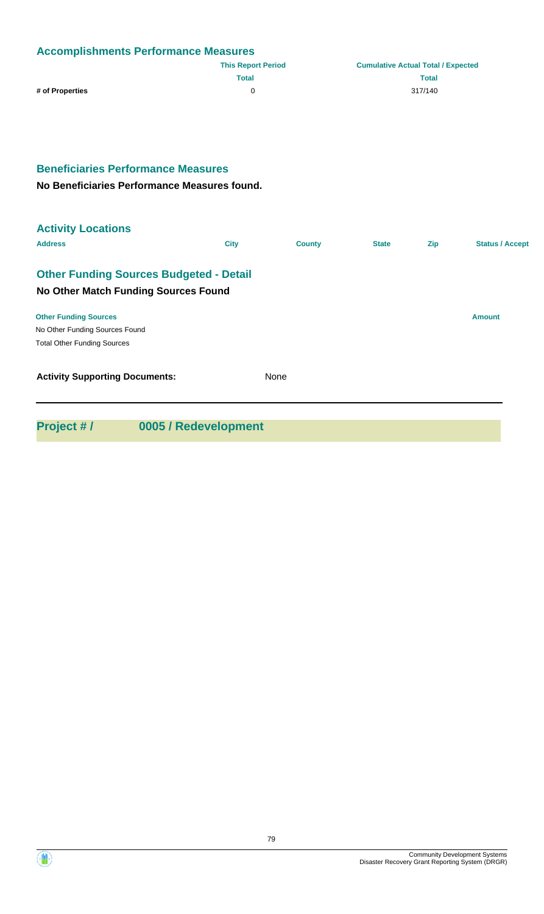| <b>Accomplishments Performance Measures</b> |                           |                                           |  |  |
|---------------------------------------------|---------------------------|-------------------------------------------|--|--|
|                                             | <b>This Report Period</b> | <b>Cumulative Actual Total / Expected</b> |  |  |
|                                             | <b>Total</b>              | <b>Total</b>                              |  |  |
| # of Properties                             |                           | 317/140                                   |  |  |

## **Beneficiaries Performance Measures**

**No Beneficiaries Performance Measures found.**

| <b>Activity Locations</b>                      |             |               |              |     |                        |
|------------------------------------------------|-------------|---------------|--------------|-----|------------------------|
| <b>Address</b>                                 | <b>City</b> | <b>County</b> | <b>State</b> | Zip | <b>Status / Accept</b> |
| <b>Other Funding Sources Budgeted - Detail</b> |             |               |              |     |                        |
| No Other Match Funding Sources Found           |             |               |              |     |                        |
| <b>Other Funding Sources</b>                   |             |               |              |     | <b>Amount</b>          |
| No Other Funding Sources Found                 |             |               |              |     |                        |
| <b>Total Other Funding Sources</b>             |             |               |              |     |                        |
| <b>Activity Supporting Documents:</b>          |             | None          |              |     |                        |
|                                                |             |               |              |     |                        |
|                                                |             |               |              |     |                        |

**Project # / 0005 / Redevelopment**

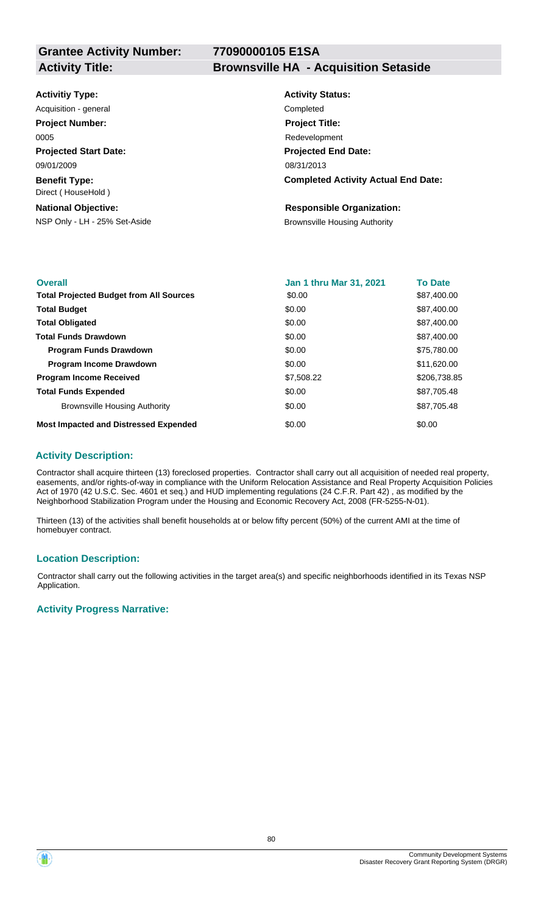**Grantee Activity Number:**

## **77090000105 E1SA**

**Activity Title: Brownsville HA - Acquisition Setaside**

| <b>Activitiy Type:</b>                     | <b>Activity Status:</b>                    |
|--------------------------------------------|--------------------------------------------|
| Acquisition - general                      | Completed                                  |
| <b>Project Number:</b>                     | <b>Project Title:</b>                      |
| 0005                                       | Redevelopment                              |
| <b>Projected Start Date:</b>               | <b>Projected End Date:</b>                 |
| 09/01/2009                                 | 08/31/2013                                 |
| <b>Benefit Type:</b><br>Direct (HouseHold) | <b>Completed Activity Actual End Date:</b> |
| <b>National Objective:</b>                 | <b>Responsible Organization:</b>           |
| NSP Only - LH - 25% Set-Aside              | <b>Brownsville Housing Authority</b>       |

| <b>Overall</b>                                 | <b>Jan 1 thru Mar 31, 2021</b> | <b>To Date</b> |
|------------------------------------------------|--------------------------------|----------------|
| <b>Total Projected Budget from All Sources</b> | \$0.00                         | \$87,400.00    |
| <b>Total Budget</b>                            | \$0.00                         | \$87,400.00    |
| <b>Total Obligated</b>                         | \$0.00                         | \$87,400.00    |
| <b>Total Funds Drawdown</b>                    | \$0.00                         | \$87,400.00    |
| <b>Program Funds Drawdown</b>                  | \$0.00                         | \$75,780.00    |
| <b>Program Income Drawdown</b>                 | \$0.00                         | \$11,620.00    |
| <b>Program Income Received</b>                 | \$7,508.22                     | \$206,738.85   |
| <b>Total Funds Expended</b>                    | \$0.00                         | \$87.705.48    |
| <b>Brownsville Housing Authority</b>           | \$0.00                         | \$87,705.48    |
| <b>Most Impacted and Distressed Expended</b>   | \$0.00                         | \$0.00         |

#### **Activity Description:**

Contractor shall acquire thirteen (13) foreclosed properties. Contractor shall carry out all acquisition of needed real property, easements, and/or rights-of-way in compliance with the Uniform Relocation Assistance and Real Property Acquisition Policies Act of 1970 (42 U.S.C. Sec. 4601 et seq.) and HUD implementing regulations (24 C.F.R. Part 42) , as modified by the Neighborhood Stabilization Program under the Housing and Economic Recovery Act, 2008 (FR-5255-N-01).

Thirteen (13) of the activities shall benefit households at or below fifty percent (50%) of the current AMI at the time of homebuyer contract.

#### **Location Description:**

Contractor shall carry out the following activities in the target area(s) and specific neighborhoods identified in its Texas NSP Application.

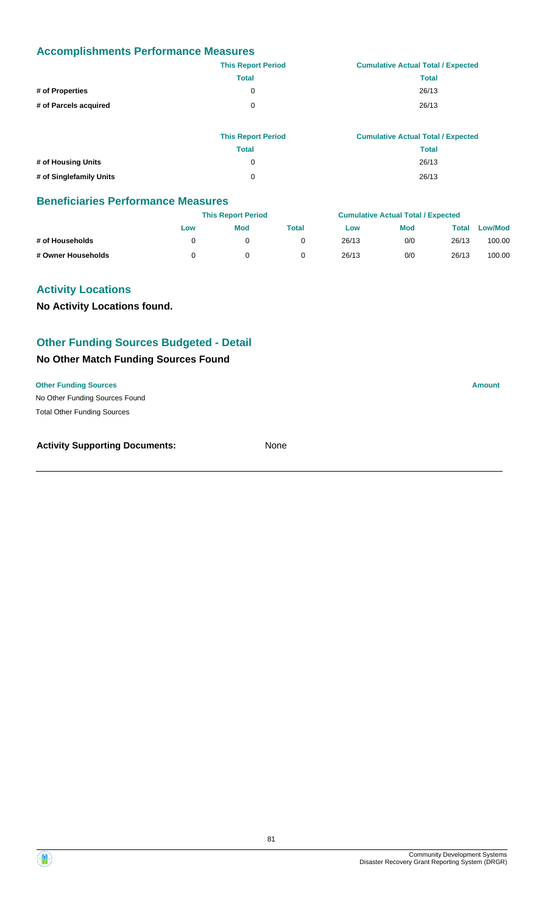|                       | <b>This Report Period</b> | <b>Cumulative Actual Total / Expected</b> |
|-----------------------|---------------------------|-------------------------------------------|
|                       | <b>Total</b>              | <b>Total</b>                              |
| # of Properties       | 0                         | 26/13                                     |
| # of Parcels acquired | 0                         | 26/13                                     |
|                       |                           |                                           |

|                         | <b>This Report Period</b> | <b>Cumulative Actual Total / Expected</b> |
|-------------------------|---------------------------|-------------------------------------------|
|                         | <b>Total</b>              | Total                                     |
| # of Housing Units      | 0                         | 26/13                                     |
| # of Singlefamily Units | $\Omega$                  | 26/13                                     |

#### **Beneficiaries Performance Measures**

|                    |     | <b>This Report Period</b> |       |       | <b>Cumulative Actual Total / Expected</b> |       |                |
|--------------------|-----|---------------------------|-------|-------|-------------------------------------------|-------|----------------|
|                    | Low | <b>Mod</b>                | Total | Low   | <b>Mod</b>                                | Total | <b>Low/Mod</b> |
| # of Households    |     |                           |       | 26/13 | 0/0                                       | 26/13 | 100.00         |
| # Owner Households |     |                           |       | 26/13 | 0/0                                       | 26/13 | 100.00         |

## **Activity Locations**

**No Activity Locations found.**

## **Other Funding Sources Budgeted - Detail**

## **No Other Match Funding Sources Found**

#### **Other Funding Sources Amount**

No Other Funding Sources Found Total Other Funding Sources

| <b>Activity Supporting Documents:</b> | None |
|---------------------------------------|------|
|                                       |      |

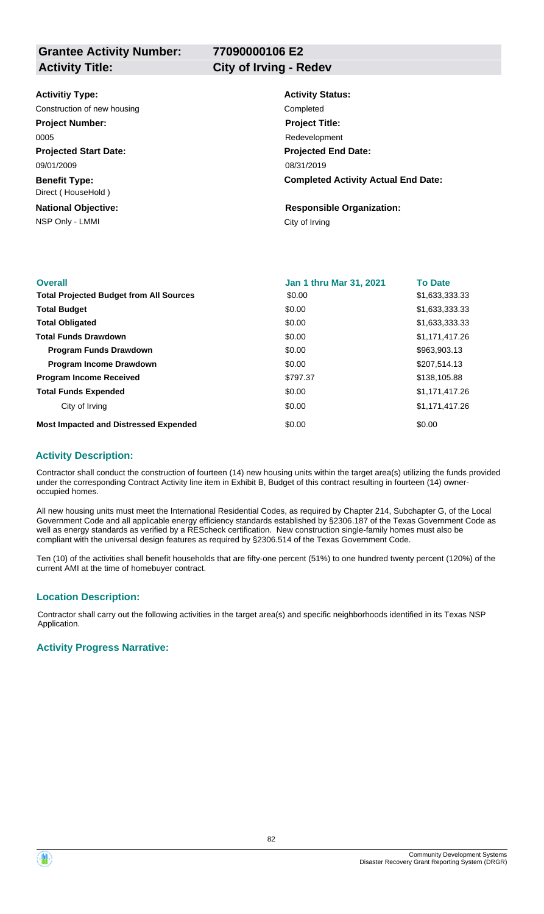**Grantee Activity Number: Activity Title: City of Irving - Redev**

**77090000106 E2**

| <b>Activitiy Type:</b>                     | <b>Activity Status:</b>                    |
|--------------------------------------------|--------------------------------------------|
| Construction of new housing                | Completed                                  |
| <b>Project Number:</b>                     | <b>Project Title:</b>                      |
| 0005                                       | Redevelopment                              |
| <b>Projected Start Date:</b>               | <b>Projected End Date:</b>                 |
| 09/01/2009                                 | 08/31/2019                                 |
| <b>Benefit Type:</b><br>Direct (HouseHold) | <b>Completed Activity Actual End Date:</b> |
| <b>National Objective:</b>                 | <b>Responsible Organization:</b>           |
| NSP Only - LMMI                            | City of Irving                             |
|                                            |                                            |

| <b>Overall</b>                                 | <b>Jan 1 thru Mar 31, 2021</b> | <b>To Date</b> |
|------------------------------------------------|--------------------------------|----------------|
| <b>Total Projected Budget from All Sources</b> | \$0.00                         | \$1,633,333.33 |
| <b>Total Budget</b>                            | \$0.00                         | \$1,633,333.33 |
| <b>Total Obligated</b>                         | \$0.00                         | \$1,633,333.33 |
| <b>Total Funds Drawdown</b>                    | \$0.00                         | \$1,171,417.26 |
| <b>Program Funds Drawdown</b>                  | \$0.00                         | \$963,903.13   |
| <b>Program Income Drawdown</b>                 | \$0.00                         | \$207,514.13   |
| <b>Program Income Received</b>                 | \$797.37                       | \$138,105.88   |
| <b>Total Funds Expended</b>                    | \$0.00                         | \$1,171,417.26 |
| City of Irving                                 | \$0.00                         | \$1,171,417.26 |
| <b>Most Impacted and Distressed Expended</b>   | \$0.00                         | \$0.00         |

#### **Activity Description:**

Contractor shall conduct the construction of fourteen (14) new housing units within the target area(s) utilizing the funds provided under the corresponding Contract Activity line item in Exhibit B, Budget of this contract resulting in fourteen (14) owneroccupied homes.

All new housing units must meet the International Residential Codes, as required by Chapter 214, Subchapter G, of the Local Government Code and all applicable energy efficiency standards established by §2306.187 of the Texas Government Code as well as energy standards as verified by a REScheck certification. New construction single-family homes must also be compliant with the universal design features as required by §2306.514 of the Texas Government Code.

Ten (10) of the activities shall benefit households that are fifty-one percent (51%) to one hundred twenty percent (120%) of the current AMI at the time of homebuyer contract.

#### **Location Description:**

Contractor shall carry out the following activities in the target area(s) and specific neighborhoods identified in its Texas NSP Application.

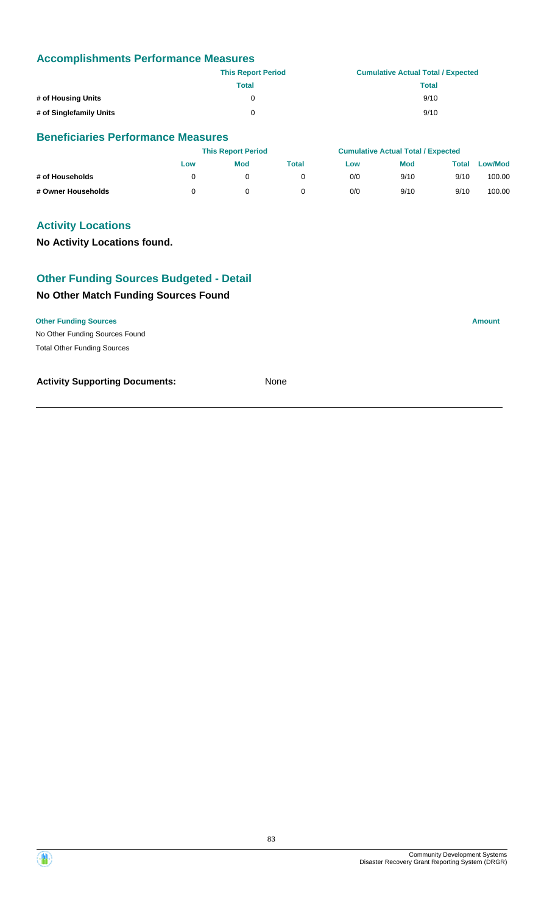|                         | <b>This Report Period</b> | <b>Cumulative Actual Total / Expected</b> |
|-------------------------|---------------------------|-------------------------------------------|
|                         | Total                     | Total                                     |
| # of Housing Units      | 0                         | 9/10                                      |
| # of Singlefamily Units | 0                         | 9/10                                      |

## **Beneficiaries Performance Measures**

|                    |     | <b>This Report Period</b> |       |     | <b>Cumulative Actual Total / Expected</b> |       |                |  |
|--------------------|-----|---------------------------|-------|-----|-------------------------------------------|-------|----------------|--|
|                    | Low | <b>Mod</b>                | Total | Low | <b>Mod</b>                                | Total | <b>Low/Mod</b> |  |
| # of Households    |     |                           |       | 0/0 | 9/10                                      | 9/10  | 100.00         |  |
| # Owner Households |     |                           |       | 0/0 | 9/10                                      | 9/10  | 100.00         |  |

## **Activity Locations**

**No Activity Locations found.**

## **Other Funding Sources Budgeted - Detail**

## **No Other Match Funding Sources Found**

No Other Funding Sources Found **Other Funding Sources Amount** Total Other Funding Sources

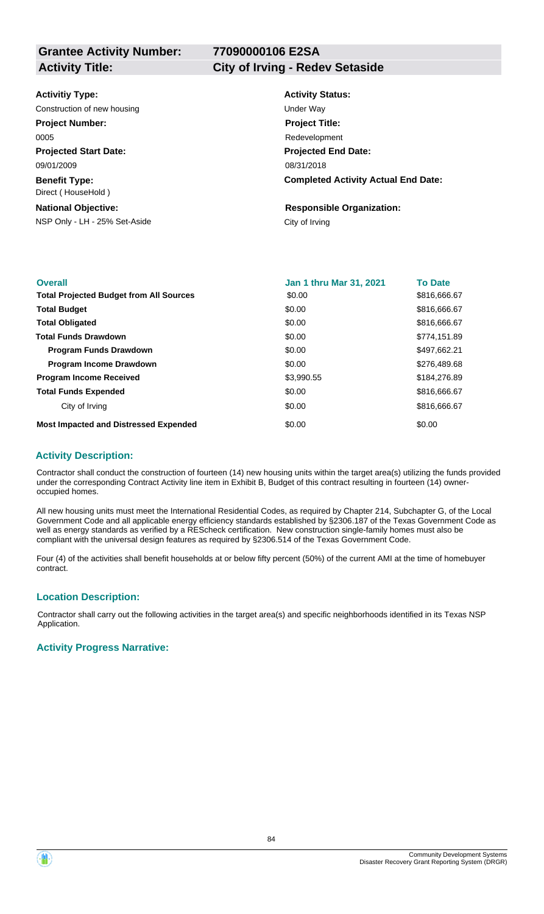**Grantee Activity Number: Activity Title: City of Irving - Redev Setaside**

# **77090000106 E2SA**

| <b>Activitiy Type:</b>                     | <b>Activity Status:</b>                    |
|--------------------------------------------|--------------------------------------------|
| Construction of new housing                | Under Way                                  |
| <b>Project Number:</b>                     | <b>Project Title:</b>                      |
| 0005                                       | Redevelopment                              |
| <b>Projected Start Date:</b>               | <b>Projected End Date:</b>                 |
| 09/01/2009                                 | 08/31/2018                                 |
| <b>Benefit Type:</b><br>Direct (HouseHold) | <b>Completed Activity Actual End Date:</b> |
| <b>National Objective:</b>                 | <b>Responsible Organization:</b>           |
| NSP Only - LH - 25% Set-Aside              | City of Irving                             |
|                                            |                                            |

| <b>Overall</b>                                 | <b>Jan 1 thru Mar 31, 2021</b> | <b>To Date</b> |
|------------------------------------------------|--------------------------------|----------------|
| <b>Total Projected Budget from All Sources</b> | \$0.00                         | \$816,666.67   |
| <b>Total Budget</b>                            | \$0.00                         | \$816,666.67   |
| <b>Total Obligated</b>                         | \$0.00                         | \$816,666.67   |
| <b>Total Funds Drawdown</b>                    | \$0.00                         | \$774,151.89   |
| <b>Program Funds Drawdown</b>                  | \$0.00                         | \$497,662.21   |
| <b>Program Income Drawdown</b>                 | \$0.00                         | \$276,489.68   |
| <b>Program Income Received</b>                 | \$3,990.55                     | \$184,276.89   |
| <b>Total Funds Expended</b>                    | \$0.00                         | \$816,666.67   |
| City of Irving                                 | \$0.00                         | \$816,666.67   |
| <b>Most Impacted and Distressed Expended</b>   | \$0.00                         | \$0.00         |

#### **Activity Description:**

Contractor shall conduct the construction of fourteen (14) new housing units within the target area(s) utilizing the funds provided under the corresponding Contract Activity line item in Exhibit B, Budget of this contract resulting in fourteen (14) owneroccupied homes.

All new housing units must meet the International Residential Codes, as required by Chapter 214, Subchapter G, of the Local Government Code and all applicable energy efficiency standards established by §2306.187 of the Texas Government Code as well as energy standards as verified by a REScheck certification. New construction single-family homes must also be compliant with the universal design features as required by §2306.514 of the Texas Government Code.

Four (4) of the activities shall benefit households at or below fifty percent (50%) of the current AMI at the time of homebuyer contract.

#### **Location Description:**

Contractor shall carry out the following activities in the target area(s) and specific neighborhoods identified in its Texas NSP Application.

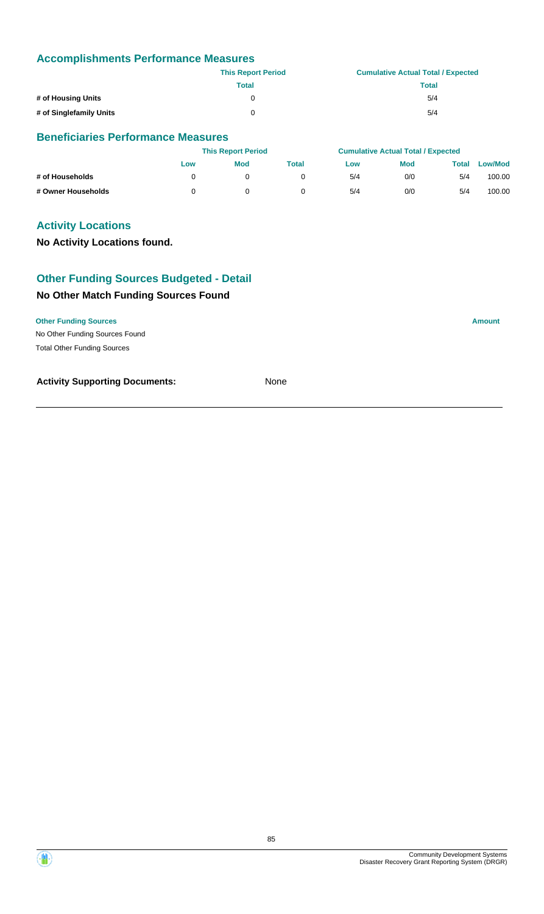|                         | <b>This Report Period</b> | <b>Cumulative Actual Total / Expected</b> |
|-------------------------|---------------------------|-------------------------------------------|
|                         | <b>Total</b>              | Total                                     |
| # of Housing Units      | 0                         | 5/4                                       |
| # of Singlefamily Units | 0                         | 5/4                                       |

## **Beneficiaries Performance Measures**

|                    |     | <b>This Report Period</b> |       |     | <b>Cumulative Actual Total / Expected</b> |       |         |  |
|--------------------|-----|---------------------------|-------|-----|-------------------------------------------|-------|---------|--|
|                    | Low | Mod                       | Total | Low | <b>Mod</b>                                | Total | Low/Mod |  |
| # of Households    |     |                           |       | 5/4 | 0/0                                       | 5/4   | 100.00  |  |
| # Owner Households |     |                           |       | 5/4 | 0/0                                       | 5/4   | 100.00  |  |

## **Activity Locations**

**No Activity Locations found.**

## **Other Funding Sources Budgeted - Detail**

## **No Other Match Funding Sources Found**

No Other Funding Sources Found **Other Funding Sources Amount** Total Other Funding Sources

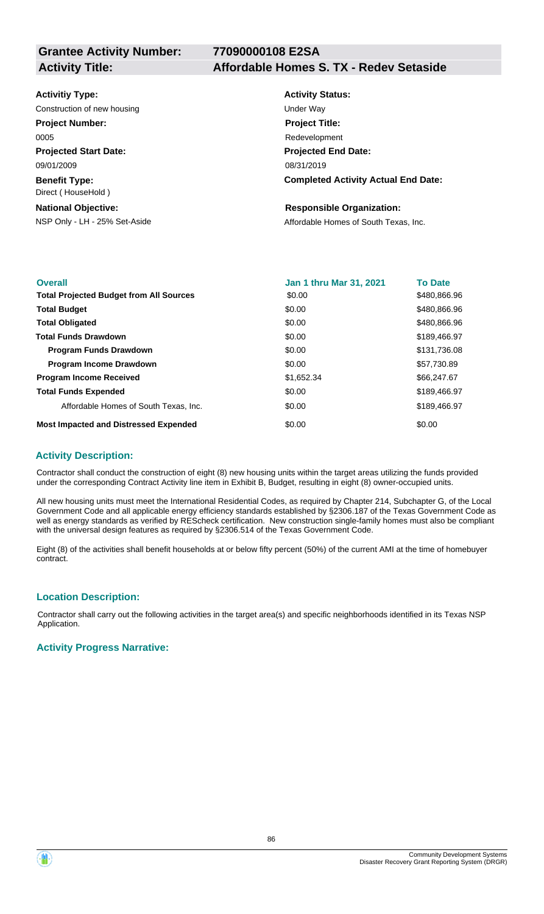**77090000108 E2SA**

# **Activity Title: Affordable Homes S. TX - Redev Setaside**

| <b>Activitiy Type:</b>                                      | <b>Activity Status:</b>                    |
|-------------------------------------------------------------|--------------------------------------------|
| Construction of new housing                                 | Under Way                                  |
| <b>Project Number:</b>                                      | <b>Project Title:</b>                      |
| 0005                                                        | Redevelopment                              |
| <b>Projected Start Date:</b>                                | <b>Projected End Date:</b>                 |
| 09/01/2009                                                  | 08/31/2019                                 |
| <b>Benefit Type:</b><br>Direct (HouseHold)                  | <b>Completed Activity Actual End Date:</b> |
| <b>National Objective:</b><br>NSP Only - LH - 25% Set-Aside | <b>Responsible Organization:</b>           |
|                                                             | Affordable Homes of South Texas, Inc.      |

| <b>Overall</b>                                 | Jan 1 thru Mar 31, 2021 | <b>To Date</b> |
|------------------------------------------------|-------------------------|----------------|
| <b>Total Projected Budget from All Sources</b> | \$0.00                  | \$480,866.96   |
| <b>Total Budget</b>                            | \$0.00                  | \$480,866.96   |
| <b>Total Obligated</b>                         | \$0.00                  | \$480,866.96   |
| <b>Total Funds Drawdown</b>                    | \$0.00                  | \$189,466.97   |
| <b>Program Funds Drawdown</b>                  | \$0.00                  | \$131,736.08   |
| <b>Program Income Drawdown</b>                 | \$0.00                  | \$57,730.89    |
| <b>Program Income Received</b>                 | \$1,652.34              | \$66,247.67    |
| <b>Total Funds Expended</b>                    | \$0.00                  | \$189,466.97   |
| Affordable Homes of South Texas, Inc.          | \$0.00                  | \$189,466.97   |
| <b>Most Impacted and Distressed Expended</b>   | \$0.00                  | \$0.00         |

#### **Activity Description:**

Contractor shall conduct the construction of eight (8) new housing units within the target areas utilizing the funds provided under the corresponding Contract Activity line item in Exhibit B, Budget, resulting in eight (8) owner-occupied units.

All new housing units must meet the International Residential Codes, as required by Chapter 214, Subchapter G, of the Local Government Code and all applicable energy efficiency standards established by §2306.187 of the Texas Government Code as well as energy standards as verified by REScheck certification. New construction single-family homes must also be compliant with the universal design features as required by §2306.514 of the Texas Government Code.

Eight (8) of the activities shall benefit households at or below fifty percent (50%) of the current AMI at the time of homebuyer contract.

#### **Location Description:**

Contractor shall carry out the following activities in the target area(s) and specific neighborhoods identified in its Texas NSP Application.

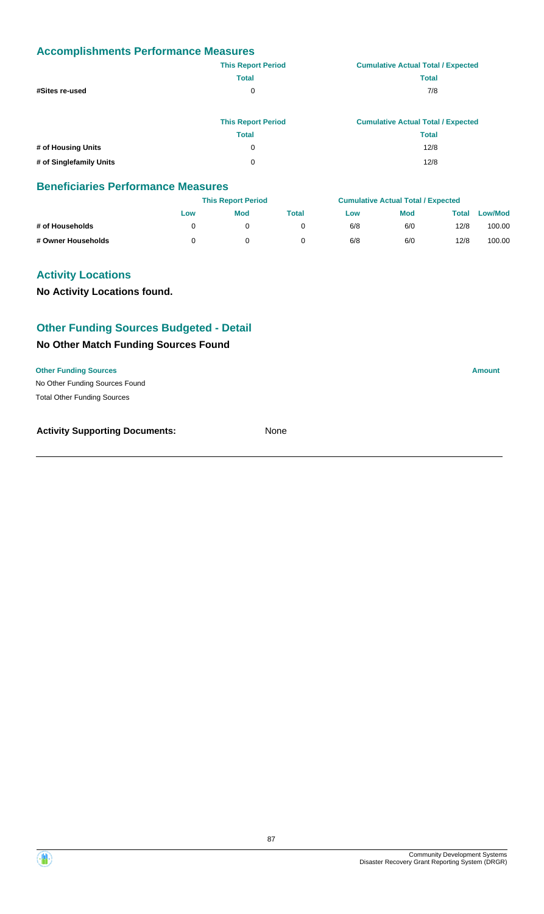|                         | <b>This Report Period</b> | <b>Cumulative Actual Total / Expected</b> |
|-------------------------|---------------------------|-------------------------------------------|
|                         | <b>Total</b>              | <b>Total</b>                              |
| #Sites re-used          | 0                         | 7/8                                       |
|                         | <b>This Report Period</b> | <b>Cumulative Actual Total / Expected</b> |
|                         | <b>Total</b>              | <b>Total</b>                              |
| # of Housing Units      | 0                         | 12/8                                      |
| # of Singlefamily Units | 0                         | 12/8                                      |

#### **Beneficiaries Performance Measures**

|                    |     | <b>This Report Period</b> |       |     | <b>Cumulative Actual Total / Expected</b> |       |         |
|--------------------|-----|---------------------------|-------|-----|-------------------------------------------|-------|---------|
|                    | Low | Mod                       | Total | Low | <b>Mod</b>                                | Total | Low/Mod |
| # of Households    |     |                           |       | 6/8 | 6/0                                       | 12/8  | 100.00  |
| # Owner Households |     |                           |       | 6/8 | 6/0                                       | 12/8  | 100.00  |

## **Activity Locations**

**No Activity Locations found.**

## **Other Funding Sources Budgeted - Detail**

## **No Other Match Funding Sources Found**

No Other Funding Sources Found **Other Funding Sources Amount** 

Total Other Funding Sources

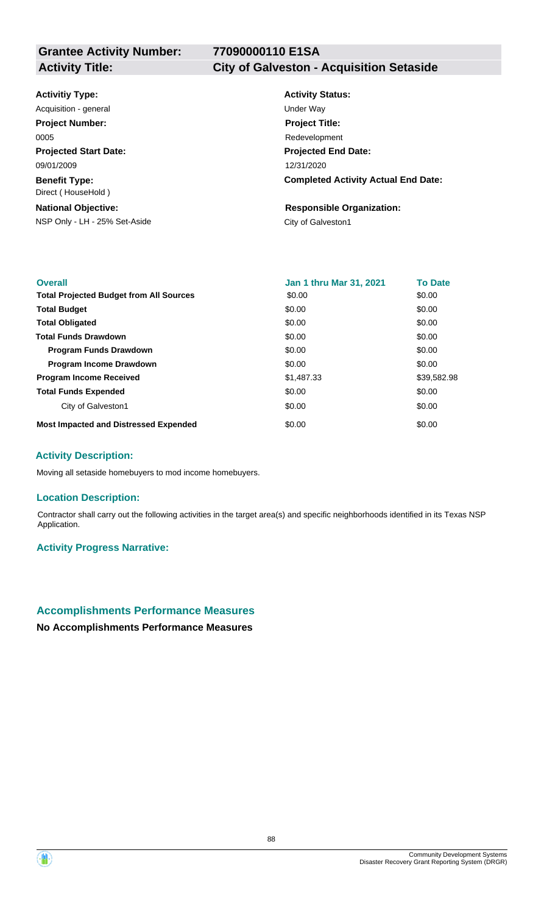## **77090000110 E1SA**

# **Activity Title: City of Galveston - Acquisition Setaside**

#### **Activitiy Type:**

**Projected Start Date: Benefit Type:** 09/01/2009 Direct ( HouseHold ) Acquisition - general and the contract of the Under Way **Project Number:** 0005

## **National Objective:**

NSP Only - LH - 25% Set-Aside City of Galveston1

# **Activity Status: Projected End Date: Completed Activity Actual End Date:** 12/31/2020 **Project Title:** Redevelopment

# **Responsible Organization:**

| <b>Overall</b>                                 | Jan 1 thru Mar 31, 2021 | <b>To Date</b> |
|------------------------------------------------|-------------------------|----------------|
| <b>Total Projected Budget from All Sources</b> | \$0.00                  | \$0.00         |
| <b>Total Budget</b>                            | \$0.00                  | \$0.00         |
| <b>Total Obligated</b>                         | \$0.00                  | \$0.00         |
| <b>Total Funds Drawdown</b>                    | \$0.00                  | \$0.00         |
| <b>Program Funds Drawdown</b>                  | \$0.00                  | \$0.00         |
| <b>Program Income Drawdown</b>                 | \$0.00                  | \$0.00         |
| <b>Program Income Received</b>                 | \$1,487.33              | \$39,582.98    |
| <b>Total Funds Expended</b>                    | \$0.00                  | \$0.00         |
| City of Galveston1                             | \$0.00                  | \$0.00         |
| <b>Most Impacted and Distressed Expended</b>   | \$0.00                  | \$0.00         |

#### **Activity Description:**

Moving all setaside homebuyers to mod income homebuyers.

#### **Location Description:**

Contractor shall carry out the following activities in the target area(s) and specific neighborhoods identified in its Texas NSP Application.

#### **Activity Progress Narrative:**

## **Accomplishments Performance Measures**

**No Accomplishments Performance Measures**

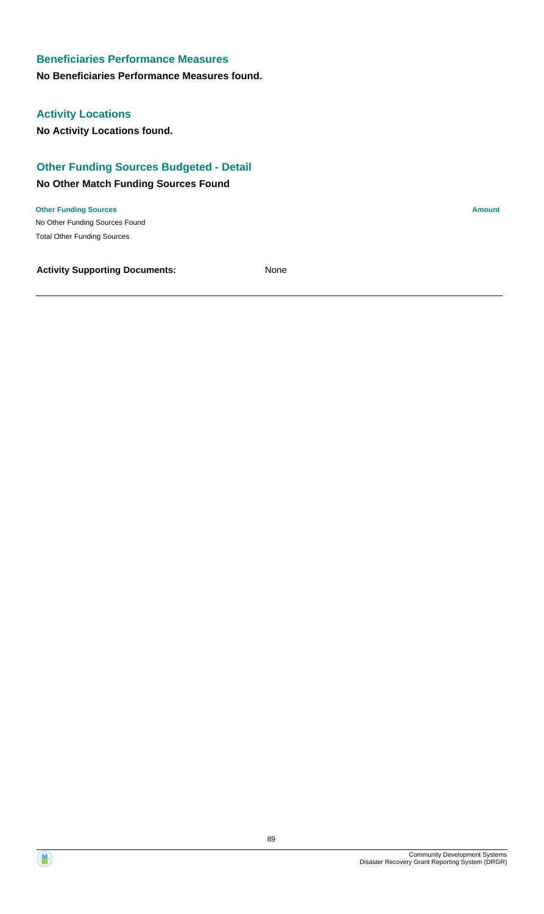## **Beneficiaries Performance Measures**

#### **No Beneficiaries Performance Measures found.**

## **Activity Locations**

**No Activity Locations found.**

## **Other Funding Sources Budgeted - Detail**

## **No Other Match Funding Sources Found**

No Other Funding Sources Found **Other Funding Sources Amount Amount Amount Amount Amount Amount Amount** Total Other Funding Sources

**Activity Supporting Documents:** None

Community Development Systems

Disaster Recovery Grant Reporting System (DRGR)

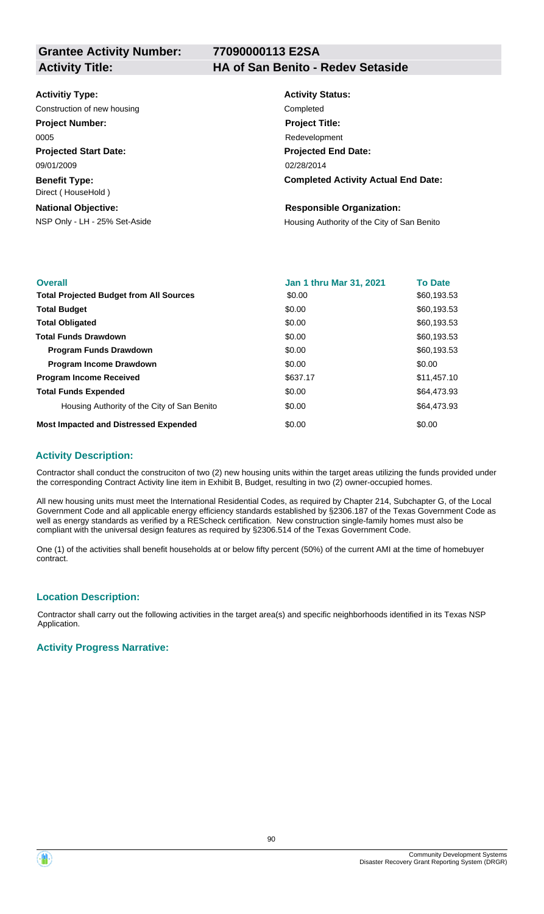**Grantee Activity Number:**

## **77090000113 E2SA**

#### **Activity Title: HA of San Benito - Redev Setaside**

| <b>Activitiy Type:</b> |  |
|------------------------|--|
|------------------------|--|

Construction of new housing Completed

**Project Number:**

0005

**Projected Start Date:** 09/01/2009

**Benefit Type:** Direct ( HouseHold )

## **National Objective:**

# **Activity Status: Projected End Date: Completed Activity Actual End Date:** 02/28/2014 **Project Title:** Redevelopment

#### **Responsible Organization:**

NSP Only - LH - 25% Set-Aside **Housing Authority of the City of San Benito** 

| <b>Overall</b>                                 | <b>Jan 1 thru Mar 31, 2021</b> | <b>To Date</b> |
|------------------------------------------------|--------------------------------|----------------|
| <b>Total Projected Budget from All Sources</b> | \$0.00                         | \$60,193.53    |
| <b>Total Budget</b>                            | \$0.00                         | \$60,193.53    |
| <b>Total Obligated</b>                         | \$0.00                         | \$60,193.53    |
| <b>Total Funds Drawdown</b>                    | \$0.00                         | \$60,193.53    |
| <b>Program Funds Drawdown</b>                  | \$0.00                         | \$60,193.53    |
| <b>Program Income Drawdown</b>                 | \$0.00                         | \$0.00         |
| <b>Program Income Received</b>                 | \$637.17                       | \$11,457.10    |
| <b>Total Funds Expended</b>                    | \$0.00                         | \$64,473.93    |
| Housing Authority of the City of San Benito    | \$0.00                         | \$64,473.93    |
| <b>Most Impacted and Distressed Expended</b>   | \$0.00                         | \$0.00         |

#### **Activity Description:**

Contractor shall conduct the construciton of two (2) new housing units within the target areas utilizing the funds provided under the corresponding Contract Activity line item in Exhibit B, Budget, resulting in two (2) owner-occupied homes.

All new housing units must meet the International Residential Codes, as required by Chapter 214, Subchapter G, of the Local Government Code and all applicable energy efficiency standards established by §2306.187 of the Texas Government Code as well as energy standards as verified by a REScheck certification. New construction single-family homes must also be compliant with the universal design features as required by §2306.514 of the Texas Government Code.

One (1) of the activities shall benefit households at or below fifty percent (50%) of the current AMI at the time of homebuyer contract.

#### **Location Description:**

Contractor shall carry out the following activities in the target area(s) and specific neighborhoods identified in its Texas NSP Application.

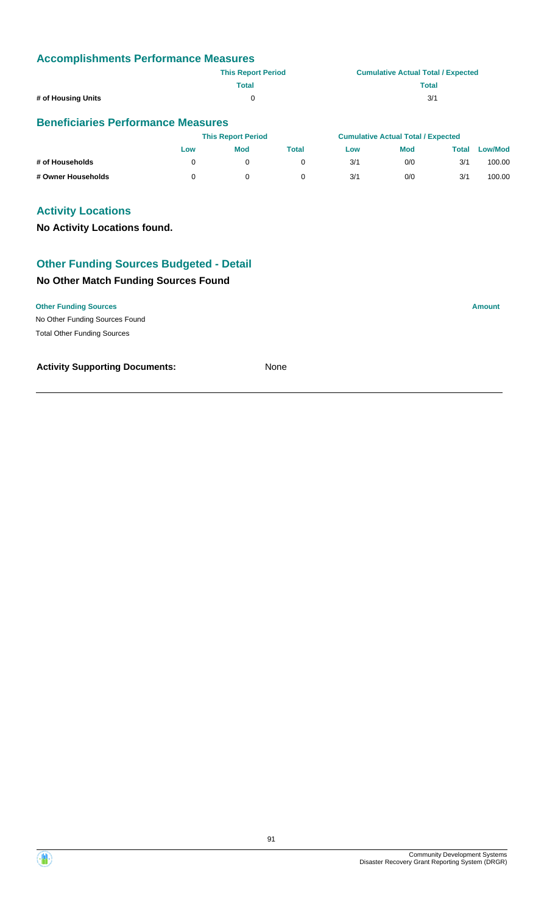|                    | <b>This Report Period</b> | <b>Cumulative Actual Total / Expected</b> |
|--------------------|---------------------------|-------------------------------------------|
|                    | <b>Total</b>              | <b>Total</b>                              |
| # of Housing Units |                           | 3/1                                       |

## **Beneficiaries Performance Measures**

|                    |     | <b>This Report Period</b> |              |     | <b>Cumulative Actual Total / Expected</b> |       |                |
|--------------------|-----|---------------------------|--------------|-----|-------------------------------------------|-------|----------------|
|                    | Low | <b>Mod</b>                | <b>Total</b> | Low | <b>Mod</b>                                | Total | <b>Low/Mod</b> |
| # of Households    |     |                           |              | 3/1 | 0/0                                       | 3/1   | 100.00         |
| # Owner Households |     |                           |              | 3/1 | 0/0                                       | 3/1   | 100.00         |

## **Activity Locations**

**No Activity Locations found.**

# **Other Funding Sources Budgeted - Detail**

## **No Other Match Funding Sources Found**

#### **Other Funding Sources Amount**

No Other Funding Sources Found Total Other Funding Sources

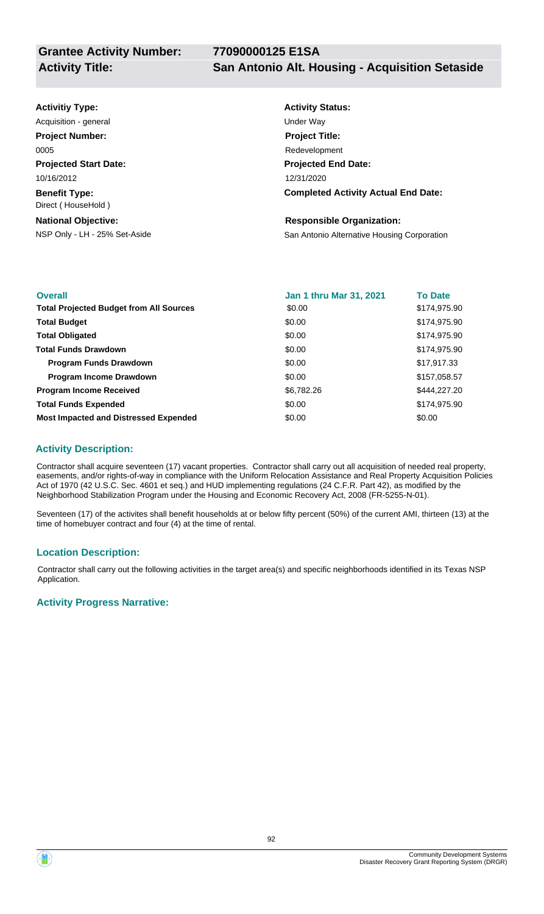| <b>Activitiy Type:</b>                     | <b>Activity Status:</b>                     |
|--------------------------------------------|---------------------------------------------|
| Acquisition - general                      | Under Way                                   |
| <b>Project Number:</b>                     | <b>Project Title:</b>                       |
| 0005                                       | Redevelopment                               |
| <b>Projected Start Date:</b>               | <b>Projected End Date:</b>                  |
| 10/16/2012                                 | 12/31/2020                                  |
| <b>Benefit Type:</b><br>Direct (HouseHold) | <b>Completed Activity Actual End Date:</b>  |
| <b>National Objective:</b>                 | <b>Responsible Organization:</b>            |
| NSP Only - LH - 25% Set-Aside              | San Antonio Alternative Housing Corporation |

| <b>Overall</b>                                 | <b>Jan 1 thru Mar 31, 2021</b> | <b>To Date</b> |
|------------------------------------------------|--------------------------------|----------------|
| <b>Total Projected Budget from All Sources</b> | \$0.00                         | \$174,975.90   |
| <b>Total Budget</b>                            | \$0.00                         | \$174,975.90   |
| <b>Total Obligated</b>                         | \$0.00                         | \$174,975.90   |
| <b>Total Funds Drawdown</b>                    | \$0.00                         | \$174,975.90   |
| <b>Program Funds Drawdown</b>                  | \$0.00                         | \$17,917.33    |
| <b>Program Income Drawdown</b>                 | \$0.00                         | \$157,058.57   |
| <b>Program Income Received</b>                 | \$6,782.26                     | \$444.227.20   |
| <b>Total Funds Expended</b>                    | \$0.00                         | \$174,975.90   |
| <b>Most Impacted and Distressed Expended</b>   | \$0.00                         | \$0.00         |

## **Activity Description:**

Contractor shall acquire seventeen (17) vacant properties. Contractor shall carry out all acquisition of needed real property, easements, and/or rights-of-way in compliance with the Uniform Relocation Assistance and Real Property Acquisition Policies Act of 1970 (42 U.S.C. Sec. 4601 et seq.) and HUD implementing regulations (24 C.F.R. Part 42), as modified by the Neighborhood Stabilization Program under the Housing and Economic Recovery Act, 2008 (FR-5255-N-01).

Seventeen (17) of the activites shall benefit households at or below fifty percent (50%) of the current AMI, thirteen (13) at the time of homebuyer contract and four (4) at the time of rental.

#### **Location Description:**

Contractor shall carry out the following activities in the target area(s) and specific neighborhoods identified in its Texas NSP Application.

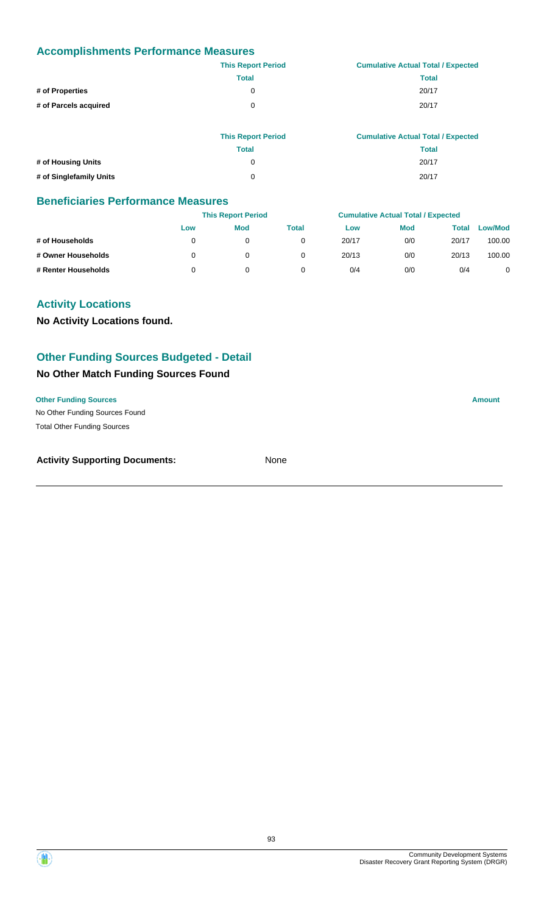|                       | <b>This Report Period</b> | <b>Cumulative Actual Total / Expected</b> |
|-----------------------|---------------------------|-------------------------------------------|
|                       | <b>Total</b>              | Total                                     |
| # of Properties       | 0                         | 20/17                                     |
| # of Parcels acquired | 0                         | 20/17                                     |
|                       |                           |                                           |

|                         | <b>This Report Period</b> | <b>Cumulative Actual Total / Expected</b> |
|-------------------------|---------------------------|-------------------------------------------|
|                         | <b>Total</b>              | Total                                     |
| # of Housing Units      | 0                         | 20/17                                     |
| # of Singlefamily Units | <sup>0</sup>              | 20/17                                     |

#### **Beneficiaries Performance Measures**

|                     | <b>This Report Period</b> |     | <b>Cumulative Actual Total / Expected</b> |       |            |       |                |
|---------------------|---------------------------|-----|-------------------------------------------|-------|------------|-------|----------------|
|                     | Low                       | Mod | Total                                     | Low   | <b>Mod</b> | Total | <b>Low/Mod</b> |
| # of Households     | 0                         |     |                                           | 20/17 | 0/0        | 20/17 | 100.00         |
| # Owner Households  |                           |     |                                           | 20/13 | 0/0        | 20/13 | 100.00         |
| # Renter Households |                           |     |                                           | 0/4   | 0/0        | 0/4   | 0              |

## **Activity Locations**

**No Activity Locations found.**

## **Other Funding Sources Budgeted - Detail**

## **No Other Match Funding Sources Found**

#### **Other Funding Sources Amount**

No Other Funding Sources Found Total Other Funding Sources

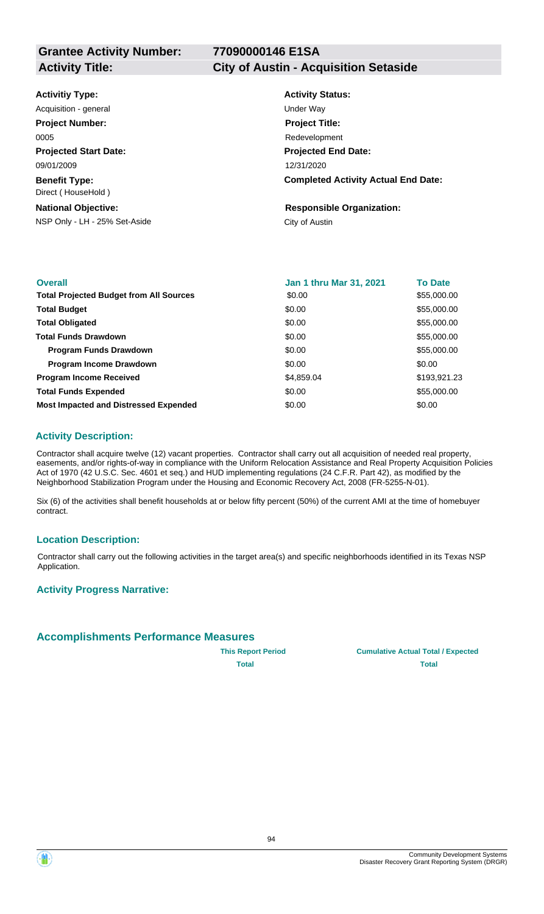## **77090000146 E1SA**

#### **Activity Title: City of Austin - Acquisition Setaside**

| <b>Activitiy Type:</b>                     | <b>Activity Status:</b>                    |
|--------------------------------------------|--------------------------------------------|
| Acquisition - general                      | Under Wav                                  |
| <b>Project Number:</b>                     | <b>Project Title:</b>                      |
| 0005                                       | Redevelopment                              |
| <b>Projected Start Date:</b>               | <b>Projected End Date:</b>                 |
| 09/01/2009                                 | 12/31/2020                                 |
| <b>Benefit Type:</b><br>Direct (HouseHold) | <b>Completed Activity Actual End Date:</b> |
| <b>National Objective:</b>                 | <b>Responsible Organization:</b>           |
| NSP Only - LH - 25% Set-Aside              | City of Austin                             |
|                                            |                                            |

| <b>Overall</b>                                 | <b>Jan 1 thru Mar 31, 2021</b> | <b>To Date</b> |
|------------------------------------------------|--------------------------------|----------------|
| <b>Total Projected Budget from All Sources</b> | \$0.00                         | \$55,000.00    |
| <b>Total Budget</b>                            | \$0.00                         | \$55,000.00    |
| <b>Total Obligated</b>                         | \$0.00                         | \$55,000.00    |
| <b>Total Funds Drawdown</b>                    | \$0.00                         | \$55,000.00    |
| <b>Program Funds Drawdown</b>                  | \$0.00                         | \$55,000.00    |
| <b>Program Income Drawdown</b>                 | \$0.00                         | \$0.00         |
| <b>Program Income Received</b>                 | \$4,859.04                     | \$193,921.23   |
| <b>Total Funds Expended</b>                    | \$0.00                         | \$55,000.00    |
| <b>Most Impacted and Distressed Expended</b>   | \$0.00                         | \$0.00         |

#### **Activity Description:**

Contractor shall acquire twelve (12) vacant properties. Contractor shall carry out all acquisition of needed real property, easements, and/or rights-of-way in compliance with the Uniform Relocation Assistance and Real Property Acquisition Policies Act of 1970 (42 U.S.C. Sec. 4601 et seq.) and HUD implementing regulations (24 C.F.R. Part 42), as modified by the Neighborhood Stabilization Program under the Housing and Economic Recovery Act, 2008 (FR-5255-N-01).

Six (6) of the activities shall benefit households at or below fifty percent (50%) of the current AMI at the time of homebuyer contract.

#### **Location Description:**

Contractor shall carry out the following activities in the target area(s) and specific neighborhoods identified in its Texas NSP Application.

#### **Activity Progress Narrative:**

#### **Accomplishments Performance Measures**

**This Report Period Cumulative Actual Total / Expected Total Total**

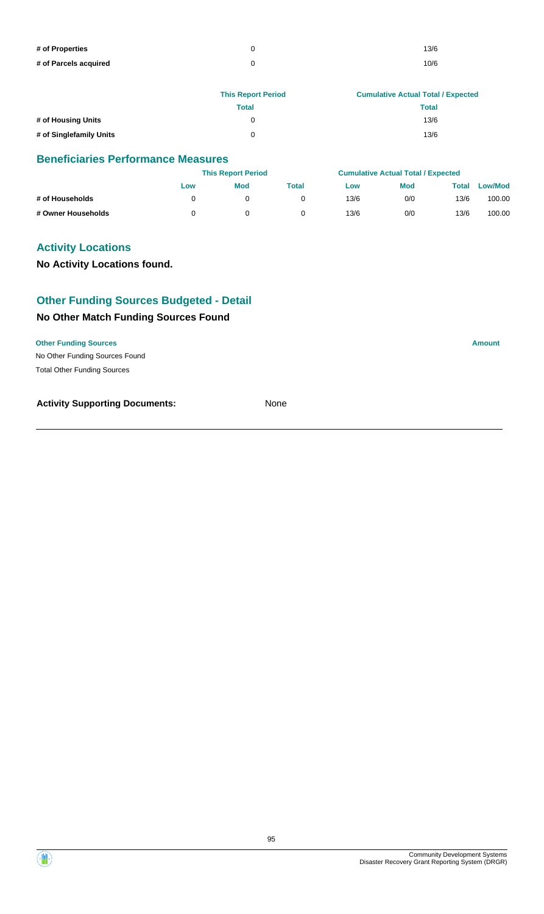| # of Properties       | 13/6 |
|-----------------------|------|
| # of Parcels acquired | 10/6 |

|                         | <b>This Report Period</b> | <b>Cumulative Actual Total / Expected</b> |
|-------------------------|---------------------------|-------------------------------------------|
|                         | Total                     | <b>Total</b>                              |
| # of Housing Units      |                           | 13/6                                      |
| # of Singlefamily Units | ∩                         | 13/6                                      |

## **Beneficiaries Performance Measures**

|                    |     | <b>This Report Period</b> |       |      | <b>Cumulative Actual Total / Expected</b> |       |                |  |
|--------------------|-----|---------------------------|-------|------|-------------------------------------------|-------|----------------|--|
|                    | Low | <b>Mod</b>                | Total | Low  | <b>Mod</b>                                | Total | <b>Low/Mod</b> |  |
| # of Households    |     |                           |       | 13/6 | 0/0                                       | 13/6  | 100.00         |  |
| # Owner Households |     |                           |       | 13/6 | 0/0                                       | 13/6  | 100.00         |  |

## **Activity Locations**

**No Activity Locations found.**

## **Other Funding Sources Budgeted - Detail**

## **No Other Match Funding Sources Found**

#### **Other Funding Sources Amount**

No Other Funding Sources Found Total Other Funding Sources

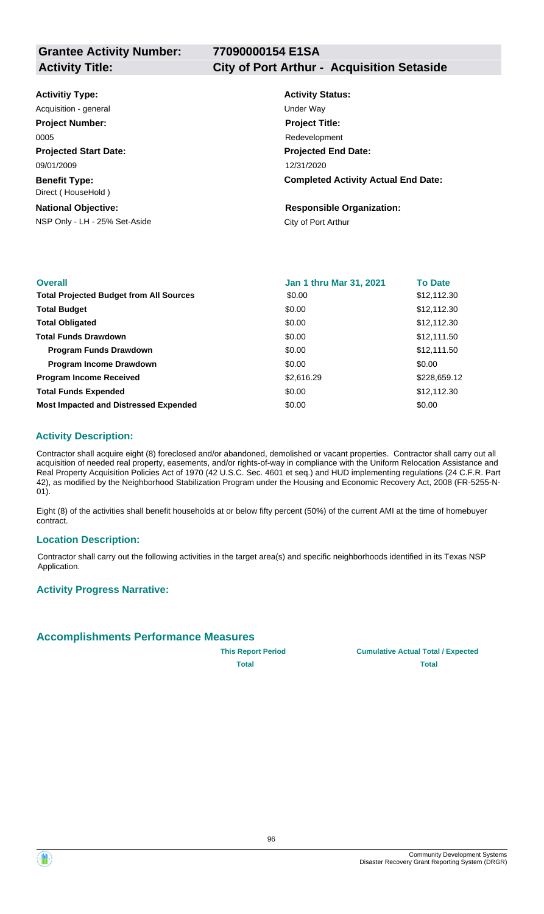## **77090000154 E1SA Activity Title: City of Port Arthur - Acquisition Setaside**

| <b>Activitiy Type:</b>                     | <b>Activity Status:</b>                    |
|--------------------------------------------|--------------------------------------------|
| Acquisition - general                      | Under Way                                  |
| <b>Project Number:</b>                     | <b>Project Title:</b>                      |
| 0005                                       | Redevelopment                              |
| <b>Projected Start Date:</b>               | <b>Projected End Date:</b>                 |
| 09/01/2009                                 | 12/31/2020                                 |
| <b>Benefit Type:</b><br>Direct (HouseHold) | <b>Completed Activity Actual End Date:</b> |
| <b>National Objective:</b>                 | <b>Responsible Organization:</b>           |
| NSP Only - LH - 25% Set-Aside              | City of Port Arthur                        |
|                                            |                                            |

| <b>Overall</b>                                 | Jan 1 thru Mar 31, 2021 | <b>To Date</b> |
|------------------------------------------------|-------------------------|----------------|
| <b>Total Projected Budget from All Sources</b> | \$0.00                  | \$12,112.30    |
| <b>Total Budget</b>                            | \$0.00                  | \$12,112.30    |
| <b>Total Obligated</b>                         | \$0.00                  | \$12,112.30    |
| <b>Total Funds Drawdown</b>                    | \$0.00                  | \$12,111.50    |
| <b>Program Funds Drawdown</b>                  | \$0.00                  | \$12,111.50    |
| <b>Program Income Drawdown</b>                 | \$0.00                  | \$0.00         |
| <b>Program Income Received</b>                 | \$2,616.29              | \$228,659.12   |
| <b>Total Funds Expended</b>                    | \$0.00                  | \$12,112.30    |
| <b>Most Impacted and Distressed Expended</b>   | \$0.00                  | \$0.00         |

## **Activity Description:**

Contractor shall acquire eight (8) foreclosed and/or abandoned, demolished or vacant properties. Contractor shall carry out all acquisition of needed real property, easements, and/or rights-of-way in compliance with the Uniform Relocation Assistance and Real Property Acquisition Policies Act of 1970 (42 U.S.C. Sec. 4601 et seq.) and HUD implementing regulations (24 C.F.R. Part 42), as modified by the Neighborhood Stabilization Program under the Housing and Economic Recovery Act, 2008 (FR-5255-N-01).

Eight (8) of the activities shall benefit households at or below fifty percent (50%) of the current AMI at the time of homebuyer contract.

#### **Location Description:**

Contractor shall carry out the following activities in the target area(s) and specific neighborhoods identified in its Texas NSP Application.

#### **Activity Progress Narrative:**

## **Accomplishments Performance Measures**

**This Report Period Cumulative Actual Total / Expected Total Total**

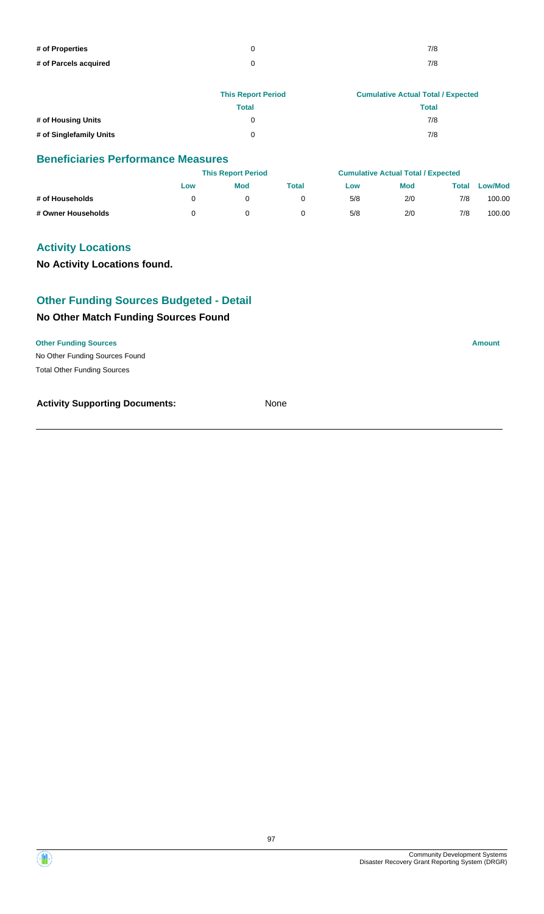| # of Properties       | 7/8 |
|-----------------------|-----|
| # of Parcels acquired | 7/8 |

|                         | <b>This Report Period</b> | <b>Cumulative Actual Total / Expected</b> |
|-------------------------|---------------------------|-------------------------------------------|
|                         | Total                     | <b>Total</b>                              |
| # of Housing Units      | 0                         | 7/8                                       |
| # of Singlefamily Units | ∩                         | 7/8                                       |

## **Beneficiaries Performance Measures**

|                    |     | <b>This Report Period</b> |       |     | <b>Cumulative Actual Total / Expected</b> |       |                |
|--------------------|-----|---------------------------|-------|-----|-------------------------------------------|-------|----------------|
|                    | Low | <b>Mod</b>                | Total | Low | <b>Mod</b>                                | Total | <b>Low/Mod</b> |
| # of Households    |     |                           |       | 5/8 | 2/0                                       | 7/8   | 100.00         |
| # Owner Households |     |                           |       | 5/8 | 2/0                                       | 7/8   | 100.00         |

## **Activity Locations**

**No Activity Locations found.**

## **Other Funding Sources Budgeted - Detail**

## **No Other Match Funding Sources Found**

#### **Other Funding Sources Amount**

No Other Funding Sources Found Total Other Funding Sources

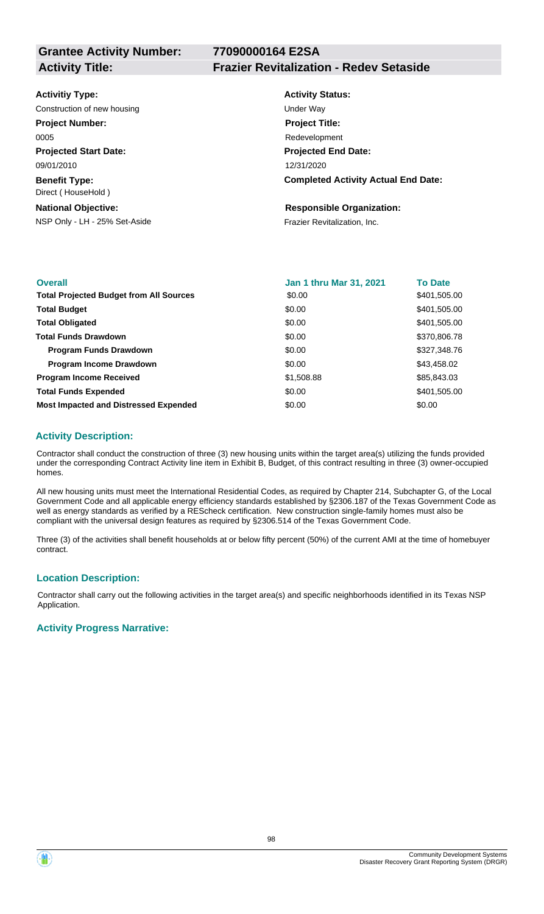**77090000164 E2SA**

## **Activity Title: Frazier Revitalization - Redev Setaside**

| <b>Activity Status:</b>                    |
|--------------------------------------------|
| Under Way                                  |
| <b>Project Title:</b>                      |
| Redevelopment                              |
| <b>Projected End Date:</b>                 |
| 12/31/2020                                 |
| <b>Completed Activity Actual End Date:</b> |
| <b>Responsible Organization:</b>           |
| Frazier Revitalization, Inc.               |
|                                            |

| <b>Overall</b>                                 | <b>Jan 1 thru Mar 31, 2021</b> | <b>To Date</b> |
|------------------------------------------------|--------------------------------|----------------|
| <b>Total Projected Budget from All Sources</b> | \$0.00                         | \$401,505.00   |
| <b>Total Budget</b>                            | \$0.00                         | \$401,505.00   |
| <b>Total Obligated</b>                         | \$0.00                         | \$401,505.00   |
| <b>Total Funds Drawdown</b>                    | \$0.00                         | \$370,806.78   |
| <b>Program Funds Drawdown</b>                  | \$0.00                         | \$327,348.76   |
| <b>Program Income Drawdown</b>                 | \$0.00                         | \$43,458.02    |
| <b>Program Income Received</b>                 | \$1,508.88                     | \$85,843.03    |
| <b>Total Funds Expended</b>                    | \$0.00                         | \$401,505.00   |
| <b>Most Impacted and Distressed Expended</b>   | \$0.00                         | \$0.00         |

## **Activity Description:**

Contractor shall conduct the construction of three (3) new housing units within the target area(s) utilizing the funds provided under the corresponding Contract Activity line item in Exhibit B, Budget, of this contract resulting in three (3) owner-occupied homes.

All new housing units must meet the International Residential Codes, as required by Chapter 214, Subchapter G, of the Local Government Code and all applicable energy efficiency standards established by §2306.187 of the Texas Government Code as well as energy standards as verified by a REScheck certification. New construction single-family homes must also be compliant with the universal design features as required by §2306.514 of the Texas Government Code.

Three (3) of the activities shall benefit households at or below fifty percent (50%) of the current AMI at the time of homebuyer contract.

#### **Location Description:**

Contractor shall carry out the following activities in the target area(s) and specific neighborhoods identified in its Texas NSP Application.

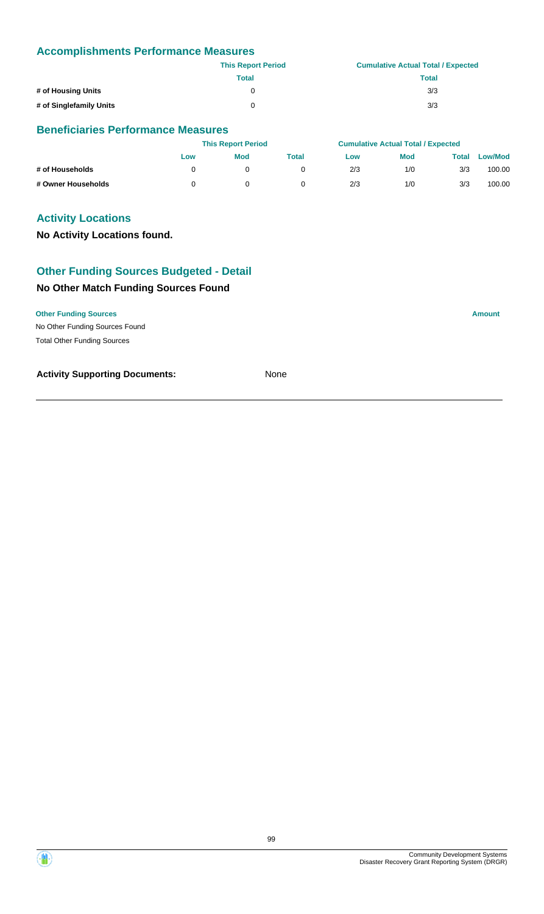|                         | <b>This Report Period</b> | <b>Cumulative Actual Total / Expected</b> |
|-------------------------|---------------------------|-------------------------------------------|
|                         | Total                     | <b>Total</b>                              |
| # of Housing Units      | U                         | 3/3                                       |
| # of Singlefamily Units | U                         | 3/3                                       |

#### **Beneficiaries Performance Measures**

|                    | <b>This Report Period</b> |     |       | <b>Cumulative Actual Total / Expected</b> |            |       |                |
|--------------------|---------------------------|-----|-------|-------------------------------------------|------------|-------|----------------|
|                    | Low                       | Mod | Total | Low                                       | <b>Mod</b> | Total | <b>Low/Mod</b> |
| # of Households    |                           |     |       | 2/3                                       | 1/0        | 3/3   | 100.00         |
| # Owner Households |                           |     |       | 2/3                                       | 1/0        | 3/3   | 100.00         |

## **Activity Locations**

**No Activity Locations found.**

## **Other Funding Sources Budgeted - Detail**

## **No Other Match Funding Sources Found**

#### **Other Funding Sources Amount Amount Amount Amount Amount Amount Amount**

No Other Funding Sources Found Total Other Funding Sources

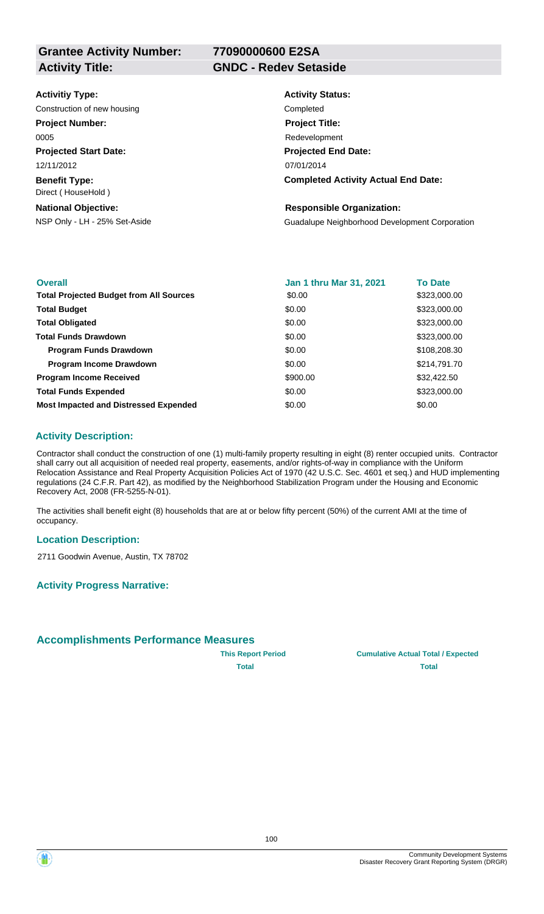**Grantee Activity Number: Activity Title: GNDC - Redev Setaside**

**77090000600 E2SA**

#### **Activitiy Type:**

Construction of new housing Completed Completed

#### **Project Number:**

0005

**Projected Start Date:**

**Benefit Type:** 12/11/2012

# Direct ( HouseHold )

**National Objective:**

# **Activity Status: Projected End Date: Completed Activity Actual End Date:** 07/01/2014 **Project Title:** Redevelopment

## **Responsible Organization:**

NSP Only - LH - 25% Set-Aside Guadalupe Neighborhood Development Corporation

| <b>Overall</b>                                 | Jan 1 thru Mar 31, 2021 | <b>To Date</b> |
|------------------------------------------------|-------------------------|----------------|
| <b>Total Projected Budget from All Sources</b> | \$0.00                  | \$323,000.00   |
| <b>Total Budget</b>                            | \$0.00                  | \$323,000.00   |
| <b>Total Obligated</b>                         | \$0.00                  | \$323,000.00   |
| <b>Total Funds Drawdown</b>                    | \$0.00                  | \$323,000.00   |
| <b>Program Funds Drawdown</b>                  | \$0.00                  | \$108,208.30   |
| <b>Program Income Drawdown</b>                 | \$0.00                  | \$214,791.70   |
| <b>Program Income Received</b>                 | \$900.00                | \$32,422.50    |
| <b>Total Funds Expended</b>                    | \$0.00                  | \$323,000.00   |
| <b>Most Impacted and Distressed Expended</b>   | \$0.00                  | \$0.00         |

## **Activity Description:**

Contractor shall conduct the construction of one (1) multi-family property resulting in eight (8) renter occupied units. Contractor shall carry out all acquisition of needed real property, easements, and/or rights-of-way in compliance with the Uniform Relocation Assistance and Real Property Acquisition Policies Act of 1970 (42 U.S.C. Sec. 4601 et seq.) and HUD implementing regulations (24 C.F.R. Part 42), as modified by the Neighborhood Stabilization Program under the Housing and Economic Recovery Act, 2008 (FR-5255-N-01).

The activities shall benefit eight (8) households that are at or below fifty percent (50%) of the current AMI at the time of occupancy.

#### **Location Description:**

2711 Goodwin Avenue, Austin, TX 78702

## **Activity Progress Narrative:**

## **Accomplishments Performance Measures**

**This Report Period Cumulative Actual Total / Expected Total Total**

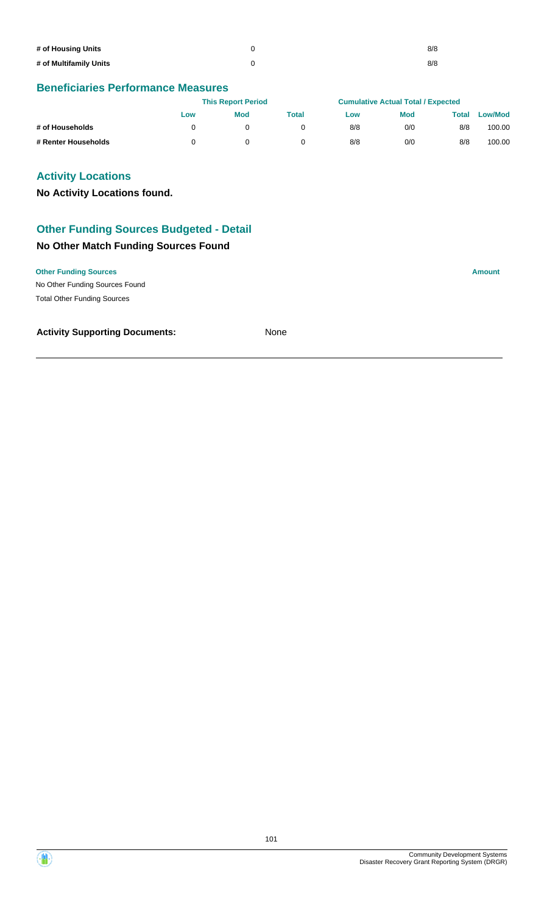| # of Housing Units     | 8/8 |
|------------------------|-----|
| # of Multifamily Units | 8/8 |

## **Beneficiaries Performance Measures**

|                     | <b>This Report Period</b> |            | <b>Cumulative Actual Total / Expected</b> |     |            |       |                |
|---------------------|---------------------------|------------|-------------------------------------------|-----|------------|-------|----------------|
|                     | Low                       | <b>Mod</b> | Total                                     | Low | <b>Mod</b> | Total | <b>Low/Mod</b> |
| # of Households     |                           |            |                                           | 8/8 | 0/0        | 8/8   | 100.00         |
| # Renter Households |                           |            |                                           | 8/8 | 0/0        | 8/8   | 100.00         |

## **Activity Locations**

**No Activity Locations found.**

# **Other Funding Sources Budgeted - Detail**

## **No Other Match Funding Sources Found**

**Other Funding Sources Amount** 

No Other Funding Sources Found Total Other Funding Sources

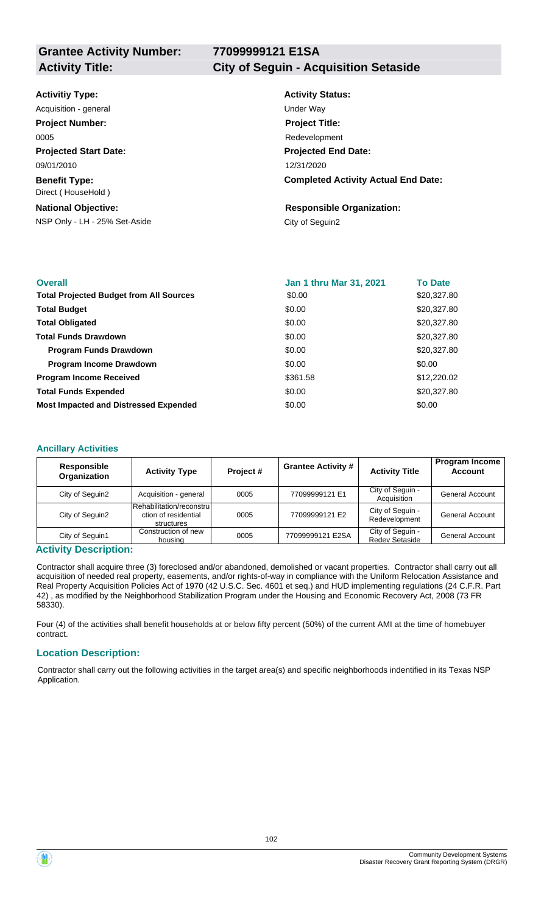**77099999121 E1SA**

**Activity Title: City of Seguin - Acquisition Setaside**

#### **Activitiy Type:**

**Projected Start Date: Benefit Type:** 09/01/2010 Direct ( HouseHold ) Acquisition - general and the contract of the Under Way **Project Number:** 0005

#### **National Objective:**

NSP Only - LH - 25% Set-Aside City of Seguin2

# **Activity Status:**

**Projected End Date: Completed Activity Actual End Date:** 12/31/2020 **Project Title:** Redevelopment

# **Responsible Organization:**

| <b>Overall</b>                                 | <b>Jan 1 thru Mar 31, 2021</b> | <b>To Date</b> |
|------------------------------------------------|--------------------------------|----------------|
| <b>Total Projected Budget from All Sources</b> | \$0.00                         | \$20,327.80    |
| <b>Total Budget</b>                            | \$0.00                         | \$20,327.80    |
| <b>Total Obligated</b>                         | \$0.00                         | \$20,327.80    |
| <b>Total Funds Drawdown</b>                    | \$0.00                         | \$20,327.80    |
| <b>Program Funds Drawdown</b>                  | \$0.00                         | \$20,327.80    |
| <b>Program Income Drawdown</b>                 | \$0.00                         | \$0.00         |
| <b>Program Income Received</b>                 | \$361.58                       | \$12,220.02    |
| <b>Total Funds Expended</b>                    | \$0.00                         | \$20,327.80    |
| <b>Most Impacted and Distressed Expended</b>   | \$0.00                         | \$0.00         |

#### **Ancillary Activities**

| <b>Responsible</b><br>Organization | <b>Activity Type</b>                                            | Project# | <b>Grantee Activity #</b> | <b>Activity Title</b>                     | <b>Program Income</b><br><b>Account</b> |
|------------------------------------|-----------------------------------------------------------------|----------|---------------------------|-------------------------------------------|-----------------------------------------|
| City of Sequin2                    | Acquisition - general                                           | 0005     | 77099999121 E1            | City of Seguin -<br>Acquisition           | <b>General Account</b>                  |
| City of Sequin2                    | Rehabilitation/reconstrul<br>ction of residential<br>structures | 0005     | 77099999121 E2            | City of Seguin -<br>Redevelopment         | <b>General Account</b>                  |
| City of Seguin1                    | Construction of new<br>housing                                  | 0005     | 77099999121 E2SA          | City of Seguin -<br><b>Redev Setaside</b> | <b>General Account</b>                  |

#### **Activity Description:**

Contractor shall acquire three (3) foreclosed and/or abandoned, demolished or vacant properties. Contractor shall carry out all acquisition of needed real property, easements, and/or rights-of-way in compliance with the Uniform Relocation Assistance and Real Property Acquisition Policies Act of 1970 (42 U.S.C. Sec. 4601 et seq.) and HUD implementing regulations (24 C.F.R. Part 42) , as modified by the Neighborhood Stabilization Program under the Housing and Economic Recovery Act, 2008 (73 FR 58330).

Four (4) of the activities shall benefit households at or below fifty percent (50%) of the current AMI at the time of homebuyer contract.

#### **Location Description:**

Contractor shall carry out the following activities in the target area(s) and specific neighborhoods indentified in its Texas NSP Application.

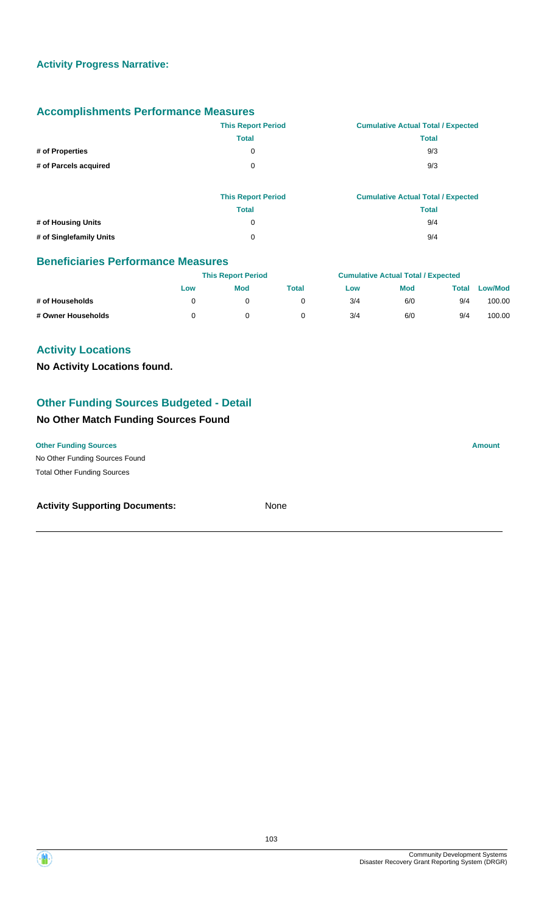|                       | <b>This Report Period</b> | <b>Cumulative Actual Total / Expected</b> |
|-----------------------|---------------------------|-------------------------------------------|
|                       | <b>Total</b>              | <b>Total</b>                              |
| # of Properties       | 0                         | 9/3                                       |
| # of Parcels acquired | 0                         | 9/3                                       |
|                       | <b>This Report Period</b> | <b>Cumulative Actual Total / Expected</b> |
|                       | <b>Total</b>              | <b>Total</b>                              |
| # of Housing Units    | 0                         | 9/4                                       |

**# of Singlefamily Units** 0 9/4

## **Beneficiaries Performance Measures**

|                    |     | <b>This Report Period</b> |       |     | <b>Cumulative Actual Total / Expected</b> |       |                |  |
|--------------------|-----|---------------------------|-------|-----|-------------------------------------------|-------|----------------|--|
|                    | Low | <b>Mod</b>                | Total | Low | <b>Mod</b>                                | Total | <b>Low/Mod</b> |  |
| # of Households    |     |                           |       | 3/4 | 6/0                                       | 9/4   | 100.00         |  |
| # Owner Households |     |                           |       | 3/4 | 6/0                                       | 9/4   | 100.00         |  |

## **Activity Locations**

**No Activity Locations found.**

## **Other Funding Sources Budgeted - Detail**

## **No Other Match Funding Sources Found**

No Other Funding Sources Found **Other Funding Sources Amount** 

Total Other Funding Sources

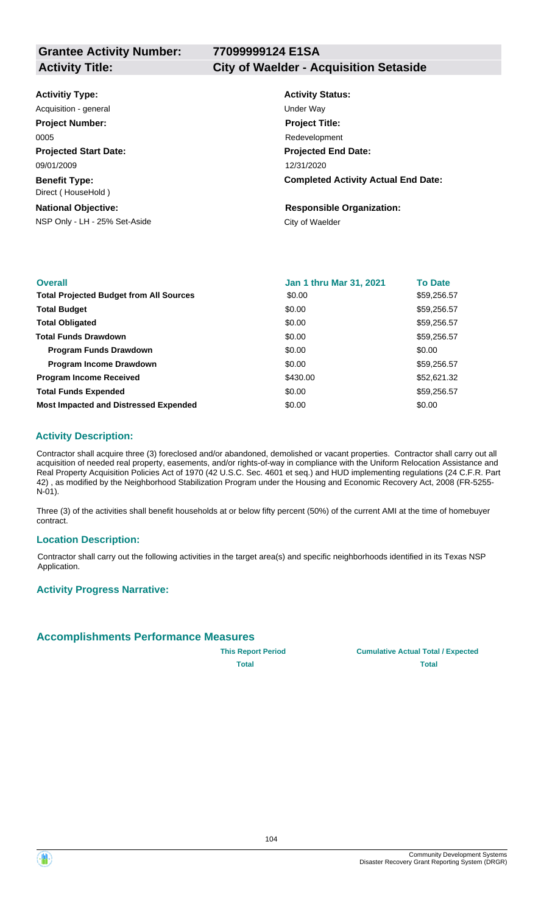**77099999124 E1SA**

**Activity Title: City of Waelder - Acquisition Setaside**

| <b>Activitiy Type:</b> |  |
|------------------------|--|
|------------------------|--|

**Projected Start Date: Benefit Type:** 09/01/2009 Direct ( HouseHold ) Acquisition - general and the Under Way **Project Number:** 0005

#### **National Objective:**

NSP Only - LH - 25% Set-Aside City of Waelder

# **Activity Status: Projected End Date: Completed Activity Actual End Date:** 12/31/2020 **Project Title:** Redevelopment

# **Responsible Organization:**

| <b>Overall</b>                                 | <b>Jan 1 thru Mar 31, 2021</b> | <b>To Date</b> |
|------------------------------------------------|--------------------------------|----------------|
| <b>Total Projected Budget from All Sources</b> | \$0.00                         | \$59,256.57    |
| <b>Total Budget</b>                            | \$0.00                         | \$59,256.57    |
| <b>Total Obligated</b>                         | \$0.00                         | \$59,256.57    |
| <b>Total Funds Drawdown</b>                    | \$0.00                         | \$59,256.57    |
| <b>Program Funds Drawdown</b>                  | \$0.00                         | \$0.00         |
| <b>Program Income Drawdown</b>                 | \$0.00                         | \$59,256.57    |
| <b>Program Income Received</b>                 | \$430.00                       | \$52,621.32    |
| <b>Total Funds Expended</b>                    | \$0.00                         | \$59,256.57    |
| <b>Most Impacted and Distressed Expended</b>   | \$0.00                         | \$0.00         |

## **Activity Description:**

Contractor shall acquire three (3) foreclosed and/or abandoned, demolished or vacant properties. Contractor shall carry out all acquisition of needed real property, easements, and/or rights-of-way in compliance with the Uniform Relocation Assistance and Real Property Acquisition Policies Act of 1970 (42 U.S.C. Sec. 4601 et seq.) and HUD implementing regulations (24 C.F.R. Part 42) , as modified by the Neighborhood Stabilization Program under the Housing and Economic Recovery Act, 2008 (FR-5255- N-01).

Three (3) of the activities shall benefit households at or below fifty percent (50%) of the current AMI at the time of homebuyer contract.

#### **Location Description:**

Contractor shall carry out the following activities in the target area(s) and specific neighborhoods identified in its Texas NSP Application.

#### **Activity Progress Narrative:**

## **Accomplishments Performance Measures**

**This Report Period Cumulative Actual Total / Expected Total Total**



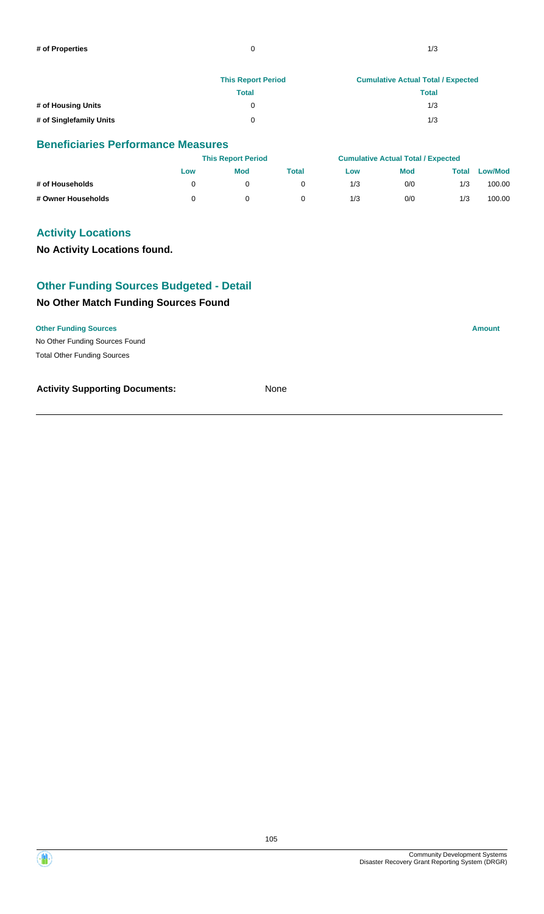|                         | <b>This Report Period</b> | <b>Cumulative Actual Total / Expected</b> |  |  |  |
|-------------------------|---------------------------|-------------------------------------------|--|--|--|
|                         | Total                     | <b>Total</b>                              |  |  |  |
| # of Housing Units      |                           | 1/3                                       |  |  |  |
| # of Singlefamily Units | 0                         | 1/3                                       |  |  |  |

#### **Beneficiaries Performance Measures**

|                    |     | <b>This Report Period</b> |       |     | <b>Cumulative Actual Total / Expected</b> |       |                |
|--------------------|-----|---------------------------|-------|-----|-------------------------------------------|-------|----------------|
|                    | Low | Mod                       | Total | Low | <b>Mod</b>                                | Total | <b>Low/Mod</b> |
| # of Households    |     |                           |       | 1/3 | 0/0                                       | 1/3   | 100.00         |
| # Owner Households |     |                           |       | 1/3 | 0/0                                       | 1/3   | 100.00         |

## **Activity Locations**

## **No Activity Locations found.**

# **Other Funding Sources Budgeted - Detail**

## **No Other Match Funding Sources Found**

#### **Other Funding Sources Amount**

No Other Funding Sources Found Total Other Funding Sources

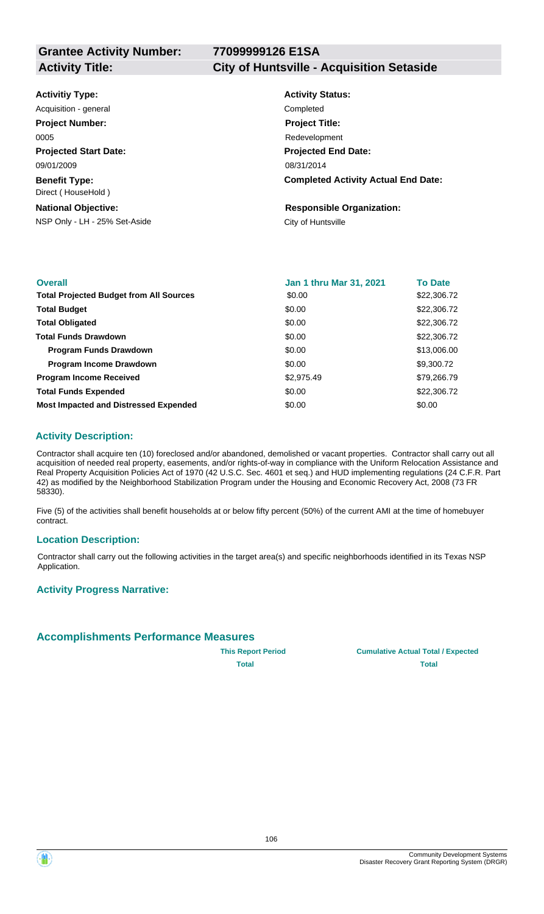# **77099999126 E1SA**

#### **Projected Start Date: Benefit Type:** NSP Only - LH - 25% Set-Aside City of Huntsville **National Objective: Activity Status: Projected End Date: Completed Activity Actual End Date: Activitiy Type:** 08/31/2014 09/01/2009 Direct ( HouseHold ) **Responsible Organization:** Acquisition - general **Completed Project Number:** 0005 **Project Title:** Redevelopment

| <b>Overall</b>                                 | Jan 1 thru Mar 31, 2021 | <b>To Date</b> |
|------------------------------------------------|-------------------------|----------------|
| <b>Total Projected Budget from All Sources</b> | \$0.00                  | \$22,306.72    |
| <b>Total Budget</b>                            | \$0.00                  | \$22,306.72    |
| <b>Total Obligated</b>                         | \$0.00                  | \$22,306.72    |
| <b>Total Funds Drawdown</b>                    | \$0.00                  | \$22,306.72    |
| <b>Program Funds Drawdown</b>                  | \$0.00                  | \$13,006.00    |
| <b>Program Income Drawdown</b>                 | \$0.00                  | \$9,300.72     |
| <b>Program Income Received</b>                 | \$2,975.49              | \$79,266.79    |
| <b>Total Funds Expended</b>                    | \$0.00                  | \$22,306.72    |
| <b>Most Impacted and Distressed Expended</b>   | \$0.00                  | \$0.00         |

## **Activity Description:**

Contractor shall acquire ten (10) foreclosed and/or abandoned, demolished or vacant properties. Contractor shall carry out all acquisition of needed real property, easements, and/or rights-of-way in compliance with the Uniform Relocation Assistance and Real Property Acquisition Policies Act of 1970 (42 U.S.C. Sec. 4601 et seq.) and HUD implementing regulations (24 C.F.R. Part 42) as modified by the Neighborhood Stabilization Program under the Housing and Economic Recovery Act, 2008 (73 FR 58330).

Five (5) of the activities shall benefit households at or below fifty percent (50%) of the current AMI at the time of homebuyer contract.

#### **Location Description:**

Contractor shall carry out the following activities in the target area(s) and specific neighborhoods identified in its Texas NSP Application.

#### **Activity Progress Narrative:**

## **Accomplishments Performance Measures**

**This Report Period Cumulative Actual Total / Expected Total Total**



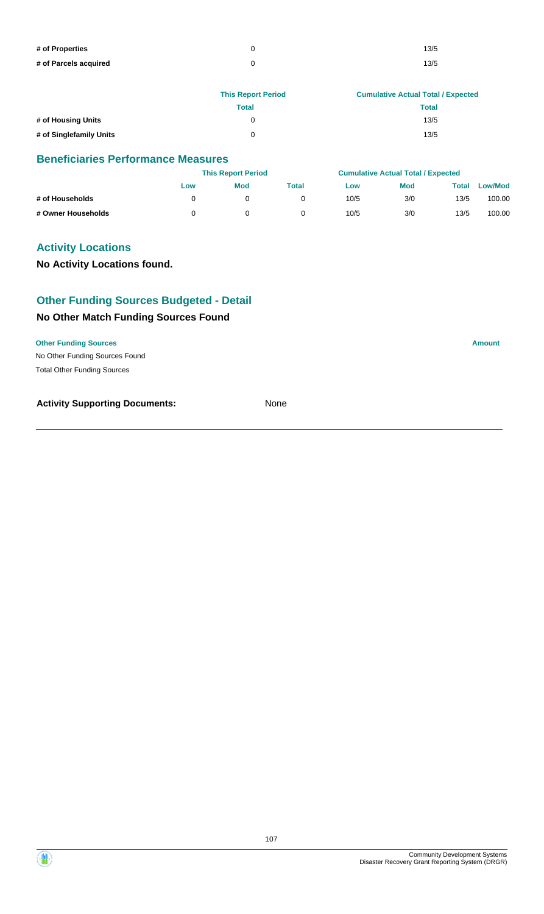| # of Properties       | 13/5 |
|-----------------------|------|
| # of Parcels acquired | 13/5 |

|                         | <b>This Report Period</b> | <b>Cumulative Actual Total / Expected</b> |
|-------------------------|---------------------------|-------------------------------------------|
|                         | Total                     | <b>Total</b>                              |
| # of Housing Units      |                           | 13/5                                      |
| # of Singlefamily Units | ∩                         | 13/5                                      |

## **Beneficiaries Performance Measures**

|                    |     | <b>This Report Period</b> |       |      | <b>Cumulative Actual Total / Expected</b> |       |                |
|--------------------|-----|---------------------------|-------|------|-------------------------------------------|-------|----------------|
|                    | Low | <b>Mod</b>                | Total | Low  | <b>Mod</b>                                | Total | <b>Low/Mod</b> |
| # of Households    |     |                           |       | 10/5 | 3/0                                       | 13/5  | 100.00         |
| # Owner Households |     |                           |       | 10/5 | 3/0                                       | 13/5  | 100.00         |

## **Activity Locations**

**No Activity Locations found.**

## **Other Funding Sources Budgeted - Detail**

## **No Other Match Funding Sources Found**

#### **Other Funding Sources Amount**

No Other Funding Sources Found Total Other Funding Sources

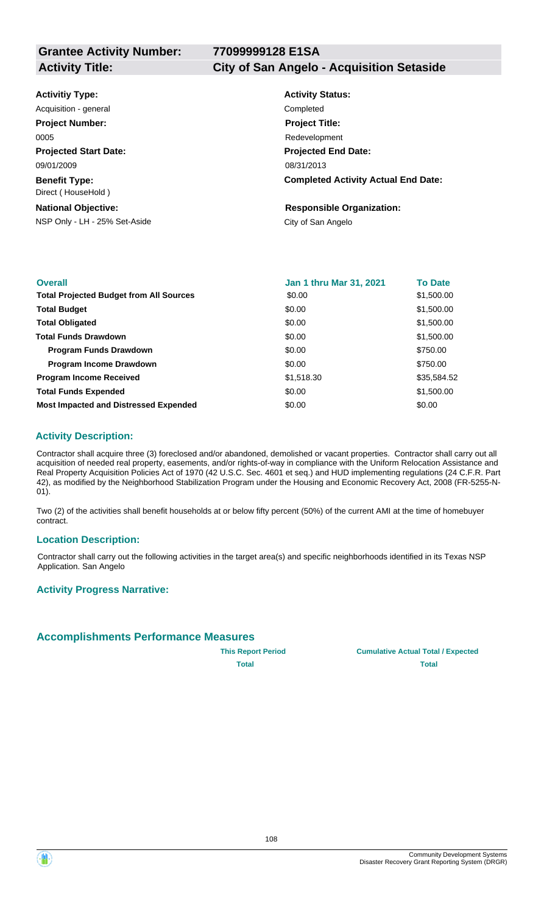# **77099999128 E1SA**

**Activity Title: City of San Angelo - Acquisition Setaside**

| <b>Activitiy Type:</b>                                      | <b>Activity Status:</b>                                |
|-------------------------------------------------------------|--------------------------------------------------------|
| Acquisition - general                                       | Completed                                              |
| <b>Project Number:</b>                                      | <b>Project Title:</b>                                  |
| 0005                                                        | Redevelopment                                          |
| <b>Projected Start Date:</b>                                | <b>Projected End Date:</b>                             |
| 09/01/2009                                                  | 08/31/2013                                             |
| <b>Benefit Type:</b><br>Direct (HouseHold)                  | <b>Completed Activity Actual End Date:</b>             |
| <b>National Objective:</b><br>NSP Only - LH - 25% Set-Aside | <b>Responsible Organization:</b><br>City of San Angelo |

| <b>Overall</b>                                 | <b>Jan 1 thru Mar 31, 2021</b> | <b>To Date</b> |
|------------------------------------------------|--------------------------------|----------------|
| <b>Total Projected Budget from All Sources</b> | \$0.00                         | \$1,500.00     |
| <b>Total Budget</b>                            | \$0.00                         | \$1,500.00     |
| <b>Total Obligated</b>                         | \$0.00                         | \$1,500.00     |
| <b>Total Funds Drawdown</b>                    | \$0.00                         | \$1,500.00     |
| <b>Program Funds Drawdown</b>                  | \$0.00                         | \$750.00       |
| <b>Program Income Drawdown</b>                 | \$0.00                         | \$750.00       |
| <b>Program Income Received</b>                 | \$1,518.30                     | \$35,584.52    |
| <b>Total Funds Expended</b>                    | \$0.00                         | \$1,500.00     |
| <b>Most Impacted and Distressed Expended</b>   | \$0.00                         | \$0.00         |

## **Activity Description:**

Contractor shall acquire three (3) foreclosed and/or abandoned, demolished or vacant properties. Contractor shall carry out all acquisition of needed real property, easements, and/or rights-of-way in compliance with the Uniform Relocation Assistance and Real Property Acquisition Policies Act of 1970 (42 U.S.C. Sec. 4601 et seq.) and HUD implementing regulations (24 C.F.R. Part 42), as modified by the Neighborhood Stabilization Program under the Housing and Economic Recovery Act, 2008 (FR-5255-N-01).

Two (2) of the activities shall benefit households at or below fifty percent (50%) of the current AMI at the time of homebuyer contract.

#### **Location Description:**

Contractor shall carry out the following activities in the target area(s) and specific neighborhoods identified in its Texas NSP Application. San Angelo

#### **Activity Progress Narrative:**

#### **Accomplishments Performance Measures**

**This Report Period Cumulative Actual Total / Expected Total Total**

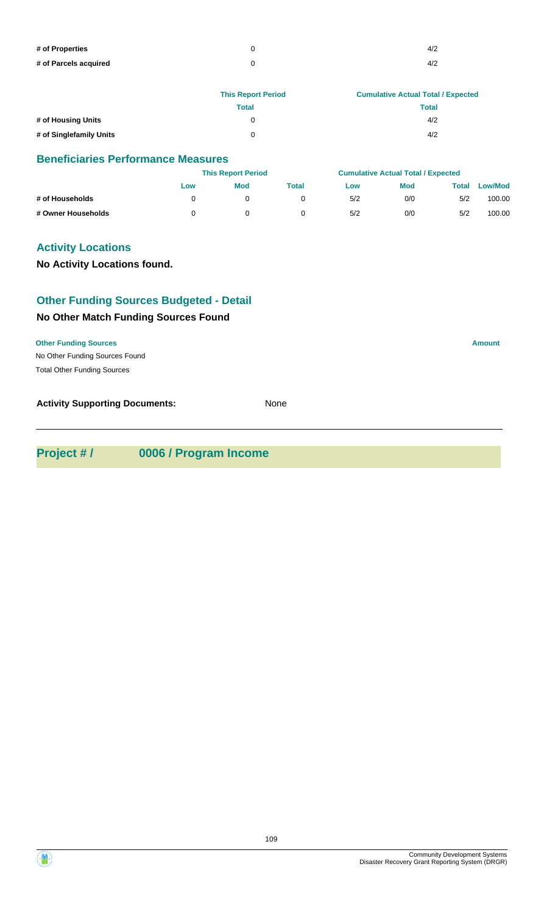| # of Properties       | 4/2 |
|-----------------------|-----|
| # of Parcels acquired | 4/2 |

|                         | <b>This Report Period</b> | <b>Cumulative Actual Total / Expected</b> |
|-------------------------|---------------------------|-------------------------------------------|
|                         | Total                     | <b>Total</b>                              |
| # of Housing Units      | 0                         | 4/2                                       |
| # of Singlefamily Units | 0                         | 4/2                                       |

|                    |     | <b>This Report Period</b> |       |     | <b>Cumulative Actual Total / Expected</b> |       |                |  |
|--------------------|-----|---------------------------|-------|-----|-------------------------------------------|-------|----------------|--|
|                    | Low | Mod                       | Total | Low | <b>Mod</b>                                | Total | <b>Low/Mod</b> |  |
| # of Households    |     |                           |       | 5/2 | 0/0                                       | 5/2   | 100.00         |  |
| # Owner Households |     |                           |       | 5/2 | 0/0                                       | 5/2   | 100.00         |  |

### **Activity Locations**

**No Activity Locations found.**

### **Other Funding Sources Budgeted - Detail**

### **No Other Match Funding Sources Found**

#### **Other Funding Sources Amount**

No Other Funding Sources Found Total Other Funding Sources

**Activity Supporting Documents:** None

**Project # / 0006 / Program Income**

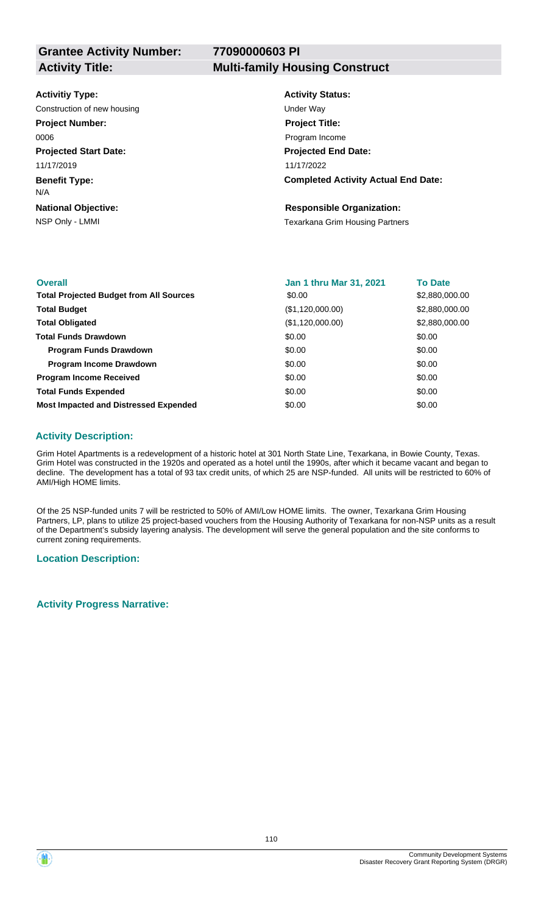### **Activitiy Type:**

Construction of new housing Under Way

**Project Number:** 0006

**Projected Start Date:**

11/17/2019

**Benefit Type:** N/A

**National Objective:**

### **Activity Title: Multi-family Housing Construct**

**Activity Status: Projected End Date: Completed Activity Actual End Date:** 11/17/2022 **Project Title:** Program Income

### **Responsible Organization:**

NSP Only - LMMI **NSP Only - LMMI NSP Only - LMMI** 

| <b>Overall</b>                                 | <b>Jan 1 thru Mar 31, 2021</b> | <b>To Date</b> |
|------------------------------------------------|--------------------------------|----------------|
| <b>Total Projected Budget from All Sources</b> | \$0.00                         | \$2,880,000.00 |
| <b>Total Budget</b>                            | (\$1,120,000.00)               | \$2,880,000.00 |
| <b>Total Obligated</b>                         | (\$1,120,000.00)               | \$2,880,000.00 |
| <b>Total Funds Drawdown</b>                    | \$0.00                         | \$0.00         |
| <b>Program Funds Drawdown</b>                  | \$0.00                         | \$0.00         |
| <b>Program Income Drawdown</b>                 | \$0.00                         | \$0.00         |
| <b>Program Income Received</b>                 | \$0.00                         | \$0.00         |
| <b>Total Funds Expended</b>                    | \$0.00                         | \$0.00         |
| <b>Most Impacted and Distressed Expended</b>   | \$0.00                         | \$0.00         |

### **Activity Description:**

Grim Hotel Apartments is a redevelopment of a historic hotel at 301 North State Line, Texarkana, in Bowie County, Texas. Grim Hotel was constructed in the 1920s and operated as a hotel until the 1990s, after which it became vacant and began to decline. The development has a total of 93 tax credit units, of which 25 are NSP-funded. All units will be restricted to 60% of AMI/High HOME limits.

Of the 25 NSP-funded units 7 will be restricted to 50% of AMI/Low HOME limits. The owner, Texarkana Grim Housing Partners, LP, plans to utilize 25 project-based vouchers from the Housing Authority of Texarkana for non-NSP units as a result of the Department's subsidy layering analysis. The development will serve the general population and the site conforms to current zoning requirements.

### **Location Description:**

### **Activity Progress Narrative:**

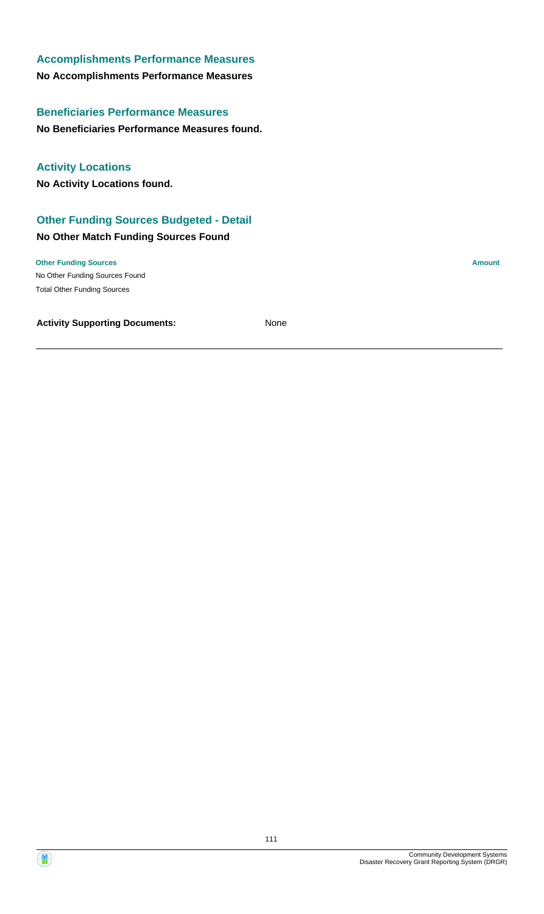### **No Accomplishments Performance Measures Accomplishments Performance Measures**

**No Beneficiaries Performance Measures found. Beneficiaries Performance Measures**

**Activity Locations**

**No Activity Locations found.**

### **Other Funding Sources Budgeted - Detail**

### **No Other Match Funding Sources Found**

No Other Funding Sources Found **Other Funding Sources Amount** Total Other Funding Sources

碰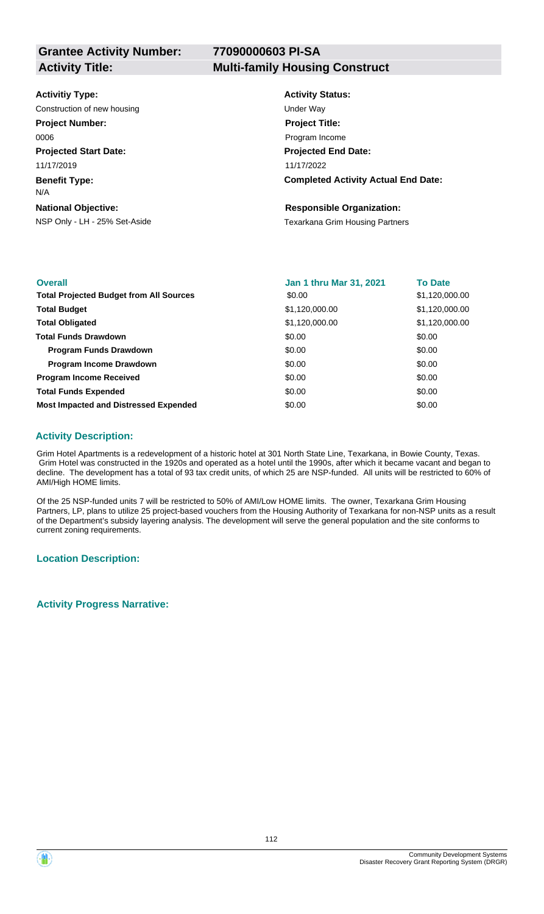**Grantee Activity Number:**

## **77090000603 PI-SA**

#### **Activity Title: Multi-family Housing Construct**

### **Activitiy Type:**

Construction of new housing Under Way

**Project Number:** 0006

**Projected Start Date:**

11/17/2019

**Benefit Type:** N/A

### **National Objective:**

### **Activity Status: Projected End Date: Completed Activity Actual End Date:** 11/17/2022 **Project Title:** Program Income

### **Responsible Organization:**

NSP Only - LH - 25% Set-Aside Texarkana Grim Housing Partners

| <b>Overall</b>                                 | <b>Jan 1 thru Mar 31, 2021</b> | <b>To Date</b> |
|------------------------------------------------|--------------------------------|----------------|
| <b>Total Projected Budget from All Sources</b> | \$0.00                         | \$1,120,000.00 |
| <b>Total Budget</b>                            | \$1,120,000.00                 | \$1,120,000.00 |
| <b>Total Obligated</b>                         | \$1,120,000.00                 | \$1,120,000.00 |
| <b>Total Funds Drawdown</b>                    | \$0.00                         | \$0.00         |
| <b>Program Funds Drawdown</b>                  | \$0.00                         | \$0.00         |
| <b>Program Income Drawdown</b>                 | \$0.00                         | \$0.00         |
| <b>Program Income Received</b>                 | \$0.00                         | \$0.00         |
| <b>Total Funds Expended</b>                    | \$0.00                         | \$0.00         |
| <b>Most Impacted and Distressed Expended</b>   | \$0.00                         | \$0.00         |

### **Activity Description:**

Grim Hotel Apartments is a redevelopment of a historic hotel at 301 North State Line, Texarkana, in Bowie County, Texas. Grim Hotel was constructed in the 1920s and operated as a hotel until the 1990s, after which it became vacant and began to decline. The development has a total of 93 tax credit units, of which 25 are NSP-funded. All units will be restricted to 60% of AMI/High HOME limits.

Of the 25 NSP-funded units 7 will be restricted to 50% of AMI/Low HOME limits. The owner, Texarkana Grim Housing Partners, LP, plans to utilize 25 project-based vouchers from the Housing Authority of Texarkana for non-NSP units as a result of the Department's subsidy layering analysis. The development will serve the general population and the site conforms to current zoning requirements.

### **Location Description:**

**Activity Progress Narrative:**

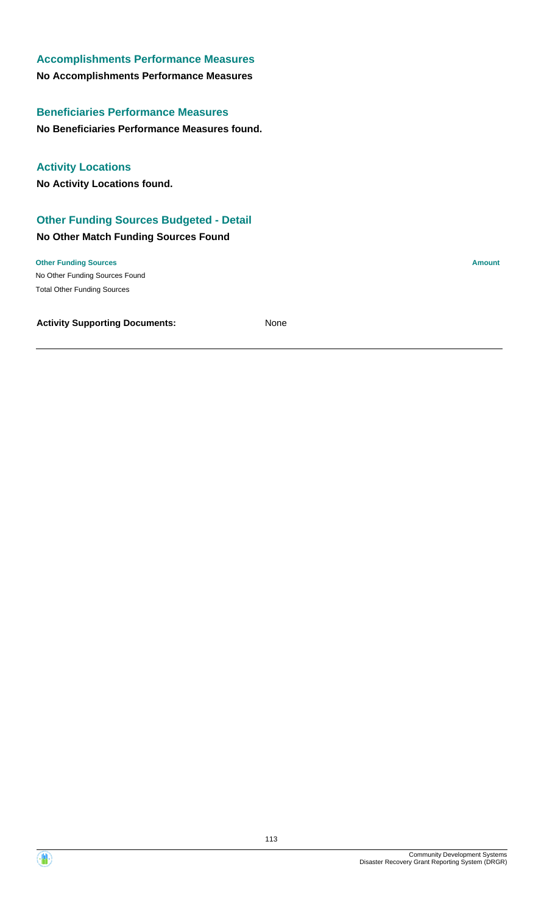### **No Accomplishments Performance Measures Accomplishments Performance Measures**

**No Beneficiaries Performance Measures found. Beneficiaries Performance Measures**

**Activity Locations**

**No Activity Locations found.**

### **Other Funding Sources Budgeted - Detail**

### **No Other Match Funding Sources Found**

No Other Funding Sources Found **Other Funding Sources Amount** Total Other Funding Sources

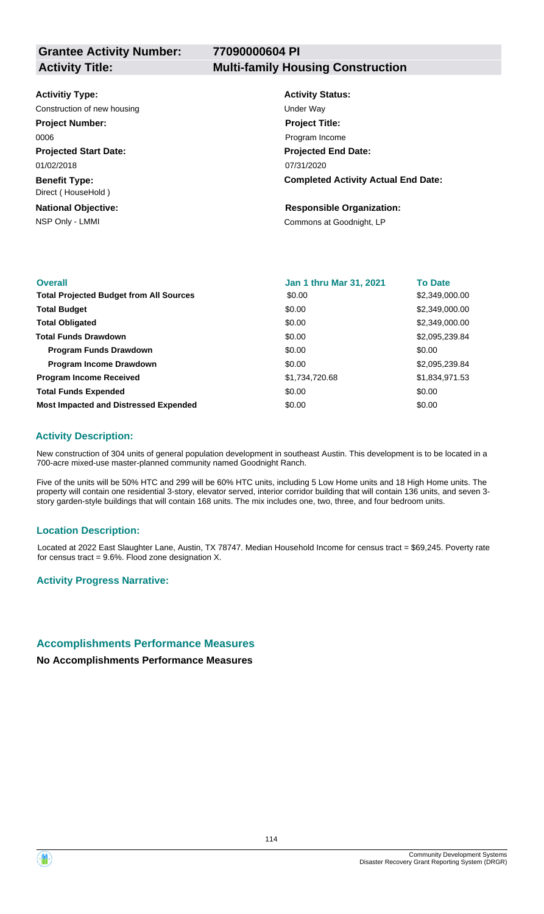#### **Activitiy Type:**

Construction of new housing Theorem 2012 Construction of new housing Under Way

**Project Number:**

0006

**Projected Start Date:** 01/02/2018

**Benefit Type:** Direct ( HouseHold )

**National Objective:**

### **Activity Title: Multi-family Housing Construction**

**Activity Status: Projected End Date: Completed Activity Actual End Date:** 07/31/2020 **Project Title:** Program Income

#### **Responsible Organization:**

NSP Only - LMMI Commons at Goodnight, LP

| <b>Overall</b>                                 | <b>Jan 1 thru Mar 31, 2021</b> | <b>To Date</b> |
|------------------------------------------------|--------------------------------|----------------|
| <b>Total Projected Budget from All Sources</b> | \$0.00                         | \$2,349,000.00 |
| <b>Total Budget</b>                            | \$0.00                         | \$2,349,000.00 |
| <b>Total Obligated</b>                         | \$0.00                         | \$2,349,000.00 |
| <b>Total Funds Drawdown</b>                    | \$0.00                         | \$2,095,239.84 |
| Program Funds Drawdown                         | \$0.00                         | \$0.00         |
| <b>Program Income Drawdown</b>                 | \$0.00                         | \$2,095,239.84 |
| <b>Program Income Received</b>                 | \$1,734,720.68                 | \$1,834,971.53 |
| <b>Total Funds Expended</b>                    | \$0.00                         | \$0.00         |
| <b>Most Impacted and Distressed Expended</b>   | \$0.00                         | \$0.00         |

### **Activity Description:**

New construction of 304 units of general population development in southeast Austin. This development is to be located in a 700-acre mixed-use master-planned community named Goodnight Ranch.

Five of the units will be 50% HTC and 299 will be 60% HTC units, including 5 Low Home units and 18 High Home units. The property will contain one residential 3-story, elevator served, interior corridor building that will contain 136 units, and seven 3 story garden-style buildings that will contain 168 units. The mix includes one, two, three, and four bedroom units.

### **Location Description:**

Located at 2022 East Slaughter Lane, Austin, TX 78747. Median Household Income for census tract = \$69,245. Poverty rate for census tract =  $9.6\%$ . Flood zone designation X.

### **Activity Progress Narrative:**

### **Accomplishments Performance Measures**

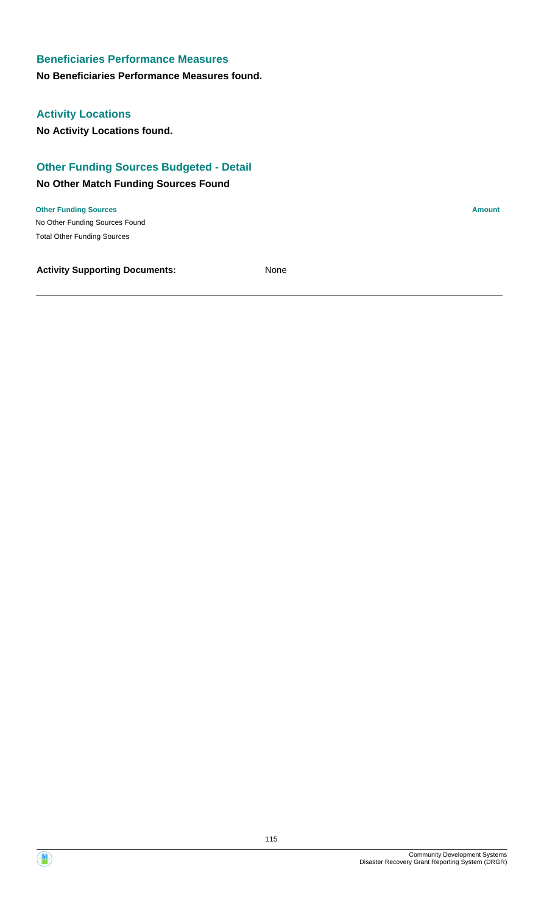### **No Beneficiaries Performance Measures found.**

### **Activity Locations**

**No Activity Locations found.**

### **Other Funding Sources Budgeted - Detail**

### **No Other Match Funding Sources Found**

No Other Funding Sources Found **Other Funding Sources Amount Amount Amount Amount Amount Amount Amount** Total Other Funding Sources



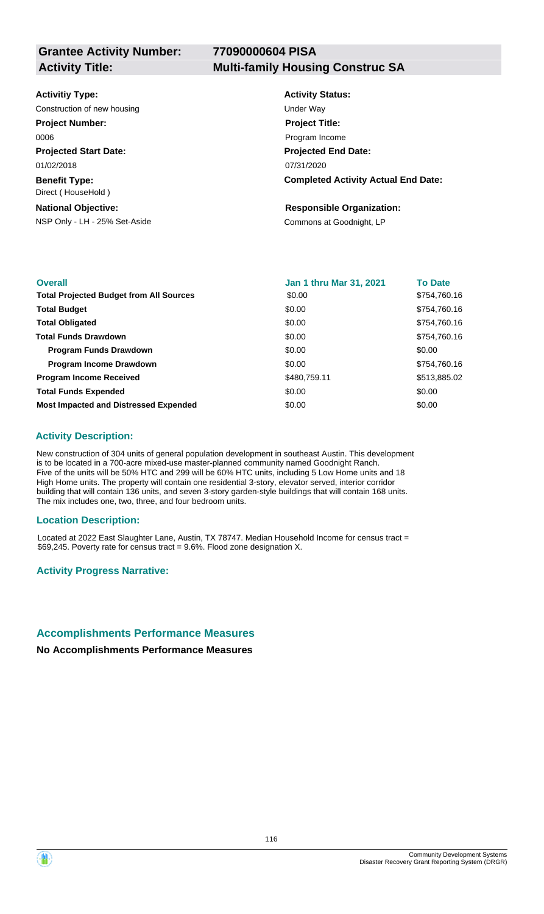**77090000604 PISA**

| <b>Activity Status:</b><br><b>Activitiy Type:</b><br>Construction of new housing<br>Under Wav<br><b>Project Number:</b><br><b>Project Title:</b><br>0006<br>Program Income<br><b>Projected Start Date:</b><br><b>Projected End Date:</b><br>01/02/2018<br>07/31/2020<br><b>Benefit Type:</b><br>Direct (HouseHold)<br><b>National Objective:</b><br><b>Responsible Organization:</b><br>NSP Only - LH - 25% Set-Aside<br>Commons at Goodnight, LP |                                            |
|---------------------------------------------------------------------------------------------------------------------------------------------------------------------------------------------------------------------------------------------------------------------------------------------------------------------------------------------------------------------------------------------------------------------------------------------------|--------------------------------------------|
|                                                                                                                                                                                                                                                                                                                                                                                                                                                   |                                            |
|                                                                                                                                                                                                                                                                                                                                                                                                                                                   |                                            |
|                                                                                                                                                                                                                                                                                                                                                                                                                                                   |                                            |
|                                                                                                                                                                                                                                                                                                                                                                                                                                                   |                                            |
|                                                                                                                                                                                                                                                                                                                                                                                                                                                   |                                            |
|                                                                                                                                                                                                                                                                                                                                                                                                                                                   |                                            |
|                                                                                                                                                                                                                                                                                                                                                                                                                                                   | <b>Completed Activity Actual End Date:</b> |
|                                                                                                                                                                                                                                                                                                                                                                                                                                                   |                                            |
|                                                                                                                                                                                                                                                                                                                                                                                                                                                   |                                            |

| <b>Overall</b>                                 | <b>Jan 1 thru Mar 31, 2021</b> | <b>To Date</b> |
|------------------------------------------------|--------------------------------|----------------|
| <b>Total Projected Budget from All Sources</b> | \$0.00                         | \$754,760.16   |
| <b>Total Budget</b>                            | \$0.00                         | \$754,760.16   |
| <b>Total Obligated</b>                         | \$0.00                         | \$754,760.16   |
| <b>Total Funds Drawdown</b>                    | \$0.00                         | \$754,760.16   |
| <b>Program Funds Drawdown</b>                  | \$0.00                         | \$0.00         |
| <b>Program Income Drawdown</b>                 | \$0.00                         | \$754,760.16   |
| <b>Program Income Received</b>                 | \$480,759.11                   | \$513,885.02   |
| <b>Total Funds Expended</b>                    | \$0.00                         | \$0.00         |
| <b>Most Impacted and Distressed Expended</b>   | \$0.00                         | \$0.00         |

### **Activity Description:**

New construction of 304 units of general population development in southeast Austin. This development is to be located in a 700-acre mixed-use master-planned community named Goodnight Ranch. Five of the units will be 50% HTC and 299 will be 60% HTC units, including 5 Low Home units and 18 High Home units. The property will contain one residential 3-story, elevator served, interior corridor building that will contain 136 units, and seven 3-story garden-style buildings that will contain 168 units. The mix includes one, two, three, and four bedroom units.

### **Location Description:**

Located at 2022 East Slaughter Lane, Austin, TX 78747. Median Household Income for census tract = \$69,245. Poverty rate for census tract = 9.6%. Flood zone designation X.

### **Activity Progress Narrative:**

### **Accomplishments Performance Measures**

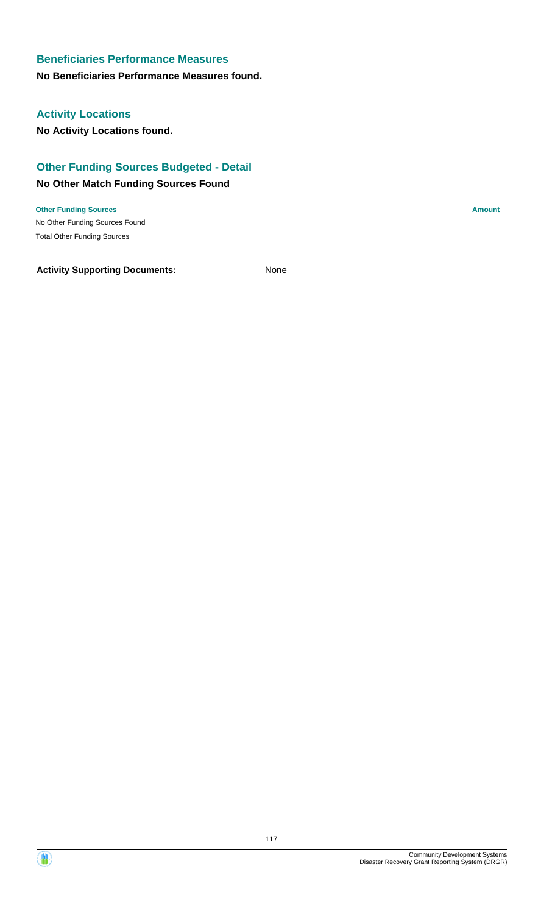### **No Beneficiaries Performance Measures found.**

### **Activity Locations**

**No Activity Locations found.**

### **Other Funding Sources Budgeted - Detail**

### **No Other Match Funding Sources Found**

No Other Funding Sources Found **Other Funding Sources Amount Amount Amount Amount Amount Amount Amount** Total Other Funding Sources

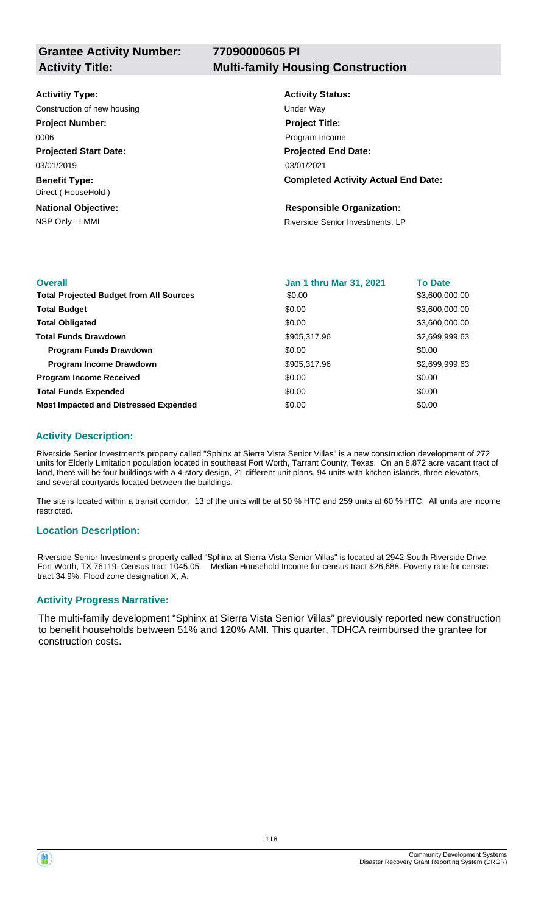#### **Activitiy Type:**

Construction of new housing Theorem 2012 Construction of new housing

**Project Number:**

0006

**Projected Start Date:** 03/01/2019

**Benefit Type:** Direct ( HouseHold )

**National Objective:**

### **Activity Title: Multi-family Housing Construction**

**Activity Status: Projected End Date: Completed Activity Actual End Date:** 03/01/2021 **Project Title:** Program Income

### **Responsible Organization:**

NSP Only - LMMI **NSP Only - LMMI** Riverside Senior Investments, LP

| <b>Overall</b>                                 | <b>Jan 1 thru Mar 31, 2021</b> | <b>To Date</b> |
|------------------------------------------------|--------------------------------|----------------|
| <b>Total Projected Budget from All Sources</b> | \$0.00                         | \$3,600,000.00 |
| <b>Total Budget</b>                            | \$0.00                         | \$3,600,000.00 |
| <b>Total Obligated</b>                         | \$0.00                         | \$3,600,000.00 |
| <b>Total Funds Drawdown</b>                    | \$905,317.96                   | \$2,699,999.63 |
| <b>Program Funds Drawdown</b>                  | \$0.00                         | \$0.00         |
| <b>Program Income Drawdown</b>                 | \$905,317.96                   | \$2,699,999.63 |
| <b>Program Income Received</b>                 | \$0.00                         | \$0.00         |
| <b>Total Funds Expended</b>                    | \$0.00                         | \$0.00         |
| <b>Most Impacted and Distressed Expended</b>   | \$0.00                         | \$0.00         |

### **Activity Description:**

Riverside Senior Investment's property called "Sphinx at Sierra Vista Senior Villas" is a new construction development of 272 units for Elderly Limitation population located in southeast Fort Worth, Tarrant County, Texas. On an 8.872 acre vacant tract of land, there will be four buildings with a 4-story design, 21 different unit plans, 94 units with kitchen islands, three elevators, and several courtyards located between the buildings.

The site is located within a transit corridor. 13 of the units will be at 50 % HTC and 259 units at 60 % HTC. All units are income restricted.

### **Location Description:**

Riverside Senior Investment's property called "Sphinx at Sierra Vista Senior Villas" is located at 2942 South Riverside Drive, Fort Worth, TX 76119. Census tract 1045.05. Median Household Income for census tract \$26,688. Poverty rate for census tract 34.9%. Flood zone designation X, A.

### **Activity Progress Narrative:**

The multi-family development "Sphinx at Sierra Vista Senior Villas" previously reported new construction to benefit households between 51% and 120% AMI. This quarter, TDHCA reimbursed the grantee for construction costs.

Œ.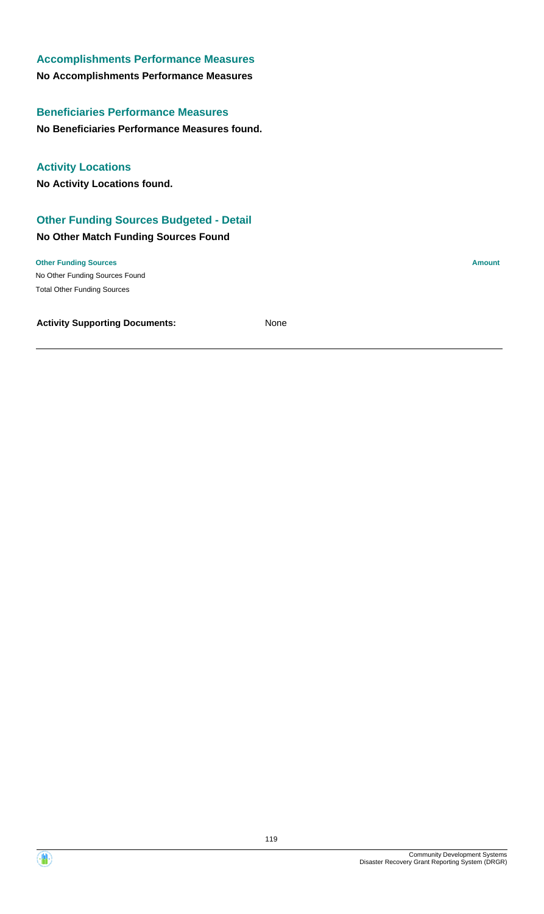### **No Accomplishments Performance Measures Accomplishments Performance Measures**

**No Beneficiaries Performance Measures found. Beneficiaries Performance Measures**

**Activity Locations**

**No Activity Locations found.**

### **Other Funding Sources Budgeted - Detail**

### **No Other Match Funding Sources Found**

No Other Funding Sources Found **Other Funding Sources Amount** Total Other Funding Sources

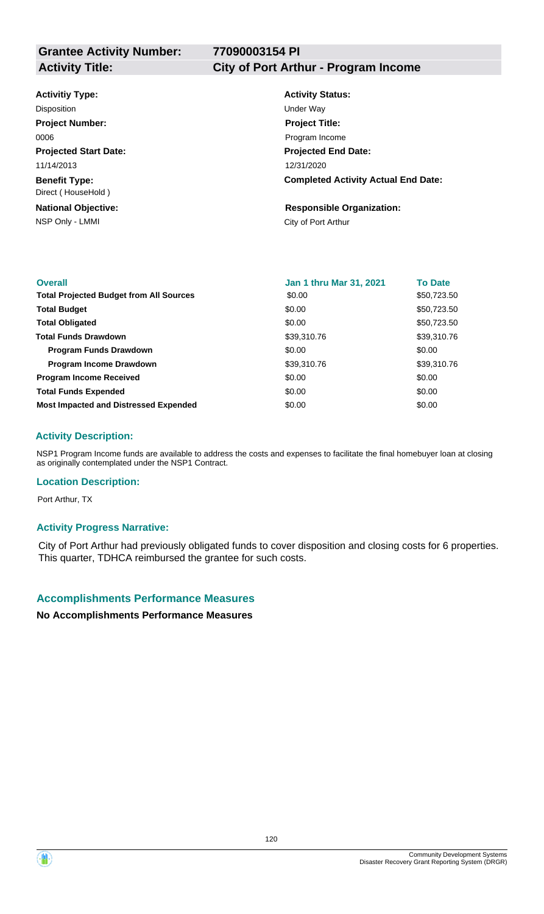### **Activitiy Type:**

**Projected Start Date: Benefit Type:** 11/14/2013 Direct ( HouseHold ) Disposition **Disposition** Under Way **Project Number:** 0006

NSP Only - LMMI City of Port Arthur **National Objective:**

### **Activity Title: City of Port Arthur - Program Income**

**Activity Status: Projected End Date: Completed Activity Actual End Date:** 12/31/2020 **Project Title:** Program Income

### **Responsible Organization:**

| <b>Overall</b>                                 | <b>Jan 1 thru Mar 31, 2021</b> | <b>To Date</b> |
|------------------------------------------------|--------------------------------|----------------|
| <b>Total Projected Budget from All Sources</b> | \$0.00                         | \$50,723.50    |
| <b>Total Budget</b>                            | \$0.00                         | \$50,723.50    |
| <b>Total Obligated</b>                         | \$0.00                         | \$50,723.50    |
| <b>Total Funds Drawdown</b>                    | \$39,310.76                    | \$39,310.76    |
| <b>Program Funds Drawdown</b>                  | \$0.00                         | \$0.00         |
| <b>Program Income Drawdown</b>                 | \$39,310.76                    | \$39,310.76    |
| <b>Program Income Received</b>                 | \$0.00                         | \$0.00         |
| <b>Total Funds Expended</b>                    | \$0.00                         | \$0.00         |
| <b>Most Impacted and Distressed Expended</b>   | \$0.00                         | \$0.00         |

### **Activity Description:**

NSP1 Program Income funds are available to address the costs and expenses to facilitate the final homebuyer loan at closing as originally contemplated under the NSP1 Contract.

### **Location Description:**

Port Arthur, TX

### **Activity Progress Narrative:**

City of Port Arthur had previously obligated funds to cover disposition and closing costs for 6 properties. This quarter, TDHCA reimbursed the grantee for such costs.

### **Accomplishments Performance Measures**

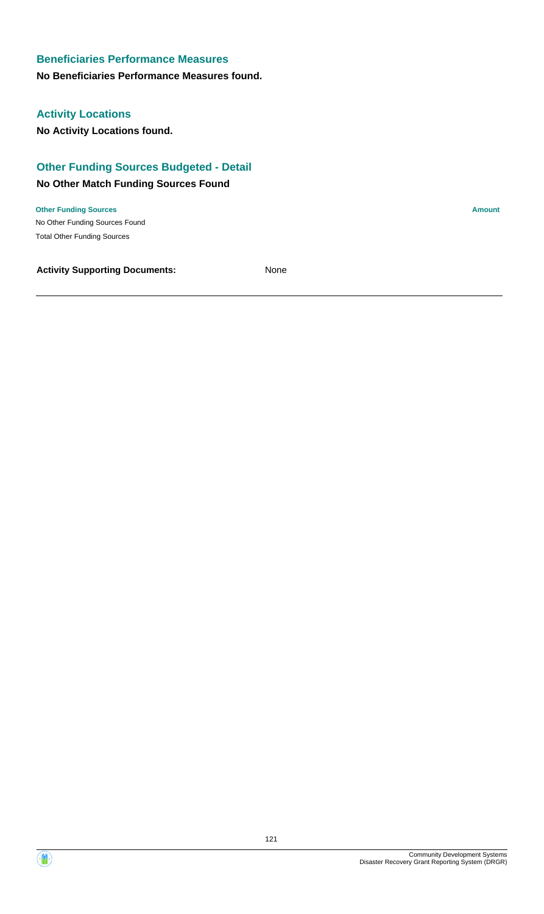### **No Beneficiaries Performance Measures found.**

### **Activity Locations**

**No Activity Locations found.**

### **Other Funding Sources Budgeted - Detail**

### **No Other Match Funding Sources Found**

No Other Funding Sources Found **Other Funding Sources Amount Amount Amount Amount Amount Amount Amount** Total Other Funding Sources



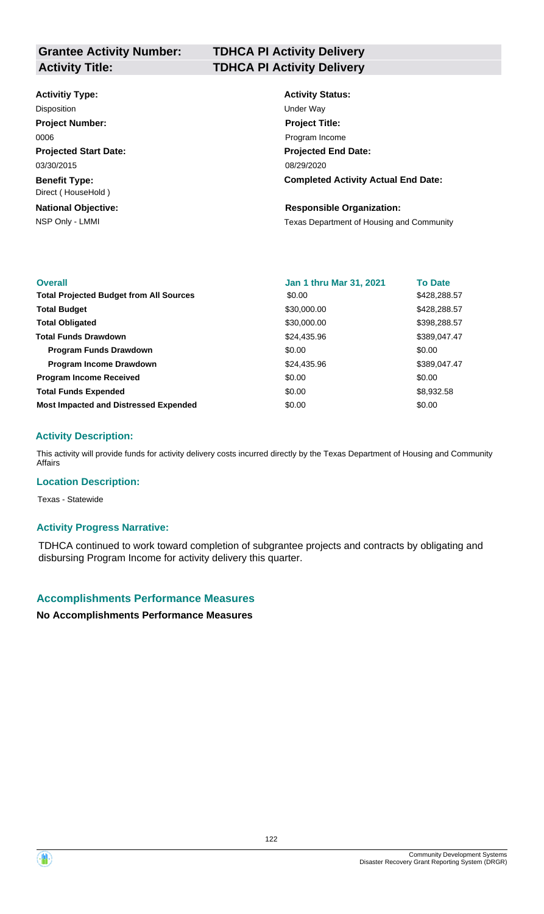# **Grantee Activity Number:**

### **Activitiy Type:**

**Projected Start Date: Benefit Type:** 03/30/2015 Direct ( HouseHold ) Disposition **Disposition** Under Way **Project Number:** 0006

**National Objective:**

### **TDHCA PI Activity Delivery Activity Title: TDHCA PI Activity Delivery**

**Activity Status: Projected End Date: Completed Activity Actual End Date:** 08/29/2020 **Project Title:** Program Income

#### **Responsible Organization:**

NSP Only - LMMI **NATE Only - LMMI** Texas Department of Housing and Community

| <b>Overall</b>                                 | <b>Jan 1 thru Mar 31, 2021</b> | <b>To Date</b> |
|------------------------------------------------|--------------------------------|----------------|
| <b>Total Projected Budget from All Sources</b> | \$0.00                         | \$428,288.57   |
| <b>Total Budget</b>                            | \$30,000.00                    | \$428,288.57   |
| <b>Total Obligated</b>                         | \$30,000.00                    | \$398,288.57   |
| <b>Total Funds Drawdown</b>                    | \$24,435.96                    | \$389,047.47   |
| <b>Program Funds Drawdown</b>                  | \$0.00                         | \$0.00         |
| Program Income Drawdown                        | \$24,435.96                    | \$389,047.47   |
| <b>Program Income Received</b>                 | \$0.00                         | \$0.00         |
| <b>Total Funds Expended</b>                    | \$0.00                         | \$8,932.58     |
| <b>Most Impacted and Distressed Expended</b>   | \$0.00                         | \$0.00         |

### **Activity Description:**

This activity will provide funds for activity delivery costs incurred directly by the Texas Department of Housing and Community Affairs

### **Location Description:**

Texas - Statewide

### **Activity Progress Narrative:**

TDHCA continued to work toward completion of subgrantee projects and contracts by obligating and disbursing Program Income for activity delivery this quarter.

### **Accomplishments Performance Measures**

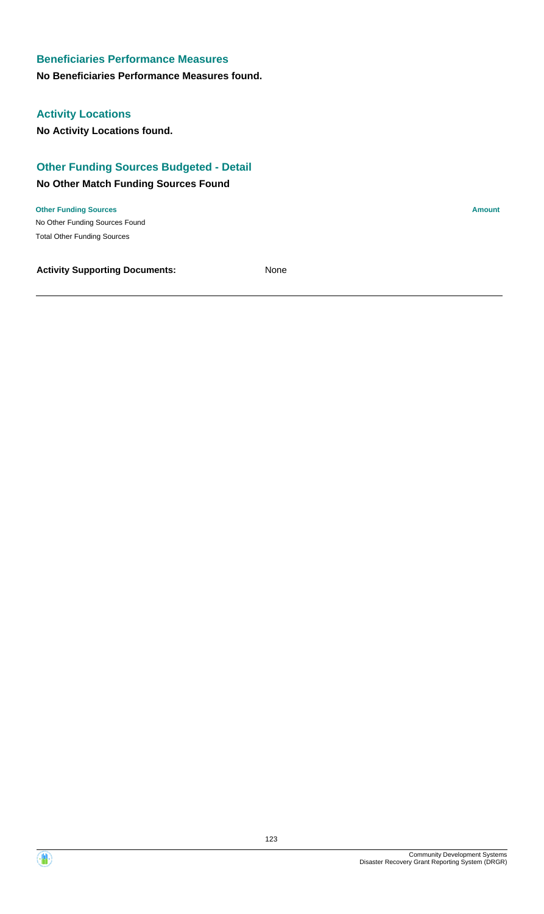### **No Beneficiaries Performance Measures found.**

### **Activity Locations**

**No Activity Locations found.**

### **Other Funding Sources Budgeted - Detail**

### **No Other Match Funding Sources Found**

No Other Funding Sources Found **Other Funding Sources Amount Amount Amount Amount Amount Amount Amount** Total Other Funding Sources

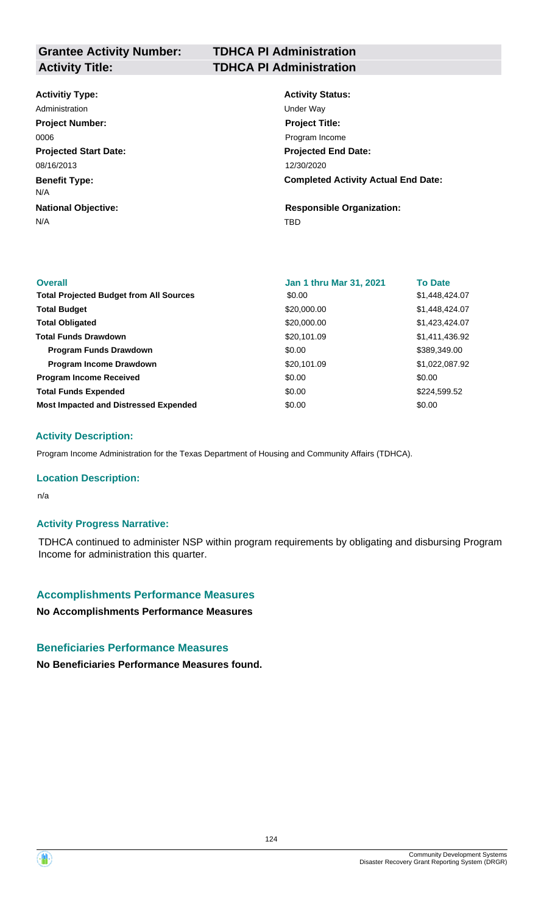**Grantee Activity Number:**

### **TDHCA PI Administration Activity Title: TDHCA PI Administration**

### **Activitiy Type:**

**Projected Start Date: Benefit Type:** N/A TBD **National Objective:** 08/16/2013 N/A Administration **National Contract Contract Contract Contract Contract Contract Contract Contract Contract Contract Contract Contract Contract Contract Contract Contract Contract Contract Contract Contract Contract Contract Project Number:** 0006

### **Activity Status: Projected End Date: Completed Activity Actual End Date:** 12/30/2020 **Project Title:** Program Income

**Responsible Organization:**

| <b>Overall</b>                                 | Jan 1 thru Mar 31, 2021 | <b>To Date</b> |
|------------------------------------------------|-------------------------|----------------|
| <b>Total Projected Budget from All Sources</b> | \$0.00                  | \$1,448,424.07 |
| <b>Total Budget</b>                            | \$20,000.00             | \$1,448,424.07 |
| <b>Total Obligated</b>                         | \$20,000.00             | \$1,423,424.07 |
| <b>Total Funds Drawdown</b>                    | \$20,101.09             | \$1,411,436.92 |
| <b>Program Funds Drawdown</b>                  | \$0.00                  | \$389,349.00   |
| <b>Program Income Drawdown</b>                 | \$20,101.09             | \$1,022,087.92 |
| <b>Program Income Received</b>                 | \$0.00                  | \$0.00         |
| <b>Total Funds Expended</b>                    | \$0.00                  | \$224,599.52   |
| <b>Most Impacted and Distressed Expended</b>   | \$0.00                  | \$0.00         |

### **Activity Description:**

Program Income Administration for the Texas Department of Housing and Community Affairs (TDHCA).

#### **Location Description:**

n/a

### **Activity Progress Narrative:**

TDHCA continued to administer NSP within program requirements by obligating and disbursing Program Income for administration this quarter.

#### **Accomplishments Performance Measures**

**No Accomplishments Performance Measures**

### **Beneficiaries Performance Measures**

**No Beneficiaries Performance Measures found.**

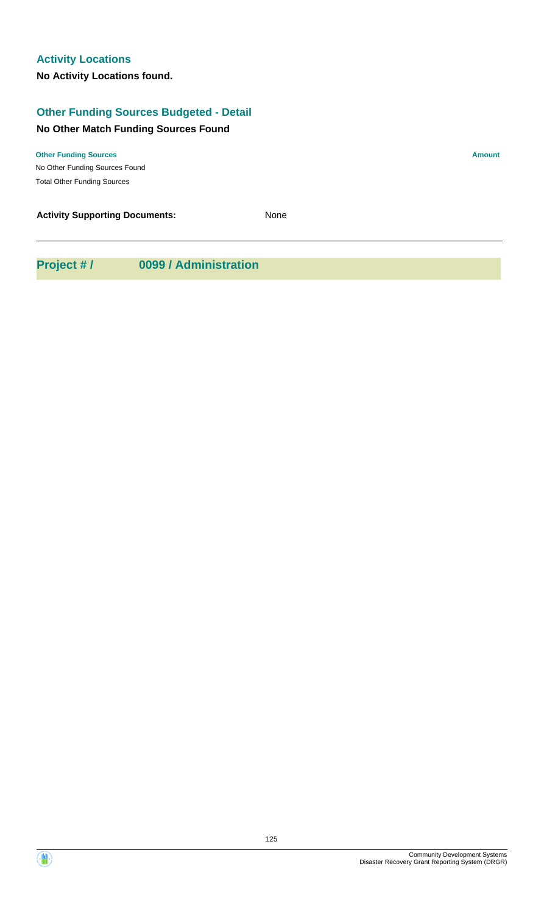### **Other Funding Sources Budgeted - Detail**

### **No Other Match Funding Sources Found**

No Other Funding Sources Found **Other Funding Sources Amount Amount Amount Amount Amount Amount Amount** Total Other Funding Sources

**Activity Supporting Documents:** None

**Project # / 0099 / Administration**

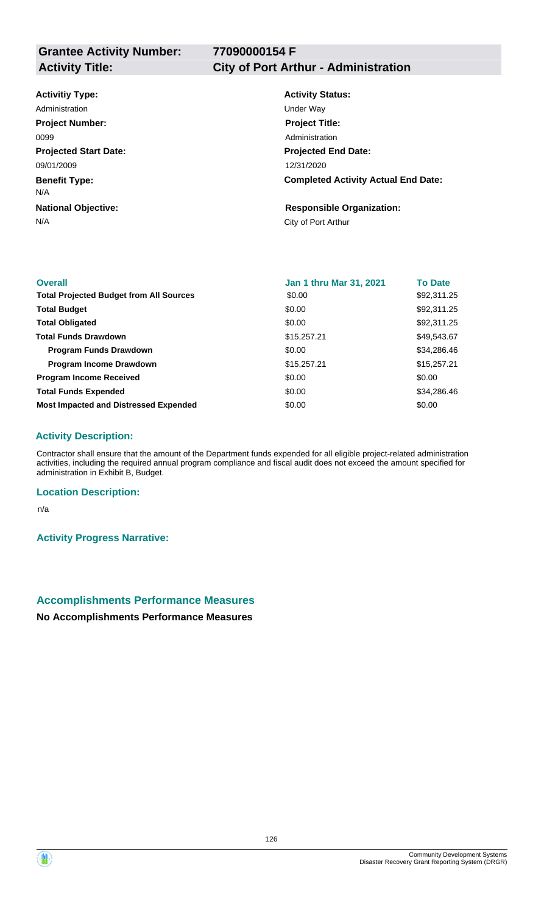**77090000154 F**

## **Activity Title: City of Port Arthur - Administration**

### **Activitiy Type:**

**Projected Start Date: Benefit Type:** N/A City of Port Arthur **National Objective:** 09/01/2009 N/A Administration **National Contract Contract Contract Contract Contract Contract Contract Contract Contract Contract Contract Contract Contract Contract Contract Contract Contract Contract Contract Contract Contract Contract Project Number:** 0099

### **Activity Status: Projected End Date: Completed Activity Actual End Date:** 12/31/2020 **Project Title:** Administration

### **Responsible Organization:**

| <b>Overall</b>                                 | <b>Jan 1 thru Mar 31, 2021</b> | <b>To Date</b> |
|------------------------------------------------|--------------------------------|----------------|
| <b>Total Projected Budget from All Sources</b> | \$0.00                         | \$92,311.25    |
| <b>Total Budget</b>                            | \$0.00                         | \$92,311.25    |
| <b>Total Obligated</b>                         | \$0.00                         | \$92,311.25    |
| <b>Total Funds Drawdown</b>                    | \$15,257.21                    | \$49,543.67    |
| <b>Program Funds Drawdown</b>                  | \$0.00                         | \$34,286.46    |
| <b>Program Income Drawdown</b>                 | \$15,257.21                    | \$15,257.21    |
| <b>Program Income Received</b>                 | \$0.00                         | \$0.00         |
| <b>Total Funds Expended</b>                    | \$0.00                         | \$34,286.46    |
| <b>Most Impacted and Distressed Expended</b>   | \$0.00                         | \$0.00         |

### **Activity Description:**

Contractor shall ensure that the amount of the Department funds expended for all eligible project-related administration activities, including the required annual program compliance and fiscal audit does not exceed the amount specified for administration in Exhibit B, Budget.

### **Location Description:**

n/a

**Activity Progress Narrative:**

### **Accomplishments Performance Measures**